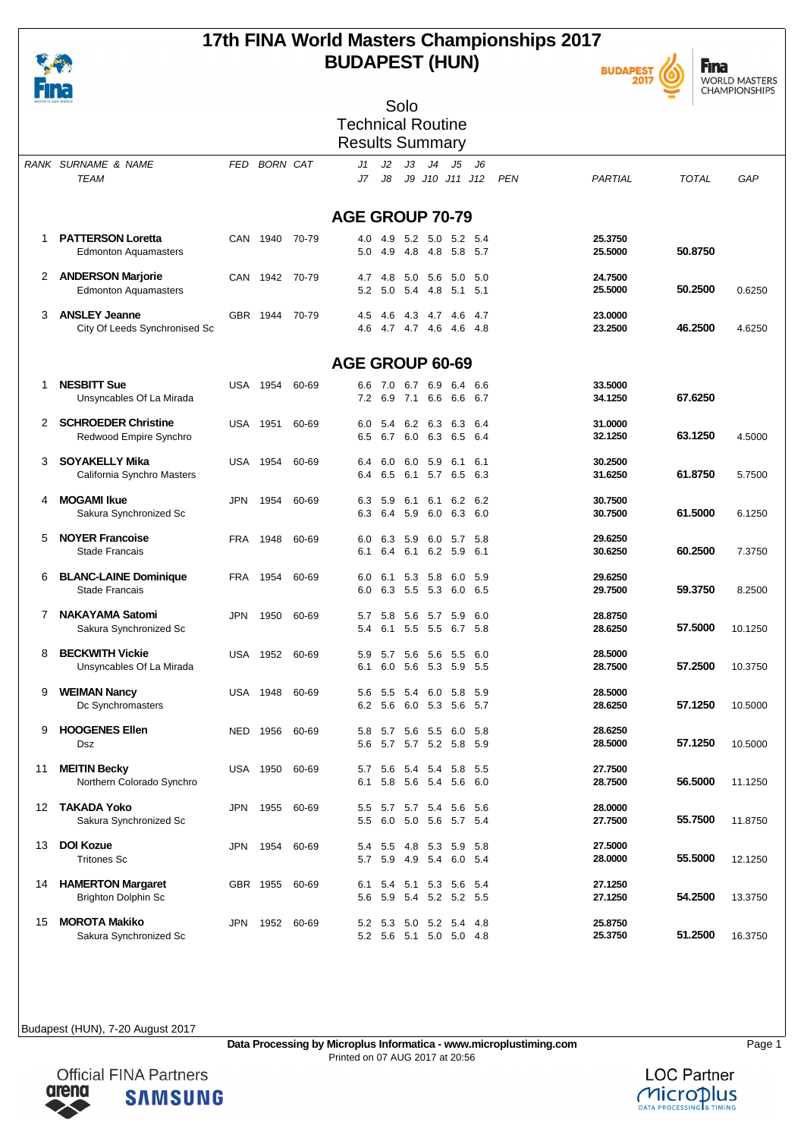

## **17th FINA World Masters Championships 2017 BUDAPEST (HUN)**





| ____________<br>WATER IS OUR WORLD |                                        |            |                |            |                          |            | Solo                               |                 |                |              |            |                    |              |         |
|------------------------------------|----------------------------------------|------------|----------------|------------|--------------------------|------------|------------------------------------|-----------------|----------------|--------------|------------|--------------------|--------------|---------|
|                                    |                                        |            |                |            | <b>Technical Routine</b> |            |                                    |                 |                |              |            |                    |              |         |
|                                    |                                        |            |                |            | <b>Results Summary</b>   |            |                                    |                 |                |              |            |                    |              |         |
|                                    |                                        |            |                |            |                          |            |                                    |                 |                |              |            |                    |              |         |
|                                    | RANK SURNAME & NAME                    |            | FED BORN CAT   |            | J1                       | J2         | JЗ                                 | J <sub>4</sub>  | J5             | J6           |            |                    |              |         |
|                                    | TEAM                                   |            |                |            | J7                       | J8         |                                    | J9 J10 J11 J12  |                |              | <b>PEN</b> | PARTIAL            | <b>TOTAL</b> | GAP     |
|                                    |                                        |            |                |            |                          |            |                                    |                 |                |              |            |                    |              |         |
|                                    |                                        |            |                |            | <b>AGE GROUP 70-79</b>   |            |                                    |                 |                |              |            |                    |              |         |
| 1                                  | <b>PATTERSON Loretta</b>               |            | CAN 1940       | 70-79      | 4.0                      | 4.9        | 5.2                                | 5.0             | 5.2            | - 5.4        |            | 25.3750            |              |         |
|                                    | <b>Edmonton Aquamasters</b>            |            |                |            | 5.0                      | 4.9        | 4.8                                | -4.8            | 5.8 5.7        |              |            | 25.5000            | 50.8750      |         |
| 2                                  | <b>ANDERSON Marjorie</b>               |            | CAN 1942       | 70-79      | 4.7                      | 4.8        | 5.0                                | 5.6             | 5.0            | -5.0         |            | 24.7500            |              |         |
|                                    | <b>Edmonton Aquamasters</b>            |            |                |            |                          |            | 5.2 5.0 5.4                        | 4.8             | 5.1            | - 5.1        |            | 25.5000            | 50.2500      | 0.6250  |
|                                    |                                        |            |                |            |                          |            |                                    |                 |                |              |            |                    |              |         |
| 3                                  | <b>ANSLEY Jeanne</b>                   |            | GBR 1944       | 70-79      | 4.5                      | 4.6        | 43 47 46<br>4.6 4.7 4.7 4.6        |                 |                | - 4.7        |            | 23,0000            | 46.2500      |         |
|                                    | City Of Leeds Synchronised Sc          |            |                |            |                          |            |                                    |                 | 4.6 4.8        |              |            | 23.2500            |              | 4.6250  |
|                                    |                                        |            |                |            |                          |            |                                    |                 |                |              |            |                    |              |         |
|                                    |                                        |            |                |            | AGE GROUP 60-69          |            |                                    |                 |                |              |            |                    |              |         |
| 1                                  | <b>NESBITT Sue</b>                     |            | USA 1954       | 60-69      | 6.6                      | 7.0        | 6.7                                | 6.9             | 6.4            | 6.6          |            | 33.5000            |              |         |
|                                    | Unsyncables Of La Mirada               |            |                |            |                          |            | 7.2 6.9 7.1 6.6                    |                 | 6667           |              |            | 34.1250            | 67.6250      |         |
| 2                                  | <b>SCHROEDER Christine</b>             |            | USA 1951       | 60-69      | 6.0                      | 5.4        |                                    | 6.2 6.3 6.3     |                | - 6.4        |            | 31.0000            |              |         |
|                                    | Redwood Empire Synchro                 |            |                |            | 6.5                      | 6.7        | 6.0                                | 6.3             | 6.5            | 6.4          |            | 32.1250            | 63.1250      | 4.5000  |
|                                    | <b>SOYAKELLY Mika</b>                  |            |                |            |                          |            |                                    |                 |                |              |            |                    |              |         |
| 3                                  | California Synchro Masters             |            | USA 1954       | 60-69      | 6.4<br>6.4               | 6.0<br>6.5 | 6.0<br>6.1                         | 5.9<br>5.7 6.5  | 6.1            | 6.1<br>- 6.3 |            | 30.2500<br>31.6250 | 61.8750      | 5.7500  |
|                                    |                                        |            |                |            |                          |            |                                    |                 |                |              |            |                    |              |         |
| 4                                  | <b>MOGAMI Ikue</b>                     | JPN        | 1954           | 60-69      | 6.3                      | 5.9        | 6.1                                | 6.1             | 6.2            | -6.2         |            | 30.7500            |              |         |
|                                    | Sakura Synchronized Sc                 |            |                |            |                          |            | 6.3 6.4 5.9                        | 6.0             | 6.3 6.0        |              |            | 30.7500            | 61.5000      | 6.1250  |
| 5                                  | <b>NOYER Francoise</b>                 | FRA        | 1948           | 60-69      | 6.0                      | 6.3        | 5.9                                | 6.0             | 5.7            | 5.8          |            | 29.6250            |              |         |
|                                    | <b>Stade Francais</b>                  |            |                |            | 6.1                      | 6.4        |                                    | 6.1 6.2 5.9 6.1 |                |              |            | 30.6250            | 60.2500      | 7.3750  |
| 6                                  | <b>BLANC-LAINE Dominique</b>           |            | FRA 1954       | 60-69      | 6.0                      | 6.1        | 5.3                                | 5.8             | 6.0            | - 5.9        |            | 29.6250            |              |         |
|                                    | <b>Stade Francais</b>                  |            |                |            | 6.0                      |            | 6.3 5.5                            | 5.3             | 6.0 6.5        |              |            | 29.7500            | 59.3750      | 8.2500  |
|                                    |                                        |            |                |            |                          |            |                                    |                 |                |              |            |                    |              |         |
| 7                                  | <b>NAKAYAMA Satomi</b>                 | <b>JPN</b> | 1950           | 60-69      | 5.7                      | 5.8        | 5.6                                | 5.7             | 5.9<br>6.7 5.8 | 6.0          |            | 28.8750<br>28.6250 | 57.5000      |         |
|                                    | Sakura Synchronized Sc                 |            |                |            | 5.4                      |            | 6.1 5.5 5.5                        |                 |                |              |            |                    |              | 10.1250 |
| 8                                  | <b>BECKWITH Vickie</b>                 |            | USA 1952       | 60-69      | 5.9                      | 5.7        | 5.6                                | 5.6             | 5.5            | -6.0         |            | 28.5000            |              |         |
|                                    | Unsyncables Of La Mirada               |            |                |            | 6.1                      |            | 6.0 5.6 5.3 5.9 5.5                |                 |                |              |            | 28.7500            | 57.2500      | 10.3750 |
| 9                                  | <b>WEIMAN Nancy</b>                    |            | USA 1948       | 60-69      |                          |            | 5.6 5.5 5.4 6.0 5.8 5.9            |                 |                |              |            | 28,5000            |              |         |
|                                    | Dc Synchromasters                      |            |                |            |                          |            | 6.2 5.6 6.0 5.3 5.6 5.7            |                 |                |              |            | 28.6250            | 57.1250      | 10.5000 |
|                                    |                                        |            |                |            |                          |            |                                    |                 |                |              |            |                    |              |         |
| 9                                  | <b>HOOGENES Ellen</b><br>Dsz           |            | NED 1956 60-69 |            |                          | 5.6 5.7    | 5.8 5.7 5.6 5.5 6.0 5.8            | 5.7 5.2 5.8     |                | 5.9          |            | 28.6250<br>28.5000 | 57.1250      | 10.5000 |
|                                    |                                        |            |                |            |                          |            |                                    |                 |                |              |            |                    |              |         |
| 11                                 | <b>MEITIN Becky</b>                    |            | USA 1950       | 60-69      | 5.7                      |            | 5.6 5.4 5.4 5.8                    |                 |                | - 5.5        |            | 27.7500            |              |         |
|                                    | Northern Colorado Synchro              |            |                |            | 6.1                      |            | 5.8 5.6 5.4 5.6                    |                 |                | 6.0          |            | 28.7500            | 56.5000      | 11.1250 |
|                                    | 12 TAKADA Yoko                         | JPN        | 1955           | 60-69      | 5.5                      |            | 5.7 5.7 5.4 5.6                    |                 |                | - 5.6        |            | 28.0000            |              |         |
|                                    | Sakura Synchronized Sc                 |            |                |            |                          |            | 5.5 6.0 5.0 5.6 5.7 5.4            |                 |                |              |            | 27.7500            | 55.7500      | 11.8750 |
|                                    |                                        |            |                |            |                          |            |                                    |                 |                |              |            |                    |              |         |
| 13                                 | <b>DOI Kozue</b><br><b>Tritones Sc</b> | JPN        | 1954 60-69     |            | 5.7                      |            | 5.4 5.5 4.8 5.3 5.9<br>5.9 4.9 5.4 |                 | 6.0 5.4        | - 5.8        |            | 27.5000<br>28.0000 | 55.5000      | 12.1250 |
|                                    |                                        |            |                |            |                          |            |                                    |                 |                |              |            |                    |              |         |
|                                    | 14 HAMERTON Margaret                   |            | GBR 1955       | 60-69      | 6.1                      | 5.4        |                                    | 5.1 5.3 5.6     |                | - 5.4        |            | 27.1250            |              |         |
|                                    | <b>Brighton Dolphin Sc</b>             |            |                |            |                          |            | 5.6 5.9 5.4 5.2 5.2 5.5            |                 |                |              |            | 27.1250            | 54.2500      | 13.3750 |
| 15                                 | <b>MOROTA Makiko</b>                   | JPN        |                | 1952 60-69 |                          |            | 5.2 5.3 5.0 5.2 5.4                |                 |                | -4.8         |            | 25.8750            |              |         |
|                                    | Sakura Synchronized Sc                 |            |                |            |                          |            | 5.2 5.6 5.1 5.0 5.0 4.8            |                 |                |              |            | 25.3750            | 51.2500      | 16.3750 |



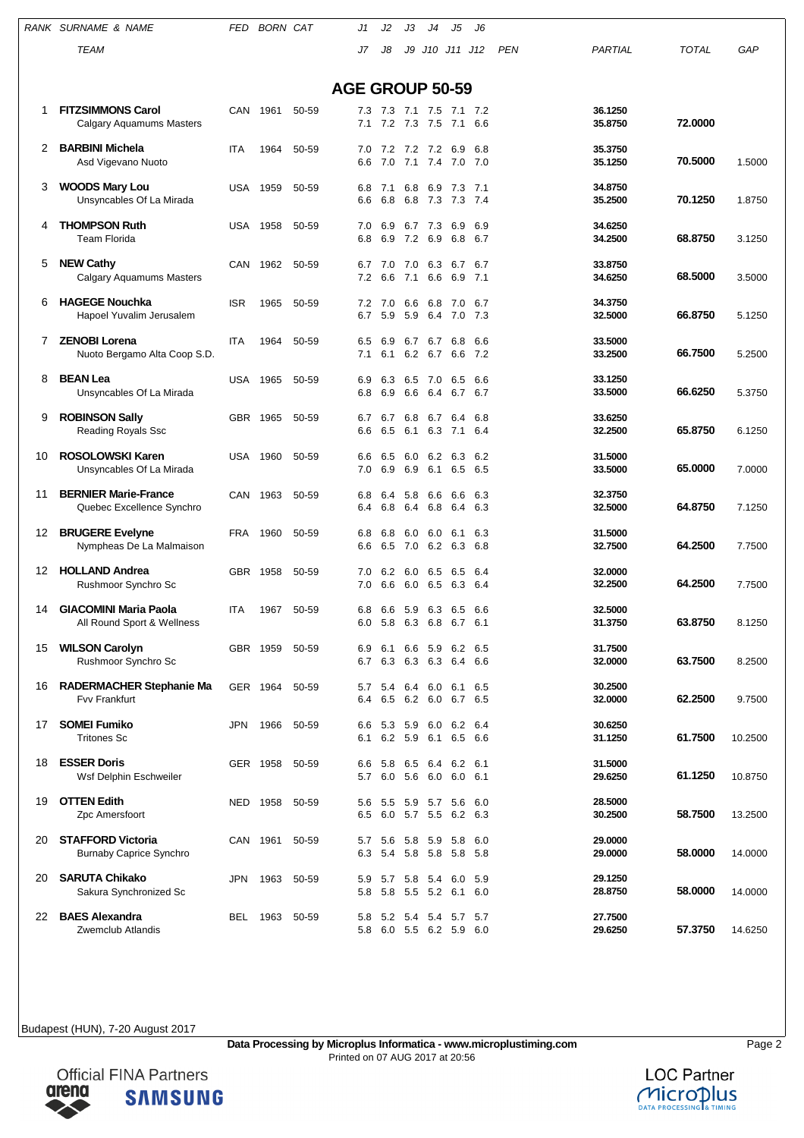|    | RANK SURNAME & NAME                                        | FED        | <b>BORN CAT</b> |       | J1                     | J2         | JЗ                 | J4                     | J5                                             | J6             |            |                    |              |         |
|----|------------------------------------------------------------|------------|-----------------|-------|------------------------|------------|--------------------|------------------------|------------------------------------------------|----------------|------------|--------------------|--------------|---------|
|    | <b>TEAM</b>                                                |            |                 |       | J7                     | J8         | J9                 |                        | J10 J11 J12                                    |                | <b>PEN</b> | PARTIAL            | <b>TOTAL</b> | GAP     |
|    |                                                            |            |                 |       |                        |            |                    |                        |                                                |                |            |                    |              |         |
|    |                                                            |            |                 |       | <b>AGE GROUP 50-59</b> |            |                    |                        |                                                |                |            |                    |              |         |
| 1  | <b>FITZSIMMONS Carol</b><br>Calgary Aquamums Masters       |            | CAN 1961        | 50-59 | 7.3<br>7.1             | 7.2        | 7.3 7.1 7.5<br>7.3 | 7.5                    | 7.1<br>7.1                                     | 7.2<br>6.6     |            | 36.1250<br>35.8750 | 72,0000      |         |
| 2  | <b>BARBINI Michela</b><br>Asd Vigevano Nuoto               | <b>ITA</b> | 1964            | 50-59 | 7.0<br>6.6             | 7.2<br>7.0 | 7.1                | 7.2 7.2 6.9<br>7.4     | 7.0                                            | 6.8<br>7.0     |            | 35.3750<br>35.1250 | 70.5000      | 1.5000  |
| 3  | <b>WOODS Mary Lou</b><br>Unsyncables Of La Mirada          | USA        | 1959            | 50-59 | 6.8<br>6.6             | 7.1<br>6.8 | 6.8<br>6.8         | 6.9<br>7.3             | 7.3<br>7.3                                     | 7.1<br>-7.4    |            | 34.8750<br>35.2500 | 70.1250      | 1.8750  |
| 4  | <b>THOMPSON Ruth</b><br><b>Team Florida</b>                | USA        | 1958            | 50-59 | 7.0<br>6.8             | 6.9<br>6.9 | 7.2                | 6.7 7.3<br>6.9         | 6.9<br>6.8                                     | 6.9<br>6.7     |            | 34.6250<br>34.2500 | 68.8750      | 3.1250  |
| 5  | <b>NEW Cathy</b><br><b>Calgary Aquamums Masters</b>        | CAN        | 1962            | 50-59 | 6.7<br>7.2             | 7.0<br>6.6 | 7.0<br>7.1         | 6.3<br>6.6             | 6.7 6.7<br>6.9                                 | 7.1            |            | 33.8750<br>34.6250 | 68.5000      | 3.5000  |
| 6  | <b>HAGEGE Nouchka</b><br>Hapoel Yuvalim Jerusalem          | <b>ISR</b> | 1965            | 50-59 | 7.2<br>6.7             | 7.0<br>5.9 | 6.6<br>5.9         | 6.8<br>6.4             | 7.0<br>7.0                                     | 6.7<br>7.3     |            | 34.3750<br>32.5000 | 66.8750      | 5.1250  |
| 7  | <b>ZENOBI Lorena</b><br>Nuoto Bergamo Alta Coop S.D.       | ITA        | 1964            | 50-59 | 6.5<br>7.1             | 6.9<br>6.1 | 6.7                | 6.7                    | 6.8<br>6.2 6.7 6.6                             | 6.6<br>7.2     |            | 33.5000<br>33.2500 | 66.7500      | 5.2500  |
| 8  | <b>BEAN Lea</b><br>Unsyncables Of La Mirada                | USA        | 1965            | 50-59 | 6.9<br>6.8             | 6.3<br>6.9 | 6.5<br>6.6         | 7.0<br>6.4             | 6.5<br>6.7                                     | 6.6<br>6.7     |            | 33.1250<br>33.5000 | 66.6250      | 5.3750  |
| 9  | <b>ROBINSON Sally</b><br><b>Reading Royals Ssc</b>         |            | GBR 1965        | 50-59 | 6.7<br>6.6             | 6.7<br>6.5 | 6.8<br>6.1         | 6.7<br>6.3             | 6.4<br>7.1                                     | 6.8<br>6.4     |            | 33.6250<br>32.2500 | 65.8750      | 6.1250  |
| 10 | <b>ROSOLOWSKI Karen</b><br>Unsyncables Of La Mirada        | USA        | 1960            | 50-59 | 6.6<br>7.0             | 6.5<br>6.9 | 6.0<br>6.9         | 6.2<br>6.1             | 6.3<br>6.5                                     | 6.2<br>6.5     |            | 31.5000<br>33.5000 | 65.0000      | 7.0000  |
| 11 | <b>BERNIER Marie-France</b><br>Quebec Excellence Synchro   | CAN        | 1963            | 50-59 | 6.8<br>6.4             | 6.4<br>6.8 | 5.8<br>6.4         | 6.6<br>6.8             | 6.6<br>6.4                                     | 6.3<br>6.3     |            | 32.3750<br>32.5000 | 64.8750      | 7.1250  |
| 12 | <b>BRUGERE Evelyne</b><br>Nympheas De La Malmaison         | FRA        | 1960            | 50-59 | 6.8<br>6.6             | 6.8<br>6.5 | 6.0<br>7.0         | 6.0<br>6.2             | 6.1<br>6.3                                     | 6.3<br>6.8     |            | 31.5000<br>32.7500 | 64.2500      | 7.7500  |
| 12 | <b>HOLLAND Andrea</b><br>Rushmoor Synchro Sc               | GBR.       | 1958            | 50-59 | 7.0<br>7.0             | 6.2<br>6.6 | 6.0<br>6.0         | 6.5<br>6.5             | 6.5<br>6.3                                     | 6.4<br>6.4     |            | 32.0000<br>32.2500 | 64.2500      | 7.7500  |
| 14 | <b>GIACOMINI Maria Paola</b><br>All Round Sport & Wellness | <b>ITA</b> | 1967            | 50-59 | 6.8                    | 6.6        | 5.9                | 6.3                    | 6.5<br>6.0 5.8 6.3 6.8 6.7 6.1                 | 6.6            |            | 32.5000<br>31.3750 | 63.8750      | 8.1250  |
| 15 | <b>WILSON Carolyn</b><br>Rushmoor Synchro Sc               |            | GBR 1959        | 50-59 | 6.9<br>6.7             | 6.1<br>6.3 |                    | 6.6 5.9                | 6.2 6.5<br>6.3 6.3 6.4 6.6                     |                |            | 31.7500<br>32.0000 | 63.7500      | 8.2500  |
| 16 | RADERMACHER Stephanie Ma<br><b>Fvv Frankfurt</b>           |            | GER 1964        | 50-59 | 5.7<br>6.4             | 5.4<br>6.5 | 6.4<br>6.2 6.0     | 6.0                    | 6.1<br>6.7 6.5                                 | 6.5            |            | 30.2500<br>32.0000 | 62.2500      | 9.7500  |
| 17 | <b>SOMEI Fumiko</b><br><b>Tritones Sc</b>                  | JPN        | 1966            | 50-59 | 6.6<br>6.1             | 5.3        | 5.9<br>6.2 5.9     | 6.0<br>6.1             | 6.2                                            | 6.4<br>6.5 6.6 |            | 30.6250<br>31.1250 | 61.7500      | 10.2500 |
| 18 | <b>ESSER Doris</b><br>Wsf Delphin Eschweiler               |            | GER 1958        | 50-59 | 6.6<br>5.7             | 5.8        | 6.5                | 6.4                    | 6.2<br>6.0 5.6 6.0 6.0 6.1                     | 6.1            |            | 31.5000<br>29.6250 | 61.1250      | 10.8750 |
| 19 | <b>OTTEN Edith</b><br>Zpc Amersfoort                       | NED        | 1958            | 50-59 | 5.6<br>6.5             | 5.5<br>6.0 |                    | 5.9 5.7 5.6            | 5.7 5.5 6.2 6.3                                | 6.0            |            | 28.5000<br>30.2500 | 58.7500      | 13.2500 |
| 20 | <b>STAFFORD Victoria</b><br><b>Burnaby Caprice Synchro</b> |            | CAN 1961        | 50-59 | 5.7<br>6.3             | 5.6<br>5.4 | 58 59              | 5.8 5.8                | 5.8<br>5.8                                     | 6.0<br>5.8     |            | 29.0000<br>29.0000 | 58.0000      | 14.0000 |
| 20 | <b>SARUTA Chikako</b><br>Sakura Synchronized Sc            | JPN        | 1963            | 50-59 | 5.9<br>5.8             | 5.7<br>5.8 |                    | 5.8 5.4<br>5.5 5.2 6.1 | 6.0                                            | 5.9<br>6.0     |            | 29.1250<br>28.8750 | 58.0000      | 14.0000 |
| 22 | <b>BAES Alexandra</b><br>Zwemclub Atlandis                 | BEL.       | 1963            | 50-59 | 5.8                    |            |                    |                        | 5.2 5.4 5.4 5.7 5.7<br>5.8 6.0 5.5 6.2 5.9 6.0 |                |            | 27.7500<br>29.6250 | 57.3750      | 14.6250 |



**LOC Partner** Microplus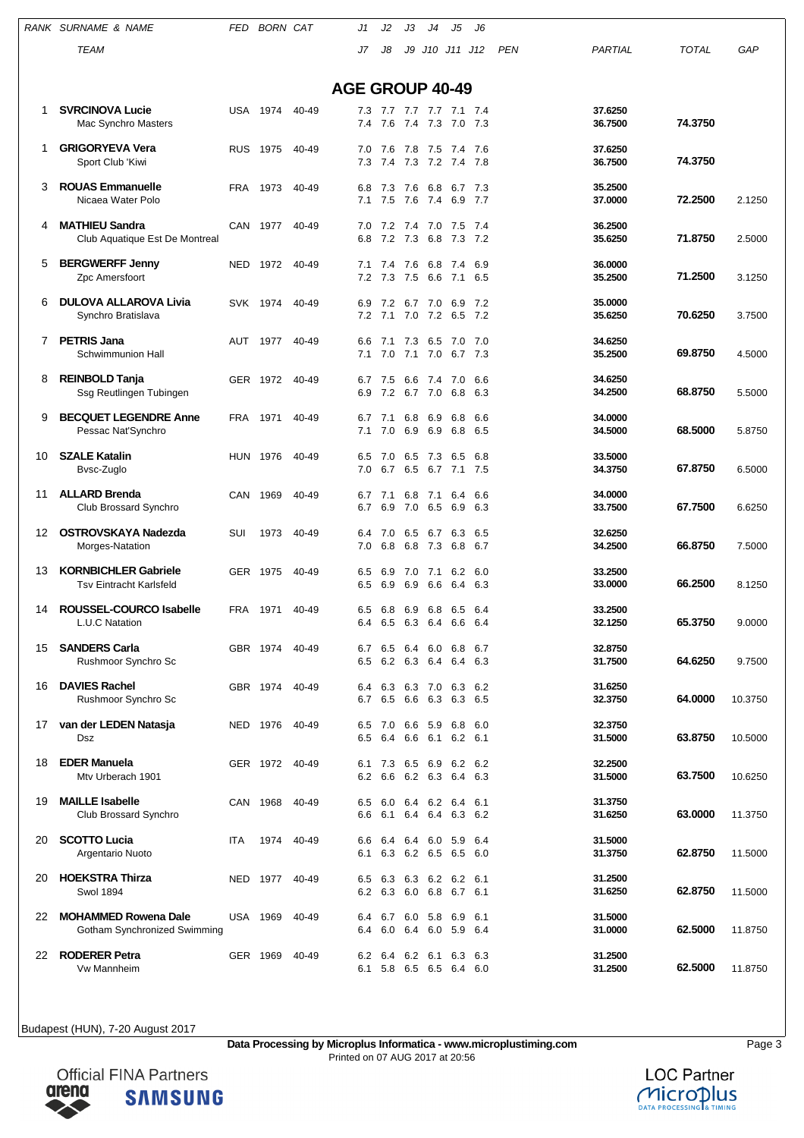|    | RANK SURNAME & NAME                                     | FED        | <b>BORN CAT</b> |       | J1                     | J2         | JЗ         | J4                 | J5                  | J6          |            |                    |              |         |
|----|---------------------------------------------------------|------------|-----------------|-------|------------------------|------------|------------|--------------------|---------------------|-------------|------------|--------------------|--------------|---------|
|    | <b>TEAM</b>                                             |            |                 |       | J7                     | J8         |            | J9 J10 J11         |                     | J12         | <b>PEN</b> | PARTIAL            | <b>TOTAL</b> | GAP     |
|    |                                                         |            |                 |       |                        |            |            |                    |                     |             |            |                    |              |         |
|    |                                                         |            |                 |       | <b>AGE GROUP 40-49</b> |            |            |                    |                     |             |            |                    |              |         |
| 1  | <b>SVRCINOVA Lucie</b>                                  | USA        | 1974            | 40-49 | 7.3<br>7.4             | 7.7        | 7.4        | 7.7 7.7 7.1        |                     | -7.4<br>7.3 |            | 37.6250<br>36.7500 | 74.3750      |         |
|    | Mac Synchro Masters                                     |            |                 |       |                        | 7.6        |            | 7.3                | 7.0                 |             |            |                    |              |         |
| 1  | <b>GRIGORYEVA Vera</b><br>Sport Club 'Kiwi              | <b>RUS</b> | 1975            | 40-49 | 7.0<br>7.3             | 7.6<br>7.4 | 7.8        | 7.5<br>7.3 7.2 7.4 | 7.4                 | 7.6<br>7.8  |            | 37.6250<br>36.7500 | 74.3750      |         |
| 3  | <b>ROUAS Emmanuelle</b><br>Nicaea Water Polo            | <b>FRA</b> | 1973            | 40-49 | 6.8<br>7.1             | 7.3<br>7.5 | 7.6<br>7.6 | 6.8<br>7.4         | 6.7<br>6.9          | 7.3<br>7.7  |            | 35.2500<br>37.0000 | 72.2500      | 2.1250  |
| 4  | <b>MATHIEU Sandra</b><br>Club Aquatique Est De Montreal |            | CAN 1977        | 40-49 | 7.0<br>6.8             | 7.2<br>7.2 | 7.4<br>7.3 | 7.0<br>6.8         | 7.5<br>7.3          | 7.4<br>7.2  |            | 36.2500<br>35.6250 | 71.8750      | 2.5000  |
| 5  | <b>BERGWERFF Jenny</b>                                  | <b>NED</b> | 1972            | 40-49 | 7.1                    | 7.4        | 7.6        | 6.8                | 7.4                 | 6.9         |            | 36,0000            |              |         |
|    | Zpc Amersfoort                                          |            |                 |       | 7.2                    | 7.3        | 7.5        | 6.6                | 7.1                 | 6.5         |            | 35.2500            | 71.2500      | 3.1250  |
| 6  | <b>DULOVA ALLAROVA Livia</b><br>Synchro Bratislava      | <b>SVK</b> | 1974            | 40-49 | 6.9<br>7.2             | 7.2<br>7.1 | 6.7        | 7.0<br>7.0 7.2     | 6.9<br>6.5 7.2      | 7.2         |            | 35.0000<br>35.6250 | 70.6250      | 3.7500  |
|    |                                                         |            |                 |       |                        |            |            |                    |                     |             |            |                    |              |         |
| 7  | <b>PETRIS Jana</b><br>Schwimmunion Hall                 | AUT        | 1977            | 40-49 | 6.6<br>7.1             | 7.1<br>7.0 | 7.3<br>7.1 | 6.5<br>7.0         | 7.0<br>6.7 7.3      | 7.0         |            | 34.6250<br>35.2500 | 69.8750      | 4.5000  |
|    |                                                         |            |                 |       |                        |            |            |                    |                     |             |            |                    |              |         |
| 8  | <b>REINBOLD Tanja</b><br>Ssg Reutlingen Tubingen        |            | GER 1972        | 40-49 | 6.7<br>6.9             | 7.5<br>7.2 | 6.6<br>6.7 | 7.4<br>7.0         | 7.0<br>6.8          | 6.6<br>6.3  |            | 34.6250<br>34.2500 | 68.8750      | 5.5000  |
| 9  | <b>BECQUET LEGENDRE Anne</b>                            | FRA        | 1971            | 40-49 | 6.7                    | 7.1        | 6.8        | 6.9                | 6.8                 | 6.6         |            | 34.0000            |              |         |
|    | Pessac Nat'Synchro                                      |            |                 |       | 7.1                    | 7.0        | 6.9        | 6.9                | 6.8                 | 6.5         |            | 34.5000            | 68,5000      | 5.8750  |
| 10 | <b>SZALE Katalin</b>                                    | <b>HUN</b> | 1976            | 40-49 | 6.5                    | 7.0        | 6.5        | 7.3                | 6.5                 | 6.8         |            | 33.5000            |              |         |
|    | Bvsc-Zuglo                                              |            |                 |       | 7.0                    | 6.7        | 6.5        | 6.7                | 7.1                 | 7.5         |            | 34.3750            | 67.8750      | 6.5000  |
| 11 | <b>ALLARD Brenda</b>                                    |            | CAN 1969        | 40-49 | 6.7                    | 7.1        | 6.8        | 7.1                | 6.4                 | 6.6         |            | 34.0000            |              |         |
|    | Club Brossard Synchro                                   |            |                 |       | 6.7                    | 6.9        | 7.0        | 6.5                | 6.9                 | 6.3         |            | 33.7500            | 67.7500      | 6.6250  |
| 12 | <b>OSTROVSKAYA Nadezda</b>                              | SUI        | 1973            | 40-49 | 6.4                    | 7.0        | 6.5        | 6.7                | 6.3                 | 6.5         |            | 32.6250            |              |         |
|    | Morges-Natation                                         |            |                 |       | 7.0                    | 6.8        | 6.8        | 7.3                | 6.8                 | 6.7         |            | 34.2500            | 66.8750      | 7.5000  |
| 13 | <b>KORNBICHLER Gabriele</b>                             |            | GER 1975        | 40-49 | 6.5                    | 6.9        | 7.0        | 7.1                | 6.2                 | 6.0         |            | 33.2500<br>33,0000 | 66.2500      |         |
|    | <b>Tsv Eintracht Karlsfeld</b>                          |            |                 |       | 6.5                    | 6.9        | 6.9        | 6.6                | 6.4                 | 6.3         |            |                    |              | 8.1250  |
| 14 | <b>ROUSSEL-COURCO Isabelle</b>                          | FRA        | 1971            | 40-49 | 6.5                    | 6.8        | 6.9        | 6.8                | 6.5                 | - 6.4       |            | 33.2500            |              |         |
|    | L.U.C Natation                                          |            |                 |       | 6.4                    |            |            |                    | 6.5 6.3 6.4 6.6 6.4 |             |            | 32.1250            | 65.3750      | 9.0000  |
| 15 | <b>SANDERS Carla</b>                                    |            | GBR 1974        | 40-49 | 6.7                    |            |            | 6.5 6.4 6.0 6.8    |                     | 6.7         |            | 32.8750            | 64.6250      | 9.7500  |
|    | Rushmoor Synchro Sc                                     |            |                 |       | 6.5                    | 6.2        | 6.3        | 6.4                | 6.4                 | 6.3         |            | 31.7500            |              |         |
| 16 | <b>DAVIES Rachel</b>                                    |            | GBR 1974        | 40-49 | 6.4                    | 6.3        | 6.3 7.0    |                    | 6.3                 | 6.2         |            | 31.6250            |              |         |
|    | Rushmoor Synchro Sc                                     |            |                 |       | 6.7                    | 6.5        | 6.6        | 6.3                | 6.3                 | 6.5         |            | 32.3750            | 64.0000      | 10.3750 |
| 17 | van der LEDEN Natasja                                   |            | NED 1976        | 40-49 | 6.5                    | 7.0        |            | 6.6 5.9            | 6.8                 | 6.0         |            | 32.3750            |              |         |
|    | Dsz                                                     |            |                 |       | 6.5                    | 6.4        | 6.6        |                    | 6.1 6.2 6.1         |             |            | 31.5000            | 63.8750      | 10.5000 |
| 18 | <b>EDER Manuela</b>                                     |            | GER 1972        | 40-49 | 6.1                    | 7.3        | 6.5        | 6.9                | 6.2                 | - 6.2       |            | 32.2500            |              |         |
|    | Mtv Urberach 1901                                       |            |                 |       | 6.2                    | 6.6        | 6.2 6.3    |                    | 6.4 6.3             |             |            | 31.5000            | 63.7500      | 10.6250 |
| 19 | <b>MAILLE Isabelle</b>                                  |            | CAN 1968        | 40-49 | 6.5                    | 6.0        | 6.4        |                    | 6.2 6.4             | -6.1        |            | 31.3750            |              |         |
|    | Club Brossard Synchro                                   |            |                 |       | 6.6                    | 6.1        |            | 6.4 6.4            | 6.3 6.2             |             |            | 31.6250            | 63.0000      | 11.3750 |
| 20 | <b>SCOTTO Lucia</b>                                     | <b>ITA</b> | 1974            | 40-49 | 6.6                    | 6.4        | 6.4        | 6.0                | 5.9                 | 6.4         |            | 31.5000            |              |         |
|    | Argentario Nuoto                                        |            |                 |       | 6.1                    | 6.3        | 6.2 6.5    |                    | 6.5                 | - 6.0       |            | 31.3750            | 62.8750      | 11.5000 |
| 20 | <b>HOEKSTRA Thirza</b>                                  | NED        | 1977            | 40-49 | 6.5                    | 6.3        | 6.3        |                    | 6.2 6.2             | -6.1        |            | 31.2500            |              |         |
|    | <b>Swol 1894</b>                                        |            |                 |       | 6.2                    |            |            |                    | 6.3 6.0 6.8 6.7 6.1 |             |            | 31.6250            | 62.8750      | 11.5000 |
| 22 | <b>MOHAMMED Rowena Dale</b>                             |            | <b>USA 1969</b> | 40-49 | 6.4                    | 6.7        |            | 6.0 5.8 6.9        |                     | 6.1         |            | 31.5000            |              |         |
|    | Gotham Synchronized Swimming                            |            |                 |       | 6.4                    | 6.0        |            |                    | 6.4 6.0 5.9 6.4     |             |            | 31.0000            | 62.5000      | 11.8750 |
| 22 | <b>RODERER Petra</b>                                    |            | GER 1969        | 40-49 | 6.2                    | 6.4        |            | 6.2 6.1            | 6.3                 | 6.3         |            | 31.2500            |              |         |
|    | Vw Mannheim                                             |            |                 |       | 6.1                    |            |            |                    | 5.8 6.5 6.5 6.4 6.0 |             |            | 31.2500            | 62.5000      | 11.8750 |

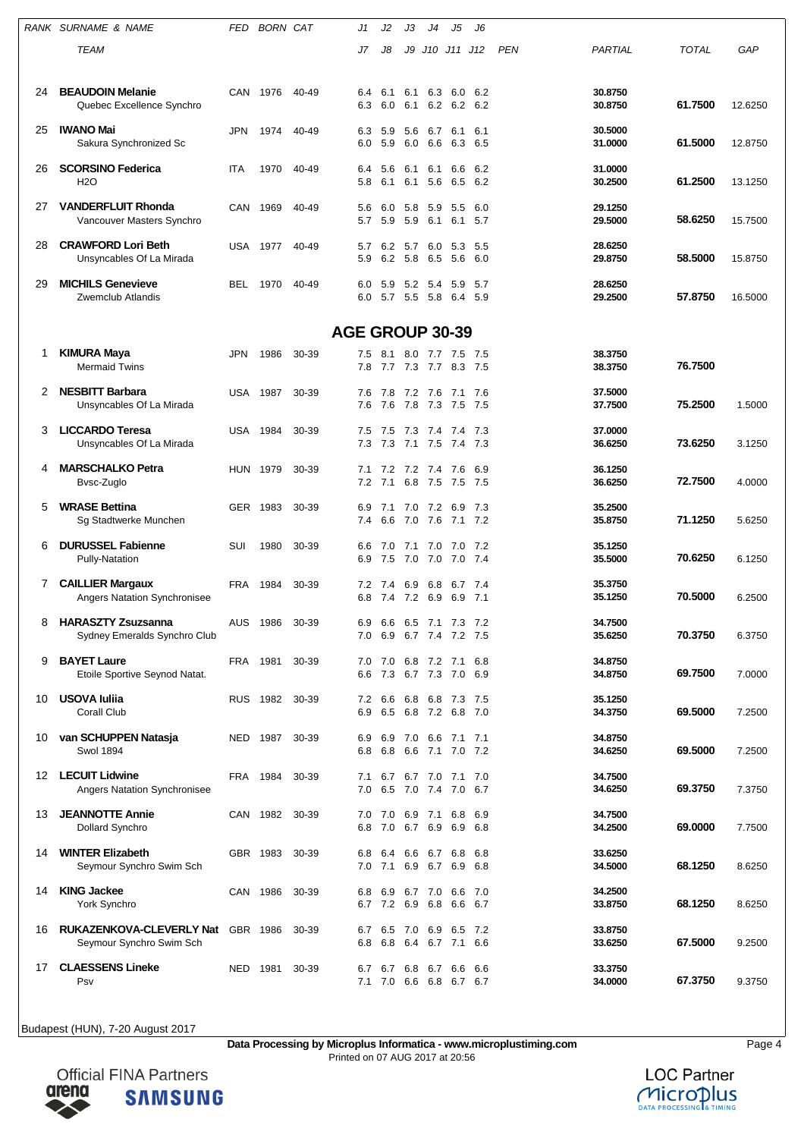|    | RANK SURNAME & NAME                                                  | FED        | BORN CAT |                        | J1         | J2                 | JЗ         | J4                             | J5                                             | J6          |            |                    |              |         |
|----|----------------------------------------------------------------------|------------|----------|------------------------|------------|--------------------|------------|--------------------------------|------------------------------------------------|-------------|------------|--------------------|--------------|---------|
|    | TEAM                                                                 |            |          |                        | J7         | J8                 | J9         | J10 J11                        |                                                | J12         | <b>PEN</b> | PARTIAL            | <b>TOTAL</b> | GAP     |
| 24 | <b>BEAUDOIN Melanie</b><br>Quebec Excellence Synchro                 |            | CAN 1976 | 40-49                  | 6.4<br>6.3 | 6.1<br>6.0         | 6.1<br>6.1 | 6.3<br>6.2                     | 6.0<br>6.2 6.2                                 | -6.2        |            | 30.8750<br>30.8750 | 61.7500      | 12.6250 |
| 25 | <b>IWANO Mai</b><br>Sakura Synchronized Sc                           | JPN        | 1974     | 40-49                  | 6.3<br>6.0 | 5.9<br>5.9         | 5.6<br>6.0 | 6.7<br>6.6                     | 6.1<br>6.3                                     | 6.1<br>6.5  |            | 30.5000<br>31.0000 | 61.5000      | 12.8750 |
| 26 | <b>SCORSINO Federica</b><br><b>H2O</b>                               | ITA        | 1970     | 40-49                  | 6.4<br>5.8 | 5.6<br>6.1         | 6.1        | 6.1<br>6.1 5.6                 | 6.6<br>6.5 6.2                                 | 6.2         |            | 31.0000<br>30.2500 | 61.2500      | 13.1250 |
| 27 | <b>VANDERFLUIT Rhonda</b><br>Vancouver Masters Synchro               |            | CAN 1969 | 40-49                  | 5.6<br>5.7 | 6.0<br>5.9         | 5.8<br>5.9 | 5.9<br>6.1                     | 5.5<br>6.1                                     | 6.0<br>5.7  |            | 29.1250<br>29.5000 | 58.6250      | 15.7500 |
| 28 | <b>CRAWFORD Lori Beth</b><br>Unsyncables Of La Mirada                |            | USA 1977 | 40-49                  | 5.7<br>5.9 | 6.2<br>6.2         | 5.7<br>5.8 | 6.0<br>6.5                     | 5.3<br>5.6                                     | 5.5<br>6.0  |            | 28.6250<br>29.8750 | 58.5000      | 15.8750 |
| 29 | <b>MICHILS Genevieve</b><br>Zwemclub Atlandis                        | BEL        | 1970     | 40-49                  | 6.0<br>6.0 | 5.9                |            | 5.2 5.4 5.9<br>5.7 5.5 5.8     | 6.4 5.9                                        | - 5.7       |            | 28.6250<br>29.2500 | 57.8750      | 16.5000 |
|    |                                                                      |            |          | <b>AGE GROUP 30-39</b> |            |                    |            |                                |                                                |             |            |                    |              |         |
| 1. | <b>KIMURA Maya</b><br><b>Mermaid Twins</b>                           | <b>JPN</b> | 1986     | 30-39                  | 7.5<br>7.8 | 8.1                | 8.0        | 7.7                            | 7.5<br>7.7 7.3 7.7 8.3 7.5                     | - 7.5       |            | 38.3750<br>38.3750 | 76.7500      |         |
| 2  | <b>NESBITT Barbara</b><br>Unsyncables Of La Mirada                   | USA        | 1987     | 30-39                  | 7.6<br>7.6 | 7.8<br>7.6         | 7.8        | 7.2 7.6<br>7.3                 | 7.1<br>7.5                                     | -7.6<br>7.5 |            | 37.5000<br>37.7500 | 75.2500      | 1.5000  |
| 3  | <b>LICCARDO Teresa</b><br>Unsyncables Of La Mirada                   |            | USA 1984 | 30-39                  | 7.5<br>7.3 | 7.5<br>7.3         | 7.3        | 7.4<br>7.1 7.5                 | 7.4<br>7.4                                     | -7.3<br>7.3 |            | 37.0000<br>36.6250 | 73.6250      | 3.1250  |
| 4  | <b>MARSCHALKO Petra</b><br>Bvsc-Zuglo                                | <b>HUN</b> | 1979     | 30-39                  | 7.1<br>7.2 | 7.2<br>7.1         |            | 7.2 7.4<br>6.8 7.5             | 7.6<br>7.5 7.5                                 | 6.9         |            | 36.1250<br>36.6250 | 72.7500      | 4.0000  |
| 5  | <b>WRASE Bettina</b><br>Sg Stadtwerke Munchen                        |            | GER 1983 | 30-39                  | 6.9<br>7.4 | 7.1<br>6.6         | 7.0        | 7.0 7.2<br>7.6                 | 6.9<br>7.1                                     | 7.3<br>7.2  |            | 35.2500<br>35.8750 | 71.1250      | 5.6250  |
| 6  | <b>DURUSSEL Fabienne</b><br><b>Pully-Natation</b>                    | SUI        | 1980     | 30-39                  | 6.6<br>6.9 | 7.0<br>7.5         | 7.1<br>7.0 | 7.0<br>7.0                     | 7.0<br>7.0 7.4                                 | 7.2         |            | 35.1250<br>35.5000 | 70.6250      | 6.1250  |
| 7  | <b>CAILLIER Margaux</b><br>Angers Natation Synchronisee              | FRA        | 1984     | 30-39                  | 7.2<br>6.8 | 7.4<br>7.4 7.2 6.9 | 6.9        | 6.8                            | 6.7<br>6.9                                     | 7.4<br>7.1  |            | 35.3750<br>35.1250 | 70.5000      | 6.2500  |
| 8  | <b>HARASZTY Zsuzsanna</b><br>Sydney Emeralds Synchro Club            | AUS        | 1986     | 30-39                  | 6.9        |                    |            |                                | 6.6 6.5 7.1 7.3 7.2<br>7.0 6.9 6.7 7.4 7.2 7.5 |             |            | 34.7500<br>35.6250 | 70.3750      | 6.3750  |
| 9  | <b>BAYET Laure</b><br>Etoile Sportive Seynod Natat.                  |            | FRA 1981 | 30-39                  | 6.6        |                    |            |                                | 7.0 7.0 6.8 7.2 7.1<br>7.3 6.7 7.3 7.0 6.9     | 6.8         |            | 34.8750<br>34.8750 | 69.7500      | 7.0000  |
| 10 | USOVA Iuliia<br><b>Corall Club</b>                                   |            | RUS 1982 | 30-39                  | 6.9        |                    |            | 6.5 6.8 7.2                    | 7.2 6.6 6.8 6.8 7.3 7.5<br>6.8 7.0             |             |            | 35.1250<br>34.3750 | 69.5000      | 7.2500  |
| 10 | van SCHUPPEN Natasja<br>Swol 1894                                    |            | NED 1987 | 30-39                  | 6.9<br>6.8 |                    |            | 6.9 7.0 6.6 7.1                | 6.8 6.6 7.1 7.0 7.2                            | 7.1         |            | 34.8750<br>34.6250 | 69.5000      | 7.2500  |
| 12 | <b>LECUIT Lidwine</b><br><b>Angers Natation Synchronisee</b>         |            | FRA 1984 | 30-39                  | 7.1<br>7.0 |                    |            | 6.7 6.7 7.0 7.1                | 6.5 7.0 7.4 7.0 6.7                            | 7.0         |            | 34.7500<br>34.6250 | 69.3750      | 7.3750  |
| 13 | <b>JEANNOTTE Annie</b><br>Dollard Synchro                            |            | CAN 1982 | 30-39                  | 6.8        | 7.0                |            | 6.7 6.9                        | 7.0 7.0 6.9 7.1 6.8 6.9<br>6.9                 | 6.8         |            | 34.7500<br>34.2500 | 69.0000      | 7.7500  |
| 14 | <b>WINTER Elizabeth</b><br>Seymour Synchro Swim Sch                  |            | GBR 1983 | 30-39                  | 6.8<br>7.0 | 6.4                |            | 6.6 6.7 6.8<br>7.1 6.9 6.7 6.9 |                                                | 6.8<br>6.8  |            | 33.6250<br>34.5000 | 68.1250      | 8.6250  |
| 14 | <b>KING Jackee</b><br>York Synchro                                   |            | CAN 1986 | 30-39                  | 6.8        |                    |            | 6.9 6.7 7.0                    | 6.6<br>6.7 7.2 6.9 6.8 6.6 6.7                 | - 7.0       |            | 34.2500<br>33.8750 | 68.1250      | 8.6250  |
| 16 | <b>RUKAZENKOVA-CLEVERLY Nat GBR 1986</b><br>Seymour Synchro Swim Sch |            |          | 30-39                  | 6.7<br>6.8 |                    | 6.5 7.0    | 6.9                            | 6.5 7.2<br>6.8 6.4 6.7 7.1 6.6                 |             |            | 33.8750<br>33.6250 | 67.5000      | 9.2500  |
| 17 | <b>CLAESSENS Lineke</b><br>Psv                                       |            | NED 1981 | 30-39                  | 7.1        |                    |            |                                | 6.7 6.7 6.8 6.7 6.6 6.6<br>7.0 6.6 6.8 6.7 6.7 |             |            | 33.3750<br>34.0000 | 67.3750      | 9.3750  |

**Data Processing by Microplus Informatica - www.microplustiming.com** Page 4 Printed on 07 AUG 2017 at 20:56

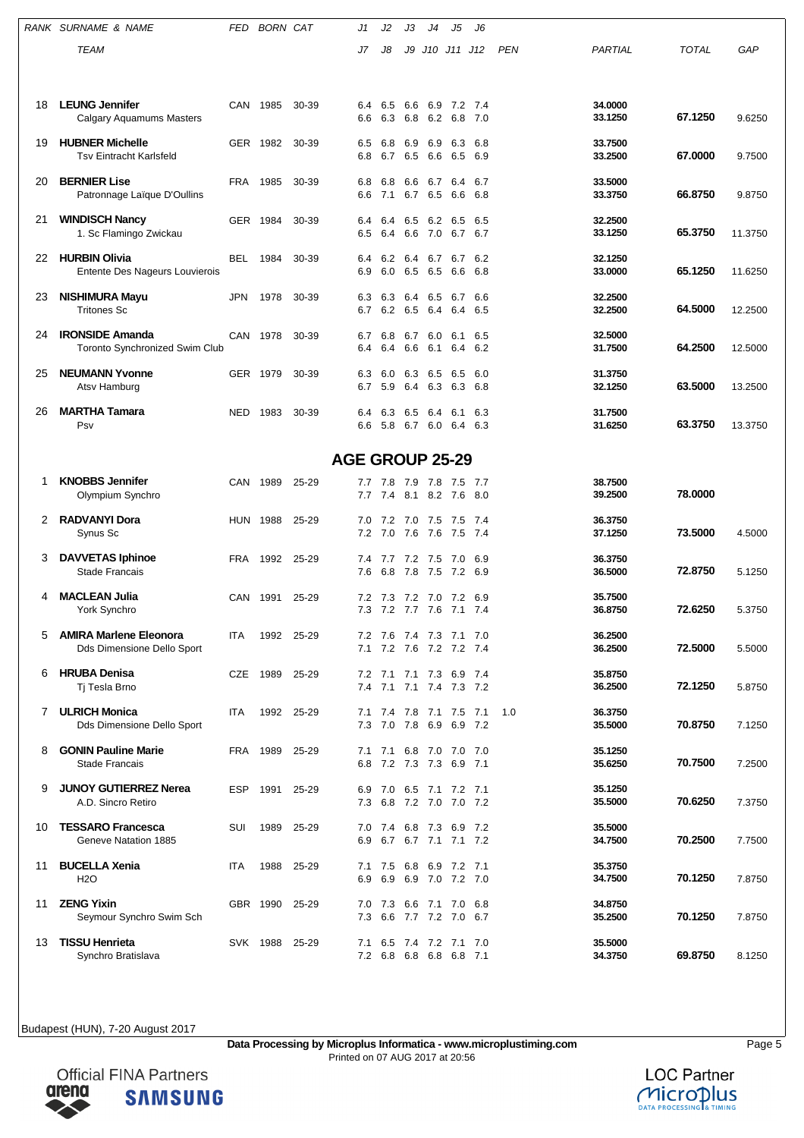|    | RANK SURNAME & NAME                                                | FED        | BORN CAT |                        | J1         | J2                     | JЗ          | J4                     | J5                                         | J6           |            |                    |              |         |
|----|--------------------------------------------------------------------|------------|----------|------------------------|------------|------------------------|-------------|------------------------|--------------------------------------------|--------------|------------|--------------------|--------------|---------|
|    | TEAM                                                               |            |          |                        | J7         | J8                     | J9          | J10 J11                |                                            | J12          | <b>PEN</b> | PARTIAL            | <b>TOTAL</b> | GAP     |
|    |                                                                    |            |          |                        |            |                        |             |                        |                                            |              |            |                    |              |         |
|    |                                                                    |            |          |                        |            |                        |             |                        |                                            |              |            |                    |              |         |
| 18 | <b>LEUNG Jennifer</b><br>Calgary Aquamums Masters                  | CAN        | 1985     | 30-39                  | 6.4<br>6.6 | 6.5                    | 6.6         | 6.9<br>6.3 6.8 6.2 6.8 | 7.2 7.4                                    | 7.0          |            | 34.0000<br>33.1250 | 67.1250      | 9.6250  |
| 19 | <b>HUBNER Michelle</b><br><b>Tsv Eintracht Karlsfeld</b>           |            | GER 1982 | 30-39                  | 6.5<br>6.8 | 6.8<br>6.7             | 6.9<br>6.5  | 6.9<br>6.6             | 6.3<br>6.5                                 | 6.8<br>6.9   |            | 33.7500<br>33.2500 | 67.0000      | 9.7500  |
| 20 | <b>BERNIER Lise</b><br>Patronnage Laïque D'Oullins                 | FRA        | 1985     | 30-39                  | 6.8<br>6.6 | 6.8<br>7.1             | 6.6<br>6.7  | 6.7<br>6.5             | 6.4<br>6.6                                 | 6.7<br>6.8   |            | 33.5000<br>33.3750 | 66.8750      | 9.8750  |
| 21 | <b>WINDISCH Nancy</b><br>1. Sc Flamingo Zwickau                    |            | GER 1984 | 30-39                  | 6.4<br>6.5 | 6.4<br>6.4             | 6.5<br>6.6  | 6.2<br>7.0             | 6.5<br>6.7                                 | 6.5<br>6.7   |            | 32.2500<br>33.1250 | 65.3750      | 11.3750 |
| 22 | <b>HURBIN Olivia</b><br>Entente Des Nageurs Louvierois             | BEL        | 1984     | 30-39                  | 6.4<br>6.9 | 6.2<br>6.0             | 6.4<br>6.5  | 6.7<br>6.5             | 6.7<br>6.6                                 | 6.2<br>6.8   |            | 32.1250<br>33,0000 | 65.1250      | 11.6250 |
| 23 | <b>NISHIMURA Mayu</b><br><b>Tritones Sc</b>                        | JPN        | 1978     | 30-39                  | 6.3<br>6.7 | 6.3<br>6.2             | 6.4<br>6.5  | 6.5<br>6.4             | 6.7<br>6.4                                 | 6.6<br>6.5   |            | 32.2500<br>32.2500 | 64.5000      | 12.2500 |
| 24 | <b>IRONSIDE Amanda</b><br>Toronto Synchronized Swim Club           |            | CAN 1978 | 30-39                  | 6.7<br>6.4 | 6.8<br>6.4             | 6.7<br>6.6  | 6.0<br>6.1             | 6.1<br>6.4                                 | 6.5<br>6.2   |            | 32.5000<br>31.7500 | 64.2500      | 12.5000 |
| 25 | <b>NEUMANN Yvonne</b><br>Atsv Hamburg                              | <b>GER</b> | 1979     | 30-39                  | 6.3<br>6.7 | 6.0<br>5.9             | 6.3<br>6.4  | 6.5<br>6.3             | 6.5<br>6.3                                 | 6.0<br>6.8   |            | 31.3750<br>32.1250 | 63.5000      | 13.2500 |
| 26 | <b>MARTHA Tamara</b><br>Psv                                        | NED        | 1983     | 30-39                  | 6.4<br>6.6 | 6.3<br>5.8 6.7 6.0     | 6.5         | 6.4                    | 6.1<br>6.4 6.3                             | 6.3          |            | 31.7500<br>31.6250 | 63.3750      | 13.3750 |
|    |                                                                    |            |          | <b>AGE GROUP 25-29</b> |            |                        |             |                        |                                            |              |            |                    |              |         |
| 1  | <b>KNOBBS Jennifer</b><br>Olympium Synchro                         | CAN        | 1989     | 25-29                  | 7.7<br>7.7 | 7.8<br>7.4             | 8.1         | 7.9 7.8<br>8.2         | 7.5<br>7.6                                 | -7.7<br>8.0  |            | 38.7500<br>39.2500 | 78.0000      |         |
|    |                                                                    |            |          |                        |            |                        |             |                        |                                            |              |            |                    |              |         |
| 2  | <b>RADVANYI Dora</b><br>Synus Sc                                   | HUN        | 1988     | 25-29                  | 7.0<br>7.2 | 7.2<br>7.0             | 7.0<br>7.6  | 7.5<br>7.6             | 7.5<br>7.5                                 | 7.4<br>7.4   |            | 36.3750<br>37.1250 | 73.5000      | 4.5000  |
| 3  | <b>DAVVETAS Iphinoe</b><br>Stade Francais                          | FRA        | 1992     | 25-29                  | 7.4<br>7.6 | 7.7<br>6.8 7.8 7.5     | 7.2 7.5     |                        | 7.0<br>7.2 6.9                             | 6.9          |            | 36.3750<br>36.5000 | 72.8750      | 5.1250  |
| 4  | <b>MACLEAN Julia</b><br>York Synchro                               | CAN        | 1991     | 25-29                  | 7.2<br>7.3 | 7.3<br>7.2 7.7 7.6     | $7.2$ $7.0$ |                        | 7.2<br>7.1                                 | 6.9<br>- 7.4 |            | 35.7500<br>36.8750 | 72.6250      | 5.3750  |
| 5  | <b>AMIRA Marlene Eleonora</b><br><b>Dds Dimensione Dello Sport</b> | ITA        | 1992     | 25-29                  | 7.1        | $7.2$ $7.6$            |             | 7.2                    | 7.2 7.6 7.4 7.3 7.1 7.0<br>7.2 7.4         |              |            | 36.2500<br>36.2500 | 72.5000      | 5.5000  |
| 6  | <b>HRUBA Denisa</b><br>Ti Tesla Brno                               | CZE        | 1989     | 25-29                  | 7.2<br>7.4 | 7.1                    | 7.1         | 7.3                    | 6.9 7.4<br>7.1 7.1 7.4 7.3 7.2             |              |            | 35.8750<br>36.2500 | 72.1250      | 5.8750  |
| 7  | <b>ULRICH Monica</b><br>Dds Dimensione Dello Sport                 | ITA        | 1992     | 25-29                  | 7.1<br>7.3 | 7.4<br>7.0 7.8 6.9     |             |                        | 7.8 7.1 7.5 7.1<br>6.9 7.2                 |              | 1.0        | 36.3750<br>35.5000 | 70.8750      | 7.1250  |
| 8  | <b>GONIN Pauline Marie</b><br><b>Stade Francais</b>                | FRA        | 1989     | 25-29                  | 6.8        | 7.1 7.1<br>7.2 7.3 7.3 |             |                        | 6.8 7.0 7.0 7.0<br>6.9 7.1                 |              |            | 35.1250<br>35.6250 | 70.7500      | 7.2500  |
| 9  | <b>JUNOY GUTIERREZ Nerea</b><br>A.D. Sincro Retiro                 | ESP        | 1991     | 25-29                  | 6.9<br>7.3 | 7.0<br>6.8             |             | 7.2 7.0                | 6.5 7.1 7.2 7.1<br>7.0 7.2                 |              |            | 35.1250<br>35.5000 | 70.6250      | 7.3750  |
| 10 | <b>TESSARO Francesca</b><br>Geneve Natation 1885                   | SUI        | 1989     | 25-29                  | 7.0<br>6.9 | 7.4                    |             | 6.8 7.3 6.9            | 6.7 6.7 7.1 7.1 7.2                        | 7.2          |            | 35.5000<br>34.7500 | 70.2500      | 7.7500  |
| 11 | <b>BUCELLA Xenia</b><br>H <sub>2</sub> O                           | ITA        | 1988     | 25-29                  | 7.1<br>6.9 | 7.5                    | 6.8         | 6.9                    | 7.2 7.1<br>6.9 6.9 7.0 7.2 7.0             |              |            | 35.3750<br>34.7500 | 70.1250      | 7.8750  |
| 11 | <b>ZENG Yixin</b><br>Seymour Synchro Swim Sch                      |            | GBR 1990 | 25-29                  | 7.0<br>7.3 |                        |             |                        | 7.3 6.6 7.1 7.0 6.8<br>6.6 7.7 7.2 7.0 6.7 |              |            | 34.8750<br>35.2500 | 70.1250      | 7.8750  |
| 13 | <b>TISSU Henrieta</b><br>Synchro Bratislava                        |            | SVK 1988 | 25-29                  | 7.1        |                        |             | 6.5 7.4 7.2            | 7.1<br>7.2 6.8 6.8 6.8 6.8 7.1             | - 7.0        |            | 35.5000<br>34.3750 | 69.8750      | 8.1250  |

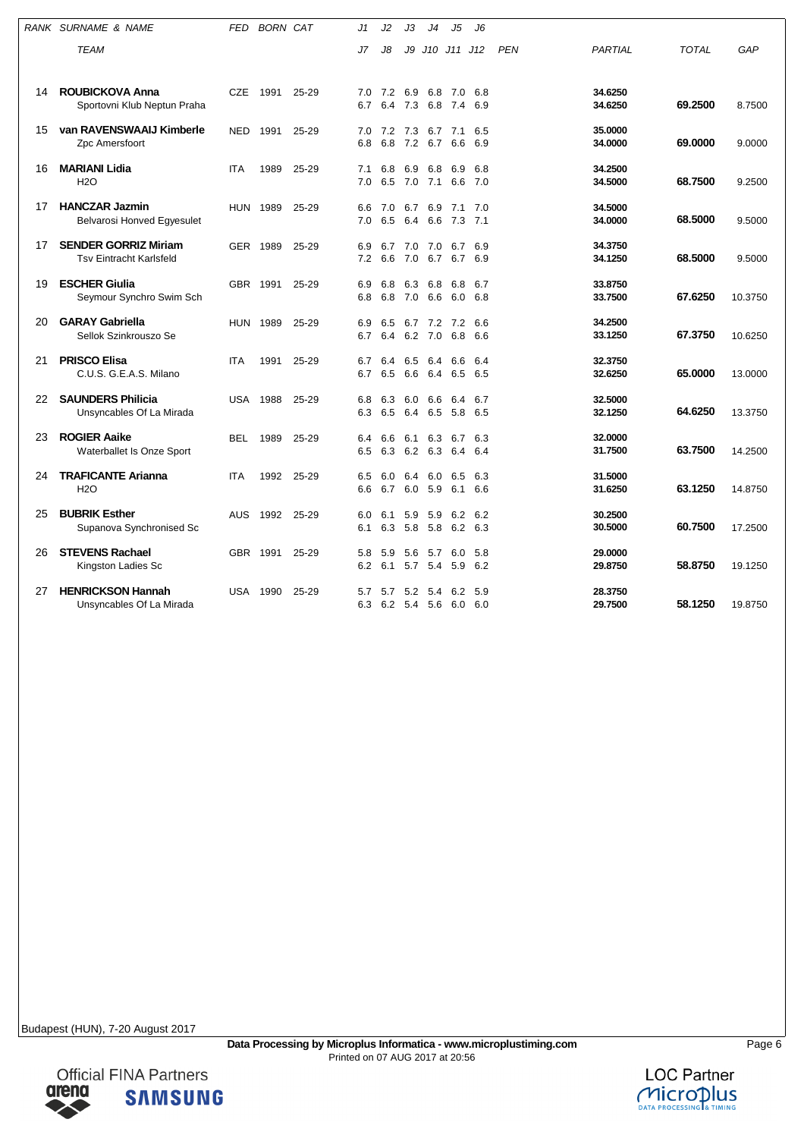|    | RANK SURNAME & NAME                                           | FED        | <b>BORN CAT</b> |           | J1         | J2                     | J3             | J4                         | J5             | J6             |            |                    |              |         |
|----|---------------------------------------------------------------|------------|-----------------|-----------|------------|------------------------|----------------|----------------------------|----------------|----------------|------------|--------------------|--------------|---------|
|    | <b>TEAM</b>                                                   |            |                 |           | J7         | J8                     | J9             | J10 J11 J12                |                |                | <b>PEN</b> | PARTIAL            | <b>TOTAL</b> | GAP     |
| 14 | <b>ROUBICKOVA Anna</b><br>Sportovni Klub Neptun Praha         | <b>CZE</b> | 1991            | 25-29     | 7.0<br>6.7 | 7.2 6.9 6.8 7.0<br>6.4 | 7.3            | 6.8                        | 7.4            | 6.8<br>6.9     |            | 34.6250<br>34.6250 | 69.2500      | 8.7500  |
| 15 | van RAVENSWAAIJ Kimberle<br>Zpc Amersfoort                    | NED        | 1991            | 25-29     | 7.0<br>6.8 | 7.2<br>6.8             | 7.3<br>7.2     | 6.7<br>6.7                 | 7.1<br>6.6     | 6.5<br>6.9     |            | 35.0000<br>34.0000 | 69.0000      | 9.0000  |
| 16 | <b>MARIANI Lidia</b><br><b>H2O</b>                            | <b>ITA</b> | 1989            | 25-29     | 7.1<br>7.0 | 6.8<br>6.5             | 6.9<br>7.0     | 6.8<br>7.1                 | 6.9<br>6.6     | 6.8<br>7.0     |            | 34.2500<br>34.5000 | 68.7500      | 9.2500  |
| 17 | <b>HANCZAR Jazmin</b><br>Belvarosi Honved Egyesulet           |            | <b>HUN 1989</b> | 25-29     | 6.6<br>7.0 | 7.0<br>6.5             | 6.7<br>6.4     | 6.9<br>6.6                 | 7.1<br>7.3     | 7.0<br>7.1     |            | 34.5000<br>34.0000 | 68.5000      | 9.5000  |
| 17 | <b>SENDER GORRIZ Miriam</b><br><b>Tsv Eintracht Karlsfeld</b> | GER        | 1989            | 25-29     | 6.9<br>7.2 | 6.7<br>6.6             | 7.0<br>7.0 6.7 | 7.0                        | 6.7<br>6.7 6.9 | 6.9            |            | 34.3750<br>34.1250 | 68.5000      | 9.5000  |
| 19 | <b>ESCHER Giulia</b><br>Seymour Synchro Swim Sch              |            | GBR 1991        | 25-29     | 6.9<br>6.8 | 6.8<br>6.8             | 6.3<br>7.0     | 6.8<br>6.6                 | 6.8<br>6.0 6.8 | 6.7            |            | 33.8750<br>33.7500 | 67.6250      | 10.3750 |
| 20 | <b>GARAY Gabriella</b><br>Sellok Szinkrouszo Se               |            | <b>HUN 1989</b> | 25-29     | 6.9<br>6.7 | 6.5<br>6.4             |                | 6.7 7.2 7.2 6.6<br>6.2 7.0 | 6.8            | 6.6            |            | 34.2500<br>33.1250 | 67.3750      | 10.6250 |
| 21 | <b>PRISCO Elisa</b><br>C.U.S. G.E.A.S. Milano                 | <b>ITA</b> | 1991            | 25-29     | 6.7<br>6.7 | 6.4<br>6.5             | 6.5<br>6.6     | 6.4<br>6.4                 | 6.6<br>6.5     | 6.4<br>6.5     |            | 32.3750<br>32.6250 | 65,0000      | 13.0000 |
| 22 | <b>SAUNDERS Philicia</b><br>Unsyncables Of La Mirada          |            | <b>USA 1988</b> | 25-29     | 6.8<br>6.3 | 6.3<br>6.5             | 6.0<br>6.4     | 6.6<br>6.5                 | 6.4<br>5.8     | 6.7<br>6.5     |            | 32.5000<br>32.1250 | 64.6250      | 13.3750 |
| 23 | <b>ROGIER Aaike</b><br>Waterballet Is Onze Sport              | BEL        | 1989            | 25-29     | 6.4<br>6.5 | 6.6<br>6.3             | 6.1            | 6.3<br>6.2 6.3             | 6.4            | 6.7 6.3<br>6.4 |            | 32.0000<br>31.7500 | 63.7500      | 14.2500 |
| 24 | <b>TRAFICANTE Arianna</b><br><b>H2O</b>                       | <b>ITA</b> | 1992            | 25-29     | 6.5<br>6.6 | 6.0<br>6.7             | 6.4<br>6.0     | 6.0<br>5.9                 | 6.5<br>6.1     | 6.3<br>6.6     |            | 31.5000<br>31.6250 | 63.1250      | 14.8750 |
| 25 | <b>BUBRIK Esther</b><br>Supanova Synchronised Sc              | AUS        | 1992            | $25 - 29$ | 6.0<br>6.1 | 6.1<br>6.3 5.8 5.8     | 5.9            | 5.9                        | 6.2<br>6.2 6.3 | 6.2            |            | 30.2500<br>30.5000 | 60.7500      | 17.2500 |
| 26 | <b>STEVENS Rachael</b><br>Kingston Ladies Sc                  | GBR.       | 1991            | $25 - 29$ | 5.8<br>6.2 | 5.9<br>6.1             | 5.6<br>5.7     | 5.7<br>5.4                 | 6.0<br>5.9     | 5.8<br>6.2     |            | 29.0000<br>29.8750 | 58.8750      | 19.1250 |
| 27 | <b>HENRICKSON Hannah</b><br>Unsyncables Of La Mirada          | USA        | 1990            | 25-29     | 5.7<br>6.3 | 5.7                    | 5.2<br>6.2 5.4 | 5.4<br>5.6                 | 6.2<br>6.0     | 5.9<br>6.0     |            | 28.3750<br>29.7500 | 58.1250      | 19.8750 |



**SAMSUNG**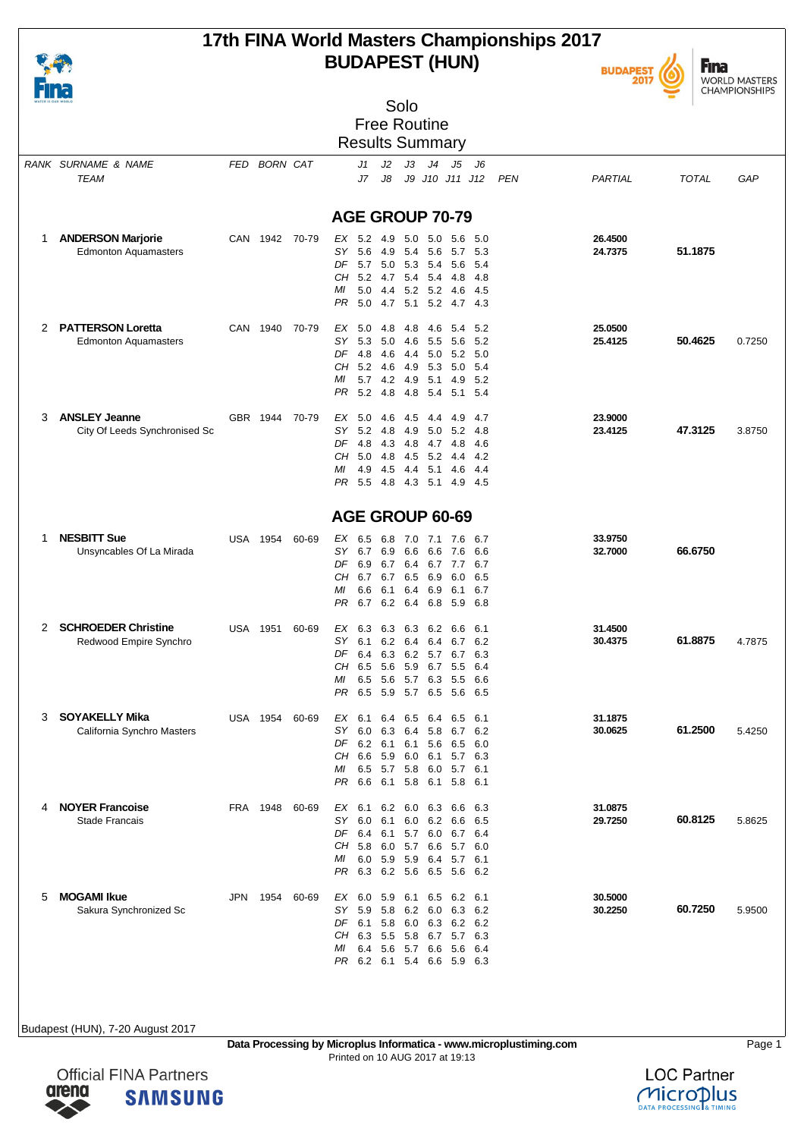### **17th FINA World Masters Championships 2017 BUDAPEST (HUN)**



**Fina** WORLD MASTERS<br>CHAMPIONSHIPS

| WATER IS OUR WORLD |                                                         |     |              |                | Solo                                                                                                                                                                                                     |        |
|--------------------|---------------------------------------------------------|-----|--------------|----------------|----------------------------------------------------------------------------------------------------------------------------------------------------------------------------------------------------------|--------|
|                    |                                                         |     |              |                | <b>Free Routine</b>                                                                                                                                                                                      |        |
|                    |                                                         |     |              |                | <b>Results Summary</b>                                                                                                                                                                                   |        |
|                    | RANK SURNAME & NAME<br>TEAM                             |     | FED BORN CAT |                | J2<br>J3<br>J4<br>J5<br>- J6<br>J1<br>J9 J10 J11 J12<br>J7<br>J8<br><b>PEN</b><br>PARTIAL<br><b>TOTAL</b>                                                                                                | GAP    |
|                    |                                                         |     |              |                | AGE GROUP 70-79                                                                                                                                                                                          |        |
|                    |                                                         |     |              |                |                                                                                                                                                                                                          |        |
| 1                  | <b>ANDERSON Marjorie</b><br><b>Edmonton Aquamasters</b> |     |              | CAN 1942 70-79 | 26.4500<br>EX 5.2 4.9<br>5.0 5.0 5.6<br>-5.0<br>51.1875<br>SY<br>5.6<br>4.9<br>5.4<br>5.6<br>5.3<br>24.7375<br>5.7<br>DF<br>5.7 5.0 5.3 5.4 5.6<br>-5.4<br>5.2 4.7 5.4 5.4 4.8<br>CН<br>-4.8             |        |
|                    |                                                         |     |              |                | ΜI<br>5.0 4.4 5.2 5.2 4.6<br>-4.5<br>5.0 4.7 5.1<br>5.2 4.7 4.3<br>PR.                                                                                                                                   |        |
| 2                  | <b>PATTERSON Loretta</b><br><b>Edmonton Aquamasters</b> |     | CAN 1940     | 70-79          | 25.0500<br>EX 5.0<br>-4.8<br>4.8<br>4.6<br>5.4<br>5.2<br>50.4625<br>SΥ<br>25.4125<br>5.3 5.0<br>4.6<br>5.2<br>5.5<br>- 5.6<br>DF<br>4.8 4.6<br>4.4 5.0 5.2 5.0<br>5.2 4.6<br>4.9 5.3 5.0<br>CН<br>-5.4   | 0.7250 |
|                    |                                                         |     |              |                | 5.7 4.2 4.9 5.1 4.9 5.2<br>МI<br>PR.<br>$5.2$ 4.8<br>4.8 5.4 5.1 5.4                                                                                                                                     |        |
| 3                  | <b>ANSLEY Jeanne</b><br>City Of Leeds Synchronised Sc   |     | GBR 1944     | 70-79          | 23.9000<br>EX 5.0 4.6<br>4.5<br>- 4.9<br>4.4<br>-4.7<br>47.3125<br>5.2 4.8<br>23.4125<br>SΥ<br>4.9<br>$5.0$ $5.2$<br>-4.8<br>DF<br>4.8 4.3<br>4.8 4.7 4.8<br>4.6<br>5.0 4.8<br>4.5 5.2 4.4<br>CН<br>-4.2 | 3.8750 |
|                    |                                                         |     |              |                | 4.9 4.5<br>МI<br>4.4<br>5.1 4.6<br>-4.4<br>PR.<br>5.5 4.8 4.3 5.1 4.9 4.5                                                                                                                                |        |
|                    |                                                         |     |              |                | AGE GROUP 60-69                                                                                                                                                                                          |        |
| -1                 | <b>NESBITT Sue</b><br>Unsyncables Of La Mirada          |     | USA 1954     | 60-69          | 33.9750<br>EX 6.5<br>6.8<br>7.0 7.1 7.6<br>6.7<br>66.6750<br>SY<br>6.7 6.9<br>6.6<br>32.7000<br>6.6<br>6.6<br>7.6                                                                                        |        |
|                    |                                                         |     |              |                | DF.<br>6.9 6.7 6.4 6.7 7.7 6.7<br>CН<br>6.7 6.7 6.5 6.9<br>6.0<br>6.5                                                                                                                                    |        |
|                    |                                                         |     |              |                | 6.1<br>6.4 6.9<br>6.1<br>МI<br>6.6<br>6.7<br>PR<br>6.7 6.2 6.4 6.8 5.9 6.8                                                                                                                               |        |
| 2                  | <b>SCHROEDER Christine</b><br>Redwood Empire Synchro    |     | USA 1951     | 60-69          | 31.4500<br>EX 6.3 6.3<br>6.3 6.2 6.6<br>6.1<br>61.8875<br>SΥ<br>6.1<br>6.2<br>6.4<br>6.4<br>6.7<br>6.2<br>30.4375                                                                                        | 4.7875 |
|                    |                                                         |     |              |                | 6.4 6.3 6.2 5.7 6.7 6.3<br>DF<br>6.5<br>5.6<br>5.9 6.7 5.5<br>CН<br>6.4                                                                                                                                  |        |
|                    |                                                         |     |              |                | 5.7<br>6.5<br>5.6<br>6.3<br>5.5<br>6.6<br>MI<br>PR.<br>6.5 5.9 5.7 6.5 5.6 6.5                                                                                                                           |        |
| 3                  | <b>SOYAKELLY Mika</b><br>California Synchro Masters     |     | USA 1954     | 60-69          | 31.1875<br>EX 6.1 6.4 6.5 6.4 6.5<br>-6.1<br>61.2500<br>SΥ<br>6.0<br>6.3<br>30.0625<br>6.4<br>5.8<br>6.7<br>6.2                                                                                          | 5.4250 |
|                    |                                                         |     |              |                | DF<br>$6.2$ 6.1<br>6.1<br>5.6<br>6.5<br>6.0<br>5.9<br>CН<br>6.6<br>6.0 6.1<br>5.7 6.3                                                                                                                    |        |
|                    |                                                         |     |              |                | 6.5 5.7 5.8 6.0 5.7 6.1<br>МI<br>PR<br>6.6 6.1 5.8 6.1 5.8 6.1                                                                                                                                           |        |
| 4                  | <b>NOYER Francoise</b><br><b>Stade Francais</b>         |     |              | FRA 1948 60-69 | EX 6.1 6.2 6.0 6.3 6.6<br>31.0875<br>6.3<br>29.7250<br>60.8125<br>SΥ<br>6.0<br>6.1<br>$6.0$ $6.2$ $6.6$<br>6.5                                                                                           | 5.8625 |
|                    |                                                         |     |              |                | DF<br>6.4 6.1<br>5.7 6.0 6.7<br>6.4<br>CH 5.8 6.0<br>5.7 6.6<br>5.7 6.0                                                                                                                                  |        |
|                    |                                                         |     |              |                | 6.0 5.9<br>5.9 6.4<br>МI<br>5.7 6.1<br>6.3 6.2 5.6 6.5 5.6 6.2<br>PR.                                                                                                                                    |        |
| 5                  | <b>MOGAMI Ikue</b><br>Sakura Synchronized Sc            | JPN |              | 1954 60-69     | EX 6.0 5.9 6.1<br>30.5000<br>$6.5\quad 6.2\quad 6.1$<br>SΥ<br>5.9<br>30.2250<br>60.7250<br>5.8<br>6.2 6.0<br>6.3<br>6.2                                                                                  | 5.9500 |
|                    |                                                         |     |              |                | DF<br>6.1 5.8<br>6.0 6.3 6.2 6.2<br>CH 6.3 5.5<br>5.8 6.7 5.7 6.3                                                                                                                                        |        |
|                    |                                                         |     |              |                | 6.4 5.6<br>5.7<br>6.6<br>5.6<br>МI<br>6.4<br>PR 6.2 6.1 5.4 6.6 5.9 6.3                                                                                                                                  |        |
|                    |                                                         |     |              |                |                                                                                                                                                                                                          |        |

Budapest (HUN), 7-20 August 2017

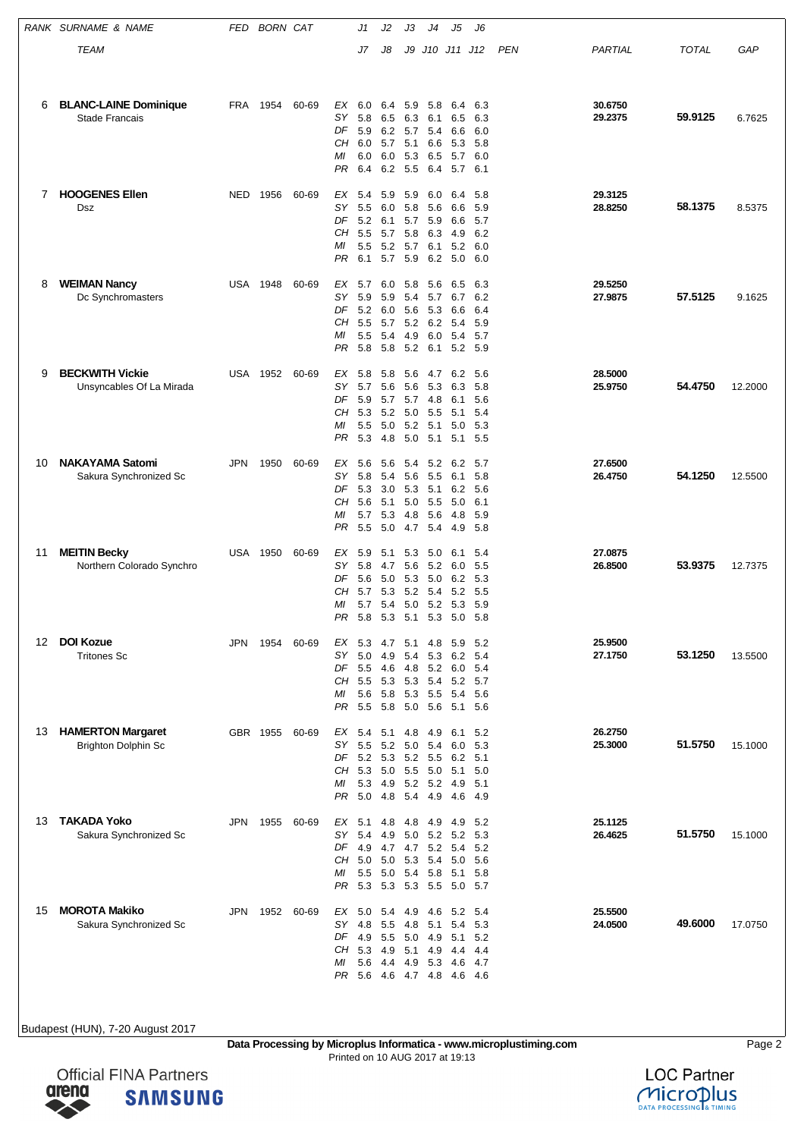|    | RANK SURNAME & NAME                                    | FED        | <b>BORN CAT</b> |       |                                      | J1                                                        | J2                                       | JЗ                                     | J4                                                     | J5                                           | J6                                       |     |                    |              |         |
|----|--------------------------------------------------------|------------|-----------------|-------|--------------------------------------|-----------------------------------------------------------|------------------------------------------|----------------------------------------|--------------------------------------------------------|----------------------------------------------|------------------------------------------|-----|--------------------|--------------|---------|
|    | TEAM                                                   |            |                 |       |                                      | J7                                                        | J8                                       | J9                                     |                                                        | J10 J11 J12                                  |                                          | PEN | PARTIAL            | <b>TOTAL</b> | GAP     |
| 6  | <b>BLANC-LAINE Dominique</b><br><b>Stade Francais</b>  | <b>FRA</b> | 1954            | 60-69 | ЕX<br>SΥ<br>DF<br>CН<br>МI<br>PR     | 6.0<br>5.8<br>5.9<br>6.0 5.7<br>6.0<br>6.4                | 6.4<br>6.5<br>6.2<br>6.0<br>6.2          | 5.9<br>6.3<br>5.7<br>5.1<br>5.3<br>5.5 | 5.8<br>6.1<br>5.4<br>6.6<br>6.5<br>6.4                 | 6.4<br>6.5<br>6.6<br>5.3<br>5.7<br>5.7 6.1   | 6.3<br>6.3<br>6.0<br>-5.8<br>6.0         |     | 30.6750<br>29.2375 | 59.9125      | 6.7625  |
| 7  | <b>HOOGENES Ellen</b><br>Dsz                           | NED        | 1956            | 60-69 | EX<br>SΥ<br>DF<br>CН<br>МI<br>PR     | 5.4<br>5.5<br>5.2 6.1<br>5.5<br>5.5<br>6.1                | 5.9<br>6.0<br>5.7<br>5.2<br>5.7 5.9      | 5.9<br>5.7<br>5.8<br>5.7               | 6.0<br>5.8 5.6<br>5.9<br>6.3<br>6.1<br>6.2             | 6.4<br>6.6<br>6.6<br>4.9<br>5.2<br>5.0       | 5.8<br>5.9<br>5.7<br>6.2<br>6.0<br>6.0   |     | 29.3125<br>28.8250 | 58.1375      | 8.5375  |
| 8  | <b>WEIMAN Nancy</b><br>Dc Synchromasters               | USA        | 1948            | 60-69 | ЕX<br>SΥ<br>DF<br>CН<br>МI<br>PR     | 5.7<br>5.9<br>5.2<br>5.5<br>5.5<br>5.8                    | 6.0<br>5.9<br>6.0<br>5.7<br>5.4<br>- 5.8 | 5.8<br>5.6<br>4.9                      | 5.6<br>5.4 5.7<br>5.3<br>5.2 6.2<br>6.0<br>5.2 6.1     | 6.5<br>6.7<br>6.6<br>5.4<br>5.4<br>5.2 5.9   | 6.3<br>6.2<br>6.4<br>5.9<br>5.7          |     | 29.5250<br>27.9875 | 57.5125      | 9.1625  |
| 9  | <b>BECKWITH Vickie</b><br>Unsyncables Of La Mirada     | USA        | 1952            | 60-69 | EX<br>SΥ<br>DF<br>CН<br>МI<br>PR     | 5.8<br>5.7<br>5.9<br>5.3<br>5.5<br>5.3                    | 5.8<br>5.6<br>5.7<br>5.2<br>5.0<br>4.8   | 5.6<br>5.0<br>5.0                      | 4.7<br>5.6 5.3<br>5.7 4.8<br>5.5<br>$5.2$ 5.1<br>5.1   | 6.2<br>6.3<br>6.1<br>5.1<br>5.0<br>5.1       | 5.6<br>5.8<br>5.6<br>5.4<br>- 5.3<br>5.5 |     | 28.5000<br>25.9750 | 54.4750      | 12.2000 |
| 10 | <b>NAKAYAMA Satomi</b><br>Sakura Synchronized Sc       | JPN        | 1950            | 60-69 | ЕX<br>SΥ<br>DF<br>CН<br>МI<br>PR     | 5.6<br>5.8<br>5.3<br>5.6<br>5.7<br>5.5                    | 5.6<br>5.4<br>3.0<br>5.1<br>5.3<br>5.0   | 5.6<br>5.3<br>5.0<br>4.8<br>4.7        | 5.4 5.2<br>5.5<br>5.1<br>5.5<br>5.6<br>5.4             | 6.2 5.7<br>6.1<br>6.2<br>5.0<br>4.8<br>4.9   | 5.8<br>5.6<br>6.1<br>5.9<br>5.8          |     | 27.6500<br>26.4750 | 54.1250      | 12.5500 |
| 11 | <b>MEITIN Becky</b><br>Northern Colorado Synchro       | USA        | 1950            | 60-69 | ЕX<br>SΥ<br>DF<br>CН<br>МI<br>PR     | 5.9<br>5.8<br>5.6<br>5.7<br>5.7<br>5.8 5.3 5.1 5.3        | 5.1<br>4.7<br>5.0<br>5.3<br>5.4          | 5.3<br>5.6<br>5.3                      | 5.0<br>5.2<br>5.0<br>5.2 5.4<br>$5.0$ $5.2$            | 6.1<br>6.0<br>6.2<br>5.2<br>- 5.3<br>5.0 5.8 | 5.4<br>5.5<br>5.3<br>5.5<br>5.9          |     | 27.0875<br>26.8500 | 53.9375      | 12.7375 |
| 12 | <b>DOI Kozue</b><br><b>Tritones Sc</b>                 | JPN        | 1954            | 60-69 | EX<br>SΥ<br>DF<br>CH<br>МI<br>PR     | 53 47<br>5.0<br>5.5<br>5.5<br>5.6<br>5.5                  | 4.9<br>- 4.6<br>- 5.3<br>- 5.8<br>- 5.8  | 5.1<br>5.4                             | 4.8<br>5.3<br>4.8 5.2<br>5.3 5.4<br>5.3 5.5<br>5.0 5.6 | 5.9<br>6.2<br>6.0<br>5.2<br>5.4<br>5.1 5.6   | - 5.2<br>5.4<br>-5.4<br>5.7<br>5.6       |     | 25.9500<br>27.1750 | 53.1250      | 13.5500 |
| 13 | <b>HAMERTON Margaret</b><br><b>Brighton Dolphin Sc</b> |            | GBR 1955        | 60-69 | EX<br>SΥ<br>DF<br>CН<br>МI<br>PR     | 5.4<br>5.5<br>5.2 5.3<br>5.3<br>5.3 4.9<br>5.0            | 5.1<br>5.2<br>5.0<br>4.8                 | 4.8<br>5.0<br>5.5<br>5.4               | 4.9<br>5.4<br>5.2 5.5<br>5.0<br>$5.2$ $5.2$<br>4.9     | 6.1<br>6.0<br>6.2<br>5.1<br>4.9<br>4.6       | 5.2<br>5.3<br>5.1<br>5.0<br>5.1<br>- 4.9 |     | 26.2750<br>25.3000 | 51.5750      | 15.1000 |
| 13 | <b>TAKADA Yoko</b><br>Sakura Synchronized Sc           | <b>JPN</b> | 1955            | 60-69 | EX<br>SΥ<br>DF 4.9<br>CН<br>ΜI<br>PR | 5.1<br>5.4<br>5.0 5.0<br>5.5<br>5.3                       | 4.8<br>4.9<br>4.7<br>5.0<br>5.3          | 4.8<br>5.0                             | 4.9<br>5.2<br>4.7 5.2<br>5.3 5.4<br>5.4 5.8<br>5.3 5.5 | 4.9<br>5.2<br>- 5.4<br>5.0<br>5.1<br>5.0 5.7 | 5.2<br>5.3<br>5.2<br>-5.6<br>5.8         |     | 25.1125<br>26.4625 | 51.5750      | 15.1000 |
| 15 | <b>MOROTA Makiko</b><br>Sakura Synchronized Sc         | JPN        | 1952            | 60-69 | EX<br>SΥ<br>DF<br>CН<br>ΜI           | 5.0 5.4<br>4.8<br>4.9<br>5.3<br>5.6<br>PR 5.6 4.6 4.7 4.8 | 5.5<br>5.5<br>4.9<br>4.4                 | 4.9<br>4.8<br>5.1<br>4.9               | 4.6<br>5.1<br>5.0 4.9<br>4.9<br>5.3                    | 5.2<br>5.4<br>5.1<br>4.4<br>4.6<br>4.6 4.6   | 5.4<br>5.3<br>5.2<br>4.4<br>4.7          |     | 25.5500<br>24.0500 | 49.6000      | 17.0750 |

**Data Processing by Microplus Informatica - www.microplustiming.com** Page 2 Printed on 10 AUG 2017 at 19:13

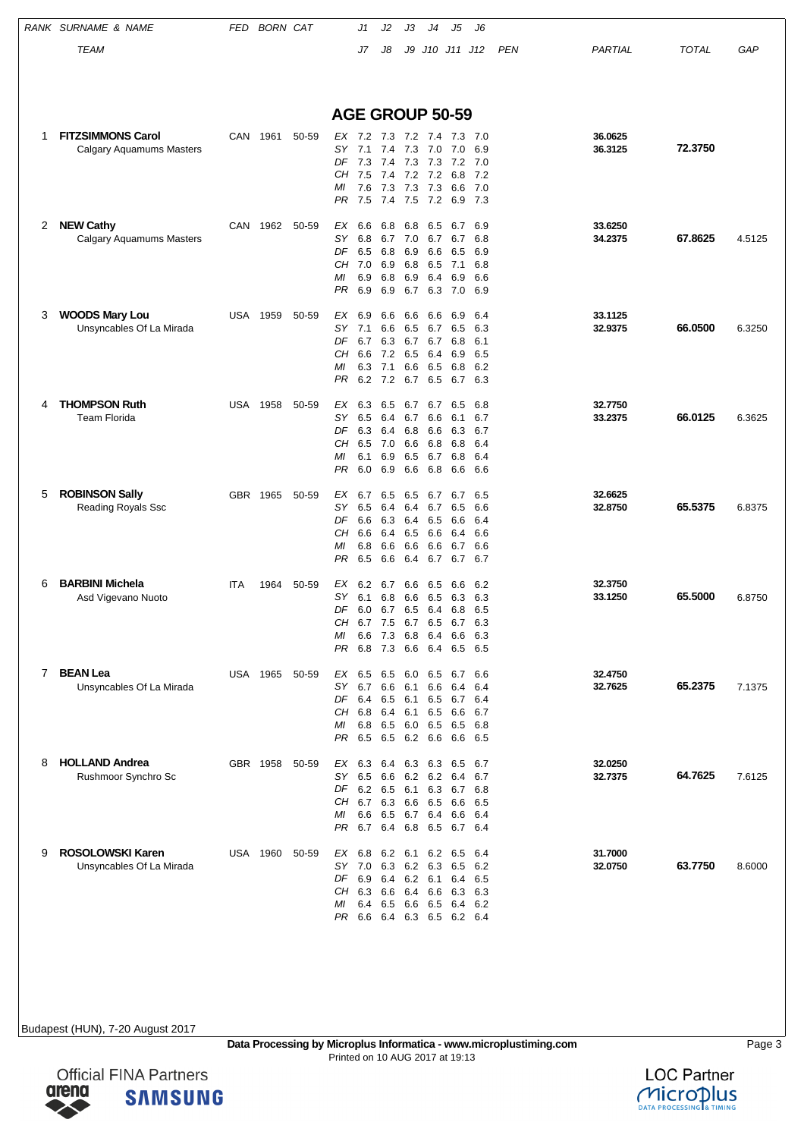|   | RANK SURNAME & NAME                          | FED        | <b>BORN CAT</b> |       |                                      | J1                                                   | J2         | JЗ         | J4                  | J5                 | J6           |            |                    |              |        |
|---|----------------------------------------------|------------|-----------------|-------|--------------------------------------|------------------------------------------------------|------------|------------|---------------------|--------------------|--------------|------------|--------------------|--------------|--------|
|   | <b>TEAM</b>                                  |            |                 |       |                                      | J7                                                   | J8         | J9         | J10 J11 J12         |                    |              | <b>PEN</b> | PARTIAL            | <b>TOTAL</b> | GAP    |
|   |                                              |            |                 |       |                                      |                                                      |            |            |                     |                    |              |            |                    |              |        |
|   |                                              |            |                 |       |                                      |                                                      |            |            |                     |                    |              |            |                    |              |        |
|   |                                              |            |                 |       | <b>AGE GROUP 50-59</b>               |                                                      |            |            |                     |                    |              |            |                    |              |        |
| 1 | <b>FITZSIMMONS Carol</b>                     | CAN        | 1961            | 50-59 | EX 7.2                               |                                                      |            |            | 7.3 7.2 7.4         | 7.3                | -7.0         |            | 36.0625            |              |        |
|   | Calgary Aquamums Masters                     |            |                 |       | SY<br>DF                             | 7.1<br>7.3                                           |            |            | 7.4 7.3 7.0<br>7.3  | 7.0<br>7.2         | 6.9          |            | 36.3125            | 72.3750      |        |
|   |                                              |            |                 |       | CН                                   | 7.5                                                  | 7.4<br>7.4 | 7.3        | 7.2 7.2             | 6.8                | 7.0<br>7.2   |            |                    |              |        |
|   |                                              |            |                 |       | МI<br>PR                             | 7.6<br>7.5                                           | 7.3<br>7.4 | 7.3<br>7.5 | 7.3<br>7.2          | 6.6<br>6.9         | 7.0<br>- 7.3 |            |                    |              |        |
|   |                                              |            |                 |       |                                      |                                                      |            |            |                     |                    |              |            |                    |              |        |
| 2 | <b>NEW Cathy</b><br>Calgary Aquamums Masters | CAN        | 1962            | 50-59 | EX<br>SΥ                             | 6.6<br>6.8                                           | 6.8<br>6.7 | 6.8<br>7.0 | 6.5<br>6.7          | 6.7<br>6.7         | 6.9<br>6.8   |            | 33.6250<br>34.2375 | 67.8625      | 4.5125 |
|   |                                              |            |                 |       | DF                                   | 6.5                                                  | 6.8        | 6.9        | 6.6                 | 6.5                | 6.9          |            |                    |              |        |
|   |                                              |            |                 |       | CН<br>МI                             | 7.0<br>6.9                                           | 6.9<br>6.8 | 6.8<br>6.9 | 6.5<br>6.4          | 7.1<br>6.9         | 6.8<br>6.6   |            |                    |              |        |
|   |                                              |            |                 |       | PR                                   | 6.9                                                  | 6.9        | 6.7        | 6.3                 | 7.0                | 6.9          |            |                    |              |        |
| 3 | <b>WOODS Mary Lou</b>                        | USA        | 1959            | 50-59 | ЕX                                   | 6.9                                                  | 6.6        | 6.6        | 6.6                 | 6.9                | 6.4          |            | 33.1125            |              |        |
|   | Unsyncables Of La Mirada                     |            |                 |       | SY<br>DF                             | 7.1<br>6.7                                           | 6.6<br>6.3 | 6.5        | 6.7<br>6.7 6.7      | 6.5<br>6.8         | 6.3<br>6.1   |            | 32.9375            | 66.0500      | 6.3250 |
|   |                                              |            |                 |       | CН                                   | 6.6                                                  | 7.2        | 6.5        | 6.4                 | 6.9                | 6.5          |            |                    |              |        |
|   |                                              |            |                 |       | МI<br>PR                             | 6.3<br>6.2                                           | 7.1<br>7.2 | 6.6<br>6.7 | 6.5<br>6.5          | 6.8<br>6.7         | 6.2<br>6.3   |            |                    |              |        |
| 4 | <b>THOMPSON Ruth</b>                         |            | <b>USA 1958</b> | 50-59 | EX                                   | 6.3                                                  | 6.5        | 6.7        | 6.7                 | 6.5                | 6.8          |            | 32.7750            |              |        |
|   | Team Florida                                 |            |                 |       | SΥ                                   | 6.5                                                  | 6.4        | 6.7        | 6.6                 | 6.1                | 6.7          |            | 33.2375            | 66.0125      | 6.3625 |
|   |                                              |            |                 |       | DF<br>CН                             | 6.3<br>6.5                                           | 6.4<br>7.0 | 6.8<br>6.6 | 6.6<br>6.8          | 6.3<br>6.8         | 6.7<br>6.4   |            |                    |              |        |
|   |                                              |            |                 |       | МI<br>PR                             | 6.1<br>6.0                                           | 6.9<br>6.9 | 6.5<br>6.6 | 6.7<br>6.8          | 6.8<br>6.6         | 6.4<br>6.6   |            |                    |              |        |
|   |                                              |            |                 |       |                                      |                                                      |            |            |                     |                    |              |            |                    |              |        |
| 5 | <b>ROBINSON Sally</b><br>Reading Royals Ssc  | GBR.       | 1965            | 50-59 | EX<br>SY                             | 6.7<br>6.5                                           | 6.5<br>6.4 | 6.5<br>6.4 | 6.7<br>6.7          | 6.7<br>6.5         | 6.5<br>6.6   |            | 32.6625<br>32.8750 | 65.5375      | 6.8375 |
|   |                                              |            |                 |       | DF                                   | 6.6                                                  |            |            | 6.3 6.4 6.5         | 6.6                | 6.4          |            |                    |              |        |
|   |                                              |            |                 |       | CН<br>МI                             | 6.6<br>6.8                                           | 6.4<br>6.6 | 6.5<br>6.6 | 6.6<br>6.6          | 6.4<br>6.7         | 6.6<br>6.6   |            |                    |              |        |
|   |                                              |            |                 |       | PR                                   | 6.5                                                  | 6.6        | 6.4        | 6.7                 | 6.7                | 6.7          |            |                    |              |        |
| 6 | <b>BARBINI Michela</b>                       | <b>ITA</b> | 1964            | 50-59 | ЕX                                   | 6.2                                                  | 6.7        | 6.6        | 6.5                 | 6.6                | 6.2          |            | 32.3750            |              |        |
|   | Asd Vigevano Nuoto                           |            |                 |       | SΥ<br>DF                             | 6.1<br>6.0 6.7 6.5 6.4 6.8 6.5                       | 6.8        | 6.6        | 6.5                 | 6.3                | 6.3          |            | 33.1250            | 65.5000      | 6.8750 |
|   |                                              |            |                 |       | CH 6.7                               |                                                      | 7.5        | 6.7        | 6.5                 | 6.7                | 6.3          |            |                    |              |        |
|   |                                              |            |                 |       | МI<br>PR                             | 6.6 7.3 6.8 6.4 6.6 6.3<br>6.8                       |            |            | 7.3 6.6 6.4 6.5 6.5 |                    |              |            |                    |              |        |
| 7 | <b>BEAN Lea</b>                              |            | USA 1965 50-59  |       | EX 6.5 6.5 6.0 6.5                   |                                                      |            |            |                     | 6.7 6.6            |              |            | 32.4750            |              |        |
|   | Unsyncables Of La Mirada                     |            |                 |       |                                      | SY 6.7 6.6 6.1                                       |            |            | 6.6                 | 6.4                | 6.4          |            | 32.7625            | 65.2375      | 7.1375 |
|   |                                              |            |                 |       | CН                                   | DF 6.4 6.5 6.1 6.5<br>6.8 6.4 6.1 6.5                |            |            |                     | 6.7 6.4<br>6.6 6.7 |              |            |                    |              |        |
|   |                                              |            |                 |       | МI                                   | 6.8 6.5 6.0 6.5                                      |            |            |                     | 6.5 6.8            |              |            |                    |              |        |
|   |                                              |            |                 |       | PR                                   | 6.5                                                  |            |            | 6.5 6.2 6.6         | 6.6 6.5            |              |            |                    |              |        |
| 8 | <b>HOLLAND Andrea</b><br>Rushmoor Synchro Sc |            | GBR 1958 50-59  |       | EX 6.3 6.4 6.3 6.3 6.5 6.7<br>SY 6.5 |                                                      |            |            | 6.6 6.2 6.2         | 6.4                | 6.7          |            | 32.0250<br>32.7375 | 64.7625      | 7.6125 |
|   |                                              |            |                 |       |                                      | DF 6.2 6.5 6.1 6.3 6.7 6.8                           |            |            |                     |                    |              |            |                    |              |        |
|   |                                              |            |                 |       | CН<br>МI                             | 6.7 6.3 6.6 6.5<br>6.6                               |            |            | 6.5 6.7 6.4         | 6.6 6.5            | 6.6 6.4      |            |                    |              |        |
|   |                                              |            |                 |       |                                      | PR 6.7 6.4 6.8 6.5 6.7 6.4                           |            |            |                     |                    |              |            |                    |              |        |
| 9 | <b>ROSOLOWSKI Karen</b>                      |            | USA 1960        | 50-59 | EX 6.8                               |                                                      |            | 6.2 6.1    | 6.2                 | 6.5                | 6.4          |            | 31.7000            |              |        |
|   | Unsyncables Of La Mirada                     |            |                 |       |                                      | SY 7.0 6.3 6.2 6.3 6.5<br>DF 6.9 6.4 6.2 6.1 6.4 6.5 |            |            |                     |                    | 6.2          |            | 32.0750            | 63.7750      | 8.6000 |
|   |                                              |            |                 |       | CН                                   | 6.3 6.6 6.4 6.6                                      |            |            |                     | 63 63              |              |            |                    |              |        |
|   |                                              |            |                 |       | МI                                   | 6.4 6.5 6.6 6.5<br>PR 6.6 6.4 6.3 6.5 6.2 6.4        |            |            |                     | 6.4 6.2            |              |            |                    |              |        |
|   |                                              |            |                 |       |                                      |                                                      |            |            |                     |                    |              |            |                    |              |        |

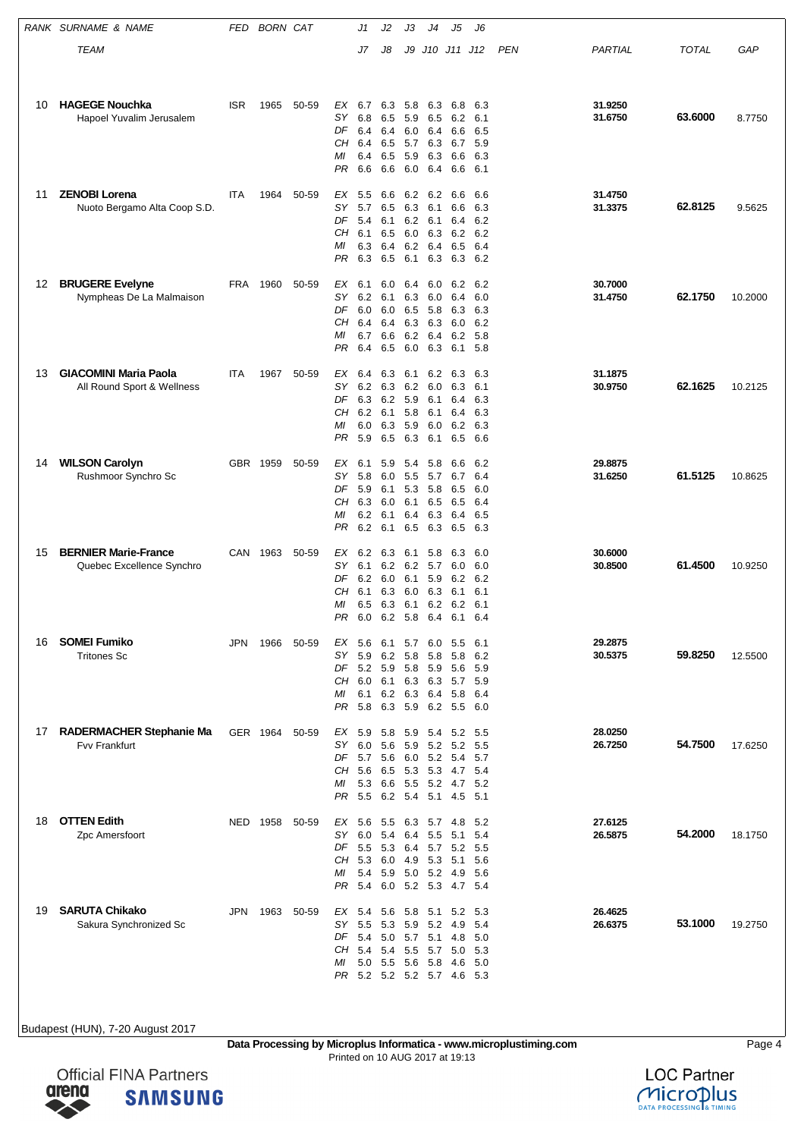|    | RANK SURNAME & NAME                                        | FED        | <b>BORN CAT</b> |       |                                         | J1                                                                             | J2                                     | JЗ                                         | J4                                          | J5                                                                     | J6                                     |            |                    |              |         |
|----|------------------------------------------------------------|------------|-----------------|-------|-----------------------------------------|--------------------------------------------------------------------------------|----------------------------------------|--------------------------------------------|---------------------------------------------|------------------------------------------------------------------------|----------------------------------------|------------|--------------------|--------------|---------|
|    | TEAM                                                       |            |                 |       |                                         | J7                                                                             | J8                                     | J9                                         |                                             | J10 J11 J12                                                            |                                        | <b>PEN</b> | PARTIAL            | <b>TOTAL</b> | GAP     |
|    |                                                            |            |                 |       |                                         |                                                                                |                                        |                                            |                                             |                                                                        |                                        |            |                    |              |         |
| 10 | <b>HAGEGE Nouchka</b><br>Hapoel Yuvalim Jerusalem          | <b>ISR</b> | 1965            | 50-59 | EX<br>SΥ<br>DF<br>CН<br>MI<br>PR        | 6.7<br>6.8<br>6.4<br>6.4<br>6.4<br>6.6                                         | 6.3<br>6.5<br>6.4<br>6.5<br>6.5<br>6.6 | 5.8<br>59 65<br>6.0<br>57 63<br>5.9<br>6.0 | 6.3<br>6.4<br>6.3<br>6.4                    | 6.8<br>6.2<br>6.6<br>6.7<br>6.6<br>6.6                                 | 6.3<br>6.1<br>6.5<br>5.9<br>6.3<br>6.1 |            | 31.9250<br>31.6750 | 63.6000      | 8.7750  |
| 11 | <b>ZENOBI Lorena</b><br>Nuoto Bergamo Alta Coop S.D.       | <b>ITA</b> | 1964            | 50-59 | EX<br>SY<br>DF<br>CН<br>МI<br>PR        | 5.5<br>5.7<br>5.4<br>6.1<br>6.3<br>6.3                                         | 6.6<br>6.5<br>6.1<br>6.5<br>6.4<br>6.5 | 6.3 6.1<br>6.0<br>6.1                      | 6.2 6.2<br>6.2 6.1<br>6.3<br>6.2 6.4<br>6.3 | 6.6<br>6.6<br>6.4<br>6.2<br>6.5<br>6.3                                 | 6.6<br>6.3<br>6.2<br>6.2<br>6.4<br>6.2 |            | 31.4750<br>31.3375 | 62.8125      | 9.5625  |
| 12 | <b>BRUGERE Evelyne</b><br>Nympheas De La Malmaison         | FRA        | 1960            | 50-59 | EX<br>SΥ<br>DF<br>CН<br>МI<br>PR        | 6.1<br>6.2<br>6.0<br>6.4<br>6.7<br>6.4                                         | 6.0<br>6.1<br>6.0<br>6.4<br>6.6<br>6.5 | 6.4<br>6.5<br>6.2 6.4<br>6.0               | 6.0<br>6.3 6.0<br>5.8<br>6.3 6.3<br>6.3     | 6.2<br>6.4<br>6.3<br>6.0<br>6.2<br>6.1                                 | 6.2<br>6.0<br>6.3<br>6.2<br>5.8<br>5.8 |            | 30.7000<br>31.4750 | 62.1750      | 10.2000 |
| 13 | <b>GIACOMINI Maria Paola</b><br>All Round Sport & Wellness | <b>ITA</b> | 1967            | 50-59 | ЕX<br><b>SY</b><br>DF<br>CН<br>МI<br>PR | 6.4<br>6.2<br>6.3<br>6.2 6.1<br>6.0<br>5.9                                     | 6.3<br>6.3<br>6.2<br>6.3<br>6.5        | 6.1<br>6.2<br>5.9<br>5.8<br>5.9<br>6.3     | 6.2<br>6.0<br>6.1<br>6.1<br>6.0<br>6.1      | 6.3<br>6.3<br>6.4<br>6.4<br>6.2<br>6.5                                 | 6.3<br>6.1<br>6.3<br>6.3<br>6.3<br>6.6 |            | 31.1875<br>30.9750 | 62.1625      | 10.2125 |
| 14 | <b>WILSON Carolyn</b><br>Rushmoor Synchro Sc               |            | GBR 1959        | 50-59 | ЕX<br>SY<br>DF<br>CН<br>МI<br>PR        | 6.1<br>5.8<br>5.9<br>6.3<br>6.2<br>6.2                                         | 5.9<br>6.0<br>6.1<br>6.0<br>6.1<br>6.1 | 5.4<br>5.5<br>6.1<br>6.4<br>6.5            | 5.8<br>5.7<br>5.3 5.8<br>6.5<br>6.3<br>6.3  | 6.6<br>6.7<br>6.5<br>6.5<br>6.4<br>6.5                                 | 6.2<br>6.4<br>6.0<br>6.4<br>6.5<br>6.3 |            | 29.8875<br>31.6250 | 61.5125      | 10.8625 |
| 15 | <b>BERNIER Marie-France</b><br>Quebec Excellence Synchro   | CAN        | 1963            | 50-59 | ЕX<br>SΥ<br>DF<br>CН<br>MI<br>PR.       | 6.2<br>6.1<br>6.2<br>6.1<br>6.5                                                | 6.3<br>6.2<br>6.0<br>6.3<br>6.3        | 6.1<br>6.2 5.7<br>6.1<br>6.0<br>6.1        | 5.8<br>5.9<br>6.3<br>6.2                    | 6.3<br>6.0<br>6.2<br>6.1<br>6.2<br>6.0 6.2 5.8 6.4 6.1                 | 6.0<br>6.0<br>6.2<br>6.1<br>6.1<br>6.4 |            | 30.6000<br>30.8500 | 61.4500      | 10.9250 |
| 16 | <b>SOMEI Fumiko</b><br><b>Tritones Sc</b>                  | JPN.       | 1966            | 50-59 | EX<br>SY.<br>CH<br>МI<br>PR             | 5.6<br>5.9<br>DF 5.2 5.9<br>$6.0\quad 6.1$<br>6.1<br>5.8                       | 6.1<br>6.2<br>6.3                      | 5.8<br>5.8 5.9<br>6.3 6.3<br>5.9 6.2       | 5.7 6.0<br>5.8                              | 5.5<br>5.8<br>5.6<br>5.7<br>6.2 6.3 6.4 5.8<br>5.5 6.0                 | -6.1<br>6.2<br>5.9<br>5.9<br>6.4       |            | 29.2875<br>30.5375 | 59.8250      | 12.5500 |
| 17 | <b>RADERMACHER Stephanie Ma</b><br>Fvv Frankfurt           |            | GER 1964        | 50-59 | EX<br>SY.<br>CН<br>МI<br>PR.            | 5.9 5.8<br>6.0<br>DF 5.7 5.6<br>5.6 6.5<br>5.3 6.6<br>5.5                      | 5.6<br>6.2 5.4 5.1                     | 5.3 5.3                                    | 5.9 5.2                                     | 5.9 5.4 5.2<br>5.2<br>6.0 5.2 5.4<br>4.7<br>5.5 5.2 4.7 5.2<br>4.5 5.1 | 5.5<br>5.5<br>5.7<br>- 5.4             |            | 28.0250<br>26.7250 | 54.7500      | 17.6250 |
| 18 | <b>OTTEN Edith</b><br>Zpc Amersfoort                       |            | NED 1958        | 50-59 | EX<br>SY.<br>DF<br>CН<br>МI<br>PR       | 5.6<br>6.0 5.4<br>5.5 5.3<br>5.3 6.0<br>5.4 5.9<br>5.4                         | 5.5<br>6.0                             | 6.4<br>4.9 5.3<br>5.0 5.2                  | 6.3 5.7 4.8<br>5.5                          | 5.1<br>6.4 5.7 5.2 5.5<br>5.1<br>- 4.9<br>5.2 5.3 4.7 5.4              | 5.2<br>5.4<br>5.6<br>5.6               |            | 27.6125<br>26.5875 | 54.2000      | 18.1750 |
| 19 | <b>SARUTA Chikako</b><br>Sakura Synchronized Sc            | JPN        | 1963            | 50-59 | EX 5.4<br>SΥ<br>DF<br>CН<br>МI          | 5.5<br>5.4 5.0 5.7 5.1<br>5.4<br>5.0 5.5 5.6 5.8<br>PR 5.2 5.2 5.2 5.7 4.6 5.3 | 5.6<br>5.3<br>5.4                      | 5.9 5.2<br>5.5                             | 5.7                                         | 5.8 5.1 5.2<br>4.9<br>4.8<br>5.0<br>4.6                                | 5.3<br>5.4<br>-5.0<br>- 5.3<br>-5.0    |            | 26.4625<br>26.6375 | 53.1000      | 19.2750 |

**Data Processing by Microplus Informatica - www.microplustiming.com** Page 4 Printed on 10 AUG 2017 at 19:13



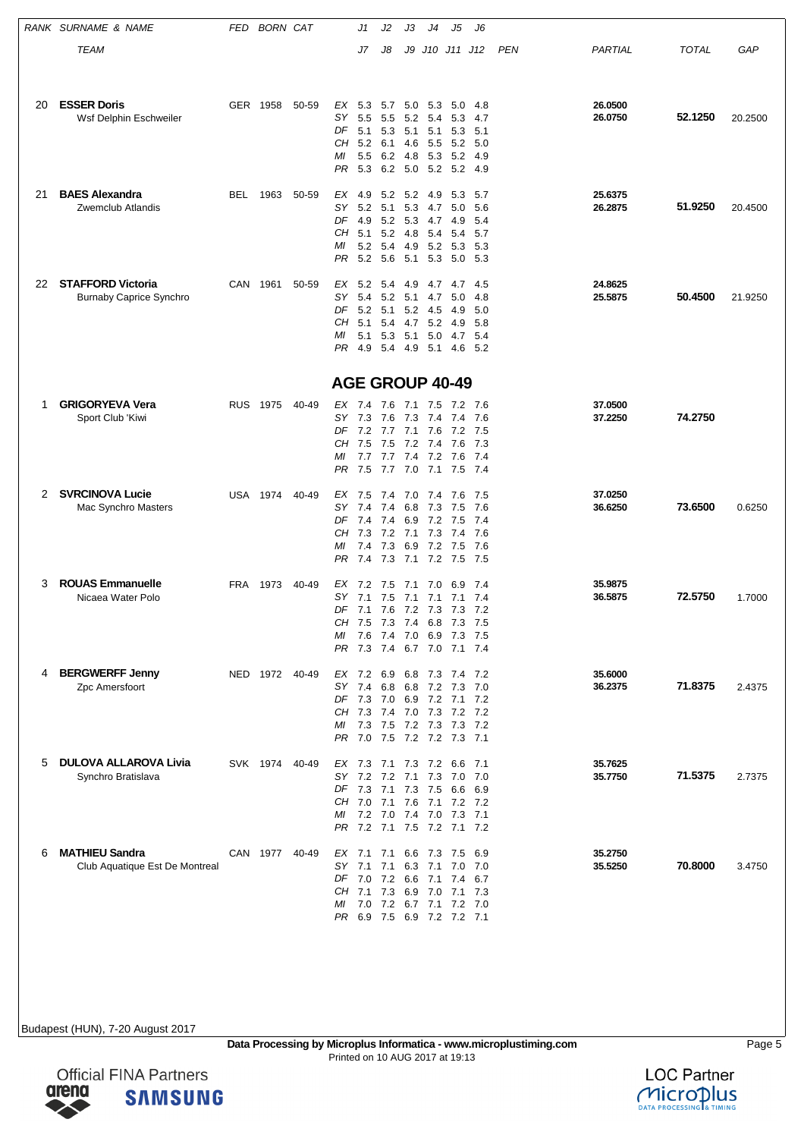|    | RANK SURNAME & NAME                                     | FED        | <b>BORN CAT</b> |       |                        | J1                                                       | J2         | JЗ          | J4                 | J5                     | J6                      |     |                    |              |         |
|----|---------------------------------------------------------|------------|-----------------|-------|------------------------|----------------------------------------------------------|------------|-------------|--------------------|------------------------|-------------------------|-----|--------------------|--------------|---------|
|    | TEAM                                                    |            |                 |       |                        | J7                                                       | J8         |             |                    | J9 J10 J11 J12         |                         | PEN | PARTIAL            | <b>TOTAL</b> | GAP     |
|    |                                                         |            |                 |       |                        |                                                          |            |             |                    |                        |                         |     |                    |              |         |
|    |                                                         |            |                 |       |                        |                                                          |            |             |                    |                        |                         |     |                    |              |         |
| 20 | <b>ESSER Doris</b><br>Wsf Delphin Eschweiler            |            | GER 1958        | 50-59 | EX<br>SΥ               | 5.3 5.7 5.0 5.3<br>5.5                                   | 5.5        | 5.2         | -5.4               | 5.0<br>5.3             | 4.8<br>4.7              |     | 26.0500<br>26.0750 | 52.1250      | 20.2500 |
|    |                                                         |            |                 |       | DF                     | 5.1 5.3 5.1                                              |            |             | 5.1                | 5.3                    | 5.1                     |     |                    |              |         |
|    |                                                         |            |                 |       | CH<br>МI               | $5.2$ 6.1<br>5.5                                         |            | 4.6         | 5.5<br>6.2 4.8 5.3 | 5.2<br>5.2             | 5.0<br>4.9              |     |                    |              |         |
|    |                                                         |            |                 |       | PR.                    | 5.3                                                      |            |             |                    | 6.2 5.0 5.2 5.2 4.9    |                         |     |                    |              |         |
| 21 | <b>BAES Alexandra</b>                                   | BEL        | 1963            | 50-59 | EX                     | 4.9                                                      | 5.2        | 5.2         | 4.9                | 5.3                    | 5.7                     |     | 25.6375            |              |         |
|    | Zwemclub Atlandis                                       |            |                 |       | SΥ                     | 5.2                                                      | 5.1        | 5.3         | 4.7                | 5.0                    | 5.6                     |     | 26.2875            | 51.9250      | 20.4500 |
|    |                                                         |            |                 |       | DF 4.9                 |                                                          | 5.2        |             | 5.3 4.7 4.9        |                        | 5.4                     |     |                    |              |         |
|    |                                                         |            |                 |       | CН<br>МI               | 5.1<br>5.2 5.4                                           | 5.2        | 4.8         | 5.4                | 5.4                    | 5.7<br>4.9 5.2 5.3 5.3  |     |                    |              |         |
|    |                                                         |            |                 |       | PR.                    | 5.2                                                      | - 5.6      | 5.1         | 5.3                |                        | 5.0 5.3                 |     |                    |              |         |
| 22 | <b>STAFFORD Victoria</b>                                |            | CAN 1961        | 50-59 | EX                     | 5.2                                                      | 5.4        | -4.9        |                    | 4.7 4.7                | - 4.5                   |     | 24.8625            |              |         |
|    | <b>Burnaby Caprice Synchro</b>                          |            |                 |       | SΥ                     | 5.4                                                      | 5.2        | 5.1         | 4.7                | 5.0                    | 4.8                     |     | 25.5875            | 50.4500      | 21.9250 |
|    |                                                         |            |                 |       | DF                     | 5.2                                                      | 5.1        |             | 5.2 4.5            | 4.9                    | 5.0                     |     |                    |              |         |
|    |                                                         |            |                 |       | CН<br>ΜI               | 5.1<br>5.1 5.3 5.1                                       | 5.4        | 4.7         | 5.2<br>5.0         | -4.9                   | 5.8<br>4.7 5.4          |     |                    |              |         |
|    |                                                         |            |                 |       | PR                     | 4.9                                                      |            | 5.4 4.9 5.1 |                    |                        | 4.6 5.2                 |     |                    |              |         |
|    |                                                         |            |                 |       |                        |                                                          |            |             |                    |                        |                         |     |                    |              |         |
|    |                                                         |            |                 |       | <b>AGE GROUP 40-49</b> |                                                          |            |             |                    |                        |                         |     |                    |              |         |
| 1  | <b>GRIGORYEVA Vera</b>                                  | <b>RUS</b> | 1975            | 40-49 | EX 7.4                 |                                                          | 7.6        | 7.1         | 7.5                | 7.2                    | - 7.6                   |     | 37.0500            |              |         |
|    | Sport Club 'Kiwi                                        |            |                 |       | SY 7.3                 | DF 7.2 7.7 7.1 7.6                                       | 7.6        | 7.3         | 7.4                | 7.4<br>7.2 7.5         | 7.6                     |     | 37.2250            | 74.2750      |         |
|    |                                                         |            |                 |       | CН                     | 7.5                                                      | 7.5        | 7.2 7.4     |                    | 7.6                    | 7.3                     |     |                    |              |         |
|    |                                                         |            |                 |       | МI                     |                                                          |            |             |                    |                        | 7.7 7.7 7.4 7.2 7.6 7.4 |     |                    |              |         |
|    |                                                         |            |                 |       | PR                     | 7.5                                                      | 7.7        |             | 7.0 7.1            |                        | 7.5 7.4                 |     |                    |              |         |
| 2  | <b>SVRCINOVA Lucie</b>                                  | USA        | 1974            | 40-49 | EX 7.5                 |                                                          | 7.4        | 7.0         | 7.4                | 7.6                    | - 7.5                   |     | 37.0250            |              |         |
|    | Mac Synchro Masters                                     |            |                 |       | SΥ<br>DF 7.4           | 7.4                                                      | 7.4<br>7.4 | 6.8         | 7.3<br>6.9 7.2     | 7.5<br>7.5             | 7.6<br>7.4              |     | 36.6250            | 73.6500      | 0.6250  |
|    |                                                         |            |                 |       | CН                     | 7.3                                                      | 7.2        | 7.1         | 7.3                | 7.4                    | 7.6                     |     |                    |              |         |
|    |                                                         |            |                 |       | МI<br>PR.              | 7.4<br>7.4 7.3 7.1                                       | 7.3        |             | 7.2                | 6.9 7.2 7.5<br>7.5 7.5 | 7.6                     |     |                    |              |         |
|    |                                                         |            |                 |       |                        |                                                          |            |             |                    |                        |                         |     |                    |              |         |
| 3  | <b>ROUAS Emmanuelle</b>                                 | FRA        | 1973            | 40-49 | EX 7.2                 |                                                          | 7.5        | 7.1         | 7.0                | 6.9                    | 7.4                     |     | 35.9875            | 72.5750      |         |
|    | Nicaea Water Polo                                       |            |                 |       | SΥ                     | 7.1<br>DF 7.1 7.6 7.2 7.3 7.3 7.2                        | 7.5        | 7.1         | 7.1                | 7.1                    | 7.4                     |     | 36.5875            |              | 1.7000  |
|    |                                                         |            |                 |       |                        | CH 7.5 7.3 7.4 6.8 7.3 7.5                               |            |             |                    |                        |                         |     |                    |              |         |
|    |                                                         |            |                 |       |                        | MI 7.6 7.4 7.0 6.9 7.3 7.5<br>PR 7.3 7.4 6.7 7.0 7.1 7.4 |            |             |                    |                        |                         |     |                    |              |         |
|    |                                                         |            |                 |       |                        |                                                          |            |             |                    |                        |                         |     |                    |              |         |
| 4  | <b>BERGWERFF Jenny</b><br>Zpc Amersfoort                |            | NED 1972 40-49  |       |                        | EX 7.2 6.9 6.8 7.3 7.4 7.2<br>SY 7.4 6.8 6.8 7.2 7.3 7.0 |            |             |                    |                        |                         |     | 35.6000<br>36.2375 | 71.8375      | 2.4375  |
|    |                                                         |            |                 |       |                        | DF 7.3 7.0 6.9 7.2 7.1 7.2                               |            |             |                    |                        |                         |     |                    |              |         |
|    |                                                         |            |                 |       |                        | CH 7.3 7.4 7.0 7.3 7.2 7.2                               |            |             |                    |                        |                         |     |                    |              |         |
|    |                                                         |            |                 |       |                        | MI 7.3 7.5 7.2 7.3 7.3 7.2<br>PR 7.0 7.5 7.2 7.2 7.3 7.1 |            |             |                    |                        |                         |     |                    |              |         |
|    |                                                         |            |                 |       |                        |                                                          |            |             |                    |                        |                         |     |                    |              |         |
| 5  | <b>DULOVA ALLAROVA Livia</b><br>Synchro Bratislava      |            | SVK 1974 40-49  |       |                        | EX 7.3 7.1 7.3 7.2 6.6 7.1<br>SY 7.2 7.2 7.1 7.3         |            |             |                    | 7.0 7.0                |                         |     | 35.7625<br>35.7750 | 71.5375      | 2.7375  |
|    |                                                         |            |                 |       |                        | DF 7.3 7.1 7.3 7.5 6.6 6.9                               |            |             |                    |                        |                         |     |                    |              |         |
|    |                                                         |            |                 |       |                        | CH 7.0 7.1 7.6 7.1 7.2 7.2<br>MI 7.2 7.0 7.4 7.0 7.3 7.1 |            |             |                    |                        |                         |     |                    |              |         |
|    |                                                         |            |                 |       |                        | PR 7.2 7.1 7.5 7.2 7.1 7.2                               |            |             |                    |                        |                         |     |                    |              |         |
|    |                                                         |            |                 |       |                        |                                                          |            |             |                    |                        |                         |     |                    |              |         |
| 6  | <b>MATHIEU Sandra</b><br>Club Aquatique Est De Montreal |            | CAN 1977 40-49  |       | SY 7.1                 | EX 7.1 7.1 6.6 7.3 7.5                                   | 7.1        |             |                    | 6.3 7.1 7.0 7.0        | - 6.9                   |     | 35.2750<br>35.5250 | 70.8000      | 3.4750  |
|    |                                                         |            |                 |       |                        | DF 7.0 7.2 6.6 7.1 7.4 6.7                               |            |             |                    |                        |                         |     |                    |              |         |
|    |                                                         |            |                 |       | ΜI                     | CH 7.1 7.3 6.9 7.0 7.1 7.3<br>7.0 7.2 6.7 7.1 7.2 7.0    |            |             |                    |                        |                         |     |                    |              |         |
|    |                                                         |            |                 |       |                        | PR 6.9 7.5 6.9 7.2 7.2 7.1                               |            |             |                    |                        |                         |     |                    |              |         |
|    |                                                         |            |                 |       |                        |                                                          |            |             |                    |                        |                         |     |                    |              |         |

**Data Processing by Microplus Informatica - www.microplustiming.com** Page 5 Printed on 10 AUG 2017 at 19:13

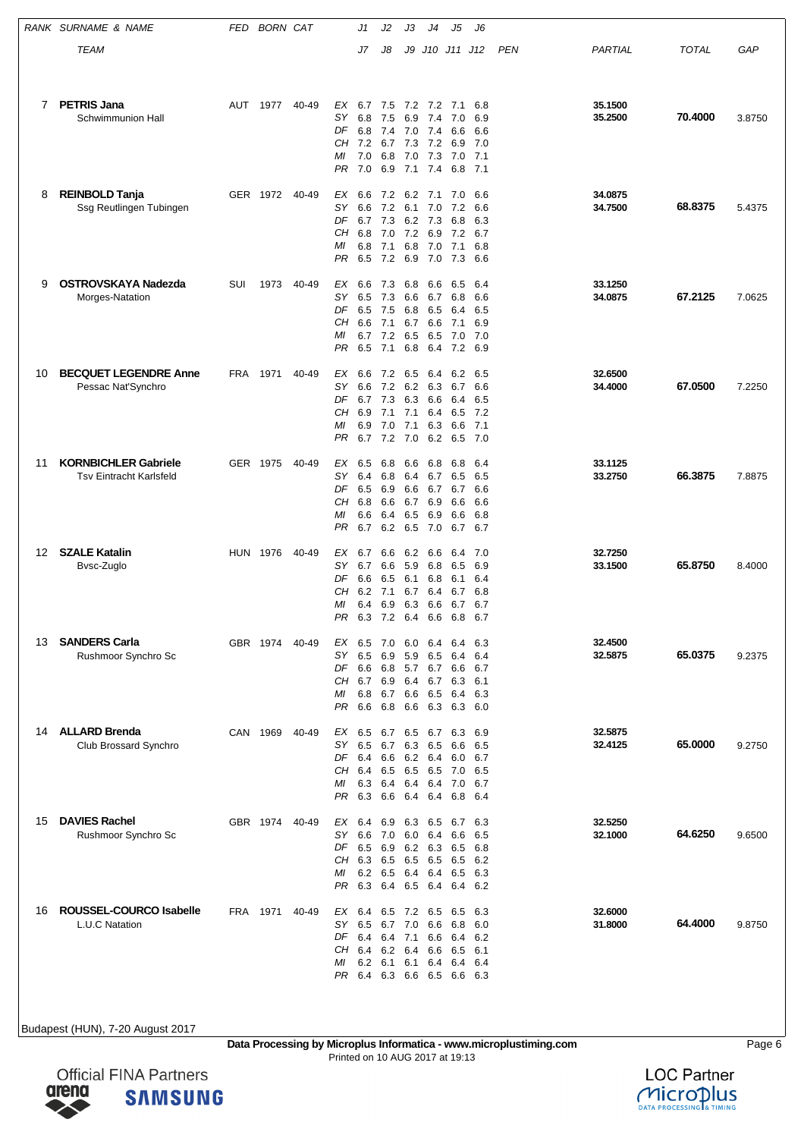|    | RANK SURNAME & NAME                                           | FED | <b>BORN CAT</b> |       |                                    | J1                                                                | J2                                     | JЗ                                     | J4                                                     | J5                                                             | J6                                             |     |                    |              |        |
|----|---------------------------------------------------------------|-----|-----------------|-------|------------------------------------|-------------------------------------------------------------------|----------------------------------------|----------------------------------------|--------------------------------------------------------|----------------------------------------------------------------|------------------------------------------------|-----|--------------------|--------------|--------|
|    | TEAM                                                          |     |                 |       |                                    | J7                                                                | J8                                     | J9                                     |                                                        | J10 J11 J12                                                    |                                                | PEN | PARTIAL            | <b>TOTAL</b> | GAP    |
|    |                                                               |     |                 |       |                                    |                                                                   |                                        |                                        |                                                        |                                                                |                                                |     |                    |              |        |
| 7  | <b>PETRIS Jana</b><br>Schwimmunion Hall                       | AUT | 1977            | 40-49 | EX<br>SΥ<br>DF<br>МI<br>PR.        | 6.7<br>6.8<br>6.8<br>CH 7.2 6.7 7.3 7.2<br>7.0<br>7.0             | 7.5<br>7.5<br>7.4<br>6.8<br>6.9        | 7.0                                    | 6.9 7.4<br>7.0 7.4<br>7.3<br>7.1 7.4                   | 7.2 7.2 7.1<br>7.0<br>6.6<br>6.9<br>7.0<br>6.8                 | 6.8<br>6.9<br>6.6<br>7.0<br>7.1<br>7.1         |     | 35.1500<br>35.2500 | 70.4000      | 3.8750 |
| 8  | <b>REINBOLD Tanja</b><br>Ssg Reutlingen Tubingen              |     | GER 1972 40-49  |       | ЕX<br>SΥ<br>DF<br>CН<br>МI<br>PR   | 6.6<br>6.6<br>6.7 7.3<br>6.8<br>6.8<br>6.5                        | 7.2<br>7.2<br>7.0<br>7.1<br>7.2        | 6.1<br>6.9                             | 6.2 7.1<br>7.0<br>6.2 7.3<br>7.2 6.9<br>6.8 7.0<br>7.0 | 7.0<br>7.2<br>6.8<br>7.2<br>7.1<br>7.3                         | 6.6<br>6.6<br>6.3<br>6.7<br>6.8<br>6.6         |     | 34.0875<br>34.7500 | 68.8375      | 5.4375 |
| 9  | <b>OSTROVSKAYA Nadezda</b><br>Morges-Natation                 | SUI | 1973            | 40-49 | EX<br>SΥ<br>DF<br>CН<br>МI<br>PR   | 6.6<br>6.5<br>6.5<br>6.6<br>6.7 7.2<br>6.5                        | 7.3<br>7.3<br>7.5<br>7.1<br>7.1        | 6.8<br>6.6<br>6.8<br>6.7<br>6.5<br>6.8 | 6.6<br>6.7<br>6.5<br>6.6<br>6.5<br>6.4                 | 6.5<br>6.8<br>6.4<br>7.1<br>7.0                                | 6.4<br>6.6<br>6.5<br>6.9<br>7.0<br>7.2 6.9     |     | 33.1250<br>34.0875 | 67.2125      | 7.0625 |
| 10 | <b>BECQUET LEGENDRE Anne</b><br>Pessac Nat'Synchro            | FRA | 1971            | 40-49 | ЕX<br>SΥ<br>DF<br>CН<br>ΜI<br>PR   | 6.6<br>6.6<br>6.7 7.3<br>6.9<br>6.9<br>6.7                        | 7.2<br>7.2<br>7.1<br>7.0<br>7.2        | 6.5<br>7.1<br>7.1<br>7.0               | 6.4<br>6.2 6.3<br>6.3 6.6<br>6.4<br>6.3<br>6.2         | 6.2<br>6.7<br>6.4<br>6.5<br>6.6<br>6.5                         | 6.5<br>6.6<br>6.5<br>7.2<br>7.1<br>7.0         |     | 32.6500<br>34.4000 | 67.0500      | 7.2250 |
| 11 | <b>KORNBICHLER Gabriele</b><br><b>Tsv Eintracht Karlsfeld</b> |     | GER 1975        | 40-49 | ЕX<br>SΥ<br>DF<br>CН<br>МI<br>PR   | 6.5<br>6.4<br>6.5<br>6.8<br>6.6<br>6.7                            | 6.8<br>6.8<br>6.9<br>6.6<br>6.4<br>6.2 | 6.6<br>6.4<br>6.6<br>6.7<br>6.5        | 6.8<br>6.7<br>6.7<br>6.9<br>6.9<br>6.5 7.0             | 6.8<br>6.5<br>6.7<br>6.6<br>6.6<br>6.7                         | 6.4<br>6.5<br>6.6<br>6.6<br>6.8<br>6.7         |     | 33.1125<br>33.2750 | 66.3875      | 7.8875 |
| 12 | <b>SZALE Katalin</b><br>Bvsc-Zuglo                            |     | <b>HUN 1976</b> | 40-49 | ЕX<br>SΥ<br>DF<br>CН<br>МI<br>PR.  | 6.7<br>6.7<br>6.6<br>6.2<br>6.4<br>6.3 7.2 6.4 6.6                | 6.6<br>6.6<br>6.5<br>7.1<br>6.9        | 6.2<br>5.9<br>6.7<br>6.3               | 6.6<br>6.8<br>6.1 6.8<br>6.4<br>6.6                    | 6.4<br>6.5<br>6.1<br>6.7<br>6.7                                | 7.0<br>6.9<br>6.4<br>6.8<br>6.7<br>6.8 6.7     |     | 32.7250<br>33.1500 | 65.8750      | 8.4000 |
| 13 | <b>SANDERS Carla</b><br>Rushmoor Synchro Sc                   |     | GBR 1974        | 40-49 | EX<br>SΥ<br>DF<br>CН<br>МI<br>PR   | 6.5<br>6.5<br>6.6<br>6.7<br>6.8<br>6.6                            | 7.0<br>6.9<br>6.8<br>6.9<br>6.7<br>6.8 | 6.0<br>5.9<br>6.4<br>6.6               | 6.4<br>6.5<br>6.7<br>6.6 6.5<br>6.3                    | 6.4<br>6.4<br>5.7 6.7 6.6<br>6.4                               | 6.3<br>6.4<br>6.7<br>6.3 6.1<br>6.3<br>6.3 6.0 |     | 32.4500<br>32.5875 | 65.0375      | 9.2375 |
| 14 | <b>ALLARD Brenda</b><br>Club Brossard Synchro                 |     | CAN 1969        | 40-49 | EX<br>SΥ<br>DF<br>CН<br>ΜI<br>PR.  | 6.5<br>6.4<br>6.4<br>6.3<br>6.3                                   | 6.6<br>6.5<br>6.4<br>6.6               | 6.5<br>6.4                             | 6.7 6.3 6.5<br>6.2 6.4<br>6.5<br>6.4                   | 6.5 6.7 6.5 6.7 6.3<br>6.6<br>6.0<br>7.0<br>6.4 6.4 7.0        | 6.9<br>6.5<br>6.7<br>6.5<br>6.7<br>6.8 6.4     |     | 32.5875<br>32.4125 | 65.0000      | 9.2750 |
| 15 | <b>DAVIES Rachel</b><br>Rushmoor Synchro Sc                   |     | GBR 1974 40-49  |       | EX<br>SY.<br>DF<br>CН<br>МI<br>PR. | 6.4<br>6.6<br>6.5 6.9<br>6.3 6.5<br>6.2 6.5<br>6.3                | 6.9<br>7.0                             | 6.3<br>6.0<br>6.5                      | 6.5<br>6.4<br>6.2 6.3<br>6.5                           | 6.7<br>6.6<br>6.5<br>6.5<br>6.4 6.4 6.5<br>6.4 6.5 6.4 6.4 6.2 | 6.3<br>6.5<br>6.8<br>6.2<br>6.3                |     | 32.5250<br>32.1000 | 64.6250      | 9.6500 |
| 16 | ROUSSEL-COURCO Isabelle<br>L.U.C Natation                     |     | FRA 1971        | 40-49 | EX<br>SΥ<br>DF<br>CН<br>МI         | 6.4<br>6.5<br>6.4 6.4<br>6.4<br>6.2<br>PR 6.4 6.3 6.6 6.5 6.6 6.3 | 6.7<br>6.2<br>6.1                      | 7.0<br>7.1<br>6.4<br>6.1               | 6.5 7.2 6.5<br>6.6<br>6.6<br>6.6<br>6.4                | 6.5<br>6.8<br>6.4<br>6.5<br>6.4                                | 6.3<br>6.0<br>6.2<br>6.1<br>6.4                |     | 32.6000<br>31.8000 | 64.4000      | 9.8750 |

**Data Processing by Microplus Informatica - www.microplustiming.com** Page 6 Printed on 10 AUG 2017 at 19:13



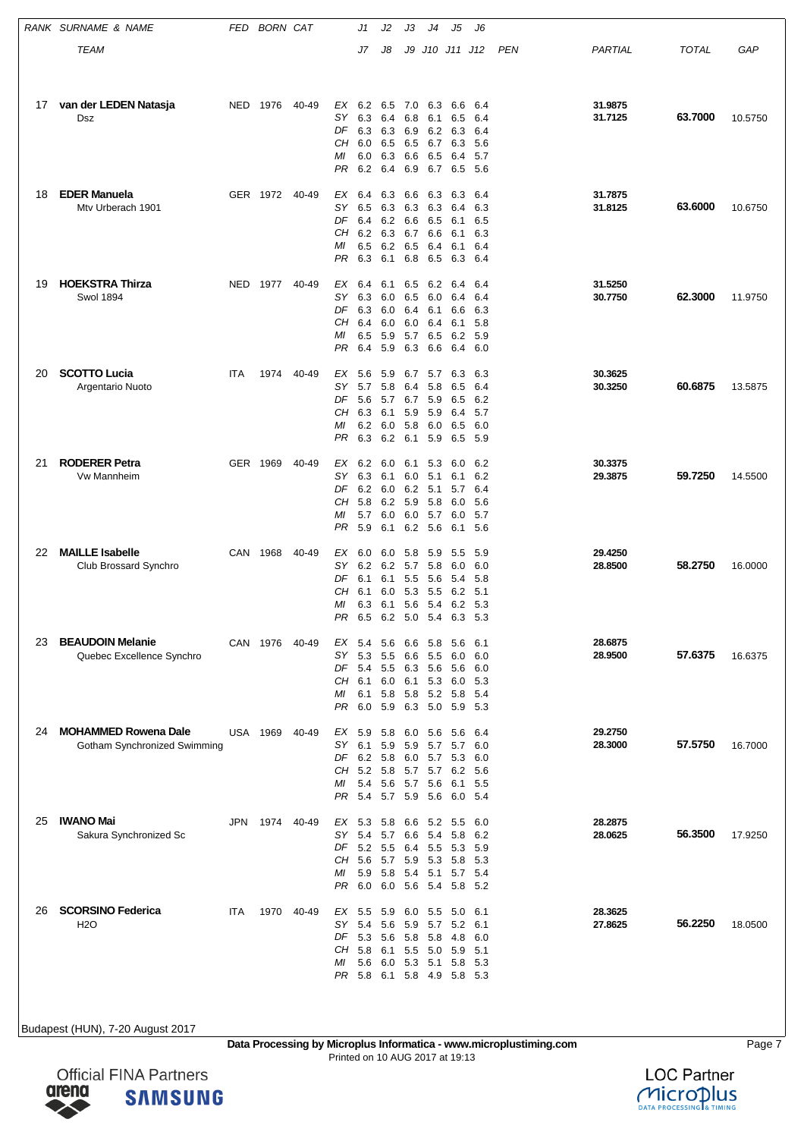|    | RANK SURNAME & NAME                                         | FED | <b>BORN CAT</b> |       |                                         | J1                                                        | J2                                     | JЗ                                     | J4                                                  | J5                                                            | J6                                       |     |                    |              |         |
|----|-------------------------------------------------------------|-----|-----------------|-------|-----------------------------------------|-----------------------------------------------------------|----------------------------------------|----------------------------------------|-----------------------------------------------------|---------------------------------------------------------------|------------------------------------------|-----|--------------------|--------------|---------|
|    | <b>TEAM</b>                                                 |     |                 |       |                                         | J7                                                        | J8                                     | J9                                     |                                                     | J10 J11 J12                                                   |                                          | PEN | PARTIAL            | <b>TOTAL</b> | GAP     |
|    |                                                             |     |                 |       |                                         |                                                           |                                        |                                        |                                                     |                                                               |                                          |     |                    |              |         |
| 17 | van der LEDEN Natasja<br>Dsz                                | NED | 1976            | 40-49 | EX<br>SΥ<br>DF<br>CН<br>МI<br>PR        | 6.2<br>6.3<br>6.3<br>6.0<br>6.0<br>6.2                    | 6.5<br>6.4<br>6.3<br>6.5<br>6.3<br>6.4 | 7.0<br>6.8<br>6.9<br>6.5<br>6.6<br>6.9 | 6.3<br>6.1<br>6.2<br>6.7<br>6.5<br>6.7              | 6.6<br>6.5<br>6.3<br>6.3<br>6.4<br>6.5                        | 6.4<br>6.4<br>6.4<br>5.6<br>5.7<br>- 5.6 |     | 31.9875<br>31.7125 | 63.7000      | 10.5750 |
| 18 | <b>EDER Manuela</b><br>Mtv Urberach 1901                    |     | GER 1972 40-49  |       | EX<br>SY<br>DF<br>CН<br>МI<br>PR        | 6.4<br>6.5<br>6.4<br>6.2 6.3<br>6.5<br>6.3                | 6.3<br>6.3<br>6.2<br>6.2<br>6.1        | 6.6<br>6.6<br>6.7<br>6.5<br>6.8        | 6.3<br>6.3 6.3<br>6.5<br>6.6<br>- 6.4<br>6.5        | 6.3<br>6.4<br>6.1<br>6.1<br>6.1<br>6.3                        | 6.4<br>6.3<br>6.5<br>6.3<br>6.4<br>6.4   |     | 31.7875<br>31.8125 | 63.6000      | 10.6750 |
| 19 | <b>HOEKSTRA Thirza</b><br><b>Swol 1894</b>                  | NED | 1977            | 40-49 | EX<br>SΥ<br>DF<br>CН<br>МI<br>PR        | 6.4<br>6.3<br>6.3<br>6.4<br>6.5<br>6.4                    | 6.1<br>6.0<br>6.0<br>6.0<br>5.9<br>5.9 | 6.5<br>6.5<br>6.4<br>6.0<br>5.7<br>6.3 | 6.2<br>6.0<br>6.1<br>6.4<br>6.5<br>6.6              | 6.4<br>6.4<br>6.6<br>6.1<br>6.2<br>6.4                        | 6.4<br>6.4<br>6.3<br>5.8<br>5.9<br>6.0   |     | 31.5250<br>30.7750 | 62.3000      | 11.9750 |
| 20 | <b>SCOTTO Lucia</b><br>Argentario Nuoto                     | ITA | 1974            | 40-49 | ЕX<br><b>SY</b><br>DF<br>CН<br>МI<br>PR | 5.6<br>5.7<br>5.6<br>6.3<br>6.2<br>6.3                    | 5.9<br>5.8<br>5.7<br>6.1<br>6.0<br>6.2 | 6.7<br>6.4<br>5.9<br>5.8<br>6.1        | 5.7<br>5.8<br>6.7 5.9<br>5.9<br>6.0<br>5.9          | 6.3<br>6.5<br>6.5<br>6.4<br>6.5<br>6.5                        | 6.3<br>6.4<br>6.2<br>5.7<br>6.0<br>5.9   |     | 30.3625<br>30.3250 | 60.6875      | 13.5875 |
| 21 | <b>RODERER Petra</b><br>Vw Mannheim                         |     | GER 1969        | 40-49 | ЕX<br>SY<br>DF<br>CН<br>МI<br>PR        | 6.2<br>6.3<br>6.2<br>5.8<br>5.7<br>5.9                    | 6.0<br>6.1<br>6.0<br>6.2<br>6.0<br>6.1 | 6.1<br>6.0<br>6.2<br>5.9<br>6.0        | 5.3<br>5.1<br>5.1<br>5.8<br>5.7<br>6.2 5.6          | 6.0<br>6.1<br>5.7<br>6.0<br>6.0<br>6.1                        | 6.2<br>6.2<br>6.4<br>5.6<br>5.7<br>5.6   |     | 30.3375<br>29.3875 | 59.7250      | 14.5500 |
| 22 | <b>MAILLE Isabelle</b><br>Club Brossard Synchro             | CAN | 1968            | 40-49 | ЕX<br>SΥ<br>DF<br>CН<br>МI<br>PR        | 6.0<br>6.2<br>6.1<br>6.1<br>6.3<br>6.5 6.2                | 6.0<br>6.2<br>6.1<br>6.0<br>6.1        | 5.8<br>5.7<br>5.5<br>5.3<br>5.6        | 5.9<br>5.8<br>5.6<br>5.5<br>- 5.4                   | 5.5<br>6.0<br>5.4<br>6.2<br>6.2<br>5.0 5.4 6.3                | 5.9<br>6.0<br>5.8<br>5.1<br>5.3<br>- 5.3 |     | 29.4250<br>28.8500 | 58.2750      | 16.0000 |
| 23 | <b>BEAUDOIN Melanie</b><br>Quebec Excellence Synchro        |     | CAN 1976        | 40-49 | EX<br>SY.<br>CН<br>МI<br>PR             | 5.4<br>5.3<br>DF 5.4<br>6.1<br>6.1<br>6.0                 | 5.6<br>5.5<br>5.5<br>6.0<br>5.8<br>5.9 |                                        | 6.6 5.8<br>6.6 5.5<br>6.3 5.6<br>6.1 5.3<br>6.3 5.0 | 5.6<br>6.0<br>5.6<br>6.0<br>5.8 5.2 5.8<br>5.9 5.3            | -6.1<br>6.0<br>6.0<br>5.3<br>-5.4        |     | 28.6875<br>28.9500 | 57.6375      | 16.6375 |
| 24 | <b>MOHAMMED Rowena Dale</b><br>Gotham Synchronized Swimming |     | USA 1969        | 40-49 | SY.<br>DF<br>CН<br>МI<br>PR.            | EX 5.9 5.8<br>6.1<br>6.2 5.8<br>5.2 5.8<br>5.4 5.6<br>5.4 | 5.9<br>5.7 5.9 5.6                     | 5.9<br>5.7                             | 6.0 5.6<br>5.7<br>5.7 5.7<br>5.6                    | 5.6<br>5.7<br>6.0 5.7 5.3<br>6.2<br>6.1<br>6.0 5.4            | - 6.4<br>6.0<br>6.0<br>-5.6<br>5.5       |     | 29.2750<br>28.3000 | 57.5750      | 16.7000 |
| 25 | <b>IWANO Mai</b><br>Sakura Synchronized Sc                  | JPN | 1974 40-49      |       | EX<br><b>SY</b><br>DF<br>CН<br>МI<br>PR | 5.3<br>5.4<br>5.2 5.5<br>5.6 5.7<br>5.9 5.8<br>6.0        | 5.8<br>5.7<br>6.0                      |                                        | 6.6 5.2<br>6.6 5.4<br>6.4 5.5<br>5.9 5.3<br>5.4 5.1 | 5.5<br>5.8<br>5.3<br>5.8<br>5.7 5.4<br>5.6 5.4 5.8 5.2        | 6.0<br>6.2<br>5.9<br>- 5.3               |     | 28.2875<br>28.0625 | 56.3500      | 17.9250 |
| 26 | <b>SCORSINO Federica</b><br><b>H2O</b>                      | ITA | 1970 40-49      |       | EX 5.5<br>SΥ<br>DF<br>CН<br>МI          | 5.4<br>5.3 5.6<br>5.8<br>5.6                              | 5.9<br>5.6<br>6.1<br>6.0               | 5.9<br>5.5                             | 6.0 5.5<br>5.7<br>5.8 5.8<br>5.0<br>5.3 5.1         | 5.0<br>5.2<br>4.8<br>5.9<br>5.8<br>PR 5.8 6.1 5.8 4.9 5.8 5.3 | -6.1<br>6.1<br>6.0<br>5.1<br>- 5.3       |     | 28.3625<br>27.8625 | 56.2250      | 18.0500 |

**Data Processing by Microplus Informatica - www.microplustiming.com** Page 7 Printed on 10 AUG 2017 at 19:13



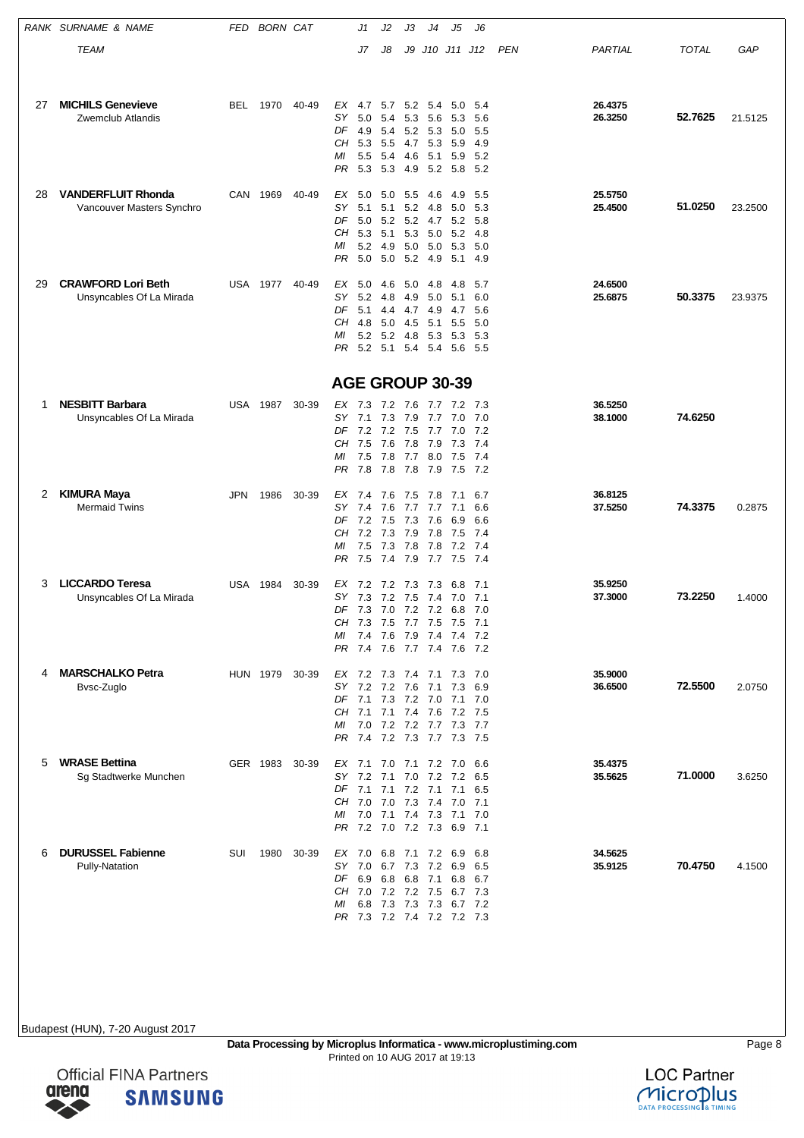|    | RANK SURNAME & NAME                               | FED | <b>BORN CAT</b> |       |                        | J1                                                       | J2                     | JЗ         | J4             | J5                                 | J6           |     |                    |              |         |
|----|---------------------------------------------------|-----|-----------------|-------|------------------------|----------------------------------------------------------|------------------------|------------|----------------|------------------------------------|--------------|-----|--------------------|--------------|---------|
|    | TEAM                                              |     |                 |       |                        | J7                                                       | J8                     |            |                | J9 J10 J11 J12                     |              | PEN | PARTIAL            | <b>TOTAL</b> | GAP     |
|    |                                                   |     |                 |       |                        |                                                          |                        |            |                |                                    |              |     |                    |              |         |
| 27 | <b>MICHILS Genevieve</b>                          | BEL | 1970            | 40-49 | EX                     | 4.7                                                      | 5.7                    |            | 5.2 5.4        | 5.0                                | 5.4          |     | 26.4375            |              |         |
|    | Zwemclub Atlandis                                 |     |                 |       | SΥ                     | 5.0                                                      | 5.4                    | 5.3        | 5.6            | 5.3                                | 5.6          |     | 26.3250            | 52.7625      | 21.5125 |
|    |                                                   |     |                 |       | DF<br>CН               | 4.9<br>5.3                                               | 5.4<br>5.5             | 4.7        | 5.2 5.3<br>5.3 | 5.0<br>5.9                         | 5.5<br>4.9   |     |                    |              |         |
|    |                                                   |     |                 |       | МI                     | 5.5                                                      | 5.4                    | 4.6        | 5.1            | 5.9                                | 5.2          |     |                    |              |         |
|    |                                                   |     |                 |       | PR                     | 5.3                                                      | 5.3                    | 4.9        | 5.2            | 5.8                                | - 5.2        |     |                    |              |         |
| 28 | <b>VANDERFLUIT Rhonda</b>                         |     | CAN 1969        | 40-49 | ЕX                     | 5.0                                                      | 5.0                    | 5.5        | 4.6            | 4.9                                | 5.5          |     | 25.5750            |              |         |
|    | Vancouver Masters Synchro                         |     |                 |       | SΥ<br>DF               | 5.1<br>5.0                                               | 5.1<br>5.2 5.2 4.7     | 5.2        | 4.8            | 5.0<br>5.2                         | 5.3<br>5.8   |     | 25.4500            | 51.0250      | 23.2500 |
|    |                                                   |     |                 |       | CН                     | 5.3                                                      | 5.1                    | 5.3        | 5.0            | 5.2                                | 4.8          |     |                    |              |         |
|    |                                                   |     |                 |       | МI<br>PR               | 5.2<br>5.0                                               | 4.9<br>5.0             | 5.0<br>5.2 | 5.0<br>4.9     | 5.3<br>5.1                         | 5.0<br>4.9   |     |                    |              |         |
| 29 | <b>CRAWFORD Lori Beth</b>                         |     |                 |       | $EX$ 5.0               |                                                          |                        |            |                |                                    |              |     |                    |              |         |
|    | Unsyncables Of La Mirada                          |     | USA 1977        | 40-49 | SΥ                     | 5.2                                                      | 4.6<br>4.8             | 5.0<br>4.9 | 4.8<br>5.0     | 4.8<br>5.1                         | 5.7<br>6.0   |     | 24.6500<br>25.6875 | 50.3375      | 23.9375 |
|    |                                                   |     |                 |       | DF                     | 5.1                                                      | 4.4                    | 4.7        | 4.9            | 4.7                                | 5.6          |     |                    |              |         |
|    |                                                   |     |                 |       | CН<br>МI               | 4.8                                                      | 5.0<br>5.2 5.2 4.8 5.3 | 4.5        | 5.1            | 5.5<br>5.3                         | 5.0<br>- 5.3 |     |                    |              |         |
|    |                                                   |     |                 |       | PR                     | 5.2 5.1 5.4 5.4                                          |                        |            |                | 5.6                                | - 5.5        |     |                    |              |         |
|    |                                                   |     |                 |       | <b>AGE GROUP 30-39</b> |                                                          |                        |            |                |                                    |              |     |                    |              |         |
| 1  | <b>NESBITT Barbara</b>                            | USA | 1987            | 30-39 | EX 7.3                 |                                                          | 7.2                    | 7.6        | 7.7            | 7.2                                | - 7.3        |     | 36.5250            |              |         |
|    | Unsyncables Of La Mirada                          |     |                 |       | SY 7.1                 |                                                          | 7.3                    | 7.9        | 7.7            | 7.0                                | 7.0          |     | 38.1000            | 74.6250      |         |
|    |                                                   |     |                 |       | DF<br>CН               | 7.2 7.2 7.5<br>7.5                                       | 7.6                    | 7.8        | 7.7<br>7.9     | 7.0 7.2<br>7.3                     | 7.4          |     |                    |              |         |
|    |                                                   |     |                 |       | МI                     | 7.5                                                      | 7.8                    |            |                | 7.7 8.0 7.5                        | - 7.4        |     |                    |              |         |
|    |                                                   |     |                 |       | PR                     | 7.8                                                      | 7.8                    | 7.8        | 7.9            | 7.5                                | 7.2          |     |                    |              |         |
| 2  | <b>KIMURA Maya</b><br><b>Mermaid Twins</b>        | JPN | 1986            | 30-39 | EX 7.4<br>SΥ           | 7.4                                                      | 7.6                    | 7.5        | 7.8            | 7.1<br>7.1                         | 6.7          |     | 36.8125            | 74.3375      |         |
|    |                                                   |     |                 |       | DF                     | 7.2                                                      | 7.6<br>7.5             | 7.3        | 7.7 7.7<br>7.6 | 6.9                                | 6.6<br>6.6   |     | 37.5250            |              | 0.2875  |
|    |                                                   |     |                 |       | CН<br>МI               | 7.2<br>7.5                                               | 7.3<br>7.3             | 7.9<br>7.8 | 7.8<br>7.8     | 7.5<br>7.2 7.4                     | 7.4          |     |                    |              |         |
|    |                                                   |     |                 |       | PR                     | 7.5                                                      | 7.4                    | 7.9        | 7.7            | 7.5 7.4                            |              |     |                    |              |         |
| 3  | <b>LICCARDO Teresa</b>                            | USA | 1984            | 30-39 | EX                     | 7.2                                                      | 7.2                    | 7.3        | 7.3            | 6.8                                | 7.1          |     | 35.9250            |              |         |
|    | Unsyncables Of La Mirada                          |     |                 |       | SΥ                     | 7.3                                                      | 7.2                    | 7.5        | 7.4            | 7.0                                | 7.1          |     | 37.3000            | 73.2250      | 1.4000  |
|    |                                                   |     |                 |       |                        | DF 7.3 7.0 7.2 7.2 6.8 7.0<br>CH 7.3 7.5 7.7 7.5 7.5 7.1 |                        |            |                |                                    |              |     |                    |              |         |
|    |                                                   |     |                 |       |                        | MI 7.4 7.6 7.9 7.4 7.4 7.2                               |                        |            |                |                                    |              |     |                    |              |         |
|    |                                                   |     |                 |       | PR                     | 7.4 7.6 7.7 7.4 7.6 7.2                                  |                        |            |                |                                    |              |     |                    |              |         |
| 4  | <b>MARSCHALKO Petra</b><br>Bvsc-Zuglo             |     | HUN 1979 30-39  |       |                        | EX 7.2 7.3 7.4 7.1 7.3 7.0<br>SY 7.2 7.2 7.6 7.1 7.3 6.9 |                        |            |                |                                    |              |     | 35.9000<br>36.6500 | 72.5500      | 2.0750  |
|    |                                                   |     |                 |       |                        | DF 7.1 7.3 7.2 7.0 7.1 7.0                               |                        |            |                |                                    |              |     |                    |              |         |
|    |                                                   |     |                 |       | МI                     | CH 7.1 7.1 7.4 7.6 7.2 7.5<br>7.0 7.2 7.2 7.7 7.3 7.7    |                        |            |                |                                    |              |     |                    |              |         |
|    |                                                   |     |                 |       |                        | PR 7.4 7.2 7.3 7.7 7.3 7.5                               |                        |            |                |                                    |              |     |                    |              |         |
| 5  | <b>WRASE Bettina</b>                              |     | GER 1983 30-39  |       |                        | EX 7.1 7.0 7.1 7.2 7.0 6.6                               |                        |            |                |                                    |              |     | 35.4375            |              |         |
|    | Sg Stadtwerke Munchen                             |     |                 |       |                        | SY 7.2 7.1 7.0 7.2 7.2 6.5<br>DF 7.1 7.1 7.2 7.1 7.1 6.5 |                        |            |                |                                    |              |     | 35.5625            | 71.0000      | 3.6250  |
|    |                                                   |     |                 |       |                        | CH 7.0 7.0 7.3 7.4 7.0 7.1                               |                        |            |                |                                    |              |     |                    |              |         |
|    |                                                   |     |                 |       | МI                     | PR 7.2 7.0 7.2 7.3 6.9 7.1                               |                        |            |                | 7.0 7.1 7.4 7.3 7.1 7.0            |              |     |                    |              |         |
|    |                                                   |     |                 |       |                        |                                                          |                        |            |                |                                    |              |     |                    |              |         |
| 6  | <b>DURUSSEL Fabienne</b><br><b>Pully-Natation</b> | SUI | 1980 30-39      |       | EX 7.0                 | SY 7.0 6.7 7.3 7.2 6.9 6.5                               |                        |            |                | 6.8 7.1 7.2 6.9                    | 6.8          |     | 34.5625<br>35.9125 | 70.4750      | 4.1500  |
|    |                                                   |     |                 |       |                        | DF 6.9 6.8 6.8 7.1 6.8 6.7                               |                        |            |                |                                    |              |     |                    |              |         |
|    |                                                   |     |                 |       | МI                     | CH 7.0 7.2 7.2 7.5                                       |                        |            |                | 6.7 7.3<br>6.8 7.3 7.3 7.3 6.7 7.2 |              |     |                    |              |         |
|    |                                                   |     |                 |       |                        | PR 7.3 7.2 7.4 7.2 7.2 7.3                               |                        |            |                |                                    |              |     |                    |              |         |



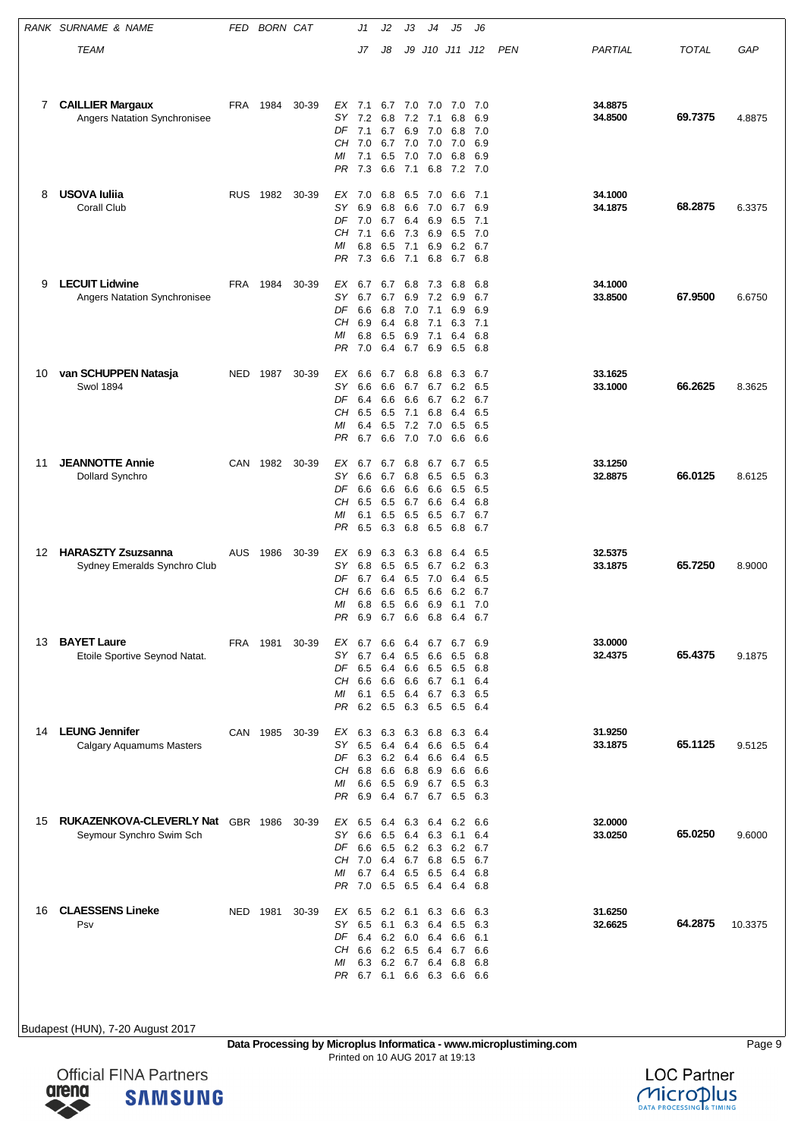|    | RANK SURNAME & NAME                                                  | FED        | <b>BORN CAT</b> |       |                                   | J1                                                     | J2                                             | JЗ                                     | J4                                          | J5                                                         | J6                                     |     |                    |              |         |
|----|----------------------------------------------------------------------|------------|-----------------|-------|-----------------------------------|--------------------------------------------------------|------------------------------------------------|----------------------------------------|---------------------------------------------|------------------------------------------------------------|----------------------------------------|-----|--------------------|--------------|---------|
|    | TEAM                                                                 |            |                 |       |                                   | J7                                                     | J8                                             | J9                                     |                                             | J10 J11 J12                                                |                                        | PEN | PARTIAL            | <b>TOTAL</b> | GAP     |
| 7  | <b>CAILLIER Margaux</b><br>Angers Natation Synchronisee              | <b>FRA</b> | 1984            | 30-39 | EX<br>SΥ<br>DF<br>CH<br>МI<br>PR  | 7.1<br>7.2<br>7.1<br>7.0<br>7.1<br>7.3                 | 6.7<br>6.8<br>6.7<br>6.7 7.0 7.0<br>6.5<br>6.6 | 6.9<br>7.0<br>7.1                      | 7.0 7.0<br>$7.2$ $7.1$<br>7.0<br>7.0<br>6.8 | 7.0<br>6.8<br>6.8<br>7.0<br>6.8<br>$7.2$ $7.0$             | 7.0<br>6.9<br>7.0<br>6.9<br>6.9        |     | 34.8875<br>34.8500 | 69.7375      | 4.8875  |
| 8  | <b>USOVA Iulija</b><br><b>Corall Club</b>                            | <b>RUS</b> | 1982            | 30-39 | ЕX<br>SΥ<br>DF<br>CН<br>МI<br>PR  | 7.0<br>6.9<br>7.0<br>7.1<br>6.8<br>7.3                 | 6.8<br>6.8<br>6.7<br>6.6<br>6.5<br>6.6         | 6.5<br>6.6<br>6.4<br>7.3<br>7.1<br>7.1 | 7.0<br>7.0<br>6.9<br>6.9<br>6.9<br>6.8      | 6.6<br>6.7<br>6.5<br>6.5<br>6.2 6.7<br>6.7 6.8             | 7.1<br>6.9<br>7.1<br>7.0               |     | 34.1000<br>34.1875 | 68.2875      | 6.3375  |
| 9  | <b>LECUIT Lidwine</b><br><b>Angers Natation Synchronisee</b>         | FRA        | 1984            | 30-39 | EX<br>SΥ<br>DF<br>CН<br>МI<br>PR  | 6.7<br>6.7<br>6.6<br>6.9<br>6.8<br>7.0                 | 6.7<br>6.7<br>6.8<br>6.4<br>6.5<br>6.4         | 6.8<br>7.0<br>6.8<br>6.9<br>6.7        | 7.3<br>6.9 7.2<br>7.1<br>7.1<br>7.1<br>6.9  | 6.8<br>6.9<br>6.9<br>6.3<br>6.4<br>6.5                     | 6.8<br>6.7<br>6.9<br>7.1<br>6.8<br>6.8 |     | 34.1000<br>33.8500 | 67.9500      | 6.6750  |
| 10 | van SCHUPPEN Natasja<br><b>Swol 1894</b>                             | NED        | 1987            | 30-39 | ЕX<br>SΥ<br>DF<br>CН<br>МI<br>PR  | 6.6<br>6.6<br>6.4<br>6.5<br>6.4<br>6.7                 | 6.7<br>6.6<br>6.6<br>6.5<br>6.5<br>6.6         | 6.8<br>6.7<br>6.6<br>7.1<br>7.0        | 6.8<br>6.7<br>6.7<br>6.8<br>7.2 7.0<br>7.0  | 6.3<br>6.2<br>6.2<br>6.4<br>6.5<br>6.6                     | 6.7<br>6.5<br>6.7<br>6.5<br>6.5<br>6.6 |     | 33.1625<br>33.1000 | 66.2625      | 8.3625  |
| 11 | <b>JEANNOTTE Annie</b><br>Dollard Synchro                            | CAN        | 1982            | 30-39 | EX<br>SΥ<br>DF<br>CН<br>МI<br>PR  | 6.7<br>6.6<br>6.6<br>6.5<br>6.1<br>6.5                 | 6.7<br>6.7<br>6.6<br>6.5<br>6.5<br>6.3         | 6.8<br>6.8<br>6.6<br>6.7<br>6.5<br>6.8 | 6.7<br>6.5<br>6.6<br>6.6<br>6.5<br>6.5      | 6.7<br>6.5<br>6.5<br>6.4<br>6.7<br>6.8                     | 6.5<br>6.3<br>6.5<br>6.8<br>6.7<br>6.7 |     | 33.1250<br>32.8875 | 66.0125      | 8.6125  |
| 12 | <b>HARASZTY Zsuzsanna</b><br>Sydney Emeralds Synchro Club            | <b>AUS</b> | 1986            | 30-39 | ЕX<br>SΥ<br>DF<br>CН<br>МI<br>PR. | 6.9<br>6.8<br>6.7<br>6.6<br>6.8<br>6.9                 | 6.3<br>6.5<br>6.4<br>6.6<br>6.5<br>6.7 6.6     | 6.3<br>6.5<br>6.5<br>6.5<br>6.6        | 6.8<br>6.7<br>7.0<br>6.6<br>6.9<br>6.8      | 6.4<br>6.2<br>6.4<br>6.2<br>6.1<br>6.4 6.7                 | 6.5<br>6.3<br>6.5<br>6.7<br>7.0        |     | 32.5375<br>33.1875 | 65.7250      | 8.9000  |
| 13 | <b>BAYET Laure</b><br>Etoile Sportive Seynod Natat.                  | FRA 1981   |                 | 30-39 | EX<br>SΥ<br>DF<br>CН<br>МI<br>PR  | 6.7<br>6.7<br>6.5<br>6.6<br>6.1 6.5<br>6.2 6.5         | 6.6<br>6.4<br>6.4 6.6 6.5<br>6.6               | 6.4<br>6.5                             | 6.7<br>6.6<br>6.6 6.7<br>6.4 6.7<br>6.3 6.5 | 6.7<br>6.5<br>6.5<br>6.1<br>6.3 6.5<br>6.5 6.4             | 6.9<br>6.8<br>6.8<br>6.4               |     | 33.0000<br>32.4375 | 65.4375      | 9.1875  |
| 14 | <b>LEUNG Jennifer</b><br><b>Calgary Aquamums Masters</b>             |            | CAN 1985        | 30-39 | SY<br>DF<br>CН<br>МI<br>PR.       | EX 6.3 6.3 6.3 6.8<br>6.5<br>6.3<br>6.8<br>6.6<br>6.9  | 6.4<br>6.2 6.4<br>6.6<br>6.5<br>6.4            | 6.4                                    | 6.6<br>6.6<br>6.8 6.9<br>6.9 6.7            | 6.3 6.4<br>6.5<br>6.4<br>6.6<br>6.5<br>6.7 6.7 6.5 6.3     | 6.4<br>6.5<br>6.6<br>6.3               |     | 31.9250<br>33.1875 | 65.1125      | 9.5125  |
| 15 | <b>RUKAZENKOVA-CLEVERLY Nat GBR 1986</b><br>Seymour Synchro Swim Sch |            |                 | 30-39 | EX<br>SY.<br>DF<br>CН<br>МI<br>PR | 6.5<br>6.6<br>6.6 6.5 6.2 6.3<br>7.0 6.4<br>6.7<br>7.0 | 6.4<br>6.5<br>6.4 6.5                          | 6.3<br>6.4                             | 6.4<br>6.3<br>6.7 6.8<br>6.5                | 6.2<br>6.1<br>6.2<br>6.5<br>6.4<br>6.5 6.5 6.4 6.4 6.8     | 6.6<br>6.4<br>6.7<br>6.7<br>6.8        |     | 32.0000<br>33.0250 | 65.0250      | 9.6000  |
| 16 | <b>CLAESSENS Lineke</b><br>Psv                                       | NED        | 1981            | 30-39 | EX 6.5<br>SΥ<br>DF<br>CН<br>МI    | 6.5<br>6.4 6.2 6.0 6.4 6.6<br>6.6<br>6.3               | 6.2 6.1<br>6.1<br>6.2<br>6.2                   | 6.3<br>6.5<br>6.7                      | 6.3<br>6.4<br>6.4                           | 6.6<br>6.5<br>6.4 6.7<br>6.8<br>PR 6.7 6.1 6.6 6.3 6.6 6.6 | 6.3<br>6.3<br>6.1<br>6.6<br>6.8        |     | 31.6250<br>32.6625 | 64.2875      | 10.3375 |

**Data Processing by Microplus Informatica - www.microplustiming.com** Page 9 Printed on 10 AUG 2017 at 19:13



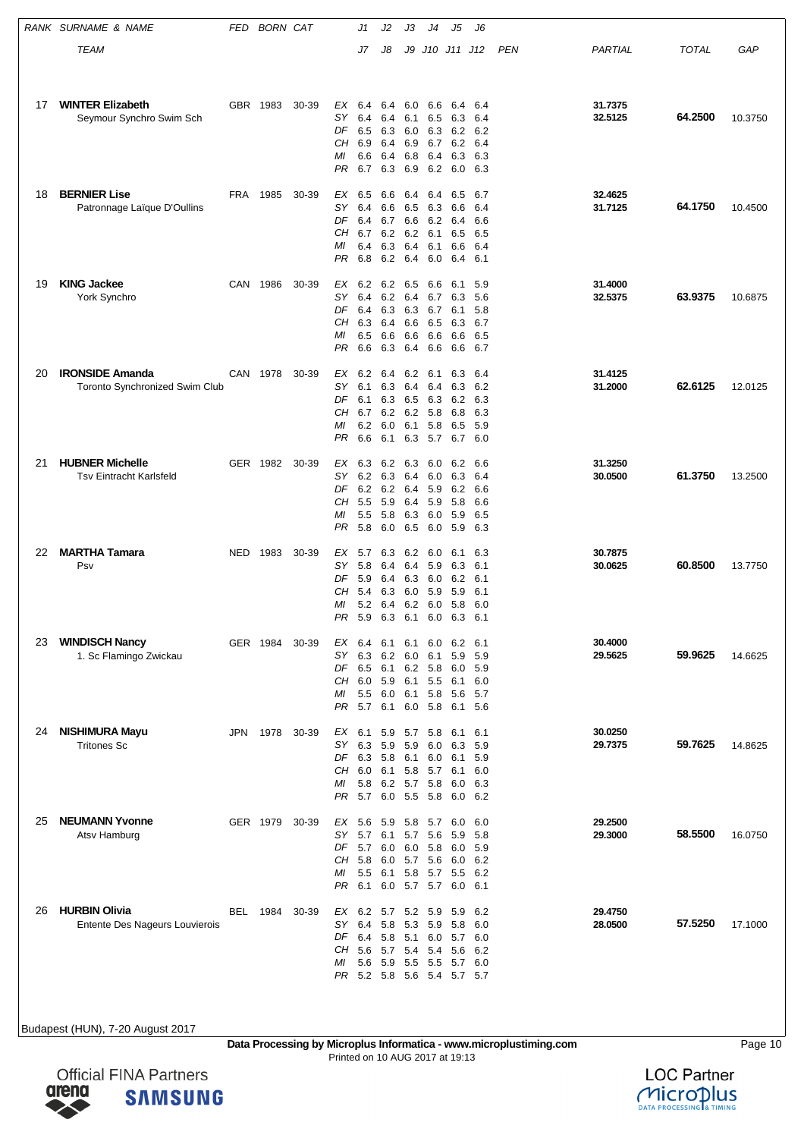|    | RANK SURNAME & NAME                                             | FED        | <b>BORN CAT</b> |       |                                   | J1                                                        | J2                                     | JЗ                                     | J4                                                                 | J5                                                                     | J6                                     |     |                    |              |         |
|----|-----------------------------------------------------------------|------------|-----------------|-------|-----------------------------------|-----------------------------------------------------------|----------------------------------------|----------------------------------------|--------------------------------------------------------------------|------------------------------------------------------------------------|----------------------------------------|-----|--------------------|--------------|---------|
|    | TEAM                                                            |            |                 |       |                                   | J7                                                        | J8                                     | J9                                     |                                                                    | J10 J11 J12                                                            |                                        | PEN | PARTIAL            | <b>TOTAL</b> | GAP     |
|    |                                                                 |            |                 |       |                                   |                                                           |                                        |                                        |                                                                    |                                                                        |                                        |     |                    |              |         |
| 17 | <b>WINTER Elizabeth</b><br>Seymour Synchro Swim Sch             |            | GBR 1983        | 30-39 | EX<br>SΥ<br>DF<br>CН<br>МI<br>PR  | 6.4<br>6.4<br>6.5<br>6.9<br>6.6<br>6.7                    | 6.4<br>6.4<br>6.3<br>6.4<br>6.4<br>6.3 | 6.0<br>6.1<br>6.0<br>6.9<br>6.8<br>6.9 | 6.6<br>6.5<br>6.3<br>6.7<br>6.4<br>6.2                             | 6.4<br>6.3<br>6.2 6.2<br>6.2<br>6.3<br>6.0 6.3                         | 6.4<br>6.4<br>6.4<br>6.3               |     | 31.7375<br>32.5125 | 64.2500      | 10.3750 |
| 18 | <b>BERNIER Lise</b><br>Patronnage Laïque D'Oullins              | FRA        | 1985            | 30-39 | EX<br>SΥ<br>DF<br>CН<br>МI<br>PR  | 6.5<br>6.4<br>6.4<br>6.7<br>6.4<br>6.8                    | 6.6<br>6.6<br>6.7<br>6.2<br>6.3<br>6.2 | 6.4<br>6.5<br>6.6<br>6.4<br>6.4        | 6.4<br>6.3<br>6.2<br>6.2 6.1<br>6.1<br>6.0                         | 6.5<br>6.6<br>6.4<br>6.5<br>6.6<br>6.4                                 | 6.7<br>6.4<br>6.6<br>6.5<br>6.4<br>6.1 |     | 32.4625<br>31.7125 | 64.1750      | 10.4500 |
| 19 | <b>KING Jackee</b><br>York Synchro                              | CAN        | 1986            | 30-39 | EX<br>SΥ<br>DF<br>CН<br>МI<br>PR  | 6.2 6.2<br>6.4<br>6.4<br>6.3<br>6.5<br>6.6                | 6.2<br>6.3<br>6.4<br>6.6<br>6.3        | 6.5<br>6.3<br>6.6<br>6.6<br>6.4        | 6.6<br>6.4 6.7<br>6.7<br>6.5<br>6.6<br>6.6                         | 6.1<br>6.3<br>6.1<br>6.3<br>6.6<br>6.6                                 | 5.9<br>5.6<br>5.8<br>6.7<br>6.5<br>6.7 |     | 31.4000<br>32.5375 | 63.9375      | 10.6875 |
| 20 | <b>IRONSIDE Amanda</b><br><b>Toronto Synchronized Swim Club</b> |            | CAN 1978        | 30-39 | ЕX<br>SΥ<br>DF<br>CН<br>МI<br>PR  | 6.2<br>6.1<br>6.1<br>6.7 6.2<br>6.2<br>6.6                | 6.4<br>6.3<br>6.3<br>6.0<br>6.1        | 6.2<br>6.4<br>6.5<br>6.1               | 6.1<br>6.4<br>6.3<br>6.2 5.8<br>5.8<br>6.3 5.7                     | 6.3<br>6.3<br>6.2<br>6.8<br>6.5<br>6.7                                 | 6.4<br>6.2<br>6.3<br>6.3<br>5.9<br>6.0 |     | 31.4125<br>31.2000 | 62.6125      | 12.0125 |
| 21 | <b>HUBNER Michelle</b><br><b>Tsv Eintracht Karlsfeld</b>        |            | GER 1982        | 30-39 | EX<br>SΥ<br>DF<br>CН<br>МI<br>PR  | 6.3<br>6.2<br>6.2<br>5.5<br>5.5<br>5.8                    | 6.2<br>6.3<br>6.2<br>5.9<br>5.8<br>6.0 | 6.3<br>6.4<br>6.4<br>6.4<br>6.3<br>6.5 | 6.0<br>6.0<br>5.9<br>5.9<br>6.0<br>6.0                             | 6.2<br>6.3<br>6.2<br>5.8<br>5.9<br>5.9                                 | 6.6<br>6.4<br>6.6<br>6.6<br>6.5<br>6.3 |     | 31.3250<br>30.0500 | 61.3750      | 13.2500 |
| 22 | <b>MARTHA Tamara</b><br>Psv                                     | <b>NED</b> | 1983            | 30-39 | ЕX<br>SΥ<br>DF<br>CН<br>МI<br>PR  | 5.7<br>5.8<br>5.9<br>5.4<br>5.2<br>5.9 6.3                | 6.3<br>6.4<br>6.4<br>6.3<br>6.4        | 6.2<br>6.4<br>6.3<br>6.0<br>6.1        | 6.0<br>5.9<br>6.0<br>5.9<br>6.2 6.0<br>6.0                         | 6.1<br>6.3<br>6.2<br>5.9<br>5.8<br>6.3 6.1                             | 6.3<br>6.1<br>6.1<br>6.1<br>6.0        |     | 30.7875<br>30.0625 | 60.8500      | 13.7750 |
| 23 | <b>WINDISCH Nancy</b><br>1. Sc Flamingo Zwickau                 |            | GER 1984        | 30-39 | EX<br>SY.<br>DF<br>CН<br>МI<br>PR | 6.4<br>6.3<br>6.5 6.1<br>6.0 5.9<br>$5.5\quad 6.0$<br>5.7 | 6.1<br>6.2<br>6.1                      | 6.1<br>6.0                             | 6.0<br>6.1<br>6.2 5.8<br>6.1 5.5<br>6.1 5.8<br>6.0 5.8             | 6.2<br>5.9<br>6.0<br>6.1<br>5.6 5.7<br>6.1 5.6                         | 6.1<br>5.9<br>5.9<br>6.0               |     | 30.4000<br>29.5625 | 59.9625      | 14.6625 |
| 24 | <b>NISHIMURA Mayu</b><br><b>Tritones Sc</b>                     | JPN        | 1978            | 30-39 | EX<br>SY<br>DF<br>CН<br>ΜI<br>PR. | 6.3<br>6.3 5.8<br>6.0 6.1<br>5.8<br>5.7                   | 5.9<br>6.2<br>6.0                      | 5.9                                    | 6.1 5.9 5.7 5.8<br>6.0<br>6.1 6.0<br>5.8 5.7<br>5.7 5.8<br>5.5 5.8 | 6.1<br>6.3<br>6.1<br>6.1<br>6.0<br>6.0 6.2                             | 6.1<br>5.9<br>5.9<br>6.0<br>6.3        |     | 30.0250<br>29.7375 | 59.7625      | 14.8625 |
| 25 | <b>NEUMANN Yvonne</b><br>Atsv Hamburg                           |            | GER 1979        | 30-39 | EX<br>SY.<br>DF<br>CН<br>ΜI<br>PR | 5.6<br>5.7<br>5.7 6.0 6.0 5.8<br>5.8<br>5.5<br>6.1        | 5.9<br>6.1<br>6.0<br>6.1               |                                        | 5.8 5.7<br>5.7 5.6<br>5.7 5.6                                      | 6.0<br>5.9<br>6.0<br>6.0 6.2<br>5.8 5.7 5.5 6.2<br>6.0 5.7 5.7 6.0 6.1 | 6.0<br>5.8<br>5.9                      |     | 29.2500<br>29.3000 | 58.5500      | 16.0750 |
| 26 | <b>HURBIN Olivia</b><br>Entente Des Nageurs Louvierois          | BEL        | 1984            | 30-39 | EX<br>SΥ<br>DF<br>CН<br>МI        | 6.2 5.7 5.2 5.9<br>6.4<br>6.4 5.8<br>5.6<br>5.6           | 5.8<br>5.7<br>5.9                      | 5.4<br>5.5                             | 5.3 5.9<br>5.4 5.6<br>5.5                                          | 5.9<br>5.8<br>5.1 6.0 5.7 6.0<br>5.7 6.0<br>PR 5.2 5.8 5.6 5.4 5.7 5.7 | 6.2<br>6.0<br>6.2                      |     | 29.4750<br>28.0500 | 57.5250      | 17.1000 |

**Data Processing by Microplus Informatica - www.microplustiming.com** Page 10 Printed on 10 AUG 2017 at 19:13

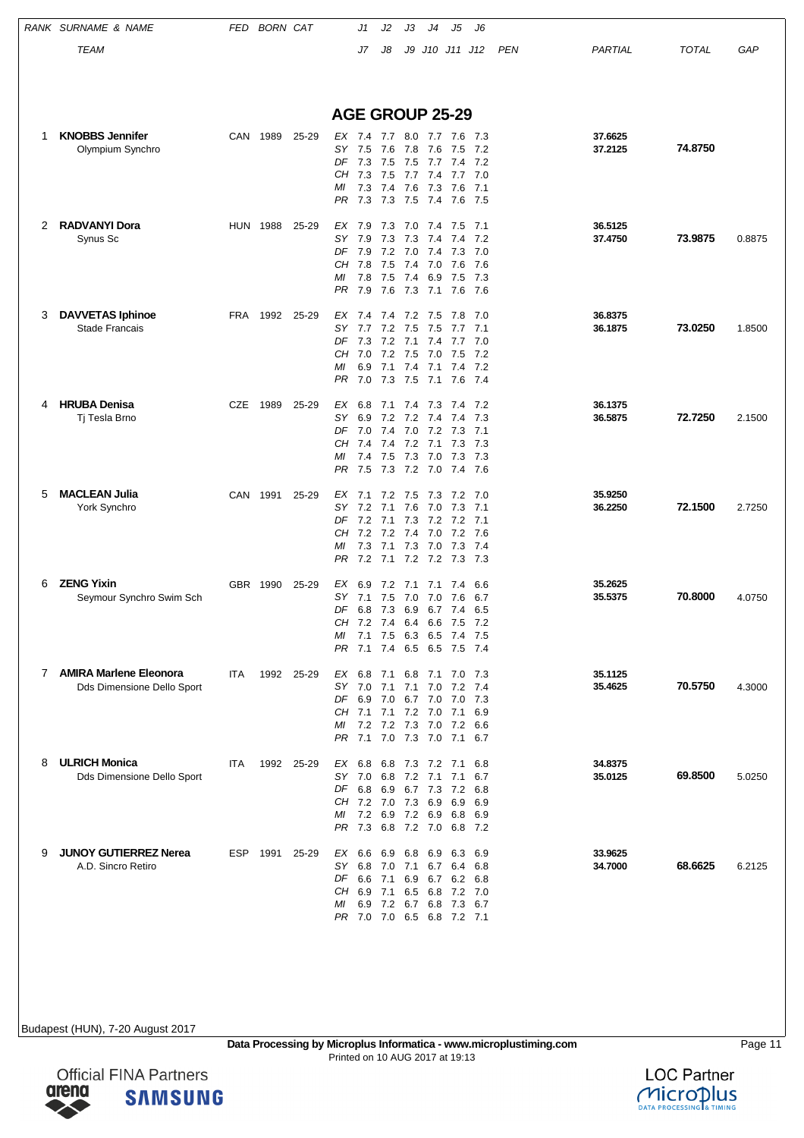|   | RANK SURNAME & NAME                                    | FED | <b>BORN CAT</b> |            | J1                                                                                                                                   | J2                                                                         | JЗ                                     | J4                                         | J5                                                     | J6                                       |     |                    |              |        |
|---|--------------------------------------------------------|-----|-----------------|------------|--------------------------------------------------------------------------------------------------------------------------------------|----------------------------------------------------------------------------|----------------------------------------|--------------------------------------------|--------------------------------------------------------|------------------------------------------|-----|--------------------|--------------|--------|
|   | TEAM                                                   |     |                 |            | J7                                                                                                                                   | J8                                                                         |                                        |                                            | J9 J10 J11 J12                                         |                                          | PEN | PARTIAL            | <b>TOTAL</b> | GAP    |
|   |                                                        |     |                 |            | <b>AGE GROUP 25-29</b>                                                                                                               |                                                                            |                                        |                                            |                                                        |                                          |     |                    |              |        |
| 1 | <b>KNOBBS Jennifer</b><br>Olympium Synchro             | CAN | 1989            | 25-29      | EX 7.4<br>SY 7.5<br>DF<br>7.3<br>CН<br>7.3<br>МI<br>7.3<br>PR<br>7.3                                                                 | 7.7 8.0 7.7<br>7.6<br>7.5<br>7.5<br>7.4<br>7.3                             | 7.8<br>7.5<br>7.6<br>7.5               | 7.6<br>7.7<br>7.7 7.4<br>7.3<br>7.4        | 7.6 7.3<br>7.5 7.2<br>7.4<br>7.7<br>7.6<br>7.6         | 7.2<br>7.0<br>7.1<br>- 7.5               |     | 37.6625<br>37.2125 | 74.8750      |        |
| 2 | <b>RADVANYI Dora</b><br>Synus Sc                       |     | <b>HUN 1988</b> | 25-29      | EX<br>7.9<br>SΥ<br>7.9<br>DF<br>7.9<br>CH 7.8<br>7.8<br>МI<br>PR<br>7.9                                                              | 7.3<br>7.3<br>7.2<br>7.5<br>7.5<br>7.6                                     | 7.0<br>7.3<br>7.0<br>7.4<br>7.4<br>7.3 | 7.4<br>7.4<br>7.4<br>7.0<br>6.9<br>7.1     | 7.5<br>7.4<br>7.3<br>7.6<br>7.5<br>7.6                 | 7.1<br>7.2<br>7.0<br>7.6<br>- 7.3<br>7.6 |     | 36.5125<br>37.4750 | 73.9875      | 0.8875 |
| 3 | <b>DAVVETAS Iphinoe</b><br><b>Stade Francais</b>       | FRA | 1992            | 25-29      | EX 7.4 7.4<br>SY<br>7.7<br>DF<br>7.3<br>CH 7.0<br>6.9<br>МI<br>7.0<br>PR                                                             | 7.2<br>7.2<br>7.2<br>7.1<br>7.3                                            | 7.5<br>7.1<br>7.5<br>7.4<br>7.5        | 7.2 7.5<br>7.5<br>7.4<br>7.0<br>7.1<br>7.1 | 7.8 7.0<br>7.7<br>7.7 7.0<br>7.5<br>7.4 7.2<br>7.6 7.4 | 7.1<br>7.2                               |     | 36.8375<br>36.1875 | 73.0250      | 1.8500 |
| 4 | <b>HRUBA Denisa</b><br>Tj Tesla Brno                   | CZE | 1989            | 25-29      | ЕX<br>6.8<br>SY<br>6.9<br>DF<br>7.0<br>CН<br>7.4<br>МI<br>7.4<br>7.5<br>PR                                                           | 7.1<br>7.4 7.0 7.2<br>7.4<br>7.5                                           | 7.4<br>7.2 7.2<br>7.2<br>7.3 7.2 7.0   | 7.3<br>7.4<br>7.1<br>7.3 7.0               | 7.4<br>7.4<br>$7.3$ $7.1$<br>7.3<br>7.3 7.3<br>7.4 7.6 | 7.2<br>7.3<br>7.3                        |     | 36.1375<br>36.5875 | 72.7250      | 2.1500 |
| 5 | <b>MACLEAN Julia</b><br>York Synchro                   | CAN | 1991            | 25-29      | EX 7.1<br>SY<br>7.2<br>DF 7.2<br>7.2<br>CН<br>7.3<br>МI<br>PR                                                                        | 7.2<br>7.1<br>7.1 7.3 7.2 7.2 7.1<br>7.2<br>7.1<br>7.2 7.1 7.2 7.2 7.3 7.3 | 7.5<br>7.6<br>7.4<br>7.3 7.0           | 7.3<br>7.0<br>7.0                          | 7.2<br>7.3<br>7.2<br>7.3 7.4                           | - 7.0<br>7.1<br>7.6                      |     | 35.9250<br>36.2250 | 72.1500      | 2.7250 |
| 6 | <b>ZENG Yixin</b><br>Seymour Synchro Swim Sch          |     | GBR 1990        | 25-29      | EX<br>6.9<br>SΥ<br>7.1<br>DF 6.8 7.3 6.9 6.7 7.4<br>CH 7.2 7.4<br><i>MI</i> 7.1 7.5 6.3 6.5 7.4 7.5<br>7.1<br>PR                     | 7.2<br>7.5<br>7.4 6.5 6.5 7.5 7.4                                          | 7.1<br>7.0<br>6.4                      | 7.1<br>7.0<br>6.6                          | 7.4<br>7.6<br>7.5                                      | 6.6<br>6.7<br>6.5<br>7.2                 |     | 35.2625<br>35.5375 | 70.8000      | 4.0750 |
|   | 7 AMIRA Marlene Eleonora<br>Dds Dimensione Dello Sport | ITA |                 | 1992 25-29 | EX 6.8<br>SY 7.0 7.1 7.1 7.0<br>DF 6.9 7.0 6.7 7.0 7.0 7.3<br>CH 7.1 7.1 7.2 7.0<br>МI<br>PR 7.1 7.0 7.3 7.0 7.1 6.7                 | 7.1 6.8 7.1 7.0 7.3<br>7.2 7.2 7.3 7.0 7.2 6.6                             |                                        |                                            | 7.2 7.4<br>7.1                                         | 6.9                                      |     | 35.1125<br>35.4625 | 70.5750      | 4.3000 |
| 8 | <b>ULRICH Monica</b><br>Dds Dimensione Dello Sport     | ITA |                 | 1992 25-29 | EX 6.8 6.8 7.3 7.2 7.1<br>SY 7.0 6.8 7.2 7.1<br>DF 6.8 6.9 6.7 7.3 7.2 6.8<br>CH 7.2 7.0 7.3 6.9<br>МI<br>PR 7.3 6.8 7.2 7.0 6.8 7.2 | 7.2 6.9 7.2 6.9                                                            |                                        |                                            | 7.1<br>6.9 6.9                                         | 6.8<br>6.7<br>6.8 6.9                    |     | 34.8375<br>35.0125 | 69.8500      | 5.0250 |
| 9 | <b>JUNOY GUTIERREZ Nerea</b><br>A.D. Sincro Retiro     |     | ESP 1991 25-29  |            | EX 6.6<br>SY 6.8 7.0 7.1 6.7 6.4 6.8<br>DF 6.6 7.1<br>CH 6.9 7.1<br>МI<br>6.9<br>PR 7.0 7.0 6.5 6.8 7.2 7.1                          | 7.2 6.7 6.8                                                                | 6.9 6.8 6.9                            | 6.5 6.8                                    | 6.3 6.9<br>6.9 6.7 6.2 6.8<br>7.2 7.0<br>7.3 6.7       |                                          |     | 33.9625<br>34.7000 | 68.6625      | 6.2125 |

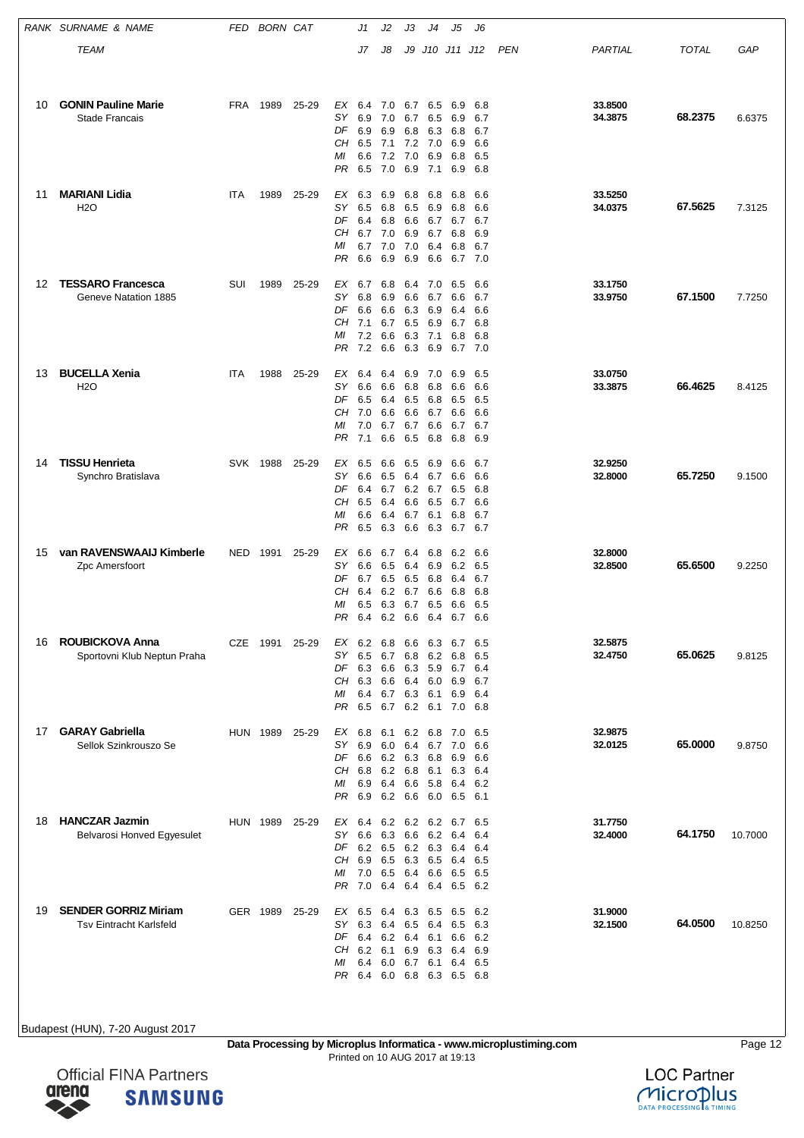|    | RANK SURNAME & NAME                                           | FED        | <b>BORN CAT</b> |       |                                   | J1                                                       | J2                                     | JЗ                                     | J4                                                                       | J5                                                                 | J6                                     |     |                    |              |         |
|----|---------------------------------------------------------------|------------|-----------------|-------|-----------------------------------|----------------------------------------------------------|----------------------------------------|----------------------------------------|--------------------------------------------------------------------------|--------------------------------------------------------------------|----------------------------------------|-----|--------------------|--------------|---------|
|    | TEAM                                                          |            |                 |       |                                   | J7                                                       | J8                                     | J9                                     |                                                                          | J10 J11 J12                                                        |                                        | PEN | PARTIAL            | <b>TOTAL</b> | GAP     |
| 10 | <b>GONIN Pauline Marie</b><br>Stade Francais                  | <b>FRA</b> | 1989            | 25-29 | EX<br>SΥ<br>DF<br>CН<br>ΜI<br>PR  | 6.4<br>6.9<br>6.9<br>6.5<br>6.6<br>6.5                   | 7.0<br>7.0<br>6.9<br>7.1<br>7.2<br>7.0 | 6.7<br>6.7<br>6.8<br>7.0<br>6.9        | 6.5<br>6.5<br>6.3<br>7.2 7.0<br>6.9<br>7.1                               | 6.9<br>6.9<br>6.8<br>6.9<br>6.8<br>6.9                             | 6.8<br>6.7<br>6.7<br>6.6<br>6.5<br>6.8 |     | 33.8500<br>34.3875 | 68.2375      | 6.6375  |
| 11 | <b>MARIANI Lidia</b><br><b>H2O</b>                            | <b>ITA</b> | 1989            | 25-29 | EX<br>SΥ<br>DF<br>CН<br>МI<br>PR  | 6.3<br>6.5<br>6.4<br>6.7<br>6.7<br>6.6                   | 6.9<br>6.8<br>6.8<br>7.0<br>7.0<br>6.9 | 6.8<br>6.5<br>6.6<br>6.9<br>7.0<br>6.9 | 6.8<br>6.9<br>6.7<br>6.7<br>6.4<br>6.6                                   | 6.8<br>6.8<br>6.7<br>6.8<br>6.8<br>6.7 7.0                         | 6.6<br>6.6<br>6.7<br>6.9<br>6.7        |     | 33.5250<br>34.0375 | 67.5625      | 7.3125  |
| 12 | <b>TESSARO Francesca</b><br>Geneve Natation 1885              | SUI        | 1989            | 25-29 | EX<br>SΥ<br>DF<br>CH 7.1<br>МI    | 6.7<br>6.8<br>6.6<br>7.2<br>PR 7.2 6.6                   | 6.8<br>6.9<br>6.6<br>6.7<br>6.6        | 6.4<br>6.6<br>6.3<br>6.5<br>6.3<br>6.3 | 7.0<br>6.7<br>6.9<br>6.9<br>7.1<br>6.9                                   | 6.5<br>6.6<br>6.4<br>6.7<br>6.8<br>6.7 7.0                         | 6.6<br>6.7<br>6.6<br>6.8<br>6.8        |     | 33.1750<br>33.9750 | 67.1500      | 7.7250  |
| 13 | <b>BUCELLA Xenia</b><br><b>H2O</b>                            | <b>ITA</b> | 1988            | 25-29 | ЕX<br>SΥ<br>DF<br>CН<br>МI<br>PR  | 6.4<br>6.6<br>6.5<br>7.0<br>7.0<br>7.1                   | 6.4<br>6.6<br>6.4<br>6.6<br>6.7<br>6.6 | 6.9<br>6.8<br>6.5<br>6.6<br>6.7<br>6.5 | 7.0<br>6.8<br>6.8<br>6.7<br>6.6<br>6.8                                   | 6.9<br>6.6<br>6.5<br>6.6<br>6.7<br>6.8                             | 6.5<br>6.6<br>6.5<br>6.6<br>6.7<br>6.9 |     | 33.0750<br>33.3875 | 66.4625      | 8.4125  |
| 14 | <b>TISSU Henrieta</b><br>Synchro Bratislava                   | <b>SVK</b> | 1988            | 25-29 | EX<br>SΥ<br>DF<br>CН<br>МI<br>PR  | 6.5<br>6.6<br>6.4<br>6.5<br>6.6<br>6.5                   | 6.6<br>6.5<br>6.7<br>6.4<br>6.4<br>6.3 | 6.5<br>6.6<br>6.7<br>6.6               | 6.9<br>6.4 6.7<br>6.2 6.7<br>6.5<br>6.1<br>6.3                           | 6.6<br>6.6<br>6.5<br>6.7<br>6.8<br>6.7 6.7                         | 6.7<br>6.6<br>6.8<br>6.6<br>6.7        |     | 32.9250<br>32.8000 | 65.7250      | 9.1500  |
| 15 | van RAVENSWAAIJ Kimberle<br>Zpc Amersfoort                    | NED        | 1991            | 25-29 | ЕX<br>SΥ<br>DF<br>CН<br>МI<br>PR  | 6.6<br>6.6<br>6.7<br>6.4<br>6.5<br>6.4 6.2 6.6 6.4       | 6.7<br>6.5<br>6.5<br>6.2<br>6.3        | 6.4<br>6.4<br>6.5<br>6.7<br>6.7        | 6.8<br>6.9<br>6.8<br>6.6<br>6.5                                          | 6.2<br>6.2<br>6.4<br>6.8<br>6.6<br>6.7                             | 6.6<br>6.5<br>6.7<br>6.8<br>6.5<br>6.6 |     | 32.8000<br>32.8500 | 65.6500      | 9.2250  |
| 16 | <b>ROUBICKOVA Anna</b><br>Sportovni Klub Neptun Praha         | CZE        | 1991            | 25-29 | SΥ<br>DF<br>МI<br>PR.             | EX 6.2 6.8<br>6.5<br>6.3 6.6<br>CH 6.3 6.6<br>6.4<br>6.5 | 6.7                                    | 6.8                                    | 6.6 6.3<br>6.2<br>6.3 5.9<br>6.4 6.0<br>$6.7$ $6.3$ $6.1$<br>6.7 6.2 6.1 | 6.7<br>6.8<br>6.7<br>6.9 6.7<br>6.9<br>7.0 6.8                     | 6.5<br>6.5<br>6.4<br>- 6.4             |     | 32.5875<br>32.4750 | 65.0625      | 9.8125  |
| 17 | <b>GARAY Gabriella</b><br>Sellok Szinkrouszo Se               |            | <b>HUN 1989</b> | 25-29 | EX<br>SΥ<br>DF<br>CH<br>МI<br>PR. | 6.8<br>6.9<br>6.6<br>6.8<br>6.9 6.4<br>6.9               | 6.1<br>6.0                             | 6.4                                    | 6.2 6.8<br>6.2 6.3 6.8<br>6.2 6.8 6.1<br>6.6 5.8<br>6.2 6.6 6.0          | 7.0<br>6.7 7.0<br>6.9<br>6.4<br>6.5 6.1                            | 6.5<br>6.6<br>6.6<br>6.3 6.4<br>6.2    |     | 32.9875<br>32.0125 | 65.0000      | 9.8750  |
| 18 | <b>HANCZAR Jazmin</b><br>Belvarosi Honved Egyesulet           |            | HUN 1989        | 25-29 | EX<br>SY<br>CH.<br>МI<br>PR       | 6.4<br>6.6<br>DF 6.2 6.5 6.2 6.3<br>6.9<br>7.0           | 6.2<br>6.3<br>6.5                      | 6.3                                    | 6.2 6.2<br>6.6 6.2<br>6.5<br>7.0 6.5 6.4 6.6                             | 6.7<br>6.4<br>6.4 6.4<br>6.4<br>6.5 6.5<br>6.4 6.4 6.4 6.5 6.2     | 6.5<br>6.4<br>6.5                      |     | 31.7750<br>32.4000 | 64.1750      | 10.7000 |
| 19 | <b>SENDER GORRIZ Miriam</b><br><b>Tsv Eintracht Karlsfeld</b> |            | GER 1989        | 25-29 | EX<br>SY<br>DF<br>CН<br>МI<br>PR  | 6.5<br>6.3<br>6.4<br>6.2 6.1<br>6.4 6.0                  | 6.2                                    | 6.9                                    | 6.4 6.3 6.5<br>6.4 6.5 6.4<br>6.4 6.1<br>6.3<br>6.7 6.1                  | 6.5 6.2<br>6.5<br>6.6<br>6.4<br>6.4 6.5<br>6.4 6.0 6.8 6.3 6.5 6.8 | 6.3<br>6.2<br>6.9                      |     | 31.9000<br>32.1500 | 64.0500      | 10.8250 |

**Data Processing by Microplus Informatica - www.microplustiming.com** Page 12 Printed on 10 AUG 2017 at 19:13

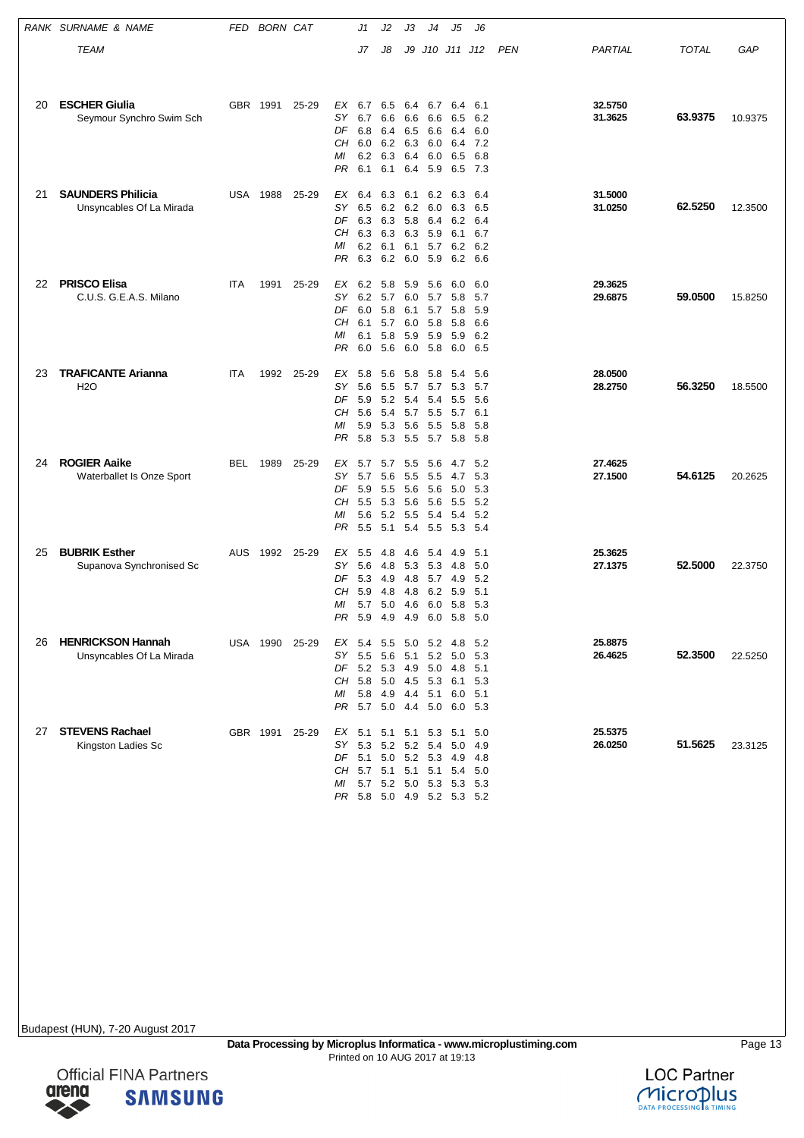|    | RANK SURNAME & NAME                                  | FED | <b>BORN CAT</b> |       |                                         | J1                                                                       | J2                                     | JЗ                                     | J4                                                                                     | J5                                       | J6                                         |     |                    |              |         |
|----|------------------------------------------------------|-----|-----------------|-------|-----------------------------------------|--------------------------------------------------------------------------|----------------------------------------|----------------------------------------|----------------------------------------------------------------------------------------|------------------------------------------|--------------------------------------------|-----|--------------------|--------------|---------|
|    | <b>TEAM</b>                                          |     |                 |       |                                         | J7                                                                       | J8                                     | J9                                     | J10 J11 J12                                                                            |                                          |                                            | PEN | PARTIAL            | <b>TOTAL</b> | GAP     |
| 20 | <b>ESCHER Giulia</b><br>Seymour Synchro Swim Sch     |     | GBR 1991        | 25-29 | EX<br>SΥ<br>DF<br>CН<br>МI<br>PR        | 6.7<br>6.7<br>6.8<br>6.0<br>6.2<br>6.1                                   | 6.5<br>6.6<br>6.4<br>6.2<br>6.3<br>6.1 | 6.4<br>6.6<br>6.5<br>6.3<br>6.4<br>6.4 | 6.7<br>6.6<br>6.6<br>6.0<br>6.0<br>5.9                                                 | 6.4<br>6.5<br>6.4<br>6.4<br>6.5<br>6.5   | 6.1<br>6.2<br>6.0<br>7.2<br>6.8<br>7.3     |     | 32.5750<br>31.3625 | 63.9375      | 10.9375 |
| 21 | <b>SAUNDERS Philicia</b><br>Unsyncables Of La Mirada | USA | 1988            | 25-29 | EX<br>SΥ<br>DF<br>CН<br>МI<br>PR        | 6.4<br>6.5<br>6.3<br>6.3 6.3<br>6.2<br>6.3                               | 6.3<br>6.2<br>6.3<br>6.1<br>6.2        | 6.1<br>5.8<br>6.1<br>6.0               | 6.2<br>6.2 6.0<br>6.4<br>6.3 5.9<br>5.7<br>5.9                                         | 6.3<br>6.3<br>6.2<br>6.1<br>6.2<br>6.2   | 6.4<br>6.5<br>6.4<br>6.7<br>6.2<br>6.6     |     | 31.5000<br>31.0250 | 62.5250      | 12.3500 |
| 22 | <b>PRISCO Elisa</b><br>C.U.S. G.E.A.S. Milano        | ITA | 1991            | 25-29 | EX<br>SΥ<br>DF<br>CН<br>МI<br>PR        | 6.2 5.8<br>6.2 5.7<br>6.0<br>6.1<br>6.1<br>6.0                           | 5.8<br>5.7<br>5.8<br>5.6               | 5.9<br>6.0<br>6.1<br>6.0<br>5.9<br>6.0 | 5.6<br>5.7<br>5.7<br>5.8<br>5.9<br>5.8                                                 | 6.0<br>5.8<br>5.8<br>5.8<br>5.9<br>6.0   | 6.0<br>5.7<br>5.9<br>6.6<br>6.2<br>6.5     |     | 29.3625<br>29.6875 | 59.0500      | 15.8250 |
| 23 | <b>TRAFICANTE Arianna</b><br><b>H2O</b>              | ITA | 1992            | 25-29 | EX<br><b>SY</b><br>DF<br>CН<br>МI<br>PR | 5.8<br>5.6<br>5.9<br>5.6<br>5.9<br>5.8                                   | 5.6<br>5.5<br>5.2<br>5.4<br>5.3<br>5.3 | 5.8<br>5.7<br>5.4<br>5.7<br>5.5        | 5.8<br>5.7<br>5.4<br>5.5<br>5.6 5.5<br>5.7                                             | 5.4<br>5.3<br>5.5<br>5.7<br>- 5.8<br>5.8 | 5.6<br>5.7<br>5.6<br>6.1<br>5.8<br>-5.8    |     | 28.0500<br>28.2750 | 56.3250      | 18.5500 |
| 24 | <b>ROGIER Aaike</b><br>Waterballet Is Onze Sport     | BEL | 1989            | 25-29 | ЕX<br>SΥ<br>DF<br>CН<br>МI<br>PR        | 5.7<br>5.7<br>5.9<br>5.5<br>5.6<br>5.5                                   | 5.7<br>5.6<br>5.5<br>5.3<br>5.2<br>5.1 | 5.5<br>5.5<br>5.6<br>5.4               | 5.6<br>5.5<br>5.6 5.6<br>5.6<br>5.5 5.4<br>5.5                                         | 4.7<br>4.7<br>5.0<br>5.5<br>5.4          | 5.2<br>5.3<br>5.3<br>5.2<br>5.2<br>5.3 5.4 |     | 27.4625<br>27.1500 | 54.6125      | 20.2625 |
| 25 | <b>BUBRIK Esther</b><br>Supanova Synchronised Sc     | AUS | 1992            | 25-29 | EX<br>SY.<br>DF<br>CН<br>МI<br>PR.      | 5.5<br>5.6<br>5.3<br>5.9<br>5.7<br>5.9                                   | 4.8<br>4.8<br>4.9<br>4.8<br>5.0<br>4.9 | 4.6<br>5.3<br>4.8<br>4.8<br>4.6<br>4.9 | 5.4<br>5.3<br>5.7<br>6.2<br>6.0<br>6.0                                                 | 4.9<br>4.8<br>4.9<br>5.9<br>5.8<br>5.8   | 5.1<br>5.0<br>5.2<br>5.1<br>5.3<br>5.0     |     | 25.3625<br>27.1375 | 52.5000      | 22.3750 |
| 26 | <b>HENRICKSON Hannah</b><br>Unsyncables Of La Mirada |     | USA 1990        | 25-29 | SY<br>CН<br>МI                          | EX 5.4 5.5 5.0 5.2<br>5.5<br>DF 5.2 5.3<br>5.8 5.0<br>PR 5.7 5.0 4.4 5.0 | - 5.6                                  | 5.1                                    | 5.2<br>4.9 5.0<br>4.5 5.3<br>5.8 4.9 4.4 5.1                                           | - 4.8<br>5.0<br>- 4.8<br>6.1<br>6.0      | 5.2<br>5.3<br>5.1<br>5.3<br>5.1<br>6.0 5.3 |     | 25.8875<br>26.4625 | 52.3500      | 22.5250 |
| 27 | <b>STEVENS Rachael</b><br>Kingston Ladies Sc         |     | GBR 1991        | 25-29 | SY.<br>CН<br>МI                         | EX 5.1 5.1 5.1 5.3<br>$5.3$ $5.2$<br>5.7 5.1 5.1 5.1                     |                                        |                                        | 5.2 5.4<br>DF 5.1 5.0 5.2 5.3 4.9<br>5.7 5.2 5.0 5.3 5.3<br>PR 5.8 5.0 4.9 5.2 5.3 5.2 | - 5.1<br>5.0<br>- 5.4                    | 5.0<br>4.9<br>-4.8<br>5.0<br>- 5.3         |     | 25.5375<br>26.0250 | 51.5625      | 23.3125 |





**SAMSUNG**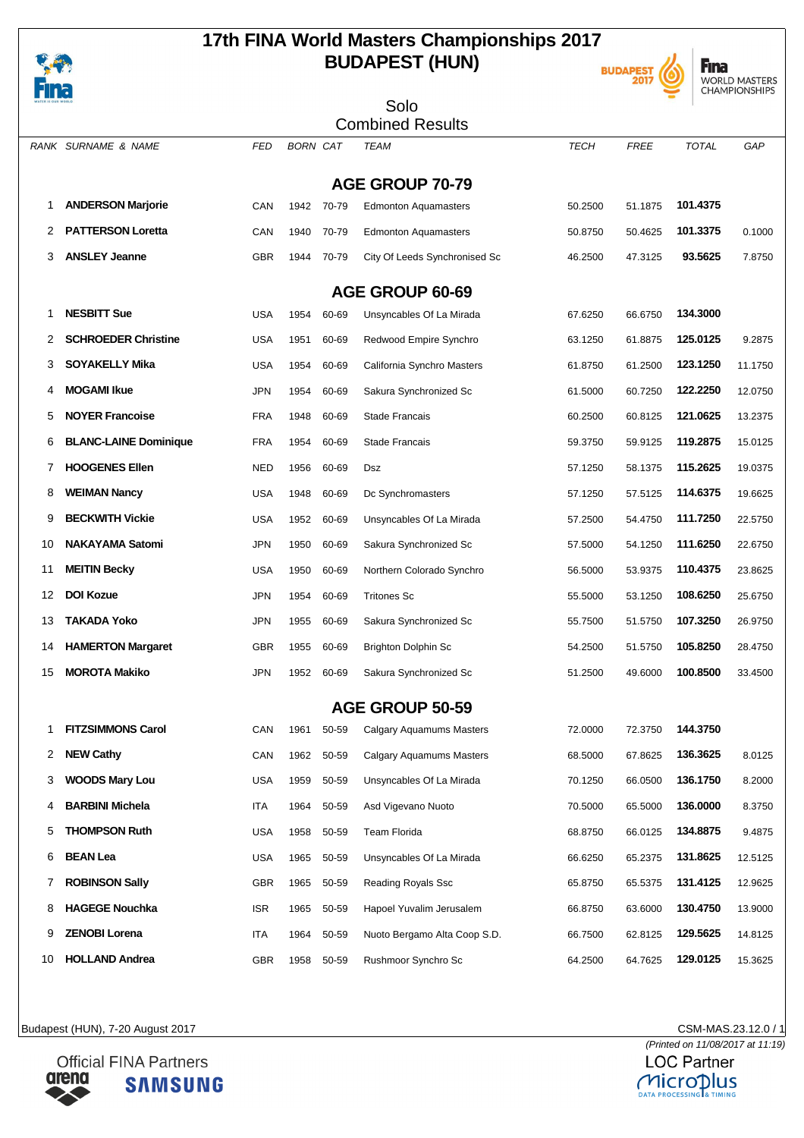

### **17th FINA World Masters Championships 2017 BUDAPEST (HUN)**





| .<br><b>WATER IS OUR WORLD</b> |                              |            |                 |       | Solo                            |             |             |              |         |
|--------------------------------|------------------------------|------------|-----------------|-------|---------------------------------|-------------|-------------|--------------|---------|
|                                |                              |            |                 |       | <b>Combined Results</b>         |             |             |              |         |
|                                | RANK SURNAME & NAME          | FED        | <b>BORN CAT</b> |       | TEAM                            | <b>TECH</b> | <b>FREE</b> | <b>TOTAL</b> | GAP     |
|                                |                              |            |                 |       | <b>AGE GROUP 70-79</b>          |             |             |              |         |
| 1                              | <b>ANDERSON Marjorie</b>     | CAN        | 1942            | 70-79 | <b>Edmonton Aquamasters</b>     | 50.2500     | 51.1875     | 101.4375     |         |
| 2                              | <b>PATTERSON Loretta</b>     | CAN        | 1940            | 70-79 | <b>Edmonton Aquamasters</b>     | 50.8750     | 50.4625     | 101.3375     | 0.1000  |
| 3                              | <b>ANSLEY Jeanne</b>         | <b>GBR</b> | 1944            | 70-79 | City Of Leeds Synchronised Sc   | 46.2500     | 47.3125     | 93.5625      | 7.8750  |
|                                |                              |            |                 |       | AGE GROUP 60-69                 |             |             |              |         |
| 1                              | <b>NESBITT Sue</b>           | <b>USA</b> | 1954            | 60-69 | Unsyncables Of La Mirada        | 67.6250     | 66.6750     | 134.3000     |         |
| 2                              | <b>SCHROEDER Christine</b>   | USA        | 1951            | 60-69 | Redwood Empire Synchro          | 63.1250     | 61.8875     | 125.0125     | 9.2875  |
| 3                              | <b>SOYAKELLY Mika</b>        | USA        | 1954            | 60-69 | California Synchro Masters      | 61.8750     | 61.2500     | 123.1250     | 11.1750 |
| 4                              | <b>MOGAMI Ikue</b>           | JPN        | 1954            | 60-69 | Sakura Synchronized Sc          | 61.5000     | 60.7250     | 122.2250     | 12.0750 |
| 5                              | <b>NOYER Francoise</b>       | <b>FRA</b> | 1948            | 60-69 | <b>Stade Francais</b>           | 60.2500     | 60.8125     | 121.0625     | 13.2375 |
| 6                              | <b>BLANC-LAINE Dominique</b> | <b>FRA</b> | 1954            | 60-69 | <b>Stade Francais</b>           | 59.3750     | 59.9125     | 119.2875     | 15.0125 |
| 7                              | <b>HOOGENES Ellen</b>        | NED        | 1956            | 60-69 | Dsz                             | 57.1250     | 58.1375     | 115.2625     | 19.0375 |
| 8                              | <b>WEIMAN Nancy</b>          | USA        | 1948            | 60-69 | Dc Synchromasters               | 57.1250     | 57.5125     | 114.6375     | 19.6625 |
| 9                              | <b>BECKWITH Vickie</b>       | USA        | 1952            | 60-69 | Unsyncables Of La Mirada        | 57.2500     | 54.4750     | 111.7250     | 22.5750 |
| 10                             | <b>NAKAYAMA Satomi</b>       | JPN        | 1950            | 60-69 | Sakura Synchronized Sc          | 57.5000     | 54.1250     | 111.6250     | 22.6750 |
| 11                             | <b>MEITIN Becky</b>          | <b>USA</b> | 1950            | 60-69 | Northern Colorado Synchro       | 56.5000     | 53.9375     | 110.4375     | 23.8625 |
| 12                             | <b>DOI Kozue</b>             | JPN        | 1954            | 60-69 | <b>Tritones Sc</b>              | 55.5000     | 53.1250     | 108.6250     | 25.6750 |
| 13                             | TAKADA Yoko                  | JPN        | 1955            | 60-69 | Sakura Synchronized Sc          | 55.7500     | 51.5750     | 107.3250     | 26.9750 |
| 14                             | <b>HAMERTON Margaret</b>     | GBR        | 1955            | 60-69 | <b>Brighton Dolphin Sc</b>      | 54.2500     | 51.5750     | 105.8250     | 28.4750 |
| 15                             | <b>MOROTA Makiko</b>         | JPN        | 1952            | 60-69 | Sakura Synchronized Sc          | 51.2500     | 49.6000     | 100.8500     | 33.4500 |
|                                |                              |            |                 |       | <b>AGE GROUP 50-59</b>          |             |             |              |         |
| 1                              | <b>FITZSIMMONS Carol</b>     | CAN        | 1961            | 50-59 | <b>Calgary Aquamums Masters</b> | 72.0000     | 72.3750     | 144.3750     |         |
| 2                              | <b>NEW Cathy</b>             | CAN        | 1962            | 50-59 | Calgary Aquamums Masters        | 68.5000     | 67.8625     | 136.3625     | 8.0125  |
| 3                              | <b>WOODS Mary Lou</b>        | USA        | 1959            | 50-59 | Unsyncables Of La Mirada        | 70.1250     | 66.0500     | 136.1750     | 8.2000  |
| 4                              | <b>BARBINI Michela</b>       | ITA        | 1964            | 50-59 | Asd Vigevano Nuoto              | 70.5000     | 65.5000     | 136.0000     | 8.3750  |
| 5                              | <b>THOMPSON Ruth</b>         | USA        | 1958            | 50-59 | Team Florida                    | 68.8750     | 66.0125     | 134.8875     | 9.4875  |
| 6                              | <b>BEAN Lea</b>              | USA        | 1965            | 50-59 | Unsyncables Of La Mirada        | 66.6250     | 65.2375     | 131.8625     | 12.5125 |
| 7                              | <b>ROBINSON Sally</b>        | GBR        | 1965            | 50-59 | Reading Royals Ssc              | 65.8750     | 65.5375     | 131.4125     | 12.9625 |
| 8                              | <b>HAGEGE Nouchka</b>        | ISR        | 1965            | 50-59 | Hapoel Yuvalim Jerusalem        | 66.8750     | 63.6000     | 130.4750     | 13.9000 |
| 9                              | <b>ZENOBI Lorena</b>         | ITA        | 1964            | 50-59 | Nuoto Bergamo Alta Coop S.D.    | 66.7500     | 62.8125     | 129.5625     | 14.8125 |
| 10                             | <b>HOLLAND Andrea</b>        | GBR        | 1958            | 50-59 | Rushmoor Synchro Sc             | 64.2500     | 64.7625     | 129.0125     | 15.3625 |

Budapest (HUN), 7-20 August 2017 CSM-MAS.23.12.0 / 1



(Printed on 11/08/2017 at 11:19)**LOC Partner** Microplus **PROCESSING**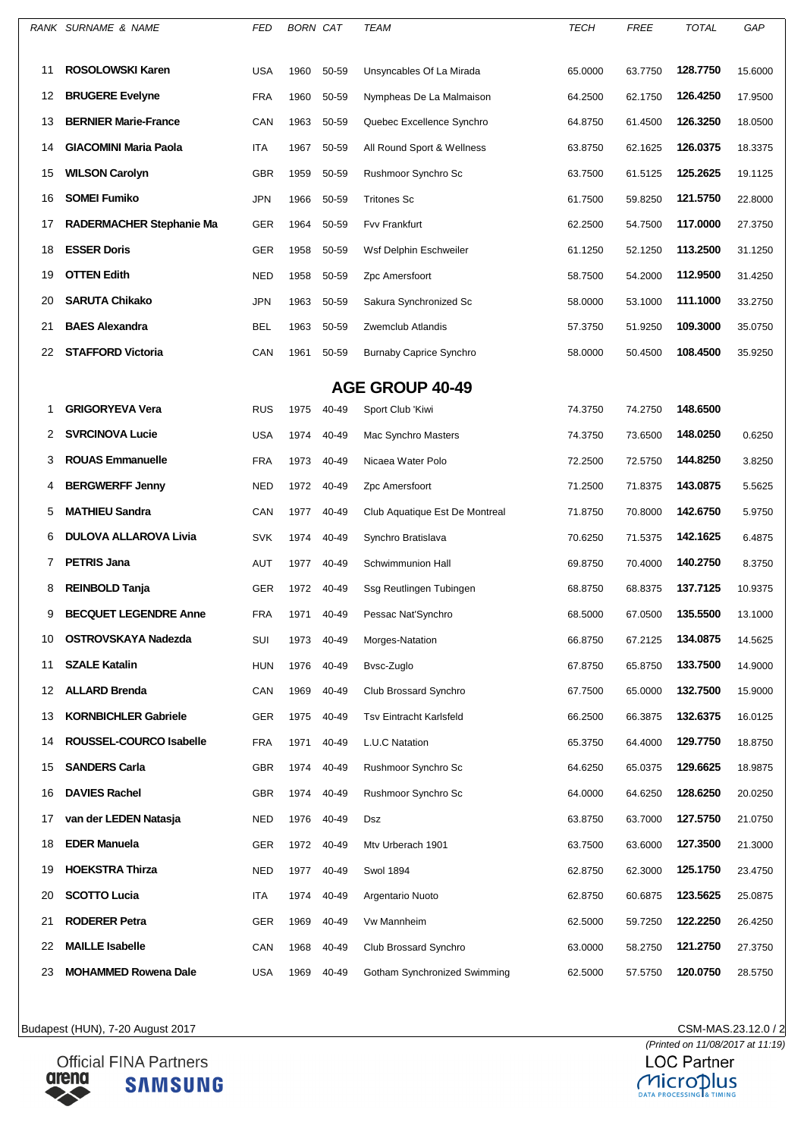|    | RANK SURNAME & NAME          | <b>FED</b> | <b>BORN CAT</b> |       | TEAM                           | <b>TECH</b> | <b>FREE</b> | <b>TOTAL</b> | GAP     |
|----|------------------------------|------------|-----------------|-------|--------------------------------|-------------|-------------|--------------|---------|
|    |                              |            |                 |       |                                |             |             |              |         |
| 11 | <b>ROSOLOWSKI Karen</b>      | <b>USA</b> | 1960            | 50-59 | Unsyncables Of La Mirada       | 65.0000     | 63.7750     | 128,7750     | 15.6000 |
| 12 | <b>BRUGERE Evelyne</b>       | <b>FRA</b> | 1960            | 50-59 | Nympheas De La Malmaison       | 64.2500     | 62.1750     | 126.4250     | 17.9500 |
| 13 | <b>BERNIER Marie-France</b>  | CAN        | 1963            | 50-59 | Quebec Excellence Synchro      | 64.8750     | 61.4500     | 126.3250     | 18.0500 |
| 14 | <b>GIACOMINI Maria Paola</b> | ITA        | 1967            | 50-59 | All Round Sport & Wellness     | 63.8750     | 62.1625     | 126.0375     | 18.3375 |
| 15 | <b>WILSON Carolyn</b>        | <b>GBR</b> | 1959            | 50-59 | Rushmoor Synchro Sc            | 63.7500     | 61.5125     | 125.2625     | 19.1125 |
| 16 | <b>SOMEI Fumiko</b>          | <b>JPN</b> | 1966            | 50-59 | <b>Tritones Sc</b>             | 61.7500     | 59.8250     | 121.5750     | 22.8000 |
| 17 | RADERMACHER Stephanie Ma     | GER        | 1964            | 50-59 | Fvv Frankfurt                  | 62.2500     | 54.7500     | 117.0000     | 27.3750 |
| 18 | <b>ESSER Doris</b>           | GER        | 1958            | 50-59 | Wsf Delphin Eschweiler         | 61.1250     | 52.1250     | 113.2500     | 31.1250 |
| 19 | <b>OTTEN Edith</b>           | <b>NED</b> | 1958            | 50-59 | Zpc Amersfoort                 | 58.7500     | 54.2000     | 112.9500     | 31.4250 |
| 20 | <b>SARUTA Chikako</b>        | <b>JPN</b> | 1963            | 50-59 | Sakura Synchronized Sc         | 58.0000     | 53.1000     | 111.1000     | 33.2750 |
| 21 | <b>BAES Alexandra</b>        | BEL        | 1963            | 50-59 | Zwemclub Atlandis              | 57.3750     | 51.9250     | 109.3000     | 35.0750 |
| 22 | <b>STAFFORD Victoria</b>     | CAN        | 1961            | 50-59 | <b>Burnaby Caprice Synchro</b> | 58.0000     | 50.4500     | 108.4500     | 35.9250 |
|    |                              |            |                 |       | <b>AGE GROUP 40-49</b>         |             |             |              |         |
| 1  | <b>GRIGORYEVA Vera</b>       | <b>RUS</b> | 1975            | 40-49 | Sport Club 'Kiwi               | 74.3750     | 74.2750     | 148.6500     |         |
| 2  | <b>SVRCINOVA Lucie</b>       | <b>USA</b> | 1974            | 40-49 | Mac Synchro Masters            | 74.3750     | 73.6500     | 148.0250     | 0.6250  |
| 3  | <b>ROUAS Emmanuelle</b>      | <b>FRA</b> | 1973            | 40-49 | Nicaea Water Polo              | 72.2500     | 72.5750     | 144.8250     | 3.8250  |
| 4  | <b>BERGWERFF Jenny</b>       | <b>NED</b> | 1972            | 40-49 | Zpc Amersfoort                 | 71.2500     | 71.8375     | 143.0875     | 5.5625  |
| 5  | <b>MATHIEU Sandra</b>        | CAN        | 1977            | 40-49 | Club Aquatique Est De Montreal | 71.8750     | 70.8000     | 142.6750     | 5.9750  |
| 6  | <b>DULOVA ALLAROVA Livia</b> | <b>SVK</b> | 1974            | 40-49 | Synchro Bratislava             | 70.6250     | 71.5375     | 142.1625     | 6.4875  |
| 7  | <b>PETRIS Jana</b>           | <b>AUT</b> | 1977            | 40-49 | Schwimmunion Hall              | 69.8750     | 70.4000     | 140.2750     | 8.3750  |
| 8  | <b>REINBOLD Tanja</b>        | GER        | 1972            | 40-49 | Ssg Reutlingen Tubingen        | 68.8750     | 68.8375     | 137.7125     | 10.9375 |
| 9  | <b>BECQUET LEGENDRE Anne</b> | <b>FRA</b> | 1971            | 40-49 | Pessac Nat'Synchro             | 68.5000     | 67.0500     | 135.5500     | 13.1000 |
| 10 | <b>OSTROVSKAYA Nadezda</b>   | SUI        | 1973            | 40-49 | Morges-Natation                | 66.8750     | 67.2125     | 134.0875     | 14.5625 |
| 11 | <b>SZALE Katalin</b>         | <b>HUN</b> | 1976            | 40-49 | Bvsc-Zuglo                     | 67.8750     | 65.8750     | 133.7500     | 14.9000 |
| 12 | <b>ALLARD Brenda</b>         | CAN        | 1969            | 40-49 | Club Brossard Synchro          | 67.7500     | 65.0000     | 132.7500     | 15.9000 |
| 13 | <b>KORNBICHLER Gabriele</b>  | GER        | 1975            | 40-49 | <b>Tsv Eintracht Karlsfeld</b> | 66.2500     | 66.3875     | 132.6375     | 16.0125 |
| 14 | ROUSSEL-COURCO Isabelle      | <b>FRA</b> | 1971            | 40-49 | L.U.C Natation                 | 65.3750     | 64.4000     | 129.7750     | 18.8750 |
| 15 | <b>SANDERS Carla</b>         | <b>GBR</b> | 1974            | 40-49 | Rushmoor Synchro Sc            | 64.6250     | 65.0375     | 129.6625     | 18.9875 |
| 16 | <b>DAVIES Rachel</b>         | <b>GBR</b> | 1974            | 40-49 | Rushmoor Synchro Sc            | 64.0000     | 64.6250     | 128.6250     | 20.0250 |
| 17 | van der LEDEN Natasja        | NED        | 1976            | 40-49 | Dsz                            | 63.8750     | 63.7000     | 127.5750     | 21.0750 |
| 18 | <b>EDER Manuela</b>          | GER        | 1972            | 40-49 | Mtv Urberach 1901              | 63.7500     | 63.6000     | 127.3500     | 21.3000 |
| 19 | <b>HOEKSTRA Thirza</b>       | <b>NED</b> | 1977            | 40-49 | <b>Swol 1894</b>               | 62.8750     | 62.3000     | 125.1750     | 23.4750 |
| 20 | <b>SCOTTO Lucia</b>          | ITA        | 1974            | 40-49 | Argentario Nuoto               | 62.8750     | 60.6875     | 123.5625     | 25.0875 |
| 21 | <b>RODERER Petra</b>         | <b>GER</b> | 1969            | 40-49 | Vw Mannheim                    | 62.5000     | 59.7250     | 122.2250     | 26.4250 |
| 22 | <b>MAILLE Isabelle</b>       | CAN        | 1968            | 40-49 | Club Brossard Synchro          | 63.0000     | 58.2750     | 121.2750     | 27.3750 |
| 23 | <b>MOHAMMED Rowena Dale</b>  | <b>USA</b> | 1969            | 40-49 | Gotham Synchronized Swimming   | 62.5000     | 57.5750     | 120.0750     | 28.5750 |
|    |                              |            |                 |       |                                |             |             |              |         |

**Official FINA Partners** arena **SAMSUNG**  CSM-MAS.23.12.0 / 2<br>(Printed on 11/08/2017 at 11:19)<br>LOC Partner

MICroplus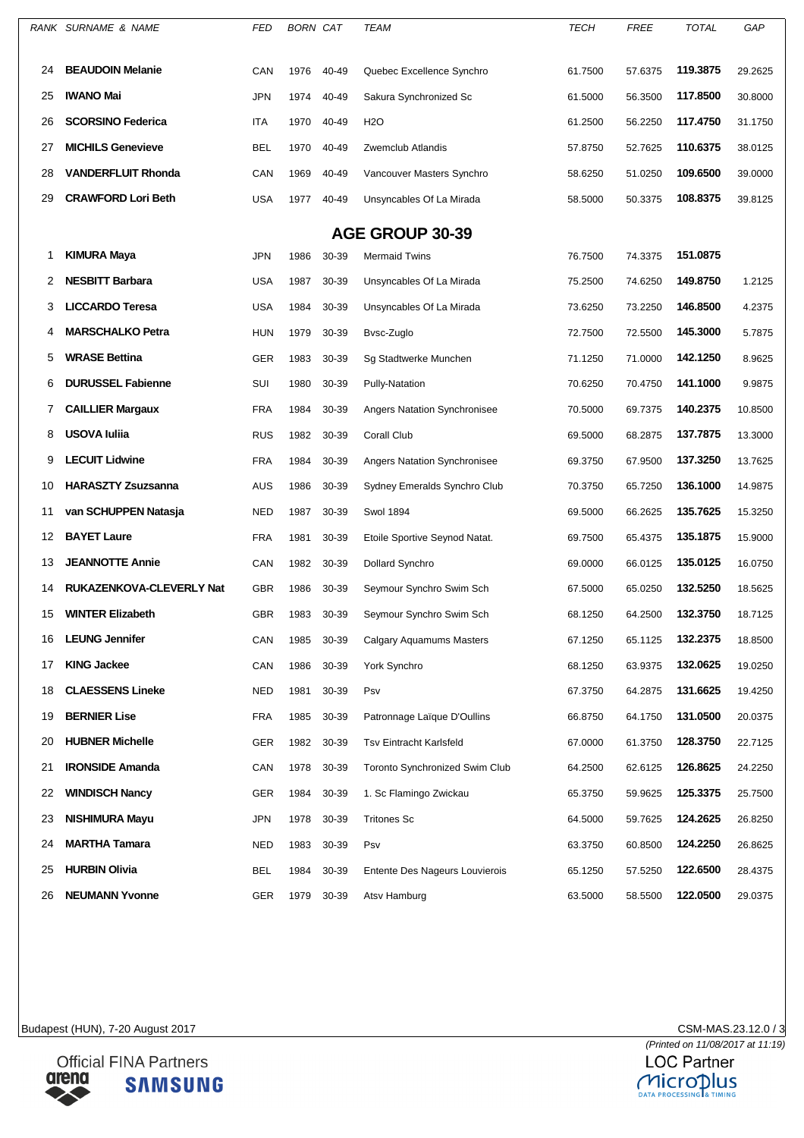|    | RANK SURNAME & NAME             | FED        | <b>BORN CAT</b> |       | TEAM                                  | <b>TECH</b> | FREE    | <b>TOTAL</b> | GAP     |
|----|---------------------------------|------------|-----------------|-------|---------------------------------------|-------------|---------|--------------|---------|
| 24 | <b>BEAUDOIN Melanie</b>         | CAN        | 1976            | 40-49 | Quebec Excellence Synchro             | 61.7500     | 57.6375 | 119.3875     | 29.2625 |
| 25 | <b>IWANO Mai</b>                | JPN        | 1974            | 40-49 | Sakura Synchronized Sc                | 61.5000     | 56.3500 | 117.8500     | 30.8000 |
| 26 | <b>SCORSINO Federica</b>        | ITA        | 1970            | 40-49 | <b>H2O</b>                            | 61.2500     | 56.2250 | 117.4750     | 31.1750 |
| 27 | <b>MICHILS Genevieve</b>        | BEL        | 1970            | 40-49 | Zwemclub Atlandis                     | 57.8750     | 52.7625 | 110.6375     | 38.0125 |
| 28 | <b>VANDERFLUIT Rhonda</b>       | CAN        | 1969            | 40-49 | Vancouver Masters Synchro             | 58.6250     | 51.0250 | 109.6500     | 39.0000 |
| 29 | <b>CRAWFORD Lori Beth</b>       | <b>USA</b> | 1977            | 40-49 | Unsyncables Of La Mirada              | 58.5000     | 50.3375 | 108.8375     | 39.8125 |
|    |                                 |            |                 |       | <b>AGE GROUP 30-39</b>                |             |         |              |         |
| 1  | <b>KIMURA Maya</b>              | JPN        | 1986            | 30-39 | <b>Mermaid Twins</b>                  | 76.7500     | 74.3375 | 151.0875     |         |
| 2  | <b>NESBITT Barbara</b>          | <b>USA</b> | 1987            | 30-39 | Unsyncables Of La Mirada              | 75.2500     | 74.6250 | 149.8750     | 1.2125  |
| 3  | <b>LICCARDO Teresa</b>          | <b>USA</b> | 1984            | 30-39 | Unsyncables Of La Mirada              | 73.6250     | 73.2250 | 146.8500     | 4.2375  |
| 4  | <b>MARSCHALKO Petra</b>         | <b>HUN</b> | 1979            | 30-39 | Bysc-Zuglo                            | 72.7500     | 72.5500 | 145.3000     | 5.7875  |
| 5  | <b>WRASE Bettina</b>            | GER        | 1983            | 30-39 | Sg Stadtwerke Munchen                 | 71.1250     | 71.0000 | 142.1250     | 8.9625  |
| 6  | <b>DURUSSEL Fabienne</b>        | SUI        | 1980            | 30-39 | Pully-Natation                        | 70.6250     | 70.4750 | 141.1000     | 9.9875  |
| 7  | <b>CAILLIER Margaux</b>         | <b>FRA</b> | 1984            | 30-39 | <b>Angers Natation Synchronisee</b>   | 70.5000     | 69.7375 | 140.2375     | 10.8500 |
| 8  | <b>USOVA Iuliia</b>             | <b>RUS</b> | 1982            | 30-39 | Corall Club                           | 69.5000     | 68.2875 | 137.7875     | 13.3000 |
| 9  | <b>LECUIT Lidwine</b>           | <b>FRA</b> | 1984            | 30-39 | <b>Angers Natation Synchronisee</b>   | 69.3750     | 67.9500 | 137.3250     | 13.7625 |
| 10 | <b>HARASZTY Zsuzsanna</b>       | <b>AUS</b> | 1986            | 30-39 | Sydney Emeralds Synchro Club          | 70.3750     | 65.7250 | 136.1000     | 14.9875 |
| 11 | van SCHUPPEN Natasja            | <b>NED</b> | 1987            | 30-39 | <b>Swol 1894</b>                      | 69.5000     | 66.2625 | 135.7625     | 15.3250 |
| 12 | <b>BAYET Laure</b>              | <b>FRA</b> | 1981            | 30-39 | Etoile Sportive Seynod Natat.         | 69.7500     | 65.4375 | 135.1875     | 15.9000 |
| 13 | <b>JEANNOTTE Annie</b>          | CAN        | 1982            | 30-39 | Dollard Synchro                       | 69.0000     | 66.0125 | 135.0125     | 16.0750 |
| 14 | <b>RUKAZENKOVA-CLEVERLY Nat</b> | <b>GBR</b> | 1986            | 30-39 | Seymour Synchro Swim Sch              | 67.5000     | 65.0250 | 132.5250     | 18.5625 |
| 15 | <b>WINTER Elizabeth</b>         | <b>GBR</b> | 1983            | 30-39 | Seymour Synchro Swim Sch              | 68.1250     | 64.2500 | 132.3750     | 18.7125 |
| 16 | <b>LEUNG Jennifer</b>           | CAN        | 1985            | 30-39 | Calgary Aquamums Masters              | 67.1250     | 65.1125 | 132.2375     | 18.8500 |
| 17 | <b>KING Jackee</b>              | CAN        | 1986            | 30-39 | York Synchro                          | 68.1250     | 63.9375 | 132.0625     | 19.0250 |
| 18 | <b>CLAESSENS Lineke</b>         | <b>NED</b> | 1981            | 30-39 | Psv                                   | 67.3750     | 64.2875 | 131.6625     | 19.4250 |
| 19 | <b>BERNIER Lise</b>             | <b>FRA</b> | 1985            | 30-39 | Patronnage Laïque D'Oullins           | 66.8750     | 64.1750 | 131.0500     | 20.0375 |
| 20 | <b>HUBNER Michelle</b>          | GER        | 1982            | 30-39 | Tsv Eintracht Karlsfeld               | 67.0000     | 61.3750 | 128.3750     | 22.7125 |
| 21 | <b>IRONSIDE Amanda</b>          | CAN        | 1978            | 30-39 | <b>Toronto Synchronized Swim Club</b> | 64.2500     | 62.6125 | 126.8625     | 24.2250 |
| 22 | <b>WINDISCH Nancy</b>           | GER        | 1984            | 30-39 | 1. Sc Flamingo Zwickau                | 65.3750     | 59.9625 | 125.3375     | 25.7500 |
| 23 | <b>NISHIMURA Mayu</b>           | JPN        | 1978            | 30-39 | <b>Tritones Sc</b>                    | 64.5000     | 59.7625 | 124.2625     | 26.8250 |
| 24 | <b>MARTHA Tamara</b>            | NED        | 1983            | 30-39 | Psv                                   | 63.3750     | 60.8500 | 124.2250     | 26.8625 |
| 25 | <b>HURBIN Olivia</b>            | BEL        | 1984            | 30-39 | Entente Des Nageurs Louvierois        | 65.1250     | 57.5250 | 122.6500     | 28.4375 |
| 26 | <b>NEUMANN Yvonne</b>           | GER        | 1979            | 30-39 | Atsy Hamburg                          | 63.5000     | 58.5500 | 122.0500     | 29.0375 |



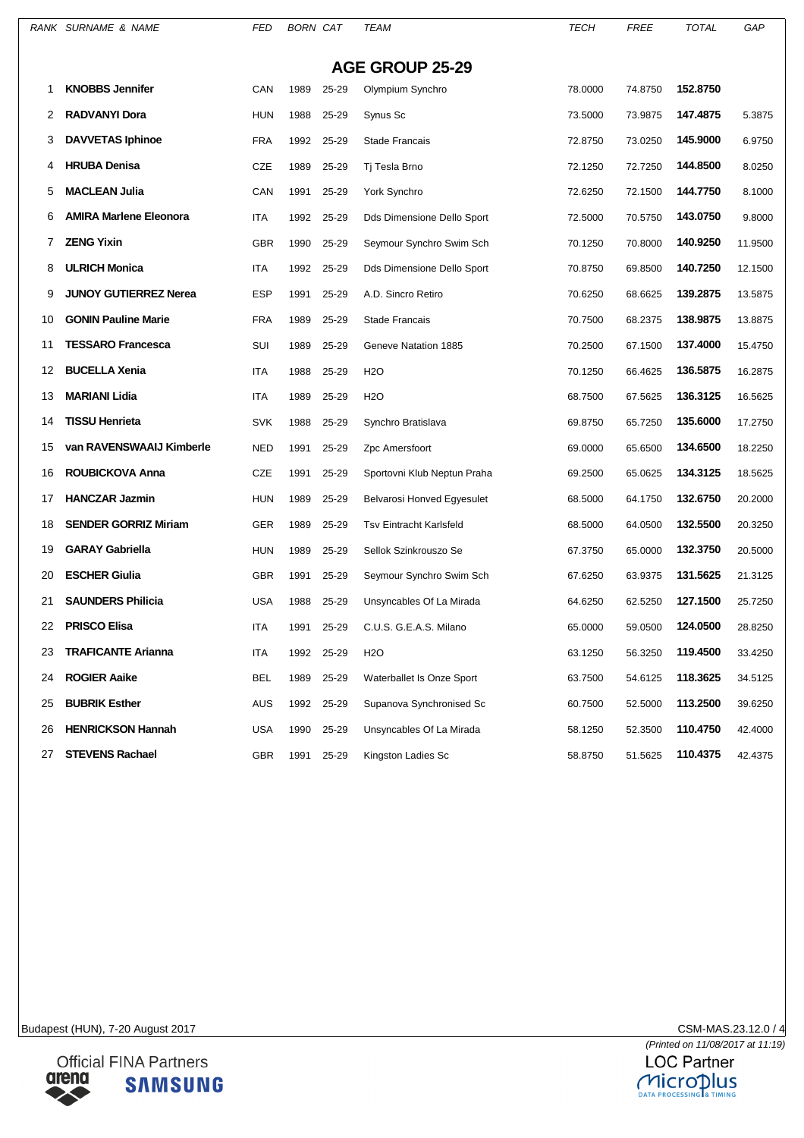|    | RANK SURNAME & NAME           | FED        | <b>BORN CAT</b> |       | TEAM                           | TECH    | <b>FREE</b> | <b>TOTAL</b> | GAP     |
|----|-------------------------------|------------|-----------------|-------|--------------------------------|---------|-------------|--------------|---------|
|    |                               |            |                 |       | <b>AGE GROUP 25-29</b>         |         |             |              |         |
| 1  | <b>KNOBBS Jennifer</b>        | CAN        | 1989            | 25-29 | Olympium Synchro               | 78.0000 | 74.8750     | 152.8750     |         |
| 2  | <b>RADVANYI Dora</b>          | <b>HUN</b> | 1988            | 25-29 | Synus Sc                       | 73.5000 | 73.9875     | 147.4875     | 5.3875  |
| 3  | <b>DAVVETAS Iphinoe</b>       | <b>FRA</b> | 1992            | 25-29 | <b>Stade Francais</b>          | 72.8750 | 73.0250     | 145.9000     | 6.9750  |
|    | <b>HRUBA Denisa</b>           | CZE        | 1989            | 25-29 | Tj Tesla Brno                  | 72.1250 | 72.7250     | 144.8500     | 8.0250  |
| 5  | <b>MACLEAN Julia</b>          | CAN        | 1991            | 25-29 | York Synchro                   | 72.6250 | 72.1500     | 144.7750     | 8.1000  |
| 6  | <b>AMIRA Marlene Eleonora</b> | ITA        | 1992            | 25-29 | Dds Dimensione Dello Sport     | 72.5000 | 70.5750     | 143.0750     | 9.8000  |
| 7  | <b>ZENG Yixin</b>             | <b>GBR</b> | 1990            | 25-29 | Seymour Synchro Swim Sch       | 70.1250 | 70.8000     | 140.9250     | 11.9500 |
| 8  | <b>ULRICH Monica</b>          | ITA        | 1992            | 25-29 | Dds Dimensione Dello Sport     | 70.8750 | 69.8500     | 140.7250     | 12.1500 |
| 9  | <b>JUNOY GUTIERREZ Nerea</b>  | ESP        | 1991            | 25-29 | A.D. Sincro Retiro             | 70.6250 | 68.6625     | 139.2875     | 13.5875 |
| 10 | <b>GONIN Pauline Marie</b>    | <b>FRA</b> | 1989            | 25-29 | <b>Stade Francais</b>          | 70.7500 | 68.2375     | 138.9875     | 13.8875 |
| 11 | <b>TESSARO Francesca</b>      | SUI        | 1989            | 25-29 | Geneve Natation 1885           | 70.2500 | 67.1500     | 137.4000     | 15.4750 |
| 12 | <b>BUCELLA Xenia</b>          | ITA        | 1988            | 25-29 | <b>H2O</b>                     | 70.1250 | 66.4625     | 136.5875     | 16.2875 |
| 13 | <b>MARIANI Lidia</b>          | ITA        | 1989            | 25-29 | <b>H2O</b>                     | 68.7500 | 67.5625     | 136.3125     | 16.5625 |
| 14 | <b>TISSU Henrieta</b>         | <b>SVK</b> | 1988            | 25-29 | Synchro Bratislava             | 69.8750 | 65.7250     | 135.6000     | 17.2750 |
| 15 | van RAVENSWAAIJ Kimberle      | NED        | 1991            | 25-29 | Zpc Amersfoort                 | 69.0000 | 65.6500     | 134.6500     | 18.2250 |
| 16 | ROUBICKOVA Anna               | CZE        | 1991            | 25-29 | Sportovni Klub Neptun Praha    | 69.2500 | 65.0625     | 134.3125     | 18.5625 |
| 17 | <b>HANCZAR Jazmin</b>         | <b>HUN</b> | 1989            | 25-29 | Belvarosi Honved Egyesulet     | 68.5000 | 64.1750     | 132.6750     | 20.2000 |
| 18 | <b>SENDER GORRIZ Miriam</b>   | <b>GER</b> | 1989            | 25-29 | <b>Tsv Eintracht Karlsfeld</b> | 68.5000 | 64.0500     | 132.5500     | 20.3250 |
| 19 | <b>GARAY Gabriella</b>        | <b>HUN</b> | 1989            | 25-29 | Sellok Szinkrouszo Se          | 67.3750 | 65.0000     | 132.3750     | 20.5000 |
| 20 | <b>ESCHER Giulia</b>          | <b>GBR</b> | 1991            | 25-29 | Seymour Synchro Swim Sch       | 67.6250 | 63.9375     | 131.5625     | 21.3125 |
| 21 | <b>SAUNDERS Philicia</b>      | <b>USA</b> | 1988            | 25-29 | Unsyncables Of La Mirada       | 64.6250 | 62.5250     | 127.1500     | 25.7250 |
| 22 | <b>PRISCO Elisa</b>           | ITA        | 1991            | 25-29 | C.U.S. G.E.A.S. Milano         | 65.0000 | 59.0500     | 124.0500     | 28.8250 |
| 23 | <b>TRAFICANTE Arianna</b>     | ITA        | 1992            | 25-29 | H <sub>2</sub> O               | 63.1250 | 56.3250     | 119.4500     | 33.4250 |
| 24 | <b>ROGIER Aaike</b>           | BEL        | 1989            | 25-29 | Waterballet Is Onze Sport      | 63.7500 | 54.6125     | 118.3625     | 34.5125 |
| 25 | <b>BUBRIK Esther</b>          | <b>AUS</b> | 1992            | 25-29 | Supanova Synchronised Sc       | 60.7500 | 52.5000     | 113.2500     | 39.6250 |
| 26 | <b>HENRICKSON Hannah</b>      | USA        | 1990            | 25-29 | Unsyncables Of La Mirada       | 58.1250 | 52.3500     | 110.4750     | 42.4000 |
| 27 | <b>STEVENS Rachael</b>        | GBR        | 1991            | 25-29 | Kingston Ladies Sc             | 58.8750 | 51.5625     | 110.4375     | 42.4375 |
|    |                               |            |                 |       |                                |         |             |              |         |



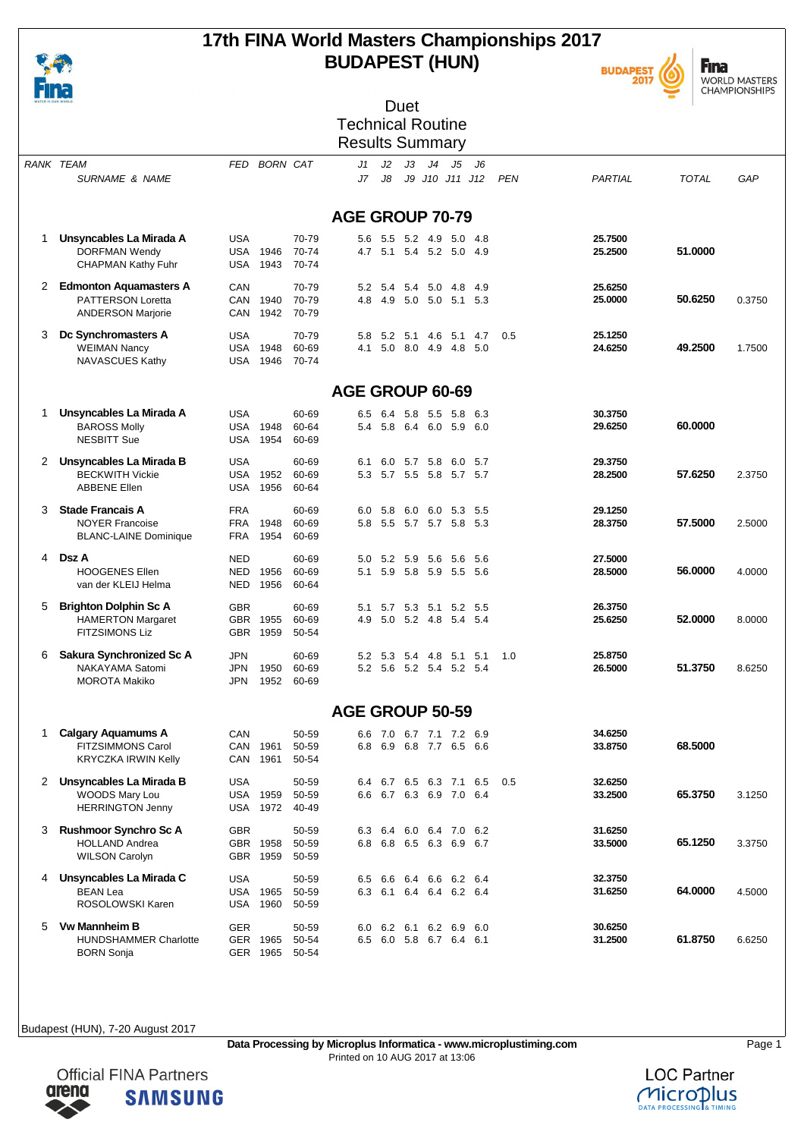

### **17th FINA World Masters Championships 2017 BUDAPEST (HUN)**





| WATER IS OUR WORLD |                                            |                          |              |                |                          |         | Duet                       |                |                                                |       |            |                    |         |        |
|--------------------|--------------------------------------------|--------------------------|--------------|----------------|--------------------------|---------|----------------------------|----------------|------------------------------------------------|-------|------------|--------------------|---------|--------|
|                    |                                            |                          |              |                | <b>Technical Routine</b> |         |                            |                |                                                |       |            |                    |         |        |
|                    |                                            |                          |              |                | <b>Results Summary</b>   |         |                            |                |                                                |       |            |                    |         |        |
|                    |                                            |                          |              |                |                          |         |                            |                |                                                |       |            |                    |         |        |
|                    | <b>RANK TEAM</b>                           | FED                      | BORN CAT     |                | J1                       | J2      | J3                         | J <sub>4</sub> | J5                                             | J6    |            |                    |         |        |
|                    | <b>SURNAME &amp; NAME</b>                  |                          |              |                | J7                       | J8      |                            |                | J9 J10 J11 J12                                 |       | <b>PEN</b> | PARTIAL            | TOTAL   | GAP    |
|                    |                                            |                          |              |                |                          |         |                            |                |                                                |       |            |                    |         |        |
|                    |                                            |                          |              |                | <b>AGE GROUP 70-79</b>   |         |                            |                |                                                |       |            |                    |         |        |
|                    |                                            |                          |              |                |                          |         |                            |                |                                                |       |            |                    |         |        |
| 1                  | Unsyncables La Mirada A                    | <b>USA</b>               |              | 70-79          | 5.6                      | 5.5     | 5.2                        | 4.9            | 5.0                                            | -4.8  |            | 25.7500            |         |        |
|                    | <b>DORFMAN Wendy</b>                       | USA                      | 1946         | 70-74          |                          |         |                            |                | 4.7 5.1 5.4 5.2 5.0                            | -4.9  |            | 25.2500            | 51.0000 |        |
|                    | <b>CHAPMAN Kathy Fuhr</b>                  | <b>USA</b>               | 1943         | 70-74          |                          |         |                            |                |                                                |       |            |                    |         |        |
| 2                  | <b>Edmonton Aquamasters A</b>              | CAN                      |              | 70-79          |                          | 5.2 5.4 |                            | 5.4 5.0 4.8    |                                                | 4.9   |            | 25.6250            |         |        |
|                    | <b>PATTERSON Loretta</b>                   | CAN                      | 1940         | 70-79          | 4.8                      | 4.9     |                            |                | 5.0 5.0 5.1 5.3                                |       |            | 25,0000            | 50.6250 | 0.3750 |
|                    | <b>ANDERSON Marjorie</b>                   | CAN                      | 1942         | 70-79          |                          |         |                            |                |                                                |       |            |                    |         |        |
|                    |                                            |                          |              |                |                          |         |                            |                |                                                |       |            |                    |         |        |
| 3                  | Dc Synchromasters A<br><b>WEIMAN Nancy</b> | <b>USA</b><br><b>USA</b> | 1948         | 70-79<br>60-69 | 5.8<br>4.1               | 5.0     | 5.2 5.1<br>8.0 4.9         | 4.6            | 5.1 4.7<br>4.8 5.0                             |       | 0.5        | 25.1250<br>24.6250 | 49.2500 | 1.7500 |
|                    | NAVASCUES Kathy                            | USA                      | 1946         | 70-74          |                          |         |                            |                |                                                |       |            |                    |         |        |
|                    |                                            |                          |              |                |                          |         |                            |                |                                                |       |            |                    |         |        |
|                    |                                            |                          |              |                | AGE GROUP 60-69          |         |                            |                |                                                |       |            |                    |         |        |
|                    |                                            |                          |              |                |                          |         |                            |                |                                                |       |            |                    |         |        |
| 1                  | Unsyncables La Mirada A                    | <b>USA</b>               |              | 60-69          | 6.5                      | 6.4     |                            |                | 5.8 5.5 5.8                                    | 6.3   |            | 30.3750            |         |        |
|                    | <b>BAROSS Molly</b><br><b>NESBITT Sue</b>  | USA<br><b>USA</b>        | 1948<br>1954 | 60-64<br>60-69 | 5.4                      | 5.8     | 6.4 6.0 5.9                |                |                                                | 6.0   |            | 29.6250            | 60.0000 |        |
|                    |                                            |                          |              |                |                          |         |                            |                |                                                |       |            |                    |         |        |
| 2                  | Unsyncables La Mirada B                    | <b>USA</b>               |              | 60-69          | 6.1                      | 6.0     | 5.7                        | 5.8            | 6.0                                            | 5.7   |            | 29.3750            |         |        |
|                    | <b>BECKWITH Vickie</b>                     | USA                      | 1952         | 60-69          | 5.3                      |         | 5.7 5.5 5.8                |                | 5.7 5.7                                        |       |            | 28.2500            | 57.6250 | 2.3750 |
|                    | <b>ABBENE Ellen</b>                        | <b>USA</b>               | 1956         | 60-64          |                          |         |                            |                |                                                |       |            |                    |         |        |
| 3                  | <b>Stade Francais A</b>                    | <b>FRA</b>               |              | 60-69          | 6.0                      | 5.8     |                            |                | 6.0 6.0 5.3                                    | -5.5  |            | 29.1250            |         |        |
|                    | <b>NOYER Francoise</b>                     | <b>FRA</b>               | 1948         | 60-69          | 5.8                      |         |                            |                | 5.5 5.7 5.7 5.8 5.3                            |       |            | 28.3750            | 57.5000 | 2.5000 |
|                    | <b>BLANC-LAINE Dominique</b>               | FRA                      | 1954         | 60-69          |                          |         |                            |                |                                                |       |            |                    |         |        |
| 4                  | Dsz A                                      |                          |              |                |                          |         |                            |                |                                                |       |            |                    |         |        |
|                    | <b>HOOGENES Ellen</b>                      | <b>NED</b><br><b>NED</b> | 1956         | 60-69<br>60-69 | 5.0<br>5.1               |         | 5.2 5.9 5.6<br>5.9 5.8 5.9 |                | - 5.6<br>5.5 5.6                               | 5.6   |            | 27.5000<br>28,5000 | 56,0000 | 4.0000 |
|                    | van der KLEIJ Helma                        | NED                      | 1956         | 60-64          |                          |         |                            |                |                                                |       |            |                    |         |        |
|                    |                                            |                          |              |                |                          |         |                            |                |                                                |       |            |                    |         |        |
| 5                  | <b>Brighton Dolphin Sc A</b>               | <b>GBR</b>               |              | 60-69          | 5.1                      | 5.7     |                            |                | 5.3 5.1 5.2                                    | - 5.5 |            | 26.3750            |         |        |
|                    | <b>HAMERTON Margaret</b>                   | <b>GBR</b>               | 1955         | 60-69          | 4.9                      |         | 5.0 5.2 4.8                |                | 5.4 5.4                                        |       |            | 25.6250            | 52.0000 | 8.0000 |
|                    | <b>FITZSIMONS Liz</b>                      | GBR.                     | 1959         | 50-54          |                          |         |                            |                |                                                |       |            |                    |         |        |
| 6                  | Sakura Synchronized Sc A                   | <b>JPN</b>               |              | 60-69          | 5.2                      | 5.3     |                            | 5.4 4.8 5.1    |                                                | 5.1   | 1.0        | 25.8750            |         |        |
|                    | NAKAYAMA Satomi                            | <b>JPN</b>               | 1950         | 60-69          |                          |         |                            |                | 5.2 5.6 5.2 5.4 5.2 5.4                        |       |            | 26,5000            | 51.3750 | 8.6250 |
|                    | <b>MOROTA Makiko</b>                       | <b>JPN</b>               | 1952         | 60-69          |                          |         |                            |                |                                                |       |            |                    |         |        |
|                    |                                            |                          |              |                |                          |         |                            |                |                                                |       |            |                    |         |        |
|                    |                                            |                          |              |                | <b>AGE GROUP 50-59</b>   |         |                            |                |                                                |       |            |                    |         |        |
| 1                  | <b>Calgary Aquamums A</b>                  | CAN                      |              | 50-59          |                          |         |                            |                | 6.6 7.0 6.7 7.1 7.2 6.9                        |       |            | 34.6250            |         |        |
|                    | FITZSIMMONS Carol                          |                          | CAN 1961     | 50-59          | 6.8                      |         |                            |                | 6.9 6.8 7.7 6.5 6.6                            |       |            | 33.8750            | 68.5000 |        |
|                    | <b>KRYCZKA IRWIN Kelly</b>                 | CAN                      | 1961         | 50-54          |                          |         |                            |                |                                                |       |            |                    |         |        |
| 2                  | Unsyncables La Mirada B                    | <b>USA</b>               |              |                |                          |         |                            |                |                                                |       | 0.5        | 32.6250            |         |        |
|                    | WOODS Mary Lou                             | USA                      | 1959         | 50-59<br>50-59 | 6.6                      |         |                            |                | 6.4 6.7 6.5 6.3 7.1 6.5<br>6.7 6.3 6.9 7.0 6.4 |       |            | 33.2500            | 65.3750 | 3.1250 |
|                    | <b>HERRINGTON Jenny</b>                    | USA                      | 1972         | 40-49          |                          |         |                            |                |                                                |       |            |                    |         |        |
|                    |                                            |                          |              |                |                          |         |                            |                |                                                |       |            |                    |         |        |
| 3                  | <b>Rushmoor Synchro Sc A</b>               | <b>GBR</b>               |              | 50-59          |                          |         |                            |                | 6.3 6.4 6.0 6.4 7.0 6.2                        |       |            | 31.6250            |         |        |
|                    | <b>HOLLAND Andrea</b>                      |                          | GBR 1958     | 50-59          | 6.8                      |         |                            |                | 6.8 6.5 6.3 6.9 6.7                            |       |            | 33.5000            | 65.1250 | 3.3750 |
|                    | <b>WILSON Carolyn</b>                      | GBR                      | 1959         | 50-59          |                          |         |                            |                |                                                |       |            |                    |         |        |
| 4                  | Unsyncables La Mirada C                    | <b>USA</b>               |              | 50-59          | 6.5                      |         |                            |                | 6.6 6.4 6.6 6.2 6.4                            |       |            | 32.3750            |         |        |
|                    | <b>BEAN Lea</b>                            | USA                      | 1965         | 50-59          | 6.3                      |         |                            |                | 6.1 6.4 6.4 6.2 6.4                            |       |            | 31.6250            | 64.0000 | 4.5000 |
|                    | ROSOLOWSKI Karen                           | USA                      | 1960         | 50-59          |                          |         |                            |                |                                                |       |            |                    |         |        |
| 5                  | <b>Vw Mannheim B</b>                       | <b>GER</b>               |              | 50-59          |                          |         |                            |                | 6.0 6.2 6.1 6.2 6.9                            | 6.0   |            | 30.6250            |         |        |
|                    | <b>HUNDSHAMMER Charlotte</b>               |                          | GER 1965     | 50-54          |                          |         |                            |                | 6.5 6.0 5.8 6.7 6.4 6.1                        |       |            | 31.2500            | 61.8750 | 6.6250 |
|                    | <b>BORN Sonja</b>                          |                          | GER 1965     | 50-54          |                          |         |                            |                |                                                |       |            |                    |         |        |



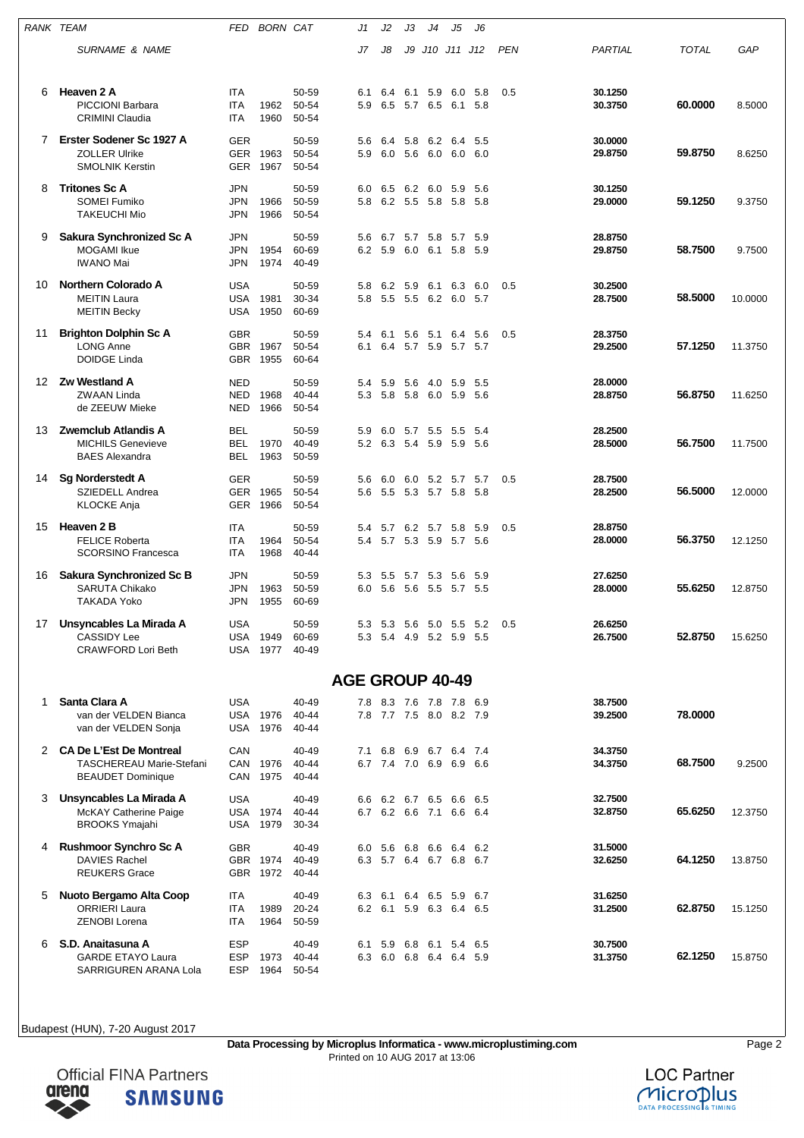| RANK TEAM |                                                                                   | FED                                    | <b>BORN CAT</b>                    |                             | J1                     | J2                 | JЗ                 | J4                                                 | J5           | J6            |            |                    |              |         |
|-----------|-----------------------------------------------------------------------------------|----------------------------------------|------------------------------------|-----------------------------|------------------------|--------------------|--------------------|----------------------------------------------------|--------------|---------------|------------|--------------------|--------------|---------|
|           | <b>SURNAME &amp; NAME</b>                                                         |                                        |                                    |                             | J7                     | J8                 | J9                 | J10 J11 J12                                        |              |               | <b>PEN</b> | PARTIAL            | <b>TOTAL</b> | GAP     |
| 6         | Heaven 2 A<br><b>PICCIONI Barbara</b><br><b>CRIMINI Claudia</b>                   | <b>ITA</b><br><b>ITA</b><br><b>ITA</b> | 1962<br>1960                       | 50-59<br>50-54<br>50-54     | 6.1<br>5.9             | 6.4<br>6.5         | 6.1<br>5.7 6.5     | 5.9                                                | 6.0<br>6.1   | 5.8<br>5.8    | 0.5        | 30.1250<br>30.3750 | 60.0000      | 8.5000  |
| 7         | Erster Sodener Sc 1927 A<br><b>ZOLLER Ulrike</b><br><b>SMOLNIK Kerstin</b>        | <b>GER</b><br>GER<br>GER               | 1963<br>1967                       | 50-59<br>50-54<br>50-54     | 5.6<br>5.9             | 6.4<br>6.0         | 5.8 6.2<br>5.6 6.0 |                                                    | 6.4<br>6.0   | 5.5<br>6.0    |            | 30.0000<br>29.8750 | 59.8750      | 8.6250  |
| 8         | <b>Tritones Sc A</b><br><b>SOMEI Fumiko</b><br><b>TAKEUCHI Mio</b>                | <b>JPN</b><br><b>JPN</b><br><b>JPN</b> | 1966<br>1966                       | 50-59<br>50-59<br>50-54     | 6.0<br>5.8             | 6.5<br>6.2 5.5 5.8 | 6.2 6.0            |                                                    | 5.9<br>- 5.8 | 5.6<br>-5.8   |            | 30.1250<br>29.0000 | 59.1250      | 9.3750  |
| 9         | Sakura Synchronized Sc A<br><b>MOGAMI</b> Ikue<br><b>IWANO Mai</b>                | <b>JPN</b><br><b>JPN</b><br>JPN        | 1954<br>1974                       | 50-59<br>60-69<br>40-49     | 5.6<br>6.2             | 6.7<br>5.9         | 5.7<br>6.0         | 5.8<br>6.1                                         | 5.7<br>5.8   | 5.9<br>5.9    |            | 28.8750<br>29.8750 | 58.7500      | 9.7500  |
| 10        | <b>Northern Colorado A</b><br><b>MEITIN Laura</b><br><b>MEITIN Becky</b>          | <b>USA</b><br><b>USA</b><br>USA        | 1981<br>1950                       | 50-59<br>30-34<br>60-69     | 5.8<br>5.8             | 6.2<br>5.5 5.5 6.2 | 5.9                | 6.1                                                | 6.3<br>6.0   | 6.0<br>5.7    | 0.5        | 30.2500<br>28.7500 | 58.5000      | 10.0000 |
| 11        | <b>Brighton Dolphin Sc A</b><br><b>LONG Anne</b><br><b>DOIDGE Linda</b>           | <b>GBR</b><br><b>GBR</b><br><b>GBR</b> | 1967<br>1955                       | 50-59<br>50-54<br>60-64     | 5.4<br>6.1             | 6.1                | 5.6<br>6.4 5.7     | 5.1<br>5.9                                         | 6.4<br>5.7   | 5.6<br>- 5.7  | 0.5        | 28.3750<br>29.2500 | 57.1250      | 11.3750 |
| 12        | <b>Zw Westland A</b><br>ZWAAN Linda<br>de ZEEUW Mieke                             | <b>NED</b><br><b>NED</b><br>NED        | 1968<br>1966                       | 50-59<br>40-44<br>50-54     | 5.4<br>5.3             | 5.9<br>5.8         |                    | 5.6 4.0 5.9<br>5.8 6.0 5.9 5.6                     |              | 5.5           |            | 28.0000<br>28.8750 | 56.8750      | 11.6250 |
| 13        | <b>Zwemclub Atlandis A</b><br><b>MICHILS Genevieve</b><br><b>BAES Alexandra</b>   | BEL<br><b>BEL</b><br>BEL               | 1970<br>1963                       | 50-59<br>40-49<br>50-59     | 5.9<br>5.2             | 6.0<br>6.3 5.4 5.9 | 5.7                | 5.5 5.5                                            | 5.9          | -5.4<br>- 5.6 |            | 28.2500<br>28.5000 | 56.7500      | 11.7500 |
| 14        | <b>Sg Norderstedt A</b><br>SZIEDELL Andrea<br><b>KLOCKE Anja</b>                  | <b>GER</b><br><b>GER</b><br><b>GER</b> | 1965<br>1966                       | 50-59<br>50-54<br>50-54     | 5.6<br>5.6             | 6.0                |                    | 6.0 5.2 5.7<br>5.5 5.3 5.7 5.8 5.8                 |              | 5.7           | 0.5        | 28.7500<br>28.2500 | 56.5000      | 12.0000 |
| 15        | Heaven 2 B<br><b>FELICE Roberta</b><br><b>SCORSINO Francesca</b>                  | <b>ITA</b><br>ITA<br>ITA               | 1964<br>1968                       | 50-59<br>50-54<br>40-44     | 5.4<br>5.4             | 5.7                |                    | 6.2 5.7 5.8<br>5.7 5.3 5.9 5.7 5.6                 |              | 5.9           | 0.5        | 28.8750<br>28.0000 | 56.3750      | 12.1250 |
| 16        | Sakura Synchronized Sc B<br><b>SARUTA Chikako</b><br>TAKADA Yoko                  | <b>JPN</b><br><b>JPN</b><br><b>JPN</b> | 1963<br>1955                       | 50-59<br>50-59<br>60-69     | 5.3<br>6.0             | 5.5                | 5.7                | 5.3<br>5.6 5.6 5.5 5.7 5.5                         | 5.6          | 5.9           |            | 27.6250<br>28.0000 | 55.6250      | 12.8750 |
|           | 17 Unsyncables La Mirada A<br><b>CASSIDY Lee</b><br><b>CRAWFORD Lori Beth</b>     | <b>USA</b>                             | USA 1949<br><b>USA 1977</b>        | 50-59<br>60-69<br>40-49     | 5.3                    |                    |                    | 5.3 5.6 5.0 5.5<br>5.3 5.4 4.9 5.2 5.9 5.5         |              | 5.2           | 0.5        | 26.6250<br>26.7500 | 52.8750      | 15.6250 |
|           |                                                                                   |                                        |                                    |                             | <b>AGE GROUP 40-49</b> |                    |                    |                                                    |              |               |            |                    |              |         |
| 1.        | Santa Clara A<br>van der VELDEN Bianca<br>van der VELDEN Sonja                    | <b>USA</b>                             | <b>USA 1976</b><br><b>USA 1976</b> | 40-49<br>$40 - 44$<br>40-44 |                        |                    |                    | 7.8 8.3 7.6 7.8 7.8 6.9<br>7.8 7.7 7.5 8.0 8.2 7.9 |              |               |            | 38.7500<br>39.2500 | 78.0000      |         |
|           | 2 CA De L'Est De Montreal<br>TASCHEREAU Marie-Stefani<br><b>BEAUDET Dominique</b> | CAN                                    | CAN 1976<br>CAN 1975               | 40-49<br>40-44<br>40-44     |                        |                    |                    | 7.1 6.8 6.9 6.7 6.4 7.4<br>6.7 7.4 7.0 6.9 6.9 6.6 |              |               |            | 34.3750<br>34.3750 | 68.7500      | 9.2500  |
| 3         | Unsyncables La Mirada A<br>McKAY Catherine Paige<br><b>BROOKS Ymajahi</b>         | <b>USA</b>                             | USA 1974<br><b>USA 1979</b>        | 40-49<br>40-44<br>30-34     |                        |                    |                    | 6.6 6.2 6.7 6.5 6.6 6.5<br>6.7 6.2 6.6 7.1 6.6 6.4 |              |               |            | 32.7500<br>32.8750 | 65.6250      | 12.3750 |
| 4         | <b>Rushmoor Synchro Sc A</b><br><b>DAVIES Rachel</b><br><b>REUKERS Grace</b>      | <b>GBR</b>                             | GBR 1974<br>GBR 1972               | 40-49<br>40-49<br>40-44     |                        |                    |                    | 6.0 5.6 6.8 6.6 6.4 6.2<br>6.3 5.7 6.4 6.7 6.8 6.7 |              |               |            | 31.5000<br>32.6250 | 64.1250      | 13.8750 |
| 5         | Nuoto Bergamo Alta Coop<br><b>ORRIERI Laura</b><br><b>ZENOBI Lorena</b>           | ITA<br>ITA<br>ITA                      | 1989<br>1964                       | 40-49<br>20-24<br>50-59     |                        |                    |                    | 6.3 6.1 6.4 6.5 5.9 6.7<br>6.2 6.1 5.9 6.3 6.4 6.5 |              |               |            | 31.6250<br>31.2500 | 62.8750      | 15.1250 |
| 6         | S.D. Anaitasuna A<br><b>GARDE ETAYO Laura</b><br>SARRIGUREN ARANA Lola            | <b>ESP</b><br><b>ESP</b><br><b>ESP</b> | 1973<br>1964                       | 40-49<br>40-44<br>50-54     |                        |                    |                    | 6.1 5.9 6.8 6.1 5.4 6.5<br>6.3 6.0 6.8 6.4 6.4 5.9 |              |               |            | 30.7500<br>31.3750 | 62.1250      | 15.8750 |



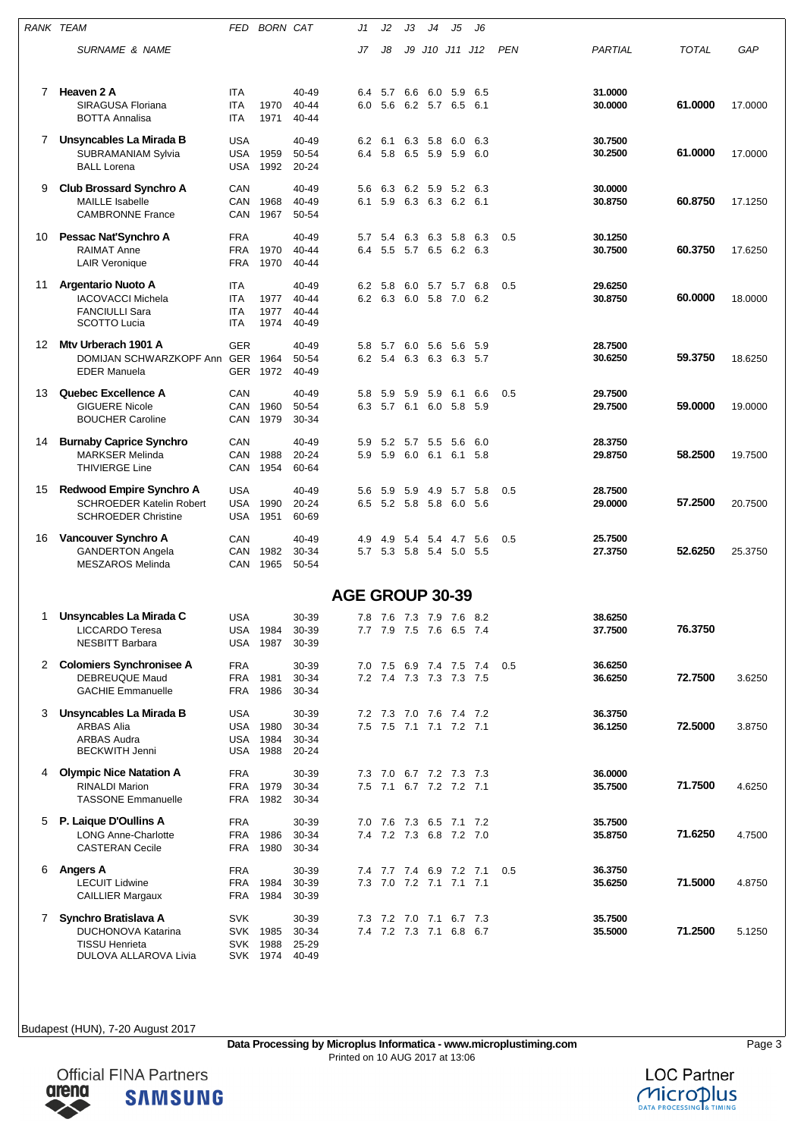|    | RANK TEAM                                                                                    | FED                                           | <b>BORN CAT</b>              |                                  | J1         | J2                     | JЗ  | J4                                                 | J5           | J6           |            |                    |              |         |
|----|----------------------------------------------------------------------------------------------|-----------------------------------------------|------------------------------|----------------------------------|------------|------------------------|-----|----------------------------------------------------|--------------|--------------|------------|--------------------|--------------|---------|
|    | <b>SURNAME &amp; NAME</b>                                                                    |                                               |                              |                                  | J7         | J8                     | J9  | J10 J11 J12                                        |              |              | <b>PEN</b> | PARTIAL            | <b>TOTAL</b> | GAP     |
| 7  | Heaven 2 A<br>SIRAGUSA Floriana<br><b>BOTTA Annalisa</b>                                     | <b>ITA</b><br>ITA<br><b>ITA</b>               | 1970<br>1971                 | 40-49<br>$40 - 44$<br>40-44      | 6.4<br>6.0 | 5.7<br>5.6             | 6.6 | 6.0<br>6.2 5.7 6.5                                 | 5.9          | 6.5<br>-6.1  |            | 31.0000<br>30.0000 | 61.0000      | 17.0000 |
| 7  | Unsyncables La Mirada B<br><b>SUBRAMANIAM Sylvia</b><br><b>BALL Lorena</b>                   | <b>USA</b><br>USA<br>USA                      | 1959<br>1992                 | 40-49<br>50-54<br>20-24          | 6.2<br>6.4 | 6.1<br>5.8 6.5 5.9     |     | 6.3 5.8                                            | 6.0<br>5.9   | 6.3<br>6.0   |            | 30.7500<br>30.2500 | 61.0000      | 17.0000 |
| 9  | <b>Club Brossard Synchro A</b><br><b>MAILLE Isabelle</b><br><b>CAMBRONNE France</b>          | CAN<br>CAN<br>CAN                             | 1968<br>1967                 | 40-49<br>40-49<br>50-54          | 5.6<br>6.1 | 6.3                    |     | 6.2 5.9<br>5.9 6.3 6.3 6.2 6.1                     | 5.2          | 6.3          |            | 30.0000<br>30.8750 | 60.8750      | 17.1250 |
| 10 | Pessac Nat'Synchro A<br>RAIMAT Anne<br><b>LAIR Veronique</b>                                 | <b>FRA</b><br><b>FRA</b><br><b>FRA</b>        | 1970<br>1970                 | 40-49<br>40-44<br>40-44          | 5.7<br>6.4 | 5.4                    |     | 6.3 6.3 5.8<br>5.5 5.7 6.5 6.2 6.3                 |              | 6.3          | 0.5        | 30.1250<br>30.7500 | 60.3750      | 17.6250 |
| 11 | Argentario Nuoto A<br><b>IACOVACCI Michela</b><br><b>FANCIULLI Sara</b><br>SCOTTO Lucia      | ITA<br><b>ITA</b><br><b>ITA</b><br><b>ITA</b> | 1977<br>1977<br>1974         | 40-49<br>40-44<br>40-44<br>40-49 | 6.2        | 5.8<br>6.2 6.3 6.0 5.8 | 6.0 | 5.7 5.7                                            | 7.0          | 6.8<br>6.2   | 0.5        | 29.6250<br>30.8750 | 60.0000      | 18.0000 |
| 12 | Mtv Urberach 1901 A<br>DOMIJAN SCHWARZKOPF Ann GER<br><b>EDER Manuela</b>                    | <b>GER</b><br>GER                             | 1964<br>1972                 | 40-49<br>50-54<br>40-49          | 5.8        | 5.7                    |     | 6.0 5.6 5.6<br>6.2 5.4 6.3 6.3 6.3 5.7             |              | -5.9         |            | 28.7500<br>30.6250 | 59.3750      | 18.6250 |
| 13 | <b>Quebec Excellence A</b><br><b>GIGUERE Nicole</b><br><b>BOUCHER Caroline</b>               | CAN<br>CAN<br>CAN                             | 1960<br>1979                 | 40-49<br>50-54<br>30-34          | 5.8        | 5.9                    | 5.9 | 5.9<br>6.3 5.7 6.1 6.0 5.8                         | 6.1          | 6.6<br>-5.9  | 0.5        | 29.7500<br>29.7500 | 59.0000      | 19.0000 |
| 14 | <b>Burnaby Caprice Synchro</b><br>MARKSER Melinda<br><b>THIVIERGE Line</b>                   | CAN<br>CAN<br>CAN                             | 1988<br>1954                 | 40-49<br>20-24<br>60-64          | 5.9<br>5.9 | 5.2<br>5.9             | 5.7 | 5.5<br>6.0 6.1                                     | - 5.6<br>6.1 | 6.0<br>5.8   |            | 28.3750<br>29.8750 | 58.2500      | 19.7500 |
| 15 | Redwood Empire Synchro A<br><b>SCHROEDER Katelin Robert</b><br><b>SCHROEDER Christine</b>    | <b>USA</b><br>USA<br>USA                      | 1990<br>1951                 | 40-49<br>20-24<br>60-69          | 5.6<br>6.5 | 5.9<br>5.2 5.8 5.8     | 5.9 | 4.9                                                | 5.7<br>6.0   | 5.8<br>5.6   | 0.5        | 28.7500<br>29.0000 | 57.2500      | 20.7500 |
| 16 | Vancouver Synchro A<br><b>GANDERTON Angela</b><br><b>MESZAROS Melinda</b>                    | CAN<br>CAN<br>CAN                             | 1982<br>1965                 | 40-49<br>30-34<br>50-54          | 4.9        | 4.9                    | 5.4 | 5.7 5.3 5.8 5.4 5.0                                | 5.4 4.7      | 5.6<br>- 5.5 | 0.5        | 25.7500<br>27.3750 | 52.6250      | 25.3750 |
|    |                                                                                              |                                               |                              |                                  |            |                        |     | <b>AGE GROUP 30-39</b>                             |              |              |            |                    |              |         |
| 1. | Unsyncables La Mirada C<br>LICCARDO Teresa<br><b>NESBITT Barbara</b>                         | <b>USA</b><br>USA<br><b>USA</b>               | 1984<br>1987                 | 30-39<br>30-39<br>30-39          | 7.8        |                        |     | 7.6 7.3 7.9 7.6 8.2<br>7.7 7.9 7.5 7.6 6.5 7.4     |              |              |            | 38.6250<br>37.7500 | 76.3750      |         |
| 2  | <b>Colomiers Synchronisee A</b><br><b>DEBREUQUE Maud</b><br><b>GACHIE Emmanuelle</b>         | <b>FRA</b><br><b>FRA</b><br><b>FRA</b>        | 1981<br>1986                 | 30-39<br>30-34<br>30-34          |            | 7.0 7.5                |     | 6.9 7.4 7.5<br>7.2 7.4 7.3 7.3 7.3 7.5             |              | 7.4          | 0.5        | 36.6250<br>36.6250 | 72.7500      | 3.6250  |
| 3  | Unsyncables La Mirada B<br>ARBAS Alia<br><b>ARBAS Audra</b><br><b>BECKWITH Jenni</b>         | <b>USA</b><br><b>USA</b>                      | USA 1980<br>1984<br>USA 1988 | 30-39<br>30-34<br>30-34<br>20-24 |            | 7.2 7.3 7.0 7.6        |     | 7.5 7.5 7.1 7.1 7.2 7.1                            | 7.4 7.2      |              |            | 36.3750<br>36.1250 | 72.5000      | 3.8750  |
| 4  | <b>Olympic Nice Natation A</b><br><b>RINALDI Marion</b><br><b>TASSONE Emmanuelle</b>         | <b>FRA</b><br>FRA<br>FRA                      | 1979<br>1982                 | 30-39<br>30-34<br>30-34          |            |                        |     | 7.3 7.0 6.7 7.2 7.3 7.3<br>7.5 7.1 6.7 7.2 7.2 7.1 |              |              |            | 36.0000<br>35.7500 | 71.7500      | 4.6250  |
| 5. | P. Laique D'Oullins A<br><b>LONG Anne-Charlotte</b><br><b>CASTERAN Cecile</b>                | <b>FRA</b><br><b>FRA</b><br>FRA               | 1986<br>1980                 | 30-39<br>30-34<br>30-34          |            |                        |     | 7.0 7.6 7.3 6.5 7.1 7.2<br>7.4 7.2 7.3 6.8 7.2 7.0 |              |              |            | 35.7500<br>35.8750 | 71.6250      | 4.7500  |
| 6  | <b>Angers A</b><br><b>LECUIT Lidwine</b><br>CAILLIER Margaux                                 | <b>FRA</b><br><b>FRA</b><br>FRA               | 1984<br>1984                 | 30-39<br>30-39<br>30-39          | 7.4        |                        |     | 7.7 7.4 6.9 7.2 7.1<br>7.3 7.0 7.2 7.1 7.1 7.1     |              |              | 0.5        | 36.3750<br>35.6250 | 71.5000      | 4.8750  |
| 7  | Synchro Bratislava A<br>DUCHONOVA Katarina<br>TISSU Henrieta<br><b>DULOVA ALLAROVA Livia</b> | <b>SVK</b><br>SVK                             | SVK 1985<br>1988<br>SVK 1974 | 30-39<br>30-34<br>25-29<br>40-49 |            |                        |     | 7.3 7.2 7.0 7.1 6.7 7.3<br>7.4 7.2 7.3 7.1 6.8 6.7 |              |              |            | 35.7500<br>35.5000 | 71.2500      | 5.1250  |



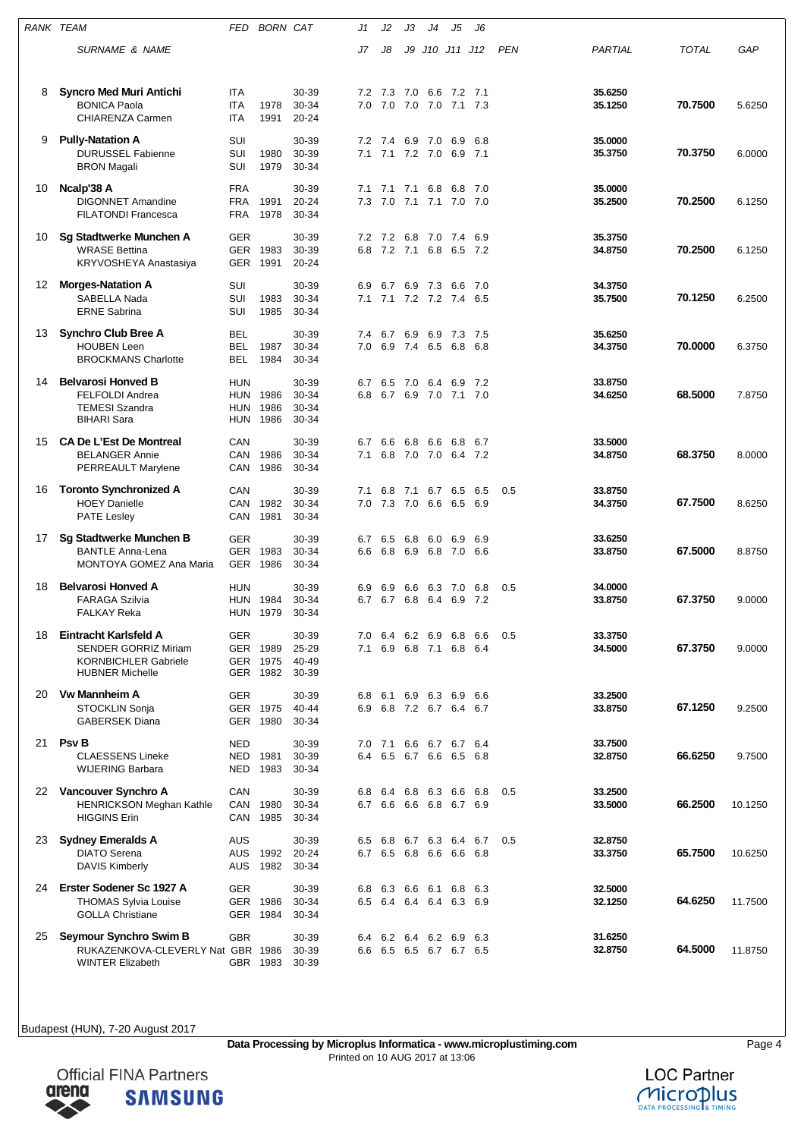|    | RANK TEAM                                                                                                     | FED                                    | <b>BORN CAT</b>                  |                                  | J1         | J2                 | JЗ                 | J4                     | J5                                             | J6         |            |                    |              |         |
|----|---------------------------------------------------------------------------------------------------------------|----------------------------------------|----------------------------------|----------------------------------|------------|--------------------|--------------------|------------------------|------------------------------------------------|------------|------------|--------------------|--------------|---------|
|    | SURNAME & NAME                                                                                                |                                        |                                  |                                  | J7         | J8                 | J9                 |                        | J10 J11 J12                                    |            | <b>PEN</b> | PARTIAL            | <b>TOTAL</b> | GAP     |
| 8  | <b>Syncro Med Muri Antichi</b><br><b>BONICA Paola</b><br><b>CHIARENZA Carmen</b>                              | <b>ITA</b><br><b>ITA</b><br>ITA        | 1978<br>1991                     | 30-39<br>30-34<br>$20 - 24$      | 7.2<br>7.0 | 7.3<br>7.0         | 7.0<br>7.0 7.0     | 6.6                    | 7.2<br>7.1 7.3                                 | 7.1        |            | 35.6250<br>35.1250 | 70.7500      | 5.6250  |
| 9  | <b>Pully-Natation A</b><br><b>DURUSSEL Fabienne</b><br><b>BRON Magali</b>                                     | SUI<br>SUI<br>SUI                      | 1980<br>1979                     | 30-39<br>30-39<br>30-34          | 7.2<br>7.1 | 7.4<br>7.1 7.2 7.0 | 6.9                | 7.0                    | 6.9<br>6.9                                     | 6.8<br>7.1 |            | 35.0000<br>35.3750 | 70.3750      | 6.0000  |
| 10 | Ncalp'38 A<br><b>DIGONNET Amandine</b><br><b>FILATONDI Francesca</b>                                          | <b>FRA</b><br>FRA<br>FRA               | 1991<br>1978                     | 30-39<br>20-24<br>30-34          | 7.1<br>7.3 | 7.1<br>7.0         | 7.1                | 6.8<br>7.1 7.1 7.0     | 6.8                                            | 7.0<br>7.0 |            | 35.0000<br>35.2500 | 70.2500      | 6.1250  |
| 10 | Sg Stadtwerke Munchen A<br><b>WRASE Bettina</b><br>KRYVOSHEYA Anastasiya                                      | <b>GER</b><br><b>GER</b><br><b>GER</b> | 1983<br>1991                     | 30-39<br>30-39<br>20-24          | 7.2<br>6.8 | 7.2<br>7.2 7.1     | 6.8                | 7.0<br>6.8             | 7.4<br>6.5 7.2                                 | 6.9        |            | 35.3750<br>34.8750 | 70.2500      | 6.1250  |
| 12 | <b>Morges-Natation A</b><br>SABELLA Nada<br><b>ERNE Sabrina</b>                                               | SUI<br>SUI<br>SUI                      | 1983<br>1985                     | 30-39<br>30-34<br>30-34          | 6.9<br>7.1 | 6.7                | 6.9                | 7.3<br>7.1 7.2 7.2 7.4 | 6.6                                            | 7.0<br>6.5 |            | 34.3750<br>35.7500 | 70.1250      | 6.2500  |
| 13 | <b>Synchro Club Bree A</b><br><b>HOUBEN Leen</b><br><b>BROCKMANS Charlotte</b>                                | BEL<br>BEL<br>BEL                      | 1987<br>1984                     | 30-39<br>30-34<br>30-34          | 7.4<br>7.0 | 6.7                | 6.9<br>6.9 7.4 6.5 | 6.9                    | 7.3<br>6.8                                     | 7.5<br>6.8 |            | 35.6250<br>34.3750 | 70.0000      | 6.3750  |
| 14 | <b>Belvarosi Honved B</b><br><b>FELFOLDI Andrea</b><br><b>TEMESI Szandra</b><br><b>BIHARI Sara</b>            | HUN<br>HUN<br>HUN<br>HUN               | 1986<br>1986<br>1986             | 30-39<br>30-34<br>30-34<br>30-34 | 6.7<br>6.8 | 6.5<br>6.7 6.9 7.0 | 7.0                | 6.4                    | 6.9<br>7.1 7.0                                 | 7.2        |            | 33.8750<br>34.6250 | 68.5000      | 7.8750  |
| 15 | <b>CA De L'Est De Montreal</b><br>BELANGER Annie<br>PERREAULT Marylene                                        | CAN<br>CAN<br>CAN                      | 1986<br>1986                     | 30-39<br>30-34<br>30-34          | 6.7<br>7.1 | 6.6<br>6.8         | 6.8<br>7.0 7.0     | 6.6                    | 6.8<br>6.4                                     | 6.7<br>7.2 |            | 33.5000<br>34.8750 | 68.3750      | 8.0000  |
| 16 | <b>Toronto Synchronized A</b><br><b>HOEY Danielle</b><br><b>PATE Lesley</b>                                   | CAN<br>CAN<br>CAN                      | 1982<br>1981                     | 30-39<br>30-34<br>30-34          | 7.1<br>7.0 | 6.8<br>7.3         | 7.1<br>7.0         | 6.7<br>6.6             | 6.5<br>6.5                                     | 6.5<br>6.9 | 0.5        | 33.8750<br>34.3750 | 67.7500      | 8.6250  |
| 17 | Sg Stadtwerke Munchen B<br><b>BANTLE Anna-Lena</b><br><b>MONTOYA GOMEZ Ana Maria</b>                          | <b>GER</b><br><b>GER</b><br>GER        | 1983<br>1986                     | 30-39<br>30-34<br>30-34          | 6.7<br>6.6 | 6.5<br>6.8         | 6.8<br>6.9         | 6.0<br>6.8             | 6.9<br>7.0                                     | 6.9<br>6.6 |            | 33.6250<br>33.8750 | 67.5000      | 8.8750  |
| 18 | <b>Belvarosi Honved A</b><br><b>FARAGA Szilvia</b><br><b>FALKAY Reka</b>                                      | HUN<br><b>HUN</b><br>HUN               | 1984<br>1979                     | 30-39<br>30-34<br>30-34          | 6.9<br>6.7 | 6.9<br>6.7         | 6.6<br>6.8         | 6.3<br>6.4             | 7.0<br>6.9                                     | 6.8<br>7.2 | 0.5        | 34.0000<br>33.8750 | 67.3750      | 9.0000  |
| 18 | Eintracht Karlsfeld A<br><b>SENDER GORRIZ Miriam</b><br><b>KORNBICHLER Gabriele</b><br><b>HUBNER Michelle</b> | GER                                    | GER 1989<br>GER 1975<br>GER 1982 | 30-39<br>25-29<br>40-49<br>30-39 | 7.0<br>7.1 | 6.4 6.2 6.9<br>6.9 |                    | 6.8 7.1 6.8            | 6.8                                            | 6.6<br>6.4 | 0.5        | 33.3750<br>34.5000 | 67.3750      | 9.0000  |
| 20 | <b>Vw Mannheim A</b><br>STOCKLIN Sonja<br><b>GABERSEK Diana</b>                                               | <b>GER</b>                             | GER 1975<br>GER 1980             | 30-39<br>40-44<br>30-34          | 6.8<br>6.9 | 6.1                |                    |                        | 6.9 6.3 6.9 6.6<br>6.8 7.2 6.7 6.4 6.7         |            |            | 33.2500<br>33.8750 | 67.1250      | 9.2500  |
| 21 | <b>Psv B</b><br><b>CLAESSENS Lineke</b><br><b>WIJERING Barbara</b>                                            | <b>NED</b><br>NED<br>NED               | 1981<br>1983                     | 30-39<br>30-39<br>30-34          |            | 7.0 7.1            |                    |                        | 6.6 6.7 6.7 6.4<br>6.4 6.5 6.7 6.6 6.5 6.8     |            |            | 33.7500<br>32.8750 | 66.6250      | 9.7500  |
|    | 22 Vancouver Synchro A<br>HENRICKSON Meghan Kathle<br><b>HIGGINS Erin</b>                                     | CAN<br>CAN<br>CAN                      | 1980<br>1985                     | 30-39<br>30-34<br>30-34          | 6.8        |                    |                    |                        | 6.4 6.8 6.3 6.6 6.8<br>6.7 6.6 6.6 6.8 6.7 6.9 |            | 0.5        | 33.2500<br>33.5000 | 66.2500      | 10.1250 |
| 23 | <b>Sydney Emeralds A</b><br><b>DIATO Serena</b><br><b>DAVIS Kimberly</b>                                      | AUS<br>AUS<br>AUS                      | 1992<br>1982                     | 30-39<br>20-24<br>30-34          | 6.5        |                    |                    |                        | 6.8 6.7 6.3 6.4 6.7<br>6.7 6.5 6.8 6.6 6.6 6.8 |            | 0.5        | 32.8750<br>33.3750 | 65.7500      | 10.6250 |
| 24 | Erster Sodener Sc 1927 A<br><b>THOMAS Sylvia Louise</b><br><b>GOLLA Christiane</b>                            | <b>GER</b><br>GER                      | GER 1986<br>1984                 | 30-39<br>30-34<br>30-34          | 6.8        |                    |                    |                        | 6.3 6.6 6.1 6.8 6.3<br>6.5 6.4 6.4 6.4 6.3 6.9 |            |            | 32.5000<br>32.1250 | 64.6250      | 11.7500 |
| 25 | Seymour Synchro Swim B<br>RUKAZENKOVA-CLEVERLY Nat GBR 1986<br><b>WINTER Elizabeth</b>                        | <b>GBR</b>                             | GBR 1983                         | 30-39<br>30-39<br>30-39          | 6.4        |                    |                    |                        | 6.2 6.4 6.2 6.9 6.3<br>6.6 6.5 6.5 6.7 6.7 6.5 |            |            | 31.6250<br>32.8750 | 64.5000      | 11.8750 |



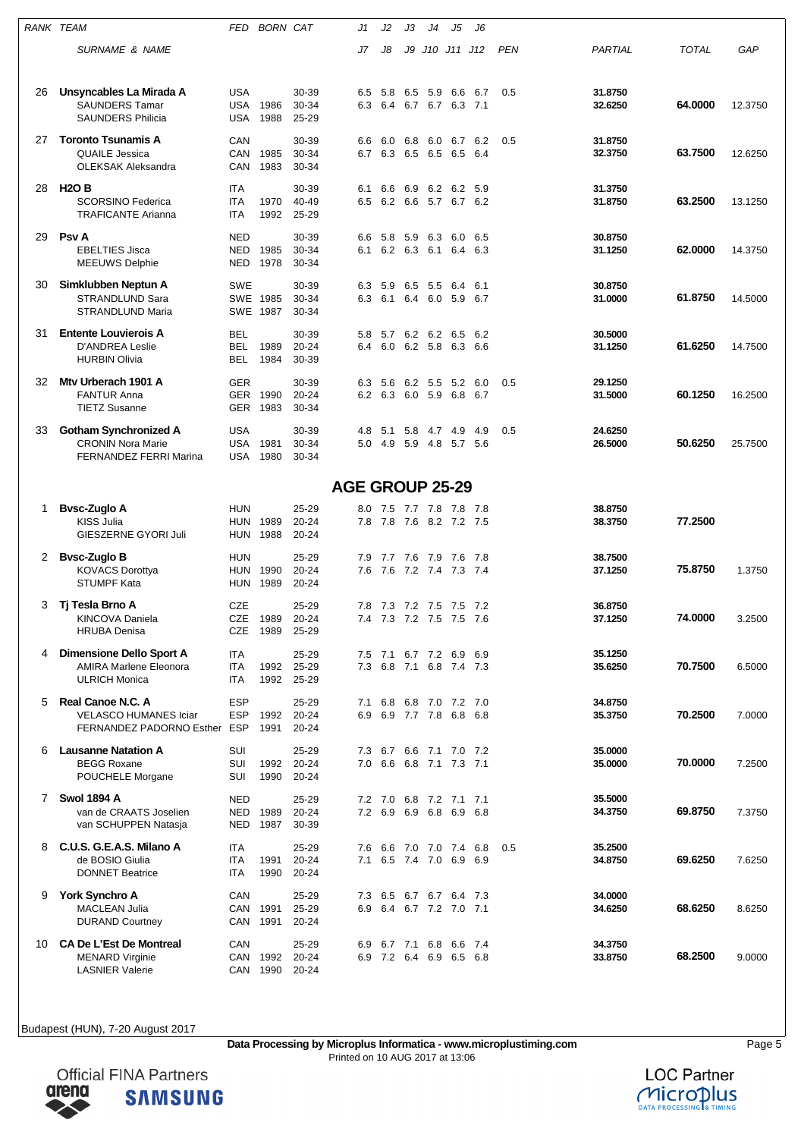| RANK TEAM |                                                                                          | FED                             | <b>BORN CAT</b>  |                             | J1         | J2                 | JЗ      | J4                                         | J5             | J6           |            |                    |              |         |
|-----------|------------------------------------------------------------------------------------------|---------------------------------|------------------|-----------------------------|------------|--------------------|---------|--------------------------------------------|----------------|--------------|------------|--------------------|--------------|---------|
|           | <b>SURNAME &amp; NAME</b>                                                                |                                 |                  |                             | J7         | J8                 | J9      | J10 J11 J12                                |                |              | <b>PEN</b> | PARTIAL            | <b>TOTAL</b> | GAP     |
| 26        | Unsyncables La Mirada A<br><b>SAUNDERS Tamar</b><br><b>SAUNDERS Philicia</b>             | <b>USA</b><br>USA<br>USA        | 1986<br>1988     | 30-39<br>30-34<br>25-29     | 6.5<br>6.3 | 5.8                | 6.5     | 5.9<br>6.4 6.7 6.7 6.3 7.1                 | 6.6            | 6.7          | 0.5        | 31.8750<br>32.6250 | 64.0000      | 12.3750 |
| 27        | <b>Toronto Tsunamis A</b><br><b>QUAILE Jessica</b><br><b>OLEKSAK Aleksandra</b>          | CAN<br>CAN<br>CAN               | 1985<br>1983     | 30-39<br>30-34<br>30-34     | 6.6<br>6.7 | 6.0<br>6.3 6.5 6.5 | 6.8     | 6.0                                        | 6.7<br>6.5     | 6.2<br>- 6.4 | 0.5        | 31.8750<br>32.3750 | 63.7500      | 12.6250 |
| 28        | <b>H2OB</b><br><b>SCORSINO Federica</b><br><b>TRAFICANTE Arianna</b>                     | ITA<br><b>ITA</b><br><b>ITA</b> | 1970<br>1992     | 30-39<br>40-49<br>25-29     | 6.1<br>6.5 | 6.6                |         | 6.9 6.2 6.2 5.9<br>6.2 6.6 5.7 6.7 6.2     |                |              |            | 31.3750<br>31.8750 | 63.2500      | 13.1250 |
| 29        | <b>Psv A</b><br><b>EBELTIES Jisca</b><br><b>MEEUWS Delphie</b>                           | NED<br><b>NED</b><br>NED        | 1985<br>1978     | 30-39<br>30-34<br>30-34     | 6.6<br>6.1 | 5.8<br>6.2 6.3 6.1 | 5.9     | 6.3                                        | 6.0<br>6.4 6.3 | 6.5          |            | 30.8750<br>31.1250 | 62.0000      | 14.3750 |
| 30        | Simklubben Neptun A<br>STRANDLUND Sara<br>STRANDLUND Maria                               | SWE<br>SWE 1987                 | SWE 1985         | 30-39<br>30-34<br>30-34     | 6.3<br>6.3 | 5.9                | 6.5 5.5 | 6.1 6.4 6.0 5.9 6.7                        | 6.4            | 6.1          |            | 30.8750<br>31.0000 | 61.8750      | 14.5000 |
| 31        | <b>Entente Louvierois A</b><br><b>D'ANDREA Leslie</b><br><b>HURBIN Olivia</b>            | <b>BEL</b><br>BEL<br>BEL        | 1989<br>1984     | 30-39<br>20-24<br>30-39     | 5.8<br>6.4 | 5.7                |         | 6.2 6.2 6.5<br>6.0 6.2 5.8 6.3 6.6         |                | 6.2          |            | 30.5000<br>31.1250 | 61.6250      | 14.7500 |
| 32        | Mty Urberach 1901 A<br><b>FANTUR Anna</b><br><b>TIETZ Susanne</b>                        | <b>GER</b><br><b>GER</b><br>GER | 1990<br>1983     | 30-39<br>20-24<br>30-34     | 6.3        | 5.6                | 6.2 5.5 | 6.2 6.3 6.0 5.9 6.8 6.7                    | 5.2            | 6.0          | 0.5        | 29.1250<br>31.5000 | 60.1250      | 16.2500 |
| 33        | <b>Gotham Synchronized A</b><br><b>CRONIN Nora Marie</b><br>FERNANDEZ FERRI Marina       | <b>USA</b><br>USA<br>USA        | 1981<br>1980     | 30-39<br>30-34<br>30-34     | 4.8<br>5.0 | 5.1<br>4.9 5.9 4.8 | 5.8     | 4.7 4.9                                    | 5.7 5.6        | 4.9          | 0.5        | 24.6250<br>26.5000 | 50.6250      | 25.7500 |
|           |                                                                                          |                                 |                  | <b>AGE GROUP 25-29</b>      |            |                    |         |                                            |                |              |            |                    |              |         |
| 1         | <b>Bysc-Zuglo A</b><br><b>KISS Julia</b><br>GIESZERNE GYORI Juli                         | HUN<br>HUN<br>HUN               | 1989<br>1988     | 25-29<br>20-24<br>20-24     | 8.0<br>7.8 |                    |         | 7.5 7.7 7.8 7.8<br>7.8 7.6 8.2 7.2 7.5     |                | - 7.8        |            | 38.8750<br>38.3750 | 77.2500      |         |
| 2         | <b>Bysc-Zuglo B</b><br><b>KOVACS Dorottya</b><br><b>STUMPF Kata</b>                      | HUN<br>HUN<br>HUN               | 1990<br>1989     | 25-29<br>20-24<br>20-24     | 7.9<br>7.6 | 7.7 7.6 7.9        |         | 7.6 7.2 7.4 7.3 7.4                        | 7.6            | - 7.8        |            | 38.7500<br>37.1250 | 75.8750      | 1.3750  |
|           | Ti Tesla Brno A<br>KINCOVA Daniela<br><b>HRUBA Denisa</b>                                | <b>CZE</b><br>CZE<br>CZE        | 1989<br>1989     | 25-29<br>20-24<br>25-29     | 7.8<br>7.4 | 7.3 7.2 7.5        |         | 7.3 7.2 7.5 7.5                            | 7.5            | 7.2<br>- 7.6 |            | 36.8750<br>37.1250 | 74.0000      | 3.2500  |
| 4         | <b>Dimensione Dello Sport A</b><br><b>AMIRA Marlene Eleonora</b><br><b>ULRICH Monica</b> | ITA<br><b>ITA</b><br>ITA        | 1992<br>1992     | 25-29<br>25-29<br>25-29     | 7.5<br>7.3 |                    |         | 7.1 6.7 7.2 6.9<br>6.8 7.1 6.8 7.4 7.3     |                | 6.9          |            | 35.1250<br>35.6250 | 70.7500      | 6.5000  |
| 5         | Real Canoe N.C. A<br><b>VELASCO HUMANES Iciar</b><br>FERNANDEZ PADORNO Esther            | <b>ESP</b><br><b>ESP</b><br>ESP | 1992<br>1991     | 25-29<br>20-24<br>20-24     | 7.1<br>6.9 | 6.9 7.7 7.8        |         | 6.8 6.8 7.0 7.2 7.0                        | 6.8            | 6.8          |            | 34.8750<br>35.3750 | 70.2500      | 7.0000  |
| 6         | <b>Lausanne Natation A</b><br><b>BEGG Roxane</b><br>POUCHELE Morgane                     | SUI<br>SUI<br>SUI               | 1992<br>1990     | 25-29<br>$20 - 24$<br>20-24 | 7.3<br>7.0 |                    |         | 6.7 6.6 7.1 7.0 7.2<br>6.6 6.8 7.1 7.3 7.1 |                |              |            | 35.0000<br>35.0000 | 70.0000      | 7.2500  |
| 7         | <b>Swol 1894 A</b><br>van de CRAATS Joselien<br>van SCHUPPEN Natasja                     | <b>NED</b><br>NED<br>NED        | 1989<br>1987     | 25-29<br>$20 - 24$<br>30-39 | 7.2        | 6.9 6.9 6.8        |         | 7.2 7.0 6.8 7.2 7.1                        | 6.9 6.8        | 7.1          |            | 35.5000<br>34.3750 | 69.8750      | 7.3750  |
| 8         | C.U.S. G.E.A.S. Milano A<br>de BOSIO Giulia<br><b>DONNET Beatrice</b>                    | ITA<br>ITA<br>ITA               | 1991<br>1990     | 25-29<br>20-24<br>20-24     | 7.6<br>7.1 | 6.5 7.4 7.0        |         | 6.6 7.0 7.0 7.4 6.8                        | 6.9 6.9        |              | 0.5        | 35.2500<br>34.8750 | 69.6250      | 7.6250  |
| 9         | <b>York Synchro A</b><br><b>MACLEAN Julia</b><br><b>DURAND Courtney</b>                  | CAN<br>CAN<br>CAN               | 1991<br>1991     | 25-29<br>25-29<br>20-24     | 7.3<br>6.9 |                    |         | 6.5 6.7 6.7 6.4<br>6.4 6.7 7.2 7.0 7.1     |                | - 7.3        |            | 34.0000<br>34.6250 | 68.6250      | 8.6250  |
| 10.       | <b>CA De L'Est De Montreal</b><br><b>MENARD Virginie</b><br><b>LASNIER Valerie</b>       | CAN<br>CAN                      | 1992<br>CAN 1990 | 25-29<br>20-24<br>20-24     | 6.9<br>6.9 | 6.7 7.1            |         | 6.8<br>7.2 6.4 6.9 6.5 6.8                 | 6.6 7.4        |              |            | 34.3750<br>33.8750 | 68.2500      | 9.0000  |

**Data Processing by Microplus Informatica - www.microplustiming.com** Page 5 Printed on 10 AUG 2017 at 13:06



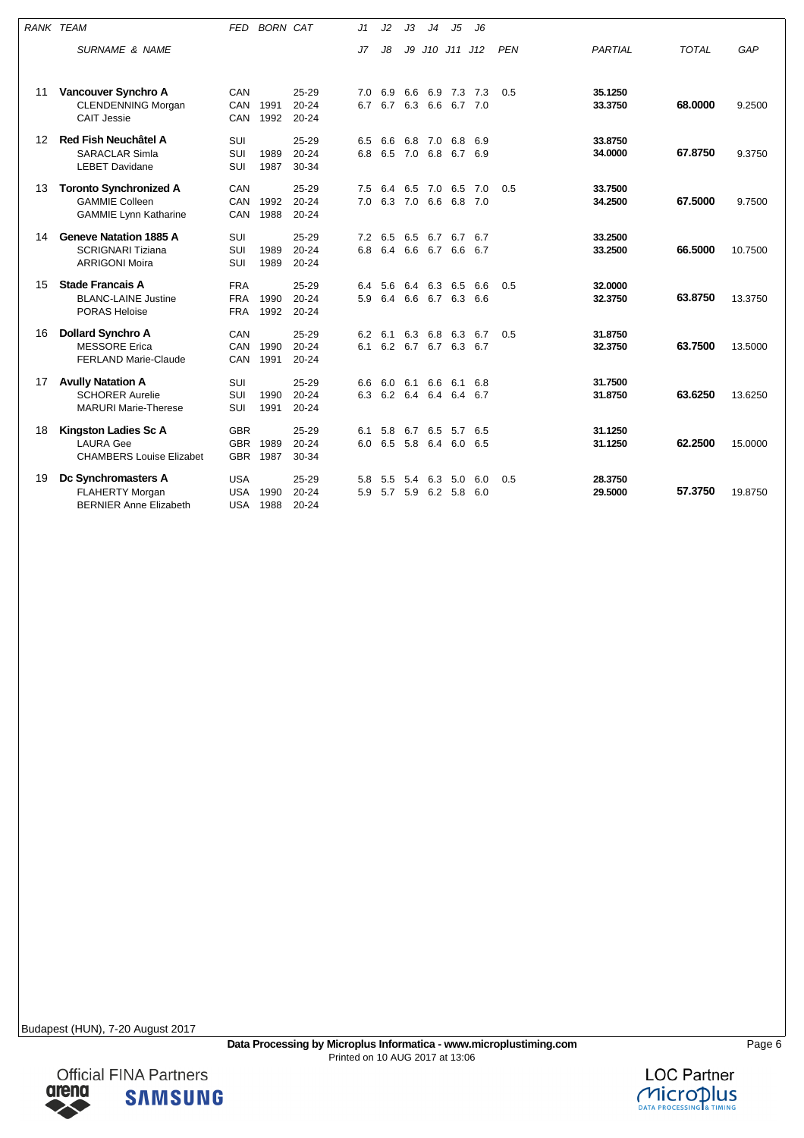| <b>RANK TEAM</b> |                                                                                        | <b>FED</b>                             | <b>BORN CAT</b> |                                 | J1         | J2                         | JЗ      | J <sub>4</sub>     | J5                             | J6         |            |                    |              |         |
|------------------|----------------------------------------------------------------------------------------|----------------------------------------|-----------------|---------------------------------|------------|----------------------------|---------|--------------------|--------------------------------|------------|------------|--------------------|--------------|---------|
|                  | <b>SURNAME &amp; NAME</b>                                                              |                                        |                 |                                 | J7         | J8                         |         |                    | J9 J10 J11 J12                 |            | <b>PEN</b> | PARTIAL            | <b>TOTAL</b> | GAP     |
| 11               | Vancouver Synchro A<br><b>CLENDENNING Morgan</b><br><b>CAIT Jessie</b>                 | CAN<br>CAN<br>CAN                      | 1991<br>1992    | 25-29<br>$20 - 24$<br>$20 - 24$ | 7.0<br>6.7 | 6.9<br>6.7                 | 6.6     | 6.9<br>6.3 6.6     | 7.3<br>6.7 7.0                 | 7.3        | 0.5        | 35.1250<br>33.3750 | 68.0000      | 9.2500  |
| 12               | <b>Red Fish Neuchâtel A</b><br><b>SARACLAR Simla</b><br><b>LEBET Davidane</b>          | SUI<br>SUI<br>SUI                      | 1989<br>1987    | 25-29<br>20-24<br>30-34         | 6.5<br>6.8 | 6.6<br>6.5 7.0 6.8         |         |                    | 6.8 7.0 6.8<br>6.7 6.9         | 6.9        |            | 33.8750<br>34.0000 | 67.8750      | 9.3750  |
| 13               | <b>Toronto Synchronized A</b><br><b>GAMMIE Colleen</b><br><b>GAMMIE Lynn Katharine</b> | CAN<br>CAN<br>CAN                      | 1992<br>1988    | 25-29<br>$20 - 24$<br>$20 - 24$ | 7.5<br>7.0 | 6.4<br>6.3                 | 7.0 6.6 |                    | 6.5 7.0 6.5<br>6.8             | 7.0<br>7.0 | 0.5        | 33.7500<br>34.2500 | 67.5000      | 9.7500  |
| 14               | <b>Geneve Natation 1885 A</b><br><b>SCRIGNARI Tiziana</b><br><b>ARRIGONI Moira</b>     | SUI<br>SUI<br>SUI                      | 1989<br>1989    | 25-29<br>$20 - 24$<br>$20 - 24$ | 7.2<br>6.8 | 6.5<br>6.4                 | 6.5     | 6.7<br>6.6 6.7     | 6.7<br>6.6                     | 6.7<br>6.7 |            | 33.2500<br>33.2500 | 66.5000      | 10.7500 |
| 15               | <b>Stade Francais A</b><br><b>BLANC-LAINE Justine</b><br><b>PORAS Heloise</b>          | <b>FRA</b><br><b>FRA</b><br><b>FRA</b> | 1990<br>1992    | 25-29<br>$20 - 24$<br>$20 - 24$ | 6.4<br>5.9 | 5.6<br>6.4                 | 6.4     | 6.3                | 6.5<br>6.6 6.7 6.3 6.6         | 6.6        | 0.5        | 32.0000<br>32.3750 | 63.8750      | 13.3750 |
| 16               | <b>Dollard Synchro A</b><br><b>MESSORE</b> Erica<br><b>FERLAND Marie-Claude</b>        | CAN<br>CAN<br>CAN                      | 1990<br>1991    | 25-29<br>$20 - 24$<br>$20 - 24$ | 6.2<br>6.1 | 6.1<br>6.2                 |         | 6.3 6.8<br>6.7 6.7 | 6.3<br>6.3                     | 6.7<br>6.7 | 0.5        | 31.8750<br>32.3750 | 63.7500      | 13.5000 |
| 17               | <b>Avully Natation A</b><br><b>SCHORER Aurelie</b><br><b>MARURI Marie-Therese</b>      | SUI<br>SUI<br>SUI                      | 1990<br>1991    | 25-29<br>$20 - 24$<br>$20 - 24$ | 6.6<br>6.3 | 6.0<br>6.2 6.4 6.4 6.4 6.7 | 6.1     | 6.6                | 6.1                            | 6.8        |            | 31.7500<br>31.8750 | 63.6250      | 13.6250 |
| 18               | <b>Kingston Ladies Sc A</b><br><b>LAURA Gee</b><br><b>CHAMBERS Louise Elizabet</b>     | <b>GBR</b><br><b>GBR</b><br><b>GBR</b> | 1989<br>1987    | 25-29<br>$20 - 24$<br>30-34     | 6.1<br>6.0 | 5.8                        | 6.7     |                    | 6.5 5.7<br>6.5 5.8 6.4 6.0 6.5 | 6.5        |            | 31.1250<br>31.1250 | 62.2500      | 15.0000 |
| 19               | Dc Synchromasters A<br><b>FLAHERTY Morgan</b><br><b>BERNIER Anne Elizabeth</b>         | <b>USA</b><br><b>USA</b><br><b>USA</b> | 1990<br>1988    | 25-29<br>$20 - 24$<br>$20 - 24$ | 5.8<br>5.9 | 5.5<br>5.7                 | 5.9     | 6.2                | 5.4 6.3 5.0<br>5.8             | 6.0<br>6.0 | 0.5        | 28.3750<br>29.5000 | 57.3750      | 19.8750 |



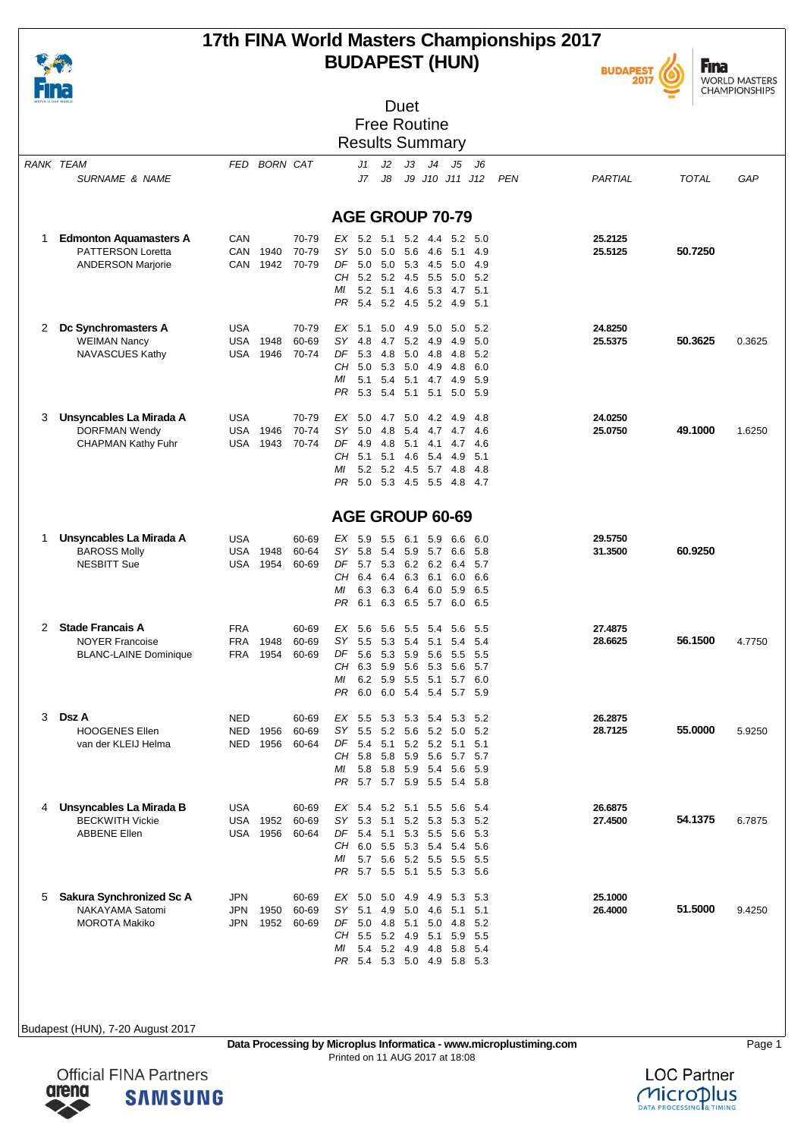

### **17th FINA World Masters Championships 2017 BUDAPEST (HUN)**



**Fina** WORLD MASTERS<br>CHAMPIONSHIPS

| WATER IS OUR WORLD |                                                                                       |                                        |                                         | Duet<br><b>Free Routine</b>                                                                                                                                                                                                                                    |                    |                     |
|--------------------|---------------------------------------------------------------------------------------|----------------------------------------|-----------------------------------------|----------------------------------------------------------------------------------------------------------------------------------------------------------------------------------------------------------------------------------------------------------------|--------------------|---------------------|
|                    |                                                                                       |                                        |                                         | <b>Results Summary</b>                                                                                                                                                                                                                                         |                    |                     |
|                    | <b>RANK TEAM</b><br><b>SURNAME &amp; NAME</b>                                         |                                        | FED BORN CAT                            | J <sub>4</sub><br>J1<br>J2<br>JЗ<br>J5<br>J6<br>J8<br>J7<br>J9 J10 J11 J12<br><b>PEN</b>                                                                                                                                                                       | PARTIAL            | <b>TOTAL</b><br>GAP |
|                    |                                                                                       |                                        |                                         | <b>AGE GROUP 70-79</b>                                                                                                                                                                                                                                         |                    |                     |
| 1                  | <b>Edmonton Aquamasters A</b><br><b>PATTERSON Loretta</b><br><b>ANDERSON Marjorie</b> | CAN<br><b>CAN</b><br>CAN               | 70-79<br>1940<br>70-79<br>1942<br>70-79 | EX 5.2 5.1<br>5.2 4.4 5.2<br>5.0<br>SY<br>5.0<br>5.0<br>5.6<br>4.6<br>5.1<br>4.9<br>DF<br>5.0<br>5.0<br>5.3 4.5<br>5.0<br>4.9<br>CH 5.2 5.2 4.5 5.5<br>5.0<br>5.2<br>МI<br>$5.2 \quad 5.1$<br>4.6<br>5.3<br>4.7<br>5.1<br>5.4 5.2 4.5 5.2 4.9 5.1<br>PR        | 25.2125<br>25.5125 | 50.7250             |
| 2                  | Dc Synchromasters A<br><b>WEIMAN Nancy</b><br>NAVASCUES Kathy                         | <b>USA</b><br><b>USA</b><br><b>USA</b> | 70-79<br>1948<br>60-69<br>1946<br>70-74 | EX 5.1<br>5.0<br>4.9<br>5.0<br>5.0<br>5.2<br>SY 4.8<br>4.7<br>5.2 4.9<br>4.9<br>5.0<br>DF<br>5.3<br>4.8<br>5.0 4.8<br>5.2<br>4.8<br>CH 5.0 5.3 5.0 4.9<br>6.0<br>4.8<br>МI<br>5.1<br>5.4<br>5.1 4.7 4.9<br>5.9<br>PR<br>5.3 5.4 5.1 5.1 5.0 5.9                | 24.8250<br>25.5375 | 50.3625<br>0.3625   |
| 3                  | Unsyncables La Mirada A<br><b>DORFMAN Wendy</b><br><b>CHAPMAN Kathy Fuhr</b>          | <b>USA</b><br><b>USA</b><br>USA        | 70-79<br>1946<br>70-74<br>1943<br>70-74 | EX 5.0 4.7 5.0 4.2<br>-4.9<br>4.8<br>SY 5.0<br>5.4 4.7 4.7<br>4.8<br>4.6<br>DF<br>4.9<br>4.8<br>$5.1 \quad 4.1$<br>4.6<br>4.7<br>CH <sub>5.1</sub><br>5.1<br>4.6 5.4<br>4.9<br>5.1<br>5.2 5.2 4.5 5.7<br>МI<br>4.8<br>-4.8<br>PR<br>5.0 5.3 4.5 5.5<br>4.8 4.7 | 24.0250<br>25.0750 | 49.1000<br>1.6250   |
|                    |                                                                                       |                                        |                                         | AGE GROUP 60-69                                                                                                                                                                                                                                                |                    |                     |
| -1                 | Unsyncables La Mirada A<br><b>BAROSS Molly</b><br><b>NESBITT Sue</b>                  | <b>USA</b><br><b>USA</b><br><b>USA</b> | 60-69<br>1948<br>60-64<br>1954<br>60-69 | EX 5.9<br>5.5<br>6.1<br>5.9<br>6.6<br>6.0<br>SY.<br>5.8<br>5.4 5.9 5.7<br>6.6<br>5.8<br>DF<br>5.7 5.3 6.2 6.2<br>6.4<br>5.7<br>CH 6.4 6.4 6.3 6.1<br>6.0<br>6.6<br>МI<br>6.3<br>6.3<br>6.4<br>6.0<br>5.9<br>6.5<br>PR<br>6.1 6.3 6.5 5.7 6.0 6.5               | 29.5750<br>31.3500 | 60.9250             |
| 2                  | <b>Stade Francais A</b><br><b>NOYER Francoise</b><br><b>BLANC-LAINE Dominique</b>     | <b>FRA</b><br><b>FRA</b><br>FRA        | 60-69<br>1948<br>60-69<br>1954<br>60-69 | EX 5.6<br>5.6<br>5.5 5.4<br>5.6<br>5.5<br>SY<br>5.5<br>5.3<br>5.4<br>5.1<br>5.4<br>5.4<br>DF<br>5.6<br>5.3<br>59 56<br>5.5<br>5.5<br>CН<br>6.3<br>5.9<br>5.6 5.3 5.6<br>5.7<br>6.2<br>5.9<br>МI<br>5.5<br>5.1<br>5.7<br>6.0<br>6.0 6.0 5.4 5.4 5.7 5.9<br>PR.  | 27.4875<br>28.6625 | 56.1500<br>4.7750   |
| 3                  | Dsz A<br><b>HOOGENES Ellen</b><br>van der KLEIJ Helma                                 | <b>NED</b><br>NED<br>NED               | 60-69<br>1956<br>60-69<br>1956<br>60-64 | EX 5.5<br>5.3 5.3 5.4 5.3<br>-5.2<br>SY 5.5<br>5.2<br>5.6 5.2<br>5.2<br>5.0<br>DF<br>5.4 5.1<br>5.2 5.2<br>5.1<br>5.1<br>CH 5.8<br>5.8<br>5.9 5.6 5.7<br>- 5.7<br>ΜI<br>5.8 5.8 5.9 5.4<br>5.6<br>5.9<br>5.7 5.7 5.9 5.5<br>PR<br>5.4 5.8                      | 26.2875<br>28.7125 | 55.0000<br>5.9250   |
| 4                  | Unsyncables La Mirada B<br><b>BECKWITH Vickie</b><br><b>ABBENE Ellen</b>              | <b>USA</b><br>USA<br><b>USA</b>        | 60-69<br>60-69<br>1952<br>1956<br>60-64 | ЕX<br>- 5.4<br>5.2<br>5.1<br>5.5<br>5.6<br>5.4<br>$SY$ 5.3<br>5.1<br>5.2 5.3<br>5.3<br>5.2<br>DF<br>5.4<br>5.1<br>5.3 5.5<br>5.6<br>5.3<br>CH 6.0 5.5 5.3 5.4 5.4<br>5.6<br>ΜI<br>5.7 5.6<br>5.2 5.5<br>5.5<br>5.5<br>5.7 5.5 5.1 5.5<br>5.3 5.6<br>PR         | 26.6875<br>27.4500 | 54.1375<br>6.7875   |
| 5                  | Sakura Synchronized Sc A<br>NAKAYAMA Satomi<br><b>MOROTA Makiko</b>                   | JPN<br>JPN<br>JPN                      | 60-69<br>1950<br>60-69<br>1952<br>60-69 | 5.0<br>5.0<br>5.3<br>5.3<br>EX<br>4.9 4.9<br>$SY$ 5.1<br>4.9<br>5.0 4.6<br>5.1<br>5.1<br>DF<br>5.0<br>4.8<br>5.1<br>5.0<br>4.8<br>5.2<br>CH 5.5 5.2 4.9 5.1<br>5.9<br>5.5<br>5.4 5.2 4.9 4.8<br>ΜI<br>5.8<br>-5.4<br>PR 5.4 5.3 5.0 4.9 5.8 5.3                | 25.1000<br>26.4000 | 51.5000<br>9.4250   |



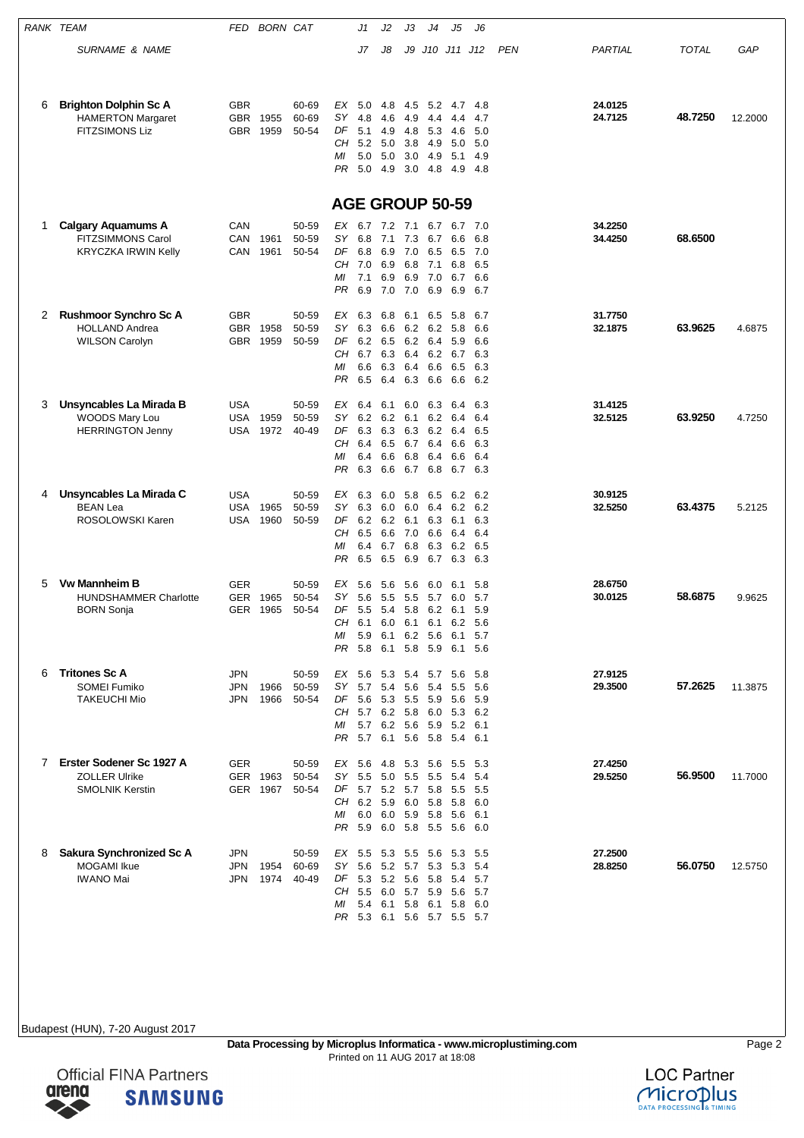|   | <b>RANK TEAM</b>                                                                  | FED                             | <b>BORN CAT</b>      |                         |                | J1                                | J2                | JЗ                | J4                  | J5                                                    | J6                |     |                    |              |         |
|---|-----------------------------------------------------------------------------------|---------------------------------|----------------------|-------------------------|----------------|-----------------------------------|-------------------|-------------------|---------------------|-------------------------------------------------------|-------------------|-----|--------------------|--------------|---------|
|   | <b>SURNAME &amp; NAME</b>                                                         |                                 |                      |                         |                | J7                                | J8                |                   |                     | J9 J10 J11 J12                                        |                   | PEN | PARTIAL            | <b>TOTAL</b> | GAP     |
|   |                                                                                   |                                 |                      |                         |                |                                   |                   |                   |                     |                                                       |                   |     |                    |              |         |
| 6 | <b>Brighton Dolphin Sc A</b><br><b>HAMERTON Margaret</b><br><b>FITZSIMONS Liz</b> | <b>GBR</b><br>GBR<br><b>GBR</b> | 1955<br>1959         | 60-69<br>60-69<br>50-54 | ЕX<br>SY<br>DF | 5.0<br>4.8<br>5.1                 | 4.8<br>4.6<br>4.9 | 4.5<br>4.9<br>4.8 | 5.2<br>4.4<br>5.3   | 4.7<br>4.4<br>4.6                                     | 4.8<br>4.7<br>5.0 |     | 24.0125<br>24.7125 | 48.7250      | 12.2000 |
|   |                                                                                   |                                 |                      |                         | CН<br>МI       | 5.2<br>5.0                        | 5.0<br>5.0        | 3.8<br>3.0        | 4.9<br>4.9          | 5.0<br>5.1                                            | 5.0<br>4.9        |     |                    |              |         |
|   |                                                                                   |                                 |                      |                         | PR             | 5.0                               | 4.9               | 3.0               | 4.8                 | 4.9                                                   | -4.8              |     |                    |              |         |
|   |                                                                                   |                                 |                      |                         |                |                                   |                   |                   |                     | <b>AGE GROUP 50-59</b>                                |                   |     |                    |              |         |
| 1 | <b>Calgary Aquamums A</b><br><b>FITZSIMMONS Carol</b>                             | CAN<br>CAN                      | 1961                 | 50-59<br>50-59          | EX<br>SY       | 6.7<br>6.8                        | 7.2 7.1<br>7.1    | 7.3               | 6.7<br>6.7          | 6.7<br>6.6                                            | 7.0<br>6.8        |     | 34.2250<br>34.4250 | 68.6500      |         |
|   | <b>KRYCZKA IRWIN Kelly</b>                                                        | CAN                             | 1961                 | 50-54                   | DF<br>CН       | 6.8<br>7.0                        | 6.9<br>6.9        | 7.0               | 6.5<br>6.8 7.1      | 6.5<br>6.8                                            | 7.0<br>6.5        |     |                    |              |         |
|   |                                                                                   |                                 |                      |                         | МI<br>PR       | 7.1<br>6.9                        | 6.9<br>7.0        | 7.0               | 6.9 7.0<br>6.9      | 6.7<br>6.9                                            | 6.6<br>6.7        |     |                    |              |         |
| 2 | Rushmoor Synchro Sc A                                                             | <b>GBR</b>                      |                      | 50-59                   | EX             | 6.3                               | 6.8               | 6.1               | 6.5                 | 5.8                                                   | 6.7               |     | 31.7750            |              |         |
|   | <b>HOLLAND Andrea</b><br><b>WILSON Carolyn</b>                                    | <b>GBR</b><br><b>GBR</b>        | 1958<br>1959         | 50-59<br>50-59          | SY<br>DF       | 6.3<br>6.2                        | 6.6<br>6.5        |                   | 6.2 6.2<br>6.2 6.4  | 5.8<br>5.9                                            | 6.6<br>6.6        |     | 32.1875            | 63.9625      | 4.6875  |
|   |                                                                                   |                                 |                      |                         | CН<br>МI       | 6.7<br>6.6                        | 6.3<br>6.3        | 6.4<br>6.4        | 6.6                 | 6.2 6.7<br>6.5                                        | 6.3<br>6.3        |     |                    |              |         |
|   |                                                                                   |                                 |                      |                         | PR             | 6.5                               | 6.4               | 6.3               | 6.6                 | 6.6                                                   | 6.2               |     |                    |              |         |
| 3 | Unsyncables La Mirada B<br>WOODS Mary Lou                                         | <b>USA</b><br><b>USA</b>        | 1959                 | 50-59<br>50-59          | ЕX<br>SY.      | 6.4<br>6.2                        | 6.1<br>6.2        | 6.0<br>6.1        | 6.3<br>6.2          | 6.4<br>6.4                                            | 6.3<br>6.4        |     | 31.4125<br>32.5125 | 63.9250      | 4.7250  |
|   | <b>HERRINGTON Jenny</b>                                                           | USA                             | 1972                 | 40-49                   | DF<br>CН       | 6.3<br>6.4                        | 6.3<br>6.5        | 6.7               | 6.3 6.2<br>6.4      | 6.4<br>6.6                                            | 6.5<br>6.3        |     |                    |              |         |
|   |                                                                                   |                                 |                      |                         | МI             | 6.4                               | 6.6               | 6.8               | 6.4                 | 6.6                                                   | 6.4               |     |                    |              |         |
|   |                                                                                   |                                 |                      |                         | PR             | 6.3                               | 6.6               | 6.7               | 6.8                 | 6.7                                                   | 6.3               |     |                    |              |         |
| 4 | Unsyncables La Mirada C<br><b>BEAN Lea</b>                                        | <b>USA</b><br>USA               | 1965                 | 50-59<br>50-59          | EX<br>SY.      | 6.3<br>6.3                        | 6.0<br>6.0        |                   | 5.8 6.5<br>6.0 6.4  | 6.2<br>6.2                                            | 6.2<br>6.2        |     | 30.9125<br>32.5250 | 63.4375      | 5.2125  |
|   | ROSOLOWSKI Karen                                                                  | USA                             | 1960                 | 50-59                   | DF<br>CН       | 6.2<br>6.5                        | 6.2<br>6.6        | 6.1<br>7.0        | 6.3<br>6.6          | 6.1<br>6.4                                            | 6.3<br>6.4        |     |                    |              |         |
|   |                                                                                   |                                 |                      |                         | МI<br>PR       | 6.4<br>6.5                        | 6.7<br>6.5        | 6.8<br>6.9        | 6.3<br>6.7          | 6.2<br>6.3                                            | 6.5<br>6.3        |     |                    |              |         |
| 5 | <b>Vw Mannheim B</b>                                                              | <b>GER</b>                      |                      | 50-59                   | EX             | 5.6                               | 5.6               | 5.6               | 6.0                 | 6.1                                                   | 5.8               |     | 28.6750            |              |         |
|   | <b>HUNDSHAMMER Charlotte</b><br><b>BORN Sonja</b>                                 | <b>GER</b><br>GER               | 1965<br>1965         | 50-54<br>50-54          | SY             | 5.6<br>DF 5.5 5.4 5.8 6.2 6.1     | 5.5               | 5.5               | 5.7                 | 6.0                                                   | 5.7<br>5.9        |     | 30.0125            | 58.6875      | 9.9625  |
|   |                                                                                   |                                 |                      |                         | CH<br>МI       | 6.1                               | $6.0\quad 6.1$    |                   | 6.1                 | 6.2<br>5.9 6.1 6.2 5.6 6.1                            | 5.6<br>5.7        |     |                    |              |         |
|   |                                                                                   |                                 |                      |                         |                | PR 5.8 6.1                        |                   |                   | 5.8 5.9             | 6.1 5.6                                               |                   |     |                    |              |         |
| 6 | <b>Tritones Sc A</b><br><b>SOMEI Fumiko</b>                                       | <b>JPN</b><br>JPN               | 1966                 | 50-59<br>50-59          | SY             | EX 5.6 5.3 5.4 5.7 5.6<br>5.7 5.4 |                   | 5.6               | 5.4                 | 5.5                                                   | 5.8<br>5.6        |     | 27.9125<br>29.3500 | 57.2625      | 11.3875 |
|   | <b>TAKEUCHI Mio</b>                                                               | <b>JPN</b>                      | 1966                 | 50-54                   |                |                                   |                   |                   |                     | DF 5.6 5.3 5.5 5.9 5.6<br>CH 5.7 6.2 5.8 6.0 5.3 6.2  | 5.9               |     |                    |              |         |
|   |                                                                                   |                                 |                      |                         | ΜI             |                                   |                   |                   |                     | 5.7 6.2 5.6 5.9 5.2 6.1<br>PR 5.7 6.1 5.6 5.8 5.4 6.1 |                   |     |                    |              |         |
| 7 | Erster Sodener Sc 1927 A                                                          | GER                             |                      | 50-59                   |                |                                   |                   |                   |                     | EX 5.6 4.8 5.3 5.6 5.5                                | - 5.3             |     | 27.4250            |              |         |
|   | <b>ZOLLER Ulrike</b><br><b>SMOLNIK Kerstin</b>                                    |                                 | GER 1963<br>GER 1967 | 50-54<br>50-54          | SY.            | $5.5\quad 5.0$                    |                   |                   | 5.5 5.5             | 5.4<br>DF 5.7 5.2 5.7 5.8 5.5 5.5                     | 5.4               |     | 29.5250            | 56.9500      | 11.7000 |
|   |                                                                                   |                                 |                      |                         | CH<br>ΜI       | 6.2 5.9<br>6.0                    | 6.0               |                   | 5.9 5.8             | 6.0 5.8 5.8<br>5.6                                    | 6.0<br>6.1        |     |                    |              |         |
|   |                                                                                   |                                 |                      |                         |                |                                   |                   |                   |                     | PR 5.9 6.0 5.8 5.5 5.6 6.0                            |                   |     |                    |              |         |
| 8 | Sakura Synchronized Sc A<br><b>MOGAMI</b> Ikue                                    | <b>JPN</b><br>JPN               | 1954                 | 50-59<br>60-69          | SY             | EX 5.5 5.3 5.5 5.6                |                   |                   | 5.6 5.2 5.7 5.3 5.3 | - 5.3                                                 | 5.5<br>-5.4       |     | 27.2500<br>28.8250 | 56.0750      | 12.5750 |
|   | <b>IWANO Mai</b>                                                                  | <b>JPN</b>                      | 1974                 | 40-49                   | CH             | 5.5 6.0 5.7 5.9                   |                   |                   |                     | DF 5.3 5.2 5.6 5.8 5.4<br>5.6                         | 5.7<br>5.7        |     |                    |              |         |
|   |                                                                                   |                                 |                      |                         | ΜI             |                                   |                   |                   |                     | 5.4 6.1 5.8 6.1 5.8<br>PR 5.3 6.1 5.6 5.7 5.5 5.7     | 6.0               |     |                    |              |         |
|   |                                                                                   |                                 |                      |                         |                |                                   |                   |                   |                     |                                                       |                   |     |                    |              |         |



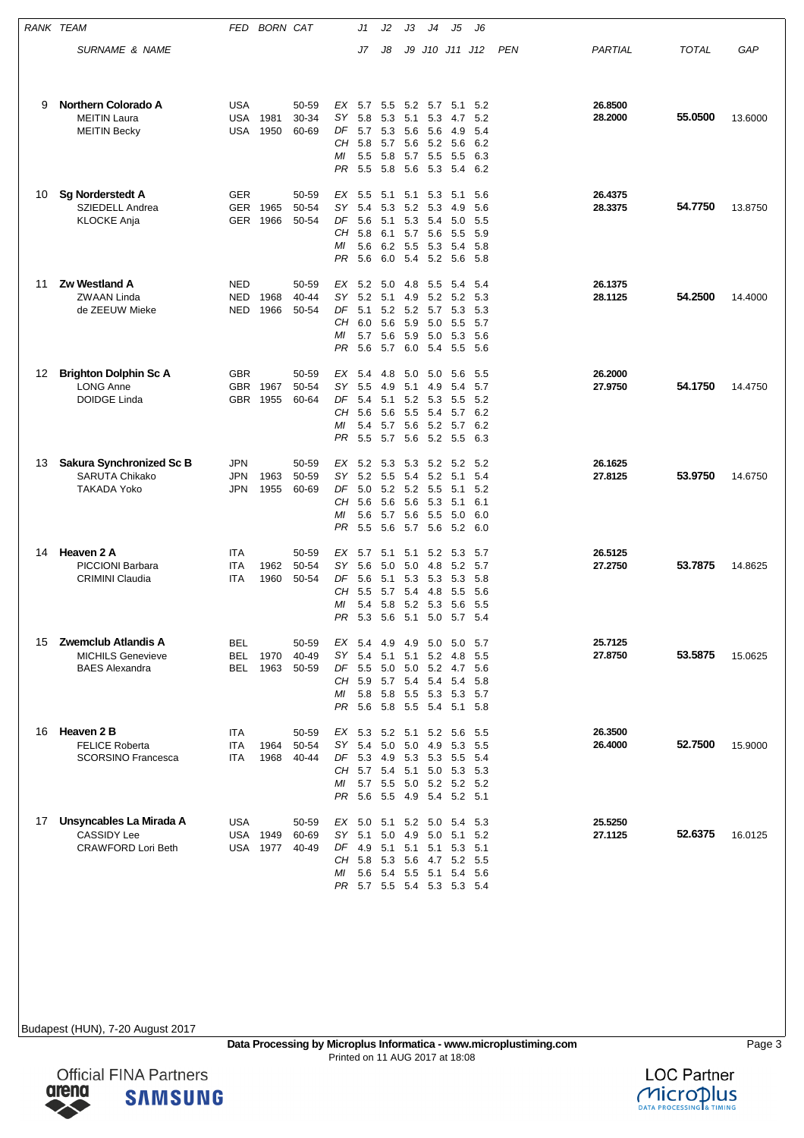|    | RANK TEAM                                                                  | FED                                    | <b>BORN CAT</b> |                         |                                   | J1                                                                                                              | J2                                     | JЗ                              | J4                                                      | J5                                                   | J6                                         |            |                    |              |         |
|----|----------------------------------------------------------------------------|----------------------------------------|-----------------|-------------------------|-----------------------------------|-----------------------------------------------------------------------------------------------------------------|----------------------------------------|---------------------------------|---------------------------------------------------------|------------------------------------------------------|--------------------------------------------|------------|--------------------|--------------|---------|
|    | <b>SURNAME &amp; NAME</b>                                                  |                                        |                 |                         |                                   | J7                                                                                                              | J8                                     | J9                              |                                                         | J10 J11 J12                                          |                                            | <b>PEN</b> | PARTIAL            | <b>TOTAL</b> | GAP     |
| 9  | <b>Northern Colorado A</b><br><b>MEITIN Laura</b><br><b>MEITIN Becky</b>   | <b>USA</b><br><b>USA</b><br>USA        | 1981<br>1950    | 50-59<br>30-34<br>60-69 | EX<br>SΥ<br>DF<br>CН<br>ΜI<br>PR  | 5.7<br>5.8<br>5.7 5.3<br>5.8<br>5.5<br>5.5                                                                      | 5.5<br>5.3<br>5.7<br>5.8<br>5.8        | 5.1<br>5.6<br>5.6<br>5.7<br>5.6 | 5.2 5.7<br>5.3<br>5.6<br>5.2<br>5.5<br>5.3              | 5.1<br>4.7<br>4.9<br>5.6<br>5.5<br>5.4               | 5.2<br>5.2<br>5.4<br>6.2<br>6.3<br>6.2     |            | 26.8500<br>28.2000 | 55.0500      | 13.6000 |
| 10 | <b>Sg Norderstedt A</b><br>SZIEDELL Andrea<br><b>KLOCKE Anja</b>           | GER<br><b>GER</b><br>GER               | 1965<br>1966    | 50-59<br>50-54<br>50-54 | ЕX<br>SΥ<br>DF<br>CН<br>МI<br>PR  | 5.5<br>5.4<br>5.6<br>5.8<br>5.6<br>5.6                                                                          | 5.1<br>5.3<br>5.1<br>6.1<br>6.2<br>6.0 | 5.1<br>5.2<br>5.7<br>5.4        | 5.3<br>5.3<br>5.3 5.4<br>5.6<br>5.5 5.3<br>5.2          | 5.1<br>4.9<br>5.0<br>5.5<br>5.4<br>5.6               | 5.6<br>5.6<br>5.5<br>5.9<br>5.8<br>-5.8    |            | 26.4375<br>28.3375 | 54.7750      | 13.8750 |
| 11 | Zw Westland A<br><b>ZWAAN Linda</b><br>de ZEEUW Mieke                      | <b>NED</b><br><b>NED</b><br>NED        | 1968<br>1966    | 50-59<br>40-44<br>50-54 | EX<br>SY<br>DF<br>CН<br>МI<br>PR  | 5.2<br>5.2<br>5.1<br>6.0<br>5.7<br>5.6                                                                          | 5.0<br>5.1<br>5.2<br>5.6<br>5.6<br>5.7 | 4.8<br>4.9<br>5.9<br>6.0        | 5.5<br>5.2<br>5.2 5.7 5.3<br>5.0<br>5.9 5.0<br>5.4      | 5.4<br>5.2<br>5.5<br>5.3<br>5.5                      | 5.4<br>5.3<br>5.3<br>5.7<br>5.6<br>- 5.6   |            | 26.1375<br>28.1125 | 54.2500      | 14.4000 |
| 12 | <b>Brighton Dolphin Sc A</b><br><b>LONG Anne</b><br><b>DOIDGE Linda</b>    | <b>GBR</b><br><b>GBR</b><br><b>GBR</b> | 1967<br>1955    | 50-59<br>50-54<br>60-64 | ЕX<br>SY<br>DF<br>CН<br>МI<br>PR  | 5.4<br>5.5<br>5.4<br>5.6<br>5.4<br>5.5                                                                          | 4.8<br>4.9<br>5.1<br>5.6<br>5.7        | 5.0<br>5.1<br>5.5<br>5.6        | 5.0<br>4.9<br>5.2 5.3<br>-5.4<br>5.7 5.6 5.2 5.7<br>5.2 | 5.6<br>5.4<br>5.5<br>5.7<br>5.5                      | 5.5<br>5.7<br>5.2<br>6.2<br>6.2<br>6.3     |            | 26.2000<br>27.9750 | 54.1750      | 14.4750 |
| 13 | Sakura Synchronized Sc B<br><b>SARUTA Chikako</b><br><b>TAKADA Yoko</b>    | <b>JPN</b><br><b>JPN</b><br><b>JPN</b> | 1963<br>1955    | 50-59<br>50-59<br>60-69 | EX<br>SY<br>DF<br>CН<br>МI<br>PR. | 5.2 5.3<br>5.2<br>5.0<br>5.6<br>5.6<br>5.5                                                                      | 5.5<br>5.2<br>5.6<br>5.7<br>5.6        | 5.4<br>5.6<br>5.6               | 5.3 5.2<br>5.2<br>5.2 5.5<br>5.3<br>5.5<br>5.7 5.6      | 5.2<br>5.1<br>5.1<br>5.1<br>5.0<br>5.2 6.0           | 5.2<br>5.4<br>5.2<br>6.1<br>6.0            |            | 26.1625<br>27.8125 | 53.9750      | 14.6750 |
| 14 | Heaven 2 A<br><b>PICCIONI Barbara</b><br><b>CRIMINI Claudia</b>            | ITA<br><b>ITA</b><br><b>ITA</b>        | 1962<br>1960    | 50-59<br>50-54<br>50-54 | EX<br>SY<br>DF<br>CН<br>МI<br>PR. | 5.7<br>5.6<br>5.6<br>5.5<br>5.4<br>$5.3$ $5.6$                                                                  | 5.1<br>5.0<br>5.1<br>5.7<br>5.8        | 5.1<br>5.0<br>5.4<br>5.1        | 5.2<br>4.8<br>5.3 5.3<br>4.8<br>5.2 5.3<br>5.0          | 5.3<br>5.2<br>5.3<br>5.5<br>5.6                      | 5.7<br>5.7<br>5.8<br>5.6<br>5.5<br>5.7 5.4 |            | 26.5125<br>27.2750 | 53.7875      | 14.8625 |
| 15 | Zwemclub Atlandis A<br><b>MICHILS Genevieve</b><br><b>BAES Alexandra</b>   | BEL<br><b>BEL</b><br>BEL               | 1970<br>1963    | 50-59<br>40-49<br>50-59 | EX 5.4<br>SY<br>CН<br>ΜI          | 5.4<br>DF 5.5 5.0 5.0 5.2 4.7 5.6<br>5.9 5.7 5.4 5.4 5.4<br>5.8 5.8<br>PR 5.6 5.8 5.5 5.4 5.1 5.8               | 4.9<br>5.1                             | 5.1                             | 4.9 5.0<br>5.2                                          | 5.0<br>-4.8<br>5.5 5.3 5.3 5.7                       | 5.7<br>5.5<br>- 5.8                        |            | 25.7125<br>27.8750 | 53.5875      | 15.0625 |
| 16 | Heaven 2 B<br><b>FELICE Roberta</b><br><b>SCORSINO Francesca</b>           | <b>ITA</b><br>ITA<br>ITA               | 1964<br>1968    | 50-59<br>50-54<br>40-44 | SY.<br>CH<br>ΜI                   | EX 5.3 5.2 5.1 5.2 5.6<br>5.4<br>DF 5.3 4.9 5.3 5.3 5.5 5.4<br>5.7 5.4<br>5.7 5.5<br>PR 5.6 5.5 4.9 5.4 5.2 5.1 | 5.0                                    |                                 | $5.0$ 4.9<br>5.1 5.0                                    | 5.3<br>5.0 5.2 5.2 5.2                               | - 5.5<br>5.5<br>5.3 5.3                    |            | 26.3500<br>26.4000 | 52.7500      | 15.9000 |
| 17 | Unsyncables La Mirada A<br><b>CASSIDY Lee</b><br><b>CRAWFORD Lori Beth</b> | USA<br><b>USA 1949</b><br><b>USA</b>   | 1977            | 50-59<br>60-69<br>40-49 | EX<br>SY<br>DF<br>ΜI              | 5.1<br>4.9 5.1<br>CH 5.8 5.3<br>PR 5.7 5.5 5.4 5.3 5.3 5.4                                                      | 5.0                                    | 4.9<br>5.1                      | 5.0<br>5.1<br>5.6 5.4 5.5 5.1                           | 5.0 5.1 5.2 5.0 5.4<br>5.1<br>5.3<br>5.6 4.7 5.2 5.5 | - 5.3<br>5.2<br>5.1<br>5.4 5.6             |            | 25.5250<br>27.1125 | 52.6375      | 16.0125 |

**Data Processing by Microplus Informatica - www.microplustiming.com** Page 3





Printed on 11 AUG 2017 at 18:08

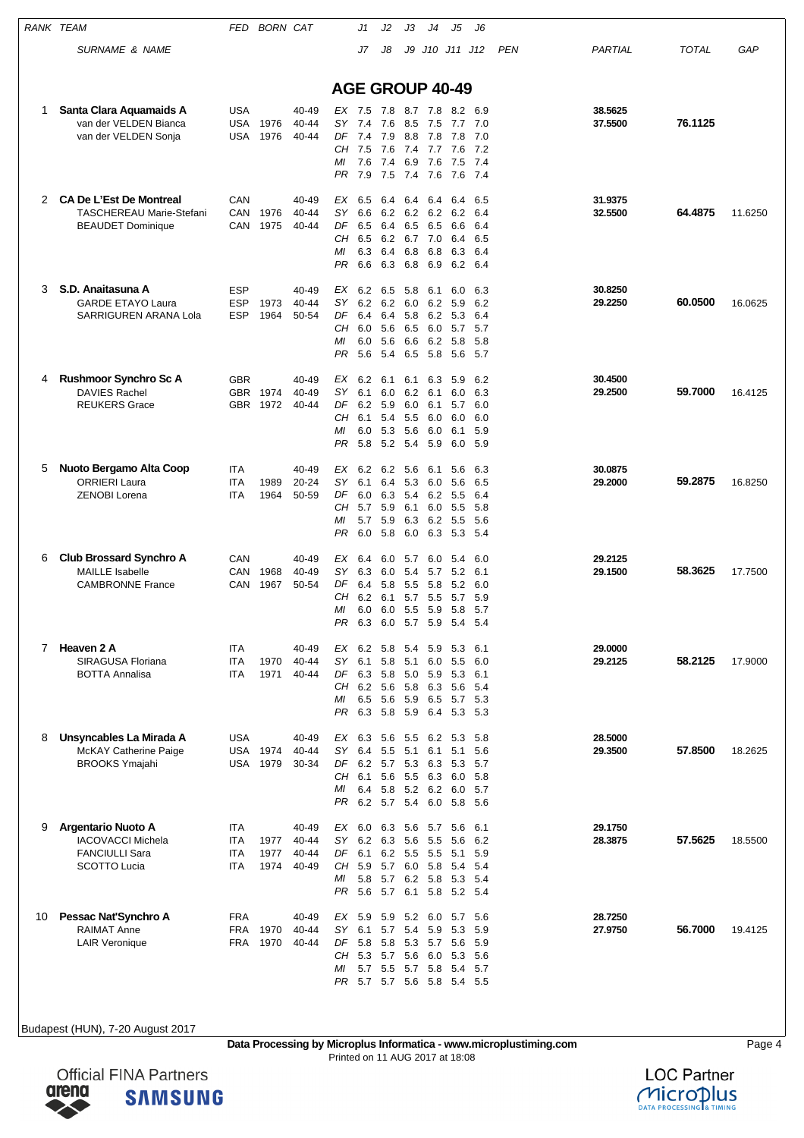| <b>RANK TEAM</b> |                                                                                                       | FED                                     | <b>BORN CAT</b>      |                                  |                                          | J1                                                | J2                                                 | JЗ                                   | J4                                                                             | J5                                       | J6                                     |            |                    |              |         |
|------------------|-------------------------------------------------------------------------------------------------------|-----------------------------------------|----------------------|----------------------------------|------------------------------------------|---------------------------------------------------|----------------------------------------------------|--------------------------------------|--------------------------------------------------------------------------------|------------------------------------------|----------------------------------------|------------|--------------------|--------------|---------|
|                  | <b>SURNAME &amp; NAME</b>                                                                             |                                         |                      |                                  |                                          | J7                                                | J8                                                 |                                      | J9 J10 J11 J12                                                                 |                                          |                                        | <b>PEN</b> | PARTIAL            | <b>TOTAL</b> | GAP     |
|                  |                                                                                                       |                                         |                      |                                  |                                          |                                                   |                                                    |                                      |                                                                                |                                          |                                        |            |                    |              |         |
|                  |                                                                                                       |                                         |                      |                                  | <b>AGE GROUP 40-49</b>                   |                                                   |                                                    |                                      |                                                                                |                                          |                                        |            |                    |              |         |
| 1                | Santa Clara Aquamaids A<br>van der VELDEN Bianca<br>van der VELDEN Sonja                              | <b>USA</b><br>USA<br>USA                | 1976<br>1976         | 40-49<br>40-44<br>40-44          | EX 7.5<br>SY 7.4<br>DF<br>CН<br>ΜI<br>PR | 7.4<br>7.5<br>7.6<br>7.9                          | 7.8<br>7.6<br>7.9<br>7.6<br>7.4<br>7.5             | 8.8<br>6.9<br>7.4                    | 8.7 7.8<br>8.5 7.5<br>7.8<br>7.4 7.7<br>7.6<br>7.6                             | 8.2<br>7.7<br>7.8<br>7.6<br>7.5<br>7.6   | 6.9<br>7.0<br>7.0<br>7.2<br>7.4<br>7.4 |            | 38.5625<br>37.5500 | 76.1125      |         |
| 2                | <b>CA De L'Est De Montreal</b><br><b>TASCHEREAU Marie-Stefani</b><br><b>BEAUDET Dominique</b>         | CAN<br>CAN<br>CAN                       | 1976<br>1975         | 40-49<br>40-44<br>40-44          | ЕX<br><b>SY</b><br>DF<br>CН<br>ΜI<br>PR  | 6.5<br>6.6<br>6.5<br>6.5<br>6.3<br>6.6            | 6.4<br>6.2<br>6.4<br>6.2<br>6.4<br>6.3             | 6.4<br>6.2<br>6.5<br>6.8<br>6.8      | 6.4<br>6.2<br>6.5<br>6.7 7.0<br>6.8<br>6.9                                     | 6.4<br>6.2<br>6.6<br>6.4<br>6.3<br>6.2   | 6.5<br>6.4<br>6.4<br>6.5<br>6.4<br>6.4 |            | 31.9375<br>32.5500 | 64.4875      | 11.6250 |
| 3                | S.D. Anaitasuna A<br><b>GARDE ETAYO Laura</b><br>SARRIGUREN ARANA Lola                                | <b>ESP</b><br><b>ESP</b><br><b>ESP</b>  | 1973<br>1964         | 40-49<br>40-44<br>50-54          | ЕX<br>SY<br>DF<br>CН<br>МI<br>PR         | 6.2<br>6.2<br>6.4<br>6.0<br>6.0<br>5.6            | 6.5<br>6.2<br>6.4<br>5.6<br>5.6<br>5.4             | 5.8<br>6.0<br>5.8<br>6.5<br>6.5      | 6.1<br>6.2<br>6.2<br>6.0<br>6.6 6.2<br>5.8                                     | 6.0<br>5.9<br>5.3<br>5.7<br>5.8<br>5.6   | 6.3<br>6.2<br>6.4<br>5.7<br>5.8<br>5.7 |            | 30.8250<br>29.2250 | 60.0500      | 16.0625 |
| 4                | <b>Rushmoor Synchro Sc A</b><br><b>DAVIES Rachel</b><br><b>REUKERS Grace</b>                          | <b>GBR</b>                              | GBR 1974<br>GBR 1972 | 40-49<br>40-49<br>40-44          | EX<br>SY<br>DF<br>CН<br>ΜI<br>PR         | 6.2<br>6.1<br>6.2<br>6.1<br>6.0<br>5.8            | 6.1<br>6.0<br>5.9<br>5.4<br>5.3<br>5.2             | 6.1<br>6.0<br>5.5<br>5.6<br>5.4      | 6.3<br>6.2 6.1<br>6.1<br>6.0<br>6.0<br>5.9                                     | 5.9<br>6.0<br>5.7<br>6.0<br>6.1<br>6.0   | 6.2<br>6.3<br>6.0<br>6.0<br>5.9<br>5.9 |            | 30.4500<br>29.2500 | 59.7000      | 16.4125 |
| 5                | Nuoto Bergamo Alta Coop<br><b>ORRIERI Laura</b><br><b>ZENOBI Lorena</b>                               | ITA<br>ITA<br><b>ITA</b>                | 1989<br>1964         | 40-49<br>20-24<br>50-59          | EX<br>SΥ<br>DF<br>CН<br>МI<br>PR         | 6.2<br>6.1<br>6.0<br>5.7<br>5.7<br>6.0            | 6.2<br>6.3<br>5.9<br>5.9<br>5.8                    | 5.6<br>6.4 5.3<br>5.4<br>6.1<br>6.0  | 6.1<br>6.0<br>6.2<br>6.0<br>6.3 6.2<br>6.3                                     | 5.6<br>5.6<br>5.5<br>5.5<br>5.5<br>5.3   | 6.3<br>6.5<br>6.4<br>5.8<br>5.6<br>5.4 |            | 30.0875<br>29.2000 | 59.2875      | 16.8250 |
| 6                | <b>Club Brossard Synchro A</b><br><b>MAILLE</b> Isabelle<br><b>CAMBRONNE France</b>                   | CAN<br>CAN<br>CAN                       | 1968<br>1967         | 40-49<br>40-49<br>50-54          | ЕX<br>SΥ<br>DF<br>CН<br>МI<br>PR         | 6.4<br>6.3<br>6.4<br>6.2<br>6.3                   | 6.0<br>6.0<br>5.8<br>6.1<br>6.0 6.0 5.5 5.9<br>6.0 | 5.7<br>5.4<br>5.7<br>$5.7\,$         | 6.0<br>5.7<br>5.5 5.8<br>5.5<br>5.9                                            | 5.4<br>5.2<br>5.2<br>5.7<br>5.8<br>$5.4$ | 6.0<br>6.1<br>6.0<br>5.9<br>5.7<br>5.4 |            | 29.2125<br>29.1500 | 58.3625      | 17.7500 |
| 7                | Heaven 2 A<br>SIRAGUSA Floriana<br><b>BOTTA Annalisa</b>                                              | ITA<br><b>ITA</b><br>ITA                | 1970<br>1971         | 40-49<br>40-44<br>40-44          | SY<br>DF<br>CН<br>МI<br>PR               | EX 6.2 5.8<br>6.1<br>6.3<br>6.2 5.6<br>6.5<br>6.3 | 5.8<br>5.8<br>5.6<br>5.8                           | 5.4<br>5.1<br>5.0 5.9<br>5.9<br>5.9  | 5.9<br>6.0<br>5.8 6.3<br>6.5<br>6.4                                            | 5.3<br>5.5<br>5.3<br>5.6<br>5.7<br>5.3   | 6.1<br>6.0<br>6.1<br>5.4<br>5.3<br>5.3 |            | 29.0000<br>29.2125 | 58.2125      | 17.9000 |
| 8                | Unsyncables La Mirada A<br><b>McKAY Catherine Paige</b><br><b>BROOKS Ymajahi</b>                      | <b>USA</b><br><b>USA</b><br>USA         | 1974<br>1979         | 40-49<br>40-44<br>30-34          | EX<br>SΥ<br>DF<br>CН<br>МI<br>PR.        | 6.3<br>6.4<br>6.1<br>6.4                          | 5.6<br>5.5<br>5.6<br>5.8                           | 5.5<br>5.1                           | 6.2<br>6.1<br>6.2 5.7 5.3 6.3<br>5.5 6.3<br>5.2 6.2 6.0 5.7<br>6.2 5.7 5.4 6.0 | 5.3<br>5.1<br>5.3<br>6.0<br>5.8 5.6      | 5.8<br>5.6<br>5.7<br>5.8               |            | 28.5000<br>29.3500 | 57.8500      | 18.2625 |
| 9                | <b>Argentario Nuoto A</b><br><b>IACOVACCI Michela</b><br><b>FANCIULLI Sara</b><br><b>SCOTTO Lucia</b> | <b>ITA</b><br><b>ITA</b><br>ITA<br>ITA. | 1977<br>1977<br>1974 | 40-49<br>40-44<br>40-44<br>40-49 | ЕX<br>SY<br>DF<br>CН<br>ΜI<br>PR         | 6.0<br>6.2<br>6.1<br>5.9<br>5.8<br>5.6            | 6.3<br>6.3<br>6.2<br>5.7<br>5.7<br>5.7             | 5.6<br>5.5 5.5<br>6.0<br>6.1         | 5.6 5.7 5.6<br>5.5<br>5.8<br>6.2 5.8<br>5.8                                    | 5.6<br>5.1<br>5.4<br>5.3<br>5.2 5.4      | 6.1<br>6.2<br>5.9<br>5.4<br>5.4        |            | 29.1750<br>28.3875 | 57.5625      | 18.5500 |
| 10               | Pessac Nat'Synchro A<br><b>RAIMAT Anne</b><br><b>LAIR Veronique</b>                                   | <b>FRA</b><br><b>FRA</b><br><b>FRA</b>  | 1970<br>1970         | 40-49<br>40-44<br>40-44          | ЕX<br>SY<br>DF<br>CН<br>ΜI<br>PR.        | 5.9<br>6.1<br>5.8<br>5.3<br>5.7<br>5.7            | 5.9<br>5.7<br>5.8<br>5.7<br>5.5                    | 5.2<br>5.4<br>5.7 5.8<br>5.7 5.6 5.8 | 6.0<br>5.9<br>5.3 5.7<br>5.6 6.0                                               | 5.7<br>5.3<br>5.6<br>5.3<br>5.4 5.5      | 5.6<br>5.9<br>5.9<br>5.6<br>5.4 5.7    |            | 28.7250<br>27.9750 | 56.7000      | 19.4125 |

**Data Processing by Microplus Informatica - www.microplustiming.com** Page 4 Printed on 11 AUG 2017 at 18:08



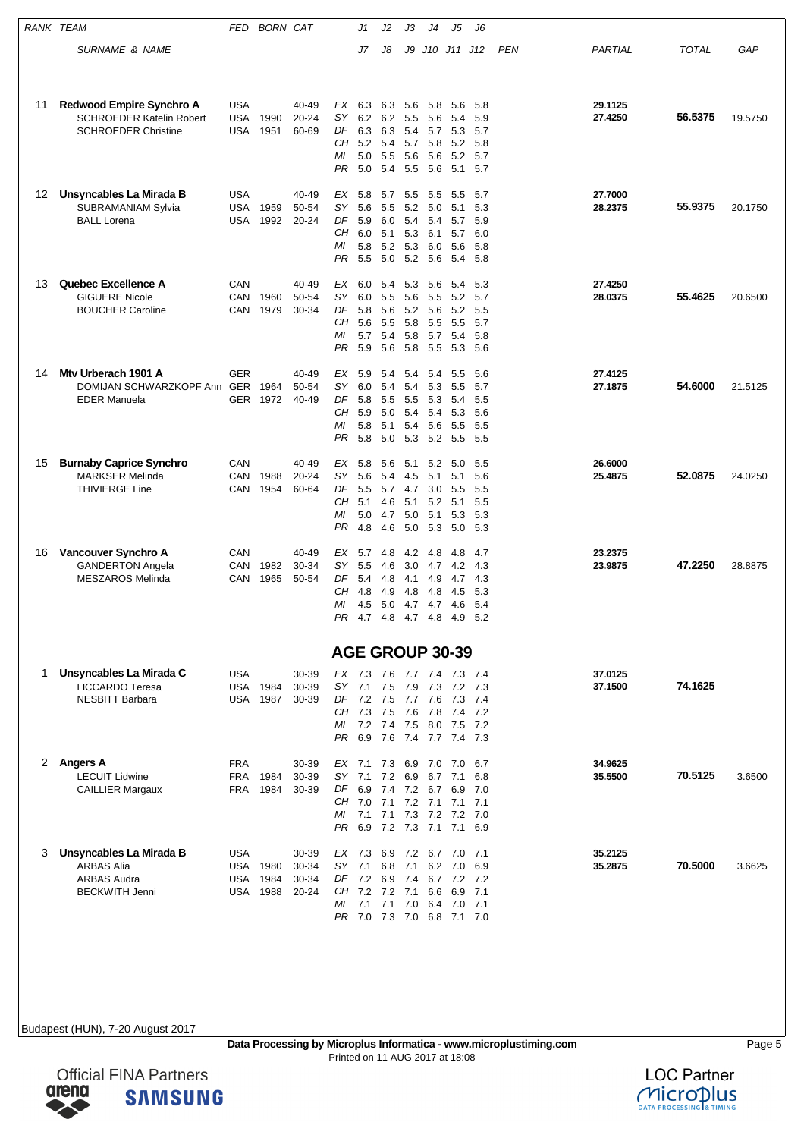|    | RANK TEAM                                          | FED                      | <b>BORN CAT</b> |                |                        | J1                                               | J2         | JЗ         | J4             | J5                                 | J6         |            |                    |              |         |
|----|----------------------------------------------------|--------------------------|-----------------|----------------|------------------------|--------------------------------------------------|------------|------------|----------------|------------------------------------|------------|------------|--------------------|--------------|---------|
|    | <b>SURNAME &amp; NAME</b>                          |                          |                 |                |                        | J7                                               | J8         |            |                | J9 J10 J11 J12                     |            | <b>PEN</b> | PARTIAL            | <b>TOTAL</b> | GAP     |
|    |                                                    |                          |                 |                |                        |                                                  |            |            |                |                                    |            |            |                    |              |         |
|    |                                                    |                          |                 |                |                        |                                                  |            |            |                |                                    |            |            |                    |              |         |
| 11 | Redwood Empire Synchro A                           | <b>USA</b>               |                 | 40-49          | EX                     | 6.3                                              | 6.3        | 5.6        | 5.8            | 5.6                                | 5.8        |            | 29.1125            |              |         |
|    | <b>SCHROEDER Katelin Robert</b>                    | <b>USA</b>               | 1990            | $20 - 24$      | SΥ                     | 6.2                                              | 6.2        | 5.5        | 5.6            | 5.4                                | 5.9        |            | 27.4250            | 56.5375      | 19.5750 |
|    | <b>SCHROEDER Christine</b>                         | USA                      | 1951            | 60-69          | DF<br>CН               | 6.3<br>5.2 5.4                                   | 6.3        | 5.4<br>5.7 | 5.7<br>5.8     | 5.3<br>5.2                         | 5.7<br>5.8 |            |                    |              |         |
|    |                                                    |                          |                 |                | ΜI                     | 5.0                                              | 5.5        | 5.6        | 5.6            | 5.2                                | 5.7        |            |                    |              |         |
|    |                                                    |                          |                 |                | PR                     | 5.0                                              | 5.4        | 5.5        | 5.6            | 5.1                                | 5.7        |            |                    |              |         |
| 12 | Unsyncables La Mirada B                            | <b>USA</b>               |                 | 40-49          | ЕX                     | 5.8                                              | 5.7        | 5.5        | 5.5            | 5.5                                | 5.7        |            | 27.7000            |              |         |
|    | SUBRAMANIAM Sylvia                                 | <b>USA</b>               | 1959            | 50-54          | SΥ                     | 5.6                                              | 5.5        | 5.2        | 5.0            | 5.1                                | 5.3        |            | 28.2375            | 55.9375      | 20.1750 |
|    | <b>BALL Lorena</b>                                 | USA                      | 1992            | 20-24          | DF<br>CН               | 5.9<br>6.0                                       | 6.0<br>5.1 | 5.4<br>5.3 | 5.4<br>6.1     | 5.7<br>5.7                         | 5.9<br>6.0 |            |                    |              |         |
|    |                                                    |                          |                 |                | МI                     | 5.8                                              | 5.2        |            | 5.3 6.0        | 5.6                                | 5.8        |            |                    |              |         |
|    |                                                    |                          |                 |                | PR                     | 5.5                                              | 5.0        |            | 5.2 5.6        | 5.4                                | 5.8        |            |                    |              |         |
| 13 | <b>Quebec Excellence A</b>                         | CAN                      |                 | 40-49          | EX                     | 6.0                                              | 5.4        | 5.3        | 5.6            | 5.4                                | 5.3        |            | 27.4250            |              |         |
|    | <b>GIGUERE Nicole</b>                              | CAN                      | 1960            | 50-54          | SY                     | 6.0                                              | 5.5        | 5.6        | 5.5            | 5.2                                | 5.7        |            | 28.0375            | 55.4625      | 20.6500 |
|    | <b>BOUCHER Caroline</b>                            | CAN                      | 1979            | 30-34          | DF<br>CН               | 5.8<br>5.6                                       | 5.6<br>5.5 | 5.8        | 5.2 5.6<br>5.5 | 5.2<br>5.5                         | 5.5<br>5.7 |            |                    |              |         |
|    |                                                    |                          |                 |                | МI                     | 5.7                                              | 5.4        |            | 5.8 5.7        | 5.4                                | 5.8        |            |                    |              |         |
|    |                                                    |                          |                 |                | PR                     | 5.9                                              | 5.6        | 5.8        | 5.5            | 5.3                                | -5.6       |            |                    |              |         |
| 14 | Mty Urberach 1901 A                                | <b>GER</b>               |                 | 40-49          | EX                     | 5.9                                              | 5.4        | 5.4        | 5.4            | 5.5                                | 5.6        |            | 27.4125            |              |         |
|    | DOMIJAN SCHWARZKOPF Ann GER 1964                   |                          |                 | 50-54          | SY                     | 6.0                                              | 5.4        | 5.4        | 5.3            | 5.5                                | 5.7        |            | 27.1875            | 54.6000      | 21.5125 |
|    | <b>EDER Manuela</b>                                | GER                      | 1972            | 40-49          | DF<br>CН               | 5.8<br>5.9                                       | 5.5<br>5.0 | 5.4        | 5.5 5.3<br>5.4 | 5.4<br>5.3                         | 5.5<br>5.6 |            |                    |              |         |
|    |                                                    |                          |                 |                | МI                     | 5.8                                              | 5.1        |            | 5.4 5.6        | 5.5                                | - 5.5      |            |                    |              |         |
|    |                                                    |                          |                 |                | PR                     | 5.8                                              | 5.0        | 5.3        | 5.2            | 5.5                                | - 5.5      |            |                    |              |         |
| 15 | <b>Burnaby Caprice Synchro</b>                     | CAN                      |                 | 40-49          | EX                     | 5.8                                              | 5.6        | 5.1        | 5.2            | 5.0                                | 5.5        |            | 26.6000            |              |         |
|    | <b>MARKSER Melinda</b><br><b>THIVIERGE Line</b>    | CAN<br>CAN               | 1988<br>1954    | 20-24<br>60-64 | SY<br>DF               | 5.6<br>5.5                                       | 5.4<br>5.7 | 4.5<br>4.7 | 5.1<br>3.0     | 5.1<br>5.5                         | 5.6<br>5.5 |            | 25.4875            | 52.0875      | 24.0250 |
|    |                                                    |                          |                 |                | CН                     | 5.1                                              | 4.6        | 5.1        | 5.2            | 5.1                                | 5.5        |            |                    |              |         |
|    |                                                    |                          |                 |                | МI                     | 5.0                                              | 4.7        | 5.0        | 5.1            | 5.3                                | 5.3        |            |                    |              |         |
|    |                                                    |                          |                 |                | PR                     | 4.8                                              | 4.6        | 5.0        | 5.3            | 5.0                                | - 5.3      |            |                    |              |         |
| 16 | Vancouver Synchro A                                | CAN                      |                 | 40-49          | EX                     | 5.7                                              | 4.8        | 4.2        | 4.8            | 4.8                                | 4.7        |            | 23.2375            |              |         |
|    | <b>GANDERTON Angela</b><br><b>MESZAROS Melinda</b> | CAN<br>CAN               | 1982<br>1965    | 30-34<br>50-54 | SY<br>DF               | 5.5<br>5.4                                       | 4.6<br>4.8 | 3.0        | 4.7<br>4.1 4.9 | 4.2<br>4.7                         | 4.3<br>4.3 |            | 23.9875            | 47.2250      | 28.8875 |
|    |                                                    |                          |                 |                | CН                     | 4.8                                              | 4.9        | 4.8        | -4.8           | 4.5                                | 5.3        |            |                    |              |         |
|    |                                                    |                          |                 |                | МI                     | 4.5                                              | 5.0        | 4.7        | 4.7            | 4.6                                | 5.4        |            |                    |              |         |
|    |                                                    |                          |                 |                | PR.                    | 4.7 4.8                                          |            |            | 4.7 4.8        | 4.9                                | 5.2        |            |                    |              |         |
|    |                                                    |                          |                 |                | <b>AGE GROUP 30-39</b> |                                                  |            |            |                |                                    |            |            |                    |              |         |
|    |                                                    |                          |                 |                |                        |                                                  |            |            |                |                                    |            |            |                    |              |         |
| 1  | Unsyncables La Mirada C<br>LICCARDO Teresa         | <b>USA</b>               | <b>USA 1984</b> | 30-39<br>30-39 |                        | EX 7.3 7.6 7.7 7.4 7.3 7.4<br>SY 7.1 7.5 7.9 7.3 |            |            |                | 7.2                                | - 7.3      |            | 37.0125<br>37.1500 | 74.1625      |         |
|    | <b>NESBITT Barbara</b>                             | USA                      | 1987            | 30-39          |                        | DF 7.2 7.5 7.7 7.6                               |            |            |                | 7.3 7.4                            |            |            |                    |              |         |
|    |                                                    |                          |                 |                | ΜI                     | CH 7.3 7.5 7.6 7.8<br>7.2 7.4 7.5 8.0 7.5 7.2    |            |            |                | 7.4 7.2                            |            |            |                    |              |         |
|    |                                                    |                          |                 |                |                        | PR 6.9 7.6 7.4 7.7 7.4 7.3                       |            |            |                |                                    |            |            |                    |              |         |
|    |                                                    |                          |                 |                |                        |                                                  |            |            |                |                                    |            |            |                    |              |         |
|    | 2 Angers A<br><b>LECUIT Lidwine</b>                | <b>FRA</b><br><b>FRA</b> | 1984            | 30-39<br>30-39 | SY.                    | EX 7.1 7.3 6.9 7.0 7.0 6.7<br>7.1                | 7.2        |            | 6.9 6.7        | 7.1                                | 6.8        |            | 34.9625<br>35.5500 | 70.5125      | 3.6500  |
|    | <b>CAILLIER Margaux</b>                            | <b>FRA</b>               | 1984            | 30-39          |                        | DF 6.9 7.4 7.2 6.7 6.9 7.0                       |            |            |                |                                    |            |            |                    |              |         |
|    |                                                    |                          |                 |                | CН<br>ΜI               | 7.0 7.1                                          |            |            | 7.2 7.1        | 7.1<br>7.1 7.1 7.3 7.2 7.2 7.0     | 7.1        |            |                    |              |         |
|    |                                                    |                          |                 |                |                        | PR 6.9 7.2 7.3 7.1 7.1 6.9                       |            |            |                |                                    |            |            |                    |              |         |
| 3  | Unsyncables La Mirada B                            | <b>USA</b>               |                 | 30-39          | EX 7.3                 |                                                  |            |            |                | 6.9 7.2 6.7 7.0                    | 7.1        |            | 35.2125            |              |         |
|    | <b>ARBAS Alia</b>                                  |                          | <b>USA 1980</b> | 30-34          | SY                     | 7.1                                              | 6.8 7.1    |            | 6.2            | 7.0                                | 6.9        |            | 35.2875            | 70.5000      | 3.6625  |
|    | <b>ARBAS Audra</b>                                 | USA                      | 1984            | 30-34          |                        | DF 7.2 6.9 7.4 6.7 7.2 7.2                       |            |            |                |                                    |            |            |                    |              |         |
|    | <b>BECKWITH Jenni</b>                              | USA                      | 1988            | 20-24          | CH.<br>МI              | 7.2 7.2 7.1 6.6                                  |            |            |                | 6.9 7.1<br>7.1 7.1 7.0 6.4 7.0 7.1 |            |            |                    |              |         |
|    |                                                    |                          |                 |                |                        | PR 7.0 7.3 7.0 6.8 7.1 7.0                       |            |            |                |                                    |            |            |                    |              |         |



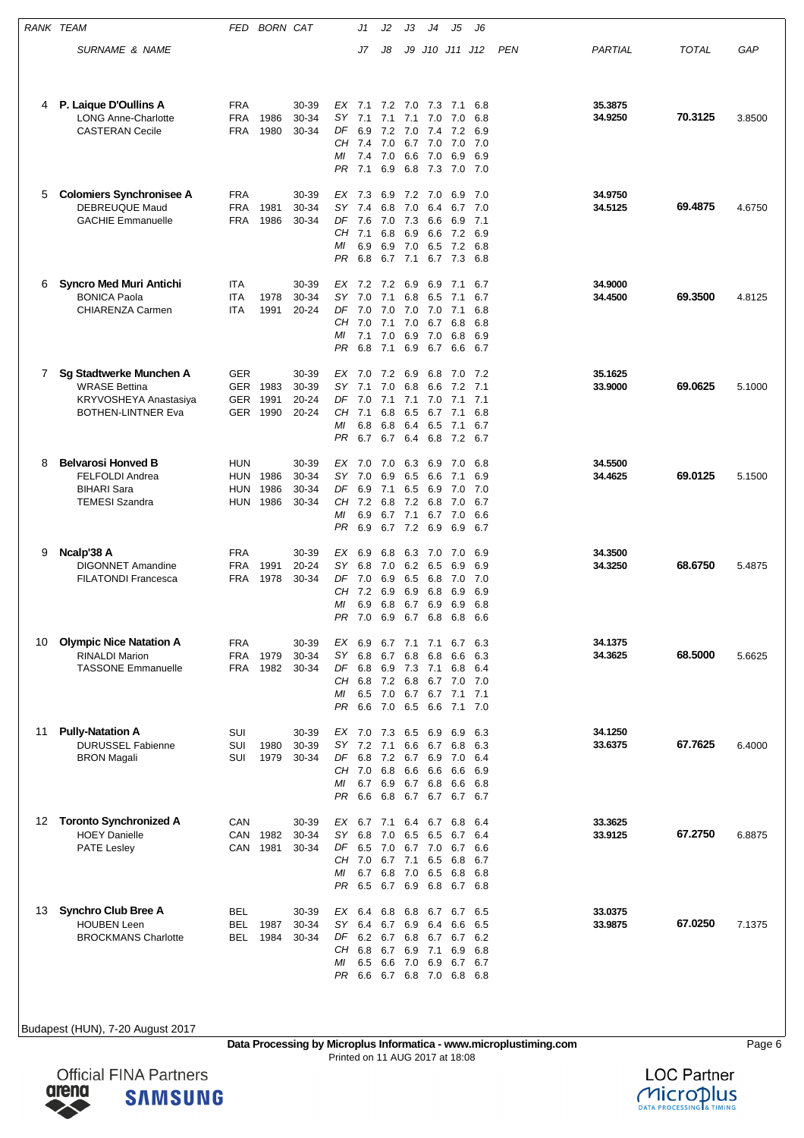| RANK TEAM |                                                                                                       | FED                                    | <b>BORN CAT</b>              |                                  |                                          | J1                                            | J2                                             | J3                                     | J4                                         | J5                                                             | J6                                     |            |                    |              |        |
|-----------|-------------------------------------------------------------------------------------------------------|----------------------------------------|------------------------------|----------------------------------|------------------------------------------|-----------------------------------------------|------------------------------------------------|----------------------------------------|--------------------------------------------|----------------------------------------------------------------|----------------------------------------|------------|--------------------|--------------|--------|
|           | SURNAME & NAME                                                                                        |                                        |                              |                                  |                                          | J7                                            | J8                                             | J9                                     | J10 J11                                    |                                                                | J12                                    | <b>PEN</b> | PARTIAL            | <b>TOTAL</b> | GAP    |
|           |                                                                                                       |                                        |                              |                                  |                                          |                                               |                                                |                                        |                                            |                                                                |                                        |            |                    |              |        |
| 4         | P. Laique D'Oullins A<br><b>LONG Anne-Charlotte</b><br><b>CASTERAN Cecile</b>                         | <b>FRA</b><br><b>FRA</b><br><b>FRA</b> | 1986<br>1980                 | 30-39<br>30-34<br>30-34          | EX<br>SΥ<br>DF<br>CН<br>МI<br>PR         | 7.1<br>7.1<br>6.9<br>7.4<br>7.4<br>7.1        | 7.2<br>7.1<br>7.2<br>7.0<br>7.0<br>6.9         | 7.0<br>7.1<br>7.0<br>6.6<br>6.8        | 7.3<br>7.0<br>7.4<br>6.7 7.0<br>7.0<br>7.3 | 7.1<br>7.0<br>7.2<br>7.0<br>6.9<br>7.0                         | 6.8<br>6.8<br>6.9<br>7.0<br>6.9<br>7.0 |            | 35.3875<br>34.9250 | 70.3125      | 3.8500 |
| 5         | <b>Colomiers Synchronisee A</b><br>DEBREUQUE Maud<br><b>GACHIE Emmanuelle</b>                         | <b>FRA</b><br><b>FRA</b><br><b>FRA</b> | 1981<br>1986                 | 30-39<br>30-34<br>30-34          | EX<br>SY<br>DF<br>CН<br>ΜI<br>PR         | 7.3<br>7.4<br>7.6<br>7.1<br>6.9<br>6.8        | 6.9<br>6.8<br>7.0<br>6.8<br>6.9<br>6.7         | 7.2<br>7.0<br>7.3<br>6.9<br>7.0<br>7.1 | - 7.0<br>6.4<br>6.6<br>6.6<br>6.5<br>6.7   | 6.9<br>6.7<br>6.9<br>7.2<br>7.2<br>7.3                         | 7.0<br>7.0<br>7.1<br>6.9<br>6.8<br>6.8 |            | 34.9750<br>34.5125 | 69.4875      | 4.6750 |
| 6         | <b>Syncro Med Muri Antichi</b><br><b>BONICA Paola</b><br><b>CHIARENZA Carmen</b>                      | ITA<br><b>ITA</b><br><b>ITA</b>        | 1978<br>1991                 | 30-39<br>30-34<br>20-24          | EX<br>SY<br>DF<br>CН<br>ΜI<br>PR         | 7.2 7.2<br>7.0<br>7.0<br>7.0<br>7.1<br>6.8    | 7.1<br>7.0<br>7.1<br>7.0<br>7.1                | 6.9<br>6.8<br>7.0<br>7.0<br>6.9<br>6.9 | 6.9<br>6.5<br>7.0<br>6.7<br>7.0<br>6.7     | 7.1<br>7.1<br>7.1<br>6.8<br>6.8<br>6.6                         | 6.7<br>6.7<br>6.8<br>6.8<br>6.9<br>6.7 |            | 34.9000<br>34.4500 | 69.3500      | 4.8125 |
| 7         | Sg Stadtwerke Munchen A<br><b>WRASE Bettina</b><br>KRYVOSHEYA Anastasiya<br><b>BOTHEN-LINTNER Eva</b> | GER<br>GER                             | GER 1983<br>1991<br>GER 1990 | 30-39<br>30-39<br>20-24<br>20-24 | EX<br>SY<br>DF<br>CН<br>МI<br>PR         | 7.0<br>7.1<br>7.0<br>7.1<br>6.8<br>6.7        | 7.2<br>7.0<br>7.1<br>6.8<br>6.8<br>6.7         | 6.9<br>6.8<br>6.5<br>6.4<br>6.4        | 6.8<br>6.6<br>6.7<br>6.5<br>6.8            | 7.0<br>7.2<br>7.1 7.0 7.1<br>7.1<br>7.1<br>7.2                 | 7.2<br>7.1<br>7.1<br>6.8<br>6.7<br>6.7 |            | 35.1625<br>33.9000 | 69.0625      | 5.1000 |
| 8         | <b>Belvarosi Honved B</b><br>FELFOLDI Andrea<br><b>BIHARI Sara</b><br><b>TEMESI Szandra</b>           | <b>HUN</b><br><b>HUN</b><br>HUN<br>HUN | 1986<br>1986<br>1986         | 30-39<br>30-34<br>30-34<br>30-34 | EX<br>SΥ<br>DF<br>CН<br>МI<br><b>PR</b>  | 7.0<br>7.0<br>6.9<br>7.2<br>6.9<br>6.9        | 7.0<br>6.9<br>7.1<br>6.8<br>6.7<br>6.7         | 6.3<br>6.5<br>6.5<br>7.2<br>7.1<br>7.2 | 6.9<br>6.6<br>6.9<br>6.8<br>6.7<br>6.9     | 7.0<br>7.1<br>7.0<br>7.0<br>7.0<br>6.9                         | 6.8<br>6.9<br>7.0<br>6.7<br>6.6<br>6.7 |            | 34.5500<br>34.4625 | 69.0125      | 5.1500 |
| 9         | Ncalp'38 A<br><b>DIGONNET Amandine</b><br><b>FILATONDI Francesca</b>                                  | <b>FRA</b><br>FRA<br><b>FRA</b>        | 1991<br>1978                 | 30-39<br>20-24<br>30-34          | EX<br>SY<br>DF<br>CН<br>МI<br>PR.        | 6.9<br>6.8<br>7.0<br>7.2<br>6.9<br>7.0        | 6.8<br>7.0<br>6.9<br>6.9<br>6.8<br>6.9         | 6.3<br>6.2<br>6.5<br>6.9<br>6.7<br>6.7 | 7.0<br>6.5<br>6.8<br>6.8<br>6.9<br>6.8     | 7.0<br>6.9<br>7.0<br>6.9<br>6.9<br>6.8                         | 6.9<br>6.9<br>7.0<br>6.9<br>6.8<br>6.6 |            | 34.3500<br>34.3250 | 68.6750      | 5.4875 |
| 10        | <b>Olympic Nice Natation A</b><br><b>RINALDI Marion</b><br><b>TASSONE Emmanuelle</b>                  | FRA<br><b>FRA</b><br><b>FRA</b>        | 1979<br>1982                 | 30-39<br>30-34<br>30-34          | EX<br>SY.<br>DF<br>CН<br>ΜI<br><b>PR</b> | 6.9<br>6.8<br>6.8<br>6.8<br>6.5<br>6.6        | 6.7 7.1<br>6.7<br>6.9<br>7.2<br>7.0<br>7.0     | 6.8<br>7.3<br>6.8<br>6.5               | 7.1<br>6.8<br>7.1<br>6.6                   | 6.7<br>6.6<br>6.8<br>6.7 7.0<br>6.7 6.7 7.1<br>7.1             | 6.3<br>6.3<br>6.4<br>7.0<br>7.1<br>7.0 |            | 34.1375<br>34.3625 | 68.5000      | 5.6625 |
| 11        | <b>Pully-Natation A</b><br><b>DURUSSEL Fabienne</b><br><b>BRON Magali</b>                             | SUI<br>SUI<br>SUI                      | 1980<br>1979                 | 30-39<br>30-39<br>30-34          | SΥ<br>DF<br>CН<br>МI<br>PR.              | EX 7.0 7.3<br>7.2<br>6.8<br>7.0<br>6.7<br>6.6 | 7.1<br>7.2<br>6.8<br>6.9<br>6.8                | 6.5<br>6.6<br>6.7                      | 6.9<br>6.7<br>6.7 6.9<br>6.6 6.6<br>6.8    | 6.9<br>6.8<br>7.0<br>6.6<br>6.6<br>6.7 6.7 6.7 6.7             | 6.3<br>6.3<br>6.4<br>6.9<br>6.8        |            | 34.1250<br>33.6375 | 67.7625      | 6.4000 |
| 12        | <b>Toronto Synchronized A</b><br><b>HOEY Danielle</b><br><b>PATE Lesley</b>                           | CAN<br>CAN<br>CAN                      | 1982<br>1981                 | 30-39<br>30-34<br>30-34          | EX<br>SΥ<br>DF<br>CН<br>ΜI<br>PR         | 6.7<br>6.8<br>6.5<br>7.0<br>6.7<br>6.5        | 7.1<br>7.0<br>7.0<br>6.7<br>6.8<br>6.7 6.9 6.8 | 6.4<br>6.5<br>7.1<br>7.0               | 6.5<br>6.5<br>6.5                          | 6.7 6.8<br>6.7<br>6.7 7.0 6.7<br>6.8<br>6.8<br>6.7 6.8         | 6.4<br>6.4<br>6.6<br>6.7<br>6.8        |            | 33.3625<br>33.9125 | 67.2750      | 6.8875 |
| 13        | <b>Synchro Club Bree A</b><br><b>HOUBEN Leen</b><br><b>BROCKMANS Charlotte</b>                        | <b>BEL</b><br>BEL<br>BEL               | 1987<br>1984                 | 30-39<br>30-34<br>30-34          | EX<br>SΥ<br>DF<br>CН<br>МI<br>PR         | 6.4<br>6.4<br>6.2<br>6.8<br>6.5               | 6.8<br>6.7<br>6.7<br>6.7<br>6.6                | 6.8<br>6.9<br>7.0                      | 6.4<br>6.8 6.7<br>6.9 7.1<br>6.9           | 6.7 6.7<br>6.6<br>6.7<br>6.9<br>6.7<br>6.6 6.7 6.8 7.0 6.8 6.8 | 6.5<br>6.5<br>6.2<br>6.8<br>6.7        |            | 33.0375<br>33.9875 | 67.0250      | 7.1375 |



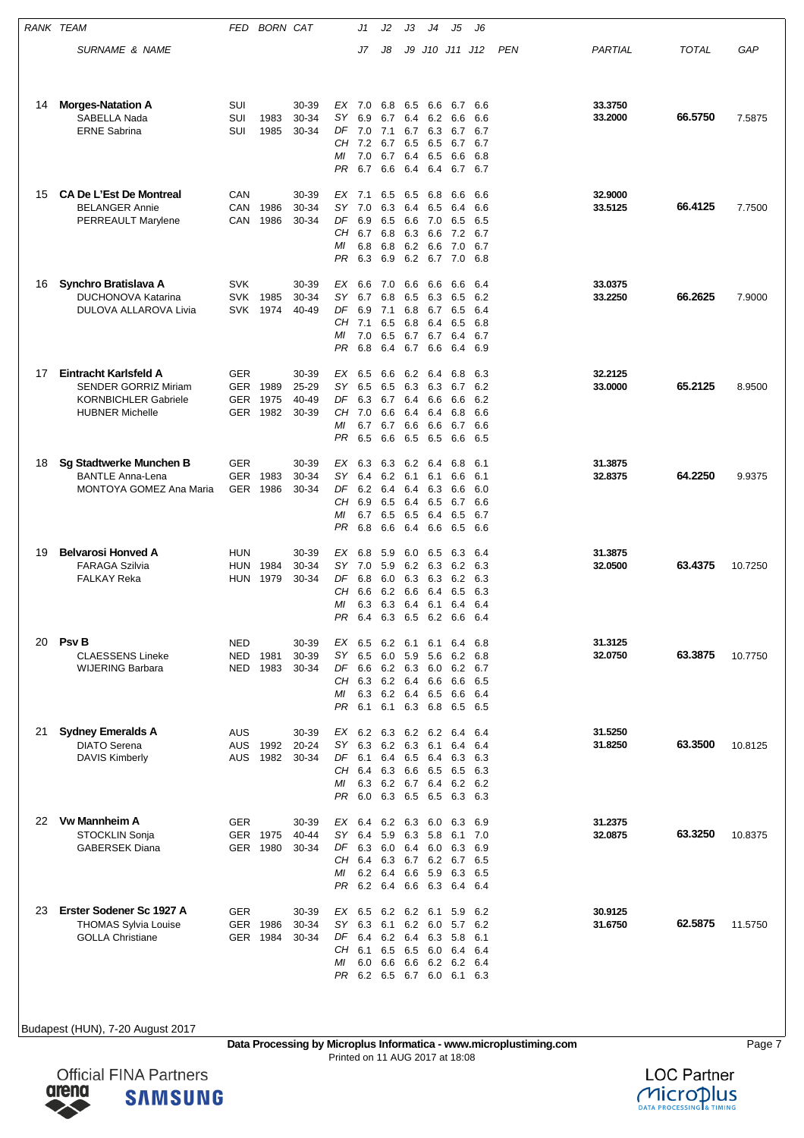| RANK TEAM |                                                                                                               | FED                                    | <b>BORN CAT</b>          |                                  |                                          | J1                                                        | J2                                             | J3                                     | J4                                                         | J5                                                      | J6                                      |     |                    |              |         |
|-----------|---------------------------------------------------------------------------------------------------------------|----------------------------------------|--------------------------|----------------------------------|------------------------------------------|-----------------------------------------------------------|------------------------------------------------|----------------------------------------|------------------------------------------------------------|---------------------------------------------------------|-----------------------------------------|-----|--------------------|--------------|---------|
|           | SURNAME & NAME                                                                                                |                                        |                          |                                  |                                          | J7                                                        | J8                                             | J9                                     |                                                            | J10 J11 J12                                             |                                         | PEN | PARTIAL            | <b>TOTAL</b> | GAP     |
|           |                                                                                                               |                                        |                          |                                  |                                          |                                                           |                                                |                                        |                                                            |                                                         |                                         |     |                    |              |         |
| 14        | <b>Morges-Natation A</b><br>SABELLA Nada<br><b>ERNE Sabrina</b>                                               | SUI<br>SUI<br>SUI                      | 1983<br>1985             | 30-39<br>30-34<br>30-34          | EX<br>SΥ<br>DF<br>CH<br>МI<br>PR         | 7.0<br>6.9<br>7.0<br>7.2<br>7.0<br>6.7                    | 6.8<br>6.7<br>7.1<br>6.7<br>6.7<br>6.6         | 6.5<br>6.4<br>6.7<br>6.5<br>6.4<br>6.4 | 6.6<br>6.3<br>6.5<br>6.5<br>6.4                            | 6.7<br>6.2 6.6<br>6.7<br>6.7<br>6.6<br>6.7 6.7          | 6.6<br>6.6<br>6.7<br>6.7<br>6.8         |     | 33.3750<br>33.2000 | 66.5750      | 7.5875  |
| 15        | <b>CA De L'Est De Montreal</b><br><b>BELANGER Annie</b><br>PERREAULT Marylene                                 | CAN<br>CAN<br>CAN                      | 1986<br>1986             | 30-39<br>30-34<br>30-34          | EX<br>SΥ<br>DF<br>CН<br>МI<br>PR         | 7.1<br>7.0<br>6.9<br>6.7<br>6.8<br>6.3                    | 6.5<br>6.3<br>6.5<br>6.8<br>6.8<br>6.9         | 6.5<br>6.4<br>6.6<br>6.3<br>6.2<br>6.2 | 6.8<br>6.5<br>7.0<br>6.6<br>6.6<br>6.7                     | 6.6<br>6.4<br>6.5<br>7.2<br>7.0<br>7.0                  | 6.6<br>6.6<br>6.5<br>6.7<br>6.7<br>6.8  |     | 32.9000<br>33.5125 | 66.4125      | 7.7500  |
| 16        | Synchro Bratislava A<br><b>DUCHONOVA Katarina</b><br><b>DULOVA ALLAROVA Livia</b>                             | <b>SVK</b><br><b>SVK</b><br><b>SVK</b> | 1985<br>1974             | 30-39<br>30-34<br>40-49          | EX<br>SΥ<br>DF<br>CН<br>ΜI<br>PR         | 6.6<br>6.7<br>6.9<br>7.1<br>7.0<br>6.8                    | 7.0<br>6.8<br>7.1<br>6.5<br>6.5<br>6.4         | 6.6<br>6.5<br>6.8<br>6.8<br>6.7<br>6.7 | 6.6<br>6.3<br>6.7<br>6.4<br>6.7<br>6.6                     | 6.6<br>6.5<br>6.5<br>6.5<br>6.4<br>6.4                  | -6.4<br>6.2<br>6.4<br>6.8<br>6.7<br>6.9 |     | 33.0375<br>33.2250 | 66.2625      | 7.9000  |
| 17        | Eintracht Karlsfeld A<br><b>SENDER GORRIZ Miriam</b><br><b>KORNBICHLER Gabriele</b><br><b>HUBNER Michelle</b> | <b>GER</b><br>GER<br><b>GER</b>        | 1989<br>1975<br>GER 1982 | 30-39<br>25-29<br>40-49<br>30-39 | ЕX<br>SΥ<br>DF<br>CН<br>МI<br>PR         | 6.5<br>6.5<br>6.3<br>7.0<br>6.7<br>6.5                    | 6.6<br>6.5<br>6.7<br>6.6<br>6.7<br>6.6         | 6.2<br>6.3<br>6.4<br>6.4<br>6.6<br>6.5 | 6.4<br>6.3<br>6.6<br>6.4<br>6.6<br>6.5                     | 6.8<br>6.7<br>6.6<br>6.8<br>6.7<br>6.6                  | 6.3<br>6.2<br>6.2<br>6.6<br>6.6<br>6.5  |     | 32.2125<br>33.0000 | 65.2125      | 8.9500  |
| 18        | Sg Stadtwerke Munchen B<br><b>BANTLE Anna-Lena</b><br>MONTOYA GOMEZ Ana Maria                                 | <b>GER</b><br><b>GER</b><br>GER        | 1983<br>1986             | 30-39<br>30-34<br>30-34          | ЕX<br>SΥ<br>DF<br>CН<br>МI<br>PR         | 6.3<br>6.4<br>6.2<br>6.9<br>6.7<br>6.8                    | 6.3<br>6.2<br>6.4<br>6.5<br>6.5<br>6.6         | 6.2<br>6.1<br>6.4<br>6.4<br>6.5<br>6.4 | 6.4<br>6.1<br>6.3<br>6.5<br>6.4<br>6.6                     | 6.8<br>6.6<br>6.6<br>6.7<br>6.5<br>6.5                  | 6.1<br>6.1<br>6.0<br>6.6<br>6.7<br>6.6  |     | 31.3875<br>32.8375 | 64.2250      | 9.9375  |
| 19        | <b>Belvarosi Honved A</b><br><b>FARAGA Szilvia</b><br><b>FALKAY Reka</b>                                      | <b>HUN</b><br>HUN<br><b>HUN</b>        | 1984<br>1979             | 30-39<br>30-34<br>30-34          | ЕX<br>SΥ<br>DF<br>CН<br>MI<br>PR         | 6.8<br>7.0<br>6.8<br>6.6<br>6.3<br>6.4                    | 5.9<br>5.9<br>6.0<br>6.2<br>6.3<br>6.3         | 6.0<br>6.2<br>6.6<br>6.4<br>6.5        | 6.5<br>6.3<br>6.3 6.3<br>6.4<br>6.1<br>6.2 6.6             | 6.3<br>6.2<br>6.2<br>6.5<br>6.4                         | 6.4<br>6.3<br>6.3<br>6.3<br>6.4<br>6.4  |     | 31.3875<br>32.0500 | 63.4375      | 10.7250 |
| 20        | <b>Psv B</b><br><b>CLAESSENS Lineke</b><br><b>WIJERING Barbara</b>                                            | NED<br>NED<br>NED                      | 1981<br>1983             | 30-39<br>30-39<br>30-34          | EX<br>SY<br>DF<br>CH<br>ΜI<br>PR         | 6.5<br>6.5<br>6.6<br>6.3<br>6.3<br>6.1                    | 6.2<br>6.0<br>6.2<br>6.2<br>6.2 6.4 6.5<br>6.1 | 6.1<br>5.9<br>6.4<br>6.3               | 6.1<br>5.6<br>6.3 6.0<br>6.6<br>6.8                        | 6.4<br>6.2<br>6.2<br>6.6<br>6.6<br>6.5                  | 6.8<br>6.8<br>6.7<br>6.5<br>6.4<br>6.5  |     | 31.3125<br>32.0750 | 63.3875      | 10.7750 |
| 21        | <b>Sydney Emeralds A</b><br><b>DIATO Serena</b><br><b>DAVIS Kimberly</b>                                      | AUS<br>AUS<br>AUS                      | 1992<br>1982             | 30-39<br>20-24<br>30-34          | SY.<br>DF<br>CН<br>МI<br><b>PR</b>       | EX 6.2 6.3 6.2 6.2 6.4<br>6.3<br>6.1<br>6.4<br>6.3<br>6.0 | 6.2<br>6.4<br>6.3<br>6.3                       | 6.3<br>6.5<br>6.6<br>6.5               | 6.1<br>6.4<br>6.5<br>6.2 6.7 6.4<br>6.5                    | 6.4<br>6.3<br>6.5<br>6.2<br>6.3                         | 6.4<br>6.4<br>6.3<br>6.3<br>6.2<br>6.3  |     | 31.5250<br>31.8250 | 63.3500      | 10.8125 |
| 22        | <b>Vw Mannheim A</b><br>STOCKLIN Sonja<br><b>GABERSEK Diana</b>                                               | <b>GER</b>                             | GER 1975<br>GER 1980     | 30-39<br>40-44<br>30-34          | EX<br><b>SY</b><br>DF<br>CН<br>МI<br>PR. | 6.4<br>6.4<br>6.3<br>6.4<br>6.2 6.4<br>6.2                | 6.2<br>5.9<br>6.0<br>6.3<br>6.4                | 6.3<br>6.3<br>6.6                      | 6.0<br>5.8<br>6.4 6.0 6.3<br>6.7 6.2 6.7<br>5.9<br>6.6 6.3 | 6.3<br>6.1<br>6.3<br>6.4 6.4                            | 6.9<br>7.0<br>6.9<br>6.5<br>6.5         |     | 31.2375<br>32.0875 | 63.3250      | 10.8375 |
| 23        | Erster Sodener Sc 1927 A<br><b>THOMAS Sylvia Louise</b><br><b>GOLLA Christiane</b>                            | <b>GER</b>                             | GER 1986<br>GER 1984     | 30-39<br>30-34<br>30-34          | EX<br>SY<br>DF<br>CН<br>ΜI<br>PR         | 6.5<br>6.3<br>6.4<br>6.1<br>6.0                           | 6.2 6.2<br>6.1<br>6.5<br>6.6                   | 6.5<br>6.6                             | 6.2 6.0<br>6.2 6.4 6.3 5.8<br>6.0<br>6.2                   | 6.1 5.9<br>5.7<br>6.4<br>6.2<br>6.2 6.5 6.7 6.0 6.1 6.3 | 6.2<br>6.2<br>6.1<br>6.4<br>6.4         |     | 30.9125<br>31.6750 | 62.5875      | 11.5750 |



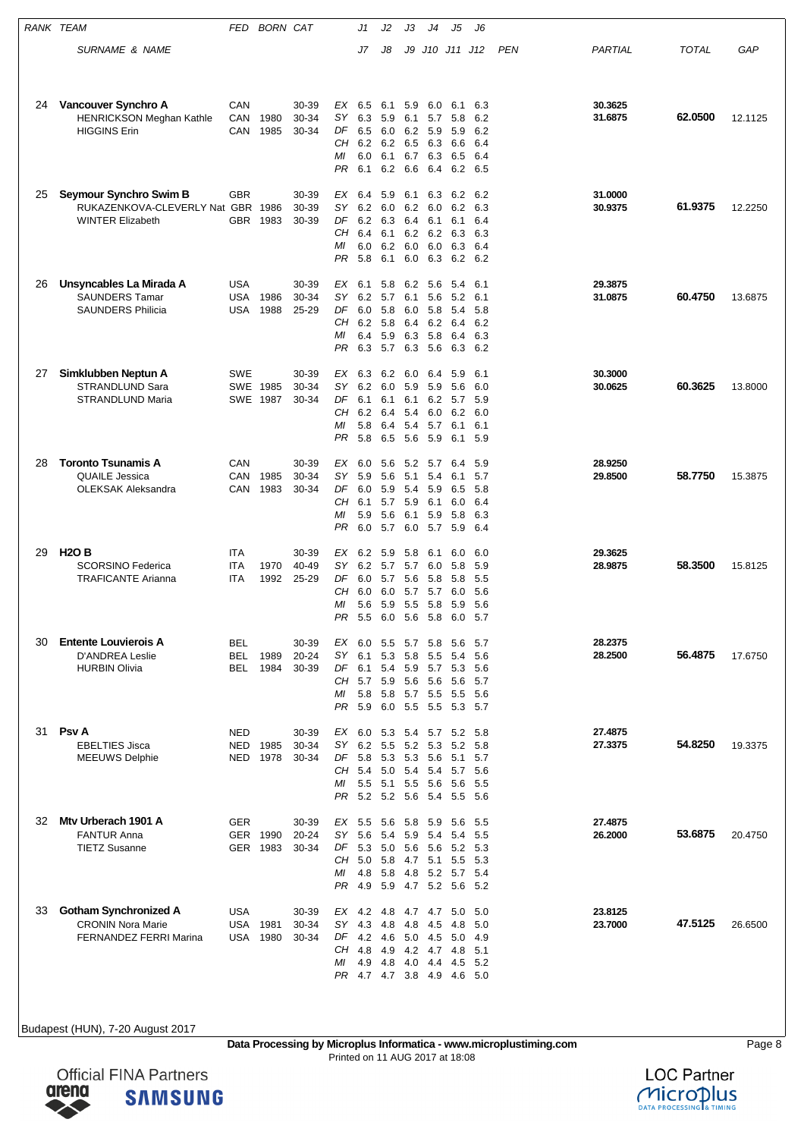| RANK TEAM |                                                                                        | FED                             | <b>BORN CAT</b>         |                         |                                  | J1                                                                       | J2                                     | JЗ                                     | J4                                                     | J5                                                             | J6                                        |     |                    |              |         |
|-----------|----------------------------------------------------------------------------------------|---------------------------------|-------------------------|-------------------------|----------------------------------|--------------------------------------------------------------------------|----------------------------------------|----------------------------------------|--------------------------------------------------------|----------------------------------------------------------------|-------------------------------------------|-----|--------------------|--------------|---------|
|           | <b>SURNAME &amp; NAME</b>                                                              |                                 |                         |                         |                                  | J7                                                                       | J8                                     | J9                                     |                                                        | J10 J11 J12                                                    |                                           | PEN | PARTIAL            | <b>TOTAL</b> | GAP     |
| 24        | Vancouver Synchro A<br><b>HENRICKSON Meghan Kathle</b><br><b>HIGGINS Erin</b>          | CAN<br>CAN<br>CAN               | 1980<br>1985            | 30-39<br>30-34<br>30-34 | EX<br>SY<br>DF<br>CН<br>ΜI<br>PR | 6.5<br>6.3<br>6.5<br>6.2 6.2 6.5 6.3<br>6.0<br>6.1                       | 6.1<br>5.9<br>6.0<br>6.1<br>6.2        | 5.9<br>6.1<br>6.2<br>6.7<br>6.6        | 6.0<br>5.7<br>5.9<br>6.3<br>6.4                        | 6.1<br>5.8<br>5.9<br>6.6<br>6.5<br>6.2                         | 6.3<br>6.2<br>6.2<br>6.4<br>6.4<br>6.5    |     | 30.3625<br>31.6875 | 62.0500      | 12.1125 |
| 25        | Seymour Synchro Swim B<br>RUKAZENKOVA-CLEVERLY Nat GBR 1986<br><b>WINTER Elizabeth</b> | GBR<br><b>GBR</b>               | 1983                    | 30-39<br>30-39<br>30-39 | ЕX<br>SY<br>DF<br>CН<br>ΜI<br>PR | 6.4<br>6.2<br>6.2<br>6.4<br>6.0<br>5.8                                   | 5.9<br>6.0<br>6.3<br>6.1<br>6.2<br>6.1 | 6.1<br>6.2<br>6.4<br>6.0<br>6.0        | 6.3<br>6.0<br>6.1<br>6.2 6.2<br>6.0<br>6.3             | 6.2<br>6.2<br>6.1<br>6.3<br>6.3<br>6.2                         | 6.2<br>6.3<br>6.4<br>6.3<br>6.4<br>6.2    |     | 31.0000<br>30.9375 | 61.9375      | 12.2250 |
| 26        | Unsyncables La Mirada A<br><b>SAUNDERS Tamar</b><br><b>SAUNDERS Philicia</b>           | <b>USA</b><br><b>USA</b><br>USA | 1986<br>1988            | 30-39<br>30-34<br>25-29 | ЕX<br>SΥ<br>DF<br>CН<br>МI<br>PR | 6.1<br>6.2 5.7<br>6.0<br>6.2<br>6.4<br>6.3                               | 5.8<br>5.8<br>5.8<br>5.9<br>5.7 6.3    | 6.2<br>6.1<br>6.0<br>6.4<br>6.3        | 5.6<br>5.6<br>5.8<br>6.2<br>5.8<br>5.6                 | 5.4<br>5.2<br>5.4<br>6.4<br>6.4<br>6.3                         | 6.1<br>6.1<br>5.8<br>6.2<br>6.3<br>6.2    |     | 29.3875<br>31.0875 | 60.4750      | 13.6875 |
| 27        | Simklubben Neptun A<br>STRANDLUND Sara<br>STRANDLUND Maria                             | SWE                             | SWE 1985<br>SWE 1987    | 30-39<br>30-34<br>30-34 | EX<br>SΥ<br>DF<br>CН<br>ΜI<br>PR | 6.3<br>6.2 6.0<br>6.1<br>6.2<br>5.8<br>5.8                               | 6.2<br>6.1<br>6.4<br>6.4<br>6.5        | 6.0<br>5.9<br>6.1<br>5.4<br>5.4<br>5.6 | 6.4<br>5.9<br>6.2<br>6.0<br>5.7<br>5.9                 | 5.9<br>5.6<br>5.7<br>6.2<br>6.1<br>6.1                         | 6.1<br>6.0<br>5.9<br>6.0<br>6.1<br>5.9    |     | 30.3000<br>30.0625 | 60.3625      | 13.8000 |
| 28        | <b>Toronto Tsunamis A</b><br><b>QUAILE Jessica</b><br><b>OLEKSAK Aleksandra</b>        | CAN<br>CAN<br>CAN               | 1985<br>1983            | 30-39<br>30-34<br>30-34 | ЕX<br>SΥ<br>DF<br>CН<br>ΜI<br>PR | 6.0<br>5.9<br>6.0<br>6.1<br>5.9<br>6.0                                   | 5.6<br>5.6<br>5.9<br>5.7<br>5.6<br>5.7 | 5.2<br>5.1<br>5.4<br>6.1<br>6.0        | 5.7<br>5.4<br>5.9<br>5.9 6.1<br>5.9<br>5.7             | 6.4<br>6.1<br>6.5<br>6.0<br>5.8<br>5.9                         | 5.9<br>5.7<br>5.8<br>6.4<br>6.3<br>6.4    |     | 28.9250<br>29.8500 | 58.7750      | 15.3875 |
| 29        | <b>H2O B</b><br><b>SCORSINO Federica</b><br><b>TRAFICANTE Arianna</b>                  | ITA<br><b>ITA</b><br>ITA        | 1970<br>1992            | 30-39<br>40-49<br>25-29 | EX<br>SΥ<br>DF<br>CН<br>МI<br>PR | 6.2<br>6.2<br>6.0<br>6.0<br>5.6<br>5.5                                   | 5.9<br>5.7<br>5.7<br>6.0<br>5.9<br>6.0 | 5.8<br>5.7<br>5.6<br>5.7<br>5.5        | 6.1<br>6.0<br>5.8<br>5.7<br>5.8<br>56 58               | 6.0<br>5.8<br>5.8<br>6.0<br>5.9<br>6.0                         | 6.0<br>5.9<br>5.5<br>5.6<br>5.6<br>- 5.7  |     | 29.3625<br>28.9875 | 58.3500      | 15.8125 |
| 30        | <b>Entente Louvierois A</b><br><b>D'ANDREA Leslie</b><br><b>HURBIN Olivia</b>          | <b>BEL</b><br><b>BEL</b><br>BEL | 1989<br>1984            | 30-39<br>20-24<br>30-39 | EX<br>SΥ<br>DF<br>CН<br>ΜI<br>PR | 6.0<br>6.1<br>6.1<br>5.7 5.9<br>5.8<br>5.9                               | 5.5<br>5.3<br>5.4<br>5.8<br>6.0        | 5.7<br>5.8<br>5.6                      | 5.8<br>5.5<br>5.9 5.7 5.3<br>5.6<br>5.7 5.5<br>5.5 5.5 | 5.6<br>5.4<br>5.6<br>5.5<br>5.3                                | 5.7<br>5.6<br>5.6<br>5.7<br>-5.6<br>- 5.7 |     | 28.2375<br>28.2500 | 56.4875      | 17.6750 |
| 31        | <b>Psv A</b><br><b>EBELTIES Jisca</b><br><b>MEEUWS Delphie</b>                         | <b>NED</b><br>NED<br>NED        | 1985<br>1978            | 30-39<br>30-34<br>30-34 | EX<br>SΥ<br>DF<br>CН<br>ΜI<br>PR | 6.0<br>6.2<br>5.8<br>5.4<br>5.5<br>5.2 5.2 5.6                           | 5.3<br>5.5<br>5.3<br>5.0<br>5.1        | 5.4<br>5.4                             | 5.2 5.3<br>5.3 5.6<br>5.4<br>5.5 5.6<br>5.4            | 5.7 5.2<br>5.2<br>5.1<br>5.7<br>5.6<br>5.5                     | 5.8<br>5.8<br>5.7<br>5.6<br>5.5<br>- 5.6  |     | 27.4875<br>27.3375 | 54.8250      | 19.3375 |
| 32        | Mtv Urberach 1901 A<br><b>FANTUR Anna</b><br><b>TIETZ Susanne</b>                      | GER                             | GER 1990<br>GER 1983    | 30-39<br>20-24<br>30-34 | EX<br>SΥ<br>DF<br>CН<br>ΜI<br>PR | 5.5<br>5.6<br>5.3<br>5.0<br>4.8 5.8<br>4.9                               | 5.6<br>5.4<br>5.0<br>5.8<br>5.9        | 5.8<br>5.9<br>4.7                      | 5.9<br>5.4<br>5.6 5.6<br>5.1                           | 5.6<br>5.4<br>5.2<br>5.5<br>4.8 5.2 5.7 5.4<br>4.7 5.2 5.6 5.2 | 5.5<br>5.5<br>- 5.3<br>- 5.3              |     | 27.4875<br>26.2000 | 53.6875      | 20.4750 |
| 33        | <b>Gotham Synchronized A</b><br><b>CRONIN Nora Marie</b><br>FERNANDEZ FERRI Marina     | USA<br>USA                      | <b>USA 1981</b><br>1980 | 30-39<br>30-34<br>30-34 | SY<br>DF<br>CН<br>ΜI             | EX 4.2 4.8<br>4.3<br>4.2 4.6<br>4.8<br>4.9<br>PR 4.7 4.7 3.8 4.9 4.6 5.0 | 4.8<br>4.9<br>4.8                      | 4.8                                    | 4.5<br>5.0 4.5<br>4.2 4.7<br>4.0 4.4                   | 4.7 4.7 5.0<br>4.8<br>5.0<br>4.8<br>4.5                        | -5.0<br>5.0<br>-4.9<br>5.1<br>5.2         |     | 23.8125<br>23.7000 | 47.5125      | 26.6500 |

**Data Processing by Microplus Informatica - www.microplustiming.com** Page 8 Printed on 11 AUG 2017 at 18:08



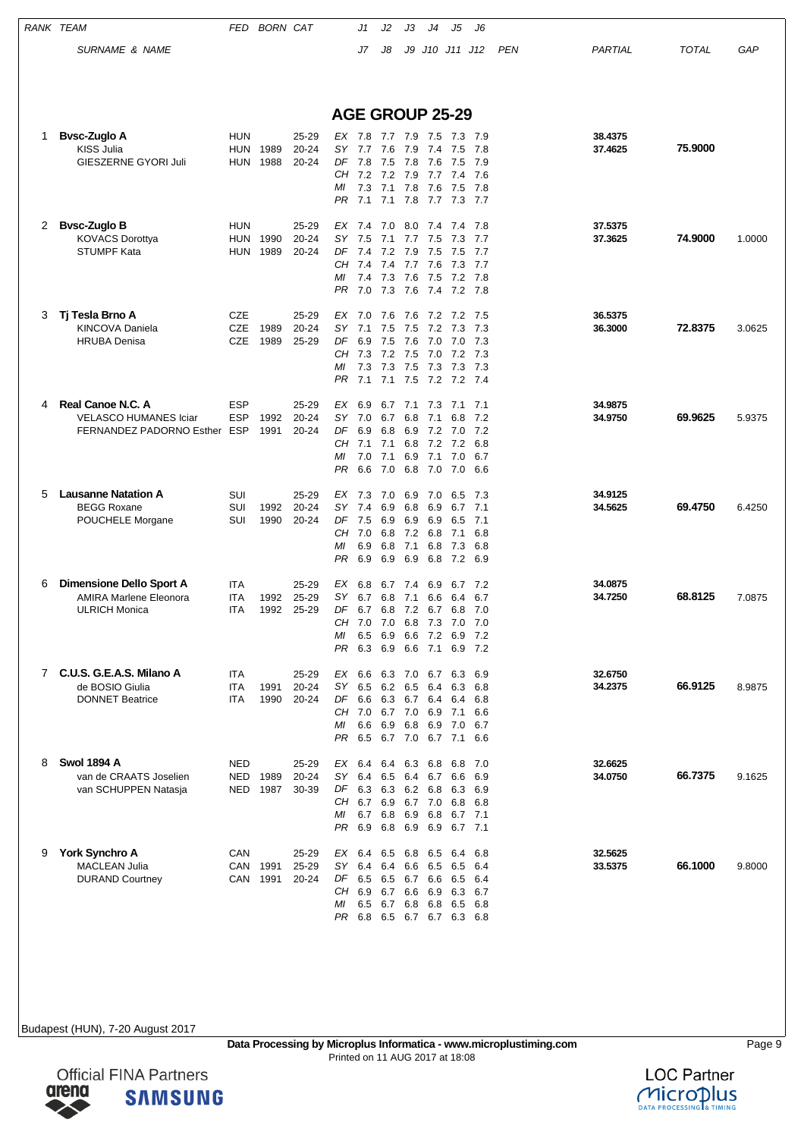|    | RANK TEAM                                                                                | FED                                    | <b>BORN CAT</b>      |                             |                                   | J1                                                                            | J2                                      | JЗ                              | J4                                                 | J5                                                      | J6                                                       |            |                    |              |        |
|----|------------------------------------------------------------------------------------------|----------------------------------------|----------------------|-----------------------------|-----------------------------------|-------------------------------------------------------------------------------|-----------------------------------------|---------------------------------|----------------------------------------------------|---------------------------------------------------------|----------------------------------------------------------|------------|--------------------|--------------|--------|
|    | <b>SURNAME &amp; NAME</b>                                                                |                                        |                      |                             |                                   | J7                                                                            | J8                                      |                                 |                                                    | J9 J10 J11 J12                                          |                                                          | <b>PEN</b> | PARTIAL            | <b>TOTAL</b> | GAP    |
|    |                                                                                          |                                        |                      |                             |                                   | <b>AGE GROUP 25-29</b>                                                        |                                         |                                 |                                                    |                                                         |                                                          |            |                    |              |        |
| 1. | <b>Bysc-Zuglo A</b><br>KISS Julia<br>GIESZERNE GYORI Juli                                | <b>HUN</b><br><b>HUN</b><br><b>HUN</b> | 1989<br>1988         | 25-29<br>20-24<br>20-24     | SΥ<br>DF<br>CН<br>МI<br>PR.       | EX 7.8<br>7.7<br>7.8<br>7.2<br>7.3<br>7.1                                     | 7.7 7.9 7.5<br>7.6<br>7.5<br>7.2<br>7.1 | 7.9<br>7.9<br>7.8               | 7.4<br>7.8 7.6<br>7.7<br>7.6                       | 7.3<br>7.5<br>7.5<br>7.4<br>7.5                         | - 7.9<br>7.8<br>7.9<br>7.6<br>7.8<br>7.1 7.8 7.7 7.3 7.7 |            | 38.4375<br>37.4625 | 75.9000      |        |
| 2  | <b>Bysc-Zuglo B</b><br><b>KOVACS Dorottya</b><br>STUMPF Kata                             | <b>HUN</b><br><b>HUN</b><br>HUN        | 1990<br>1989         | 25-29<br>20-24<br>20-24     | EX<br>SΥ<br>DF<br>CН<br>МI        | 7.4<br>7.5<br>7.4<br>7.4<br>7.4<br>PR 7.0 7.3 7.6 7.4 7.2 7.8                 | 7.0<br>7.1<br>7.2<br>7.4<br>7.3         | 8.0<br>7.7<br>7.9<br>7.7<br>7.6 | 7.4<br>7.5<br>7.5<br>7.6<br>7.5                    | 7.4<br>7.3<br>7.5<br>7.3<br>7.2                         | 7.8<br>7.7<br>7.7<br>7.7<br>7.8                          |            | 37.5375<br>37.3625 | 74.9000      | 1.0000 |
| 3  | Tj Tesla Brno A<br>KINCOVA Daniela<br><b>HRUBA Denisa</b>                                | <b>CZE</b><br><b>CZE</b><br><b>CZE</b> | 1989<br>1989         | 25-29<br>20-24<br>$25 - 29$ | EX<br>SΥ<br>DF<br>CН<br>МI        | 7.0<br>7.1<br>6.9<br>7.3<br>7.3<br>PR 7.1                                     | - 7.6<br>7.5<br>7.5<br>7.2<br>7.3       | 7.6<br>7.5<br>7.6<br>7.5<br>7.5 | 7.2<br>7.2<br>7.0<br>7.0<br>7.3                    | 7.2<br>7.3<br>7.0<br>7.2<br>7.3                         | 7.5<br>7.3<br>7.3<br>7.3<br>7.3<br>7.1 7.5 7.2 7.2 7.4   |            | 36.5375<br>36.3000 | 72.8375      | 3.0625 |
| 4  | Real Canoe N.C. A<br><b>VELASCO HUMANES Iciar</b><br>FERNANDEZ PADORNO Esther ESP        | <b>ESP</b><br><b>ESP</b>               | 1992<br>1991         | 25-29<br>20-24<br>20-24     | EX<br>SΥ<br>DF<br>CН<br>МI<br>PR. | 6.9<br>7.0<br>6.9<br>7.1<br>7.0<br>6.6                                        | 6.7<br>6.7<br>6.8<br>7.1<br>7.1<br>7.0  | 6.8<br>6.9<br>6.9               | 7.1 7.3<br>7.1<br>7.2<br>6.8 7.2<br>7.1<br>6.8 7.0 | 7.1<br>6.8<br>7.0<br>7.2<br>7.0<br>7.0                  | 7.1<br>7.2<br>7.2<br>6.8<br>6.7<br>6.6                   |            | 34.9875<br>34.9750 | 69.9625      | 5.9375 |
| 5  | <b>Lausanne Natation A</b><br><b>BEGG Roxane</b><br>POUCHELE Morgane                     | SUI<br>SUI<br>SUI                      | 1992<br>1990         | 25-29<br>20-24<br>20-24     | SΥ<br>DF<br>МI<br>PR              | EX 7.3<br>7.4<br>7.5<br>CH 7.0<br>6.9<br>6.9                                  | 7.0<br>6.9<br>6.9<br>6.8<br>6.8<br>6.9  | 6.9<br>6.8<br>6.9<br>7.1<br>6.9 | 7.0<br>6.9<br>6.9<br>72 68<br>6.8<br>6.8           | 6.5<br>6.7<br>6.5<br>7.1<br>7.3                         | 7.3<br>7.1<br>7.1<br>6.8<br>6.8<br>7.2 6.9               |            | 34.9125<br>34.5625 | 69.4750      | 6.4250 |
| 6  | <b>Dimensione Dello Sport A</b><br><b>AMIRA Marlene Eleonora</b><br><b>ULRICH Monica</b> | <b>ITA</b><br>ITA<br>ITA               | 1992<br>1992         | 25-29<br>25-29<br>25-29     | ЕX<br>SY<br>DF<br>МI              | 6.8<br>6.7<br>CH 7.0 7.0<br>6.5 6.9<br>PR 6.3 6.9 6.6 7.1 6.9 7.2             | 6.7<br>6.8                              | 7.4<br>7.1                      | 6.9<br>6.6<br>6.8 7.3                              | 6.7<br>6.4<br>6.7 6.8 7.2 6.7 6.8<br>7.0<br>6.6 7.2 6.9 | 7.2<br>6.7<br>7.0<br>7.0<br>7.2                          |            | 34.0875<br>34.7250 | 68.8125      | 7.0875 |
| 7  | C.U.S. G.E.A.S. Milano A<br>de BOSIO Giulia<br><b>DONNET Beatrice</b>                    | ITA<br>ITA<br>ITA                      | 1991<br>1990         | 25-29<br>20-24<br>20-24     | EX<br>SY<br>DF<br>МI              | 6.6<br>6.6 6.3 6.7 6.4<br>CH 7.0 6.7 7.0 6.9<br>PR 6.5 6.7 7.0 6.7 7.1 6.6    | 6.5 6.2 6.5 6.4<br>6.6 6.9              | 6.3 7.0                         | 6.7<br>6.8 6.9                                     | 6.3<br>6.3<br>6.4<br>7.1<br>7.0                         | 6.9<br>6.8<br>6.8<br>6.6<br>6.7                          |            | 32.6750<br>34.2375 | 66.9125      | 8.9875 |
| 8  | <b>Swol 1894 A</b><br>van de CRAATS Joselien<br>van SCHUPPEN Natasja                     | <b>NED</b><br>NED<br>NED               | 1989<br>1987         | 25-29<br>20-24<br>30-39     | EX<br>SY<br>ΜI<br>PR              | 6.4<br>6.4<br>DF 6.3 6.3<br>CH 6.7 6.9 6.7 7.0 6.8 6.8<br>6.7<br>6.9          | 6.5<br>6.8<br>6.8 6.9 6.9               |                                 | 6.4 6.3 6.8<br>6.4 6.7<br>6.2 6.8<br>6.9 6.8       | 6.8<br>6.6<br>6.3                                       | 7.0<br>6.9<br>6.9<br>6.7 7.1<br>6.7 7.1                  |            | 32.6625<br>34.0750 | 66.7375      | 9.1625 |
| 9  | <b>York Synchro A</b><br><b>MACLEAN Julia</b><br><b>DURAND Courtney</b>                  | CAN                                    | CAN 1991<br>CAN 1991 | 25-29<br>25-29<br>20-24     | EX<br>SY<br>DF<br>МI              | 6.4<br>6.4<br>6.5 6.5<br>CH 6.9 6.7 6.6 6.9 6.3<br>PR 6.8 6.5 6.7 6.7 6.3 6.8 | 6.4<br>6.5 6.7 6.8 6.8                  |                                 | 6.5 6.8 6.5<br>6.6 6.5<br>6.7 6.6                  | 6.4<br>6.5<br>6.5<br>6.5                                | 6.8<br>6.4<br>6.4<br>6.7<br>6.8                          |            | 32.5625<br>33.5375 | 66.1000      | 9.8000 |



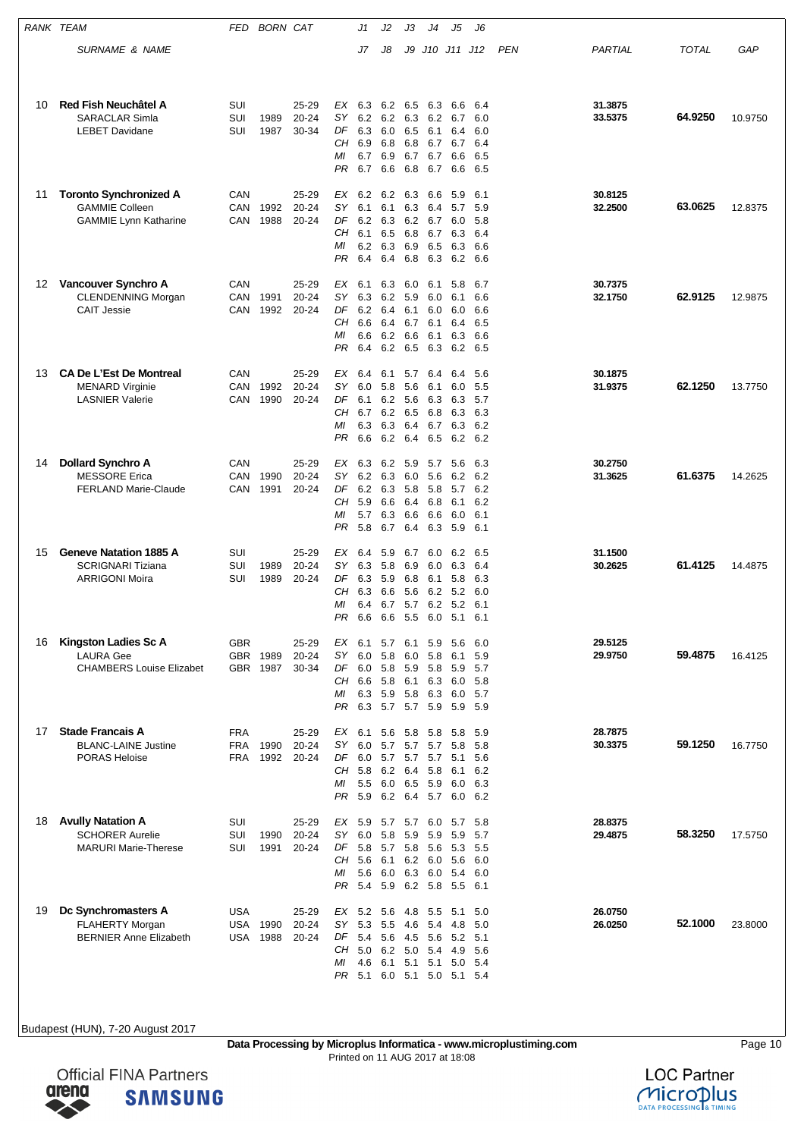|    | RANK TEAM                                                                              | FED                             | <b>BORN CAT</b>  |                             |                                         | J1                                        | J2                                     | JЗ                                         | J4                                                     | J5                                                     | J6                                     |            |                    |              |         |
|----|----------------------------------------------------------------------------------------|---------------------------------|------------------|-----------------------------|-----------------------------------------|-------------------------------------------|----------------------------------------|--------------------------------------------|--------------------------------------------------------|--------------------------------------------------------|----------------------------------------|------------|--------------------|--------------|---------|
|    | SURNAME & NAME                                                                         |                                 |                  |                             |                                         | J7                                        | J8                                     | J9                                         |                                                        | J10 J11 J12                                            |                                        | <b>PEN</b> | PARTIAL            | <b>TOTAL</b> | GAP     |
|    |                                                                                        |                                 |                  |                             |                                         |                                           |                                        |                                            |                                                        |                                                        |                                        |            |                    |              |         |
| 10 | Red Fish Neuchâtel A<br><b>SARACLAR Simla</b><br><b>LEBET Davidane</b>                 | SUI<br>SUI<br>SUI               | 1989<br>1987     | 25-29<br>20-24<br>30-34     | EX<br>SY.<br>DF<br>CН<br>ΜI<br>PR       | 6.3<br>6.2<br>6.3<br>6.9<br>6.7<br>6.7    | 6.2<br>6.2<br>6.0<br>6.8<br>6.9<br>6.6 | 6.5<br>6.5<br>6.8                          | 6.3<br>6.3 6.2 6.7<br>6.1<br>6.8 6.7<br>6.7 6.7<br>6.7 | 6.6<br>6.4<br>6.7<br>6.6<br>6.6                        | 6.4<br>6.0<br>6.0<br>6.4<br>6.5<br>6.5 |            | 31.3875<br>33.5375 | 64.9250      | 10.9750 |
| 11 | <b>Toronto Synchronized A</b><br><b>GAMMIE Colleen</b><br><b>GAMMIE Lynn Katharine</b> | CAN<br>CAN<br>CAN               | 1992<br>1988     | 25-29<br>20-24<br>20-24     | EX<br>SΥ<br>DF<br>CН<br>ΜI<br>PR        | 6.2<br>6.1<br>6.2<br>6.1<br>6.2<br>6.4    | 6.2<br>6.1<br>6.3<br>6.5<br>6.3<br>6.4 | 6.3<br>6.8<br>6.8                          | 6.6<br>6.3 6.4<br>6.2 6.7<br>6.7<br>6.9 6.5<br>6.3     | 5.9<br>5.7<br>6.0<br>6.3<br>6.3<br>6.2                 | 6.1<br>5.9<br>5.8<br>6.4<br>6.6<br>6.6 |            | 30.8125<br>32.2500 | 63.0625      | 12.8375 |
| 12 | Vancouver Synchro A<br><b>CLENDENNING Morgan</b><br><b>CAIT Jessie</b>                 | CAN<br>CAN<br>CAN               | 1991<br>1992     | 25-29<br>20-24<br>20-24     | ЕX<br>SΥ<br>DF<br>CH<br>ΜI<br>PR        | 6.1<br>6.3<br>6.2<br>6.6<br>6.6<br>6.4    | 6.3<br>6.2<br>6.4<br>6.4<br>6.2<br>6.2 | 6.0<br>5.9<br>6.1<br>6.7<br>6.6<br>6.5     | 6.1<br>6.0<br>6.0<br>6.1<br>6.1<br>6.3                 | 5.8<br>6.1<br>6.0<br>6.4<br>6.3<br>6.2                 | 6.7<br>6.6<br>6.6<br>6.5<br>6.6<br>6.5 |            | 30.7375<br>32.1750 | 62.9125      | 12.9875 |
| 13 | <b>CA De L'Est De Montreal</b><br><b>MENARD Virginie</b><br><b>LASNIER Valerie</b>     | CAN<br>CAN<br>CAN               | 1992<br>1990     | 25-29<br>20-24<br>20-24     | EX<br>SΥ<br>DF<br>CН<br>ΜI<br>PR        | 6.4<br>6.0<br>6.1<br>6.7<br>6.3<br>6.6    | 6.1<br>5.8<br>6.2<br>6.2<br>6.3<br>6.2 | 5.7<br>5.6<br>5.6 6.3<br>6.5<br>6.4<br>6.4 | 6.4<br>6.1<br>6.8<br>6.5                               | 6.4<br>6.0<br>6.3<br>6.3<br>6.7 6.3<br>6.2             | 5.6<br>5.5<br>5.7<br>6.3<br>6.2<br>6.2 |            | 30.1875<br>31.9375 | 62.1250      | 13.7750 |
| 14 | <b>Dollard Synchro A</b><br><b>MESSORE</b> Erica<br><b>FERLAND Marie-Claude</b>        | CAN<br><b>CAN</b><br>CAN        | 1990<br>1991     | 25-29<br>$20 - 24$<br>20-24 | EX<br>SY<br>DF<br>CН<br>МI<br>PR        | 6.3<br>6.2<br>6.2<br>5.9<br>5.7<br>5.8    | 6.2<br>6.3<br>6.3<br>6.6<br>6.3<br>6.7 | 5.9<br>6.0<br>6.4<br>6.6<br>6.4            | 5.7<br>5.6<br>5.8 5.8<br>6.8<br>6.6<br>6.3             | 5.6<br>6.2<br>5.7<br>6.1<br>6.0<br>5.9                 | 6.3<br>6.2<br>6.2<br>6.2<br>6.1<br>6.1 |            | 30.2750<br>31.3625 | 61.6375      | 14.2625 |
| 15 | <b>Geneve Natation 1885 A</b><br><b>SCRIGNARI Tiziana</b><br><b>ARRIGONI Moira</b>     | SUI<br>SUI<br>SUI               | 1989<br>1989     | 25-29<br>20-24<br>20-24     | EX<br>SY<br>DF<br>CН<br>МI<br>PR        | 6.4<br>6.3<br>6.3<br>6.3<br>6.4<br>6.6    | 5.9<br>5.8<br>5.9<br>6.6<br>6.7<br>6.6 | 6.7<br>6.9<br>5.6<br>5.7<br>5.5            | 6.0<br>6.0<br>6.8 6.1<br>6.2<br>6.0 5.1                | 6.2<br>6.3<br>5.8<br>5.2<br>6.2 5.2                    | 6.5<br>6.4<br>6.3<br>6.0<br>6.1<br>6.1 |            | 31.1500<br>30.2625 | 61.4125      | 14.4875 |
| 16 | Kingston Ladies Sc A<br><b>LAURA Gee</b><br><b>CHAMBERS Louise Elizabet</b>            | <b>GBR</b><br>GBR.              | GBR 1989<br>1987 | 25-29<br>20-24<br>30-34     | EX<br>SY.<br>DF<br>CН<br>ΜI<br>PR       | 6.1<br>6.0<br>6.0<br>6.6<br>6.3<br>6.3    | 5.7<br>5.8<br>5.8<br>5.8<br>5.9<br>5.7 | 6.1<br>6.0<br>6.1<br>5.8 6.3<br>5.7 5.9    | 5.9<br>5.8<br>5.9 5.8<br>6.3                           | 5.6<br>6.1<br>5.9<br>6.0<br>6.0<br>5.9                 | 6.0<br>5.9<br>5.7<br>5.8<br>5.7<br>5.9 |            | 29.5125<br>29.9750 | 59.4875      | 16.4125 |
| 17 | <b>Stade Francais A</b><br><b>BLANC-LAINE Justine</b><br><b>PORAS Heloise</b>          | <b>FRA</b><br><b>FRA</b><br>FRA | 1990<br>1992     | 25-29<br>20-24<br>20-24     | EX<br>SY<br>CН<br>МI<br>PR.             | 6.1<br>6.0<br>DF 6.0<br>5.8<br>5.5<br>5.9 | 5.7<br>5.7<br>6.2<br>6.0 6.5 5.9       | 5.6 5.8 5.8<br>5.7<br>6.4                  | 5.7<br>5.7 5.7 5.1<br>5.8<br>6.2 6.4 5.7               | - 5.8<br>5.8<br>6.1<br>6.0<br>6.0                      | 5.9<br>5.8<br>5.6<br>6.2<br>6.3<br>6.2 |            | 28.7875<br>30.3375 | 59.1250      | 16.7750 |
| 18 | <b>Avully Natation A</b><br><b>SCHORER Aurelie</b><br><b>MARURI Marie-Therese</b>      | SUI<br>SUI<br>SUI               | 1990<br>1991     | 25-29<br>20-24<br>20-24     | EX<br><b>SY</b><br>DF<br>CН<br>ΜI<br>PR | 5.9<br>6.0<br>5.8<br>5.6<br>5.6<br>5.4    | 5.7<br>5.8<br>5.7<br>6.1<br>6.0<br>5.9 | 5.7<br>5.9<br>6.3 6.0                      | 6.0<br>5.9<br>5.8 5.6<br>6.2 6.0 5.6                   | 5.7<br>5.9<br>5.3<br>5.4<br>6.2 5.8 5.5 6.1            | 5.8<br>5.7<br>5.5<br>6.0<br>6.0        |            | 28.8375<br>29.4875 | 58.3250      | 17.5750 |
| 19 | Dc Synchromasters A<br><b>FLAHERTY Morgan</b><br><b>BERNIER Anne Elizabeth</b>         | USA<br>USA<br><b>USA</b>        | 1990<br>1988     | 25-29<br>20-24<br>20-24     | EX<br>SΥ<br>DF<br>CН<br>ΜI              | 5.2<br>5.3<br>5.4<br>5.0<br>4.6           | 5.6<br>5.5<br>5.6<br>6.2<br>6.1        | 4.8 5.5<br>4.6<br>4.5 5.6<br>5.0<br>5.1    | 5.4<br>5.4 4.9<br>5.1                                  | 5.1<br>4.8<br>5.2<br>5.0<br>PR 5.1 6.0 5.1 5.0 5.1 5.4 | 5.0<br>5.0<br>5.1<br>5.6<br>5.4        |            | 26.0750<br>26.0250 | 52.1000      | 23.8000 |



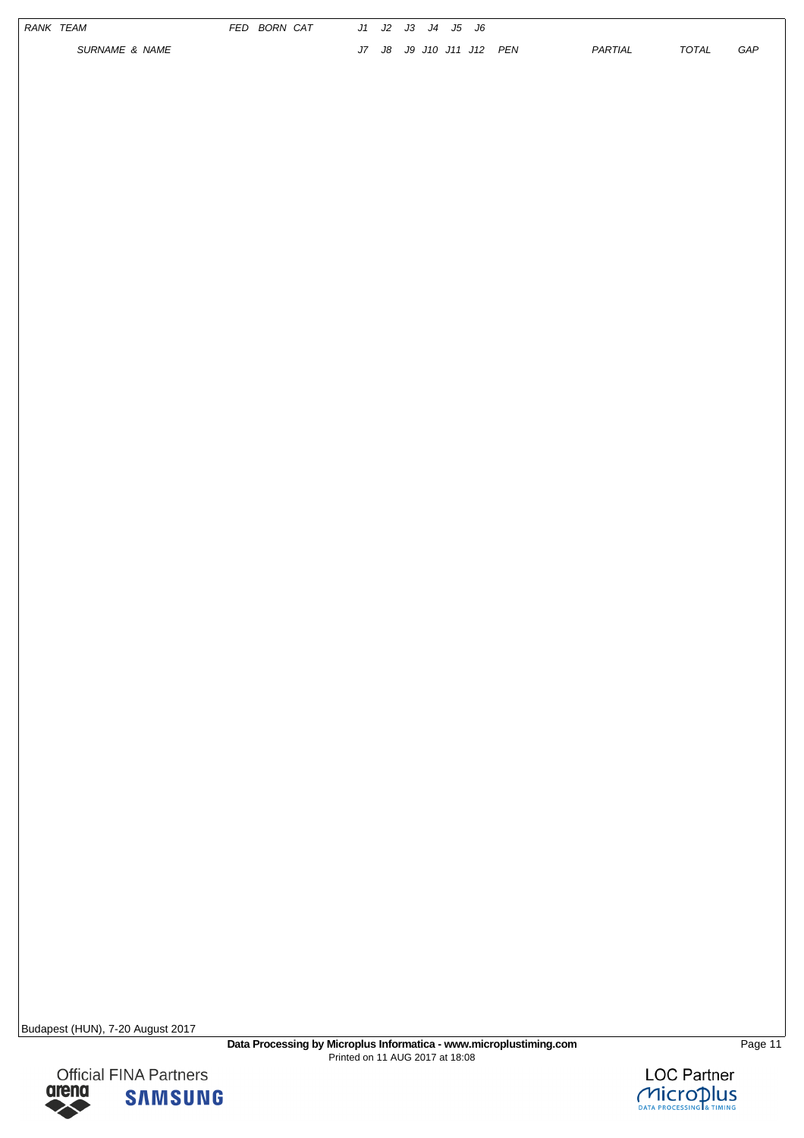|  | RANK TEAM<br>SURNAME & NAME | FED BORN CAT |  | J1 J2 J3 J4 J5 J6<br>J7 J8 J9 J10 J11 J12 PEN |  | PARTIAL | TOTAL | ${\cal G}{\cal A}{\cal P}$ |
|--|-----------------------------|--------------|--|-----------------------------------------------|--|---------|-------|----------------------------|
|  |                             |              |  |                                               |  |         |       |                            |
|  |                             |              |  |                                               |  |         |       |                            |
|  |                             |              |  |                                               |  |         |       |                            |
|  |                             |              |  |                                               |  |         |       |                            |
|  |                             |              |  |                                               |  |         |       |                            |
|  |                             |              |  |                                               |  |         |       |                            |
|  |                             |              |  |                                               |  |         |       |                            |
|  |                             |              |  |                                               |  |         |       |                            |
|  |                             |              |  |                                               |  |         |       |                            |
|  |                             |              |  |                                               |  |         |       |                            |
|  |                             |              |  |                                               |  |         |       |                            |
|  |                             |              |  |                                               |  |         |       |                            |
|  |                             |              |  |                                               |  |         |       |                            |



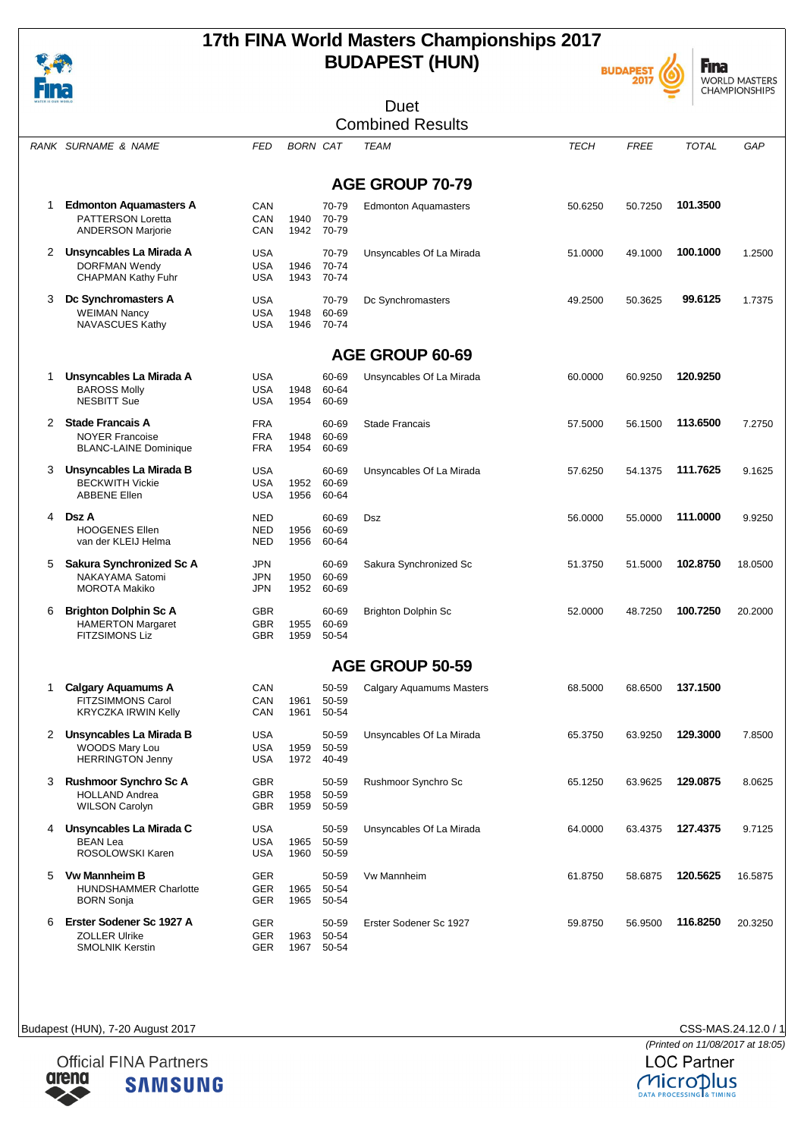





| 4 I I I        |                                                  |            |                 |                | Duet                            |             |             |              |         |
|----------------|--------------------------------------------------|------------|-----------------|----------------|---------------------------------|-------------|-------------|--------------|---------|
|                |                                                  |            |                 |                | <b>Combined Results</b>         |             |             |              |         |
|                |                                                  |            |                 |                |                                 |             |             |              |         |
|                | RANK SURNAME & NAME                              | <b>FED</b> | <b>BORN CAT</b> |                | <b>TEAM</b>                     | <b>TECH</b> | <b>FREE</b> | <b>TOTAL</b> | GAP     |
|                |                                                  |            |                 |                | <b>AGE GROUP 70-79</b>          |             |             |              |         |
| 1              | <b>Edmonton Aquamasters A</b>                    | CAN        |                 | 70-79          | <b>Edmonton Aquamasters</b>     | 50.6250     | 50.7250     | 101.3500     |         |
|                | PATTERSON Loretta                                | CAN        | 1940            | 70-79          |                                 |             |             |              |         |
|                | <b>ANDERSON Marjorie</b>                         | CAN        | 1942            | 70-79          |                                 |             |             |              |         |
| 2              | Unsyncables La Mirada A                          | <b>USA</b> |                 | 70-79          | Unsyncables Of La Mirada        | 51.0000     | 49.1000     | 100.1000     | 1.2500  |
|                | <b>DORFMAN Wendy</b>                             | <b>USA</b> | 1946            | 70-74          |                                 |             |             |              |         |
|                | <b>CHAPMAN Kathy Fuhr</b>                        | USA        | 1943            | 70-74          |                                 |             |             |              |         |
| 3              | Dc Synchromasters A                              | <b>USA</b> |                 | 70-79          | Dc Synchromasters               | 49.2500     | 50.3625     | 99.6125      | 1.7375  |
|                | <b>WEIMAN Nancy</b>                              | <b>USA</b> | 1948            | 60-69          |                                 |             |             |              |         |
|                | NAVASCUES Kathy                                  | <b>USA</b> | 1946            | 70-74          |                                 |             |             |              |         |
|                |                                                  |            |                 |                | <b>AGE GROUP 60-69</b>          |             |             |              |         |
|                |                                                  |            |                 |                |                                 |             |             |              |         |
| 1              | Unsyncables La Mirada A                          | <b>USA</b> |                 | 60-69          | Unsyncables Of La Mirada        | 60.0000     | 60.9250     | 120.9250     |         |
|                | <b>BAROSS Molly</b><br><b>NESBITT Sue</b>        | <b>USA</b> | 1948            | 60-64<br>60-69 |                                 |             |             |              |         |
|                |                                                  | USA        | 1954            |                |                                 |             |             |              |         |
| $\overline{2}$ | <b>Stade Francais A</b>                          | <b>FRA</b> |                 | 60-69          | <b>Stade Francais</b>           | 57.5000     | 56.1500     | 113.6500     | 7.2750  |
|                | <b>NOYER Francoise</b>                           | <b>FRA</b> | 1948            | 60-69          |                                 |             |             |              |         |
|                | <b>BLANC-LAINE Dominique</b>                     | <b>FRA</b> | 1954            | 60-69          |                                 |             |             |              |         |
| 3              | Unsyncables La Mirada B                          | <b>USA</b> |                 | 60-69          | Unsyncables Of La Mirada        | 57.6250     | 54.1375     | 111.7625     | 9.1625  |
|                | <b>BECKWITH Vickie</b>                           | <b>USA</b> | 1952            | 60-69          |                                 |             |             |              |         |
|                | <b>ABBENE Ellen</b>                              | <b>USA</b> | 1956            | 60-64          |                                 |             |             |              |         |
| 4              | Dsz A                                            | <b>NED</b> |                 | 60-69          | Dsz                             | 56.0000     | 55.0000     | 111.0000     | 9.9250  |
|                | <b>HOOGENES Ellen</b>                            | <b>NED</b> | 1956            | 60-69          |                                 |             |             |              |         |
|                | van der KLEIJ Helma                              | <b>NED</b> | 1956            | 60-64          |                                 |             |             |              |         |
| 5              | Sakura Synchronized Sc A                         | <b>JPN</b> |                 | 60-69          | Sakura Synchronized Sc          | 51.3750     | 51.5000     | 102.8750     | 18.0500 |
|                | NAKAYAMA Satomi                                  | <b>JPN</b> | 1950            | 60-69          |                                 |             |             |              |         |
|                | <b>MOROTA Makiko</b>                             | <b>JPN</b> | 1952            | 60-69          |                                 |             |             |              |         |
| 6              | <b>Brighton Dolphin Sc A</b>                     | GBR        |                 | 60-69          | <b>Brighton Dolphin Sc</b>      | 52.0000     | 48.7250     | 100.7250     | 20.2000 |
|                | <b>HAMERTON Margaret</b>                         | <b>GBR</b> | 1955            | 60-69          |                                 |             |             |              |         |
|                | <b>FITZSIMONS Liz</b>                            | GBR        | 1959            | 50-54          |                                 |             |             |              |         |
|                |                                                  |            |                 |                | <b>AGE GROUP 50-59</b>          |             |             |              |         |
|                |                                                  |            |                 |                |                                 |             |             |              |         |
| 1              | <b>Calgary Aquamums A</b>                        | CAN        |                 | 50-59          | <b>Calgary Aquamums Masters</b> | 68.5000     | 68.6500     | 137.1500     |         |
|                | FITZSIMMONS Carol<br><b>KRYCZKA IRWIN Kelly</b>  | CAN<br>CAN | 1961<br>1961    | 50-59<br>50-54 |                                 |             |             |              |         |
|                |                                                  |            |                 |                |                                 |             |             |              |         |
|                | 2 Unsyncables La Mirada B                        | <b>USA</b> |                 | 50-59          | Unsyncables Of La Mirada        | 65.3750     | 63.9250     | 129.3000     | 7.8500  |
|                | <b>WOODS Mary Lou</b><br><b>HERRINGTON Jenny</b> | <b>USA</b> | 1959            | 50-59          |                                 |             |             |              |         |
|                |                                                  | USA        | 1972            | 40-49          |                                 |             |             |              |         |
|                | 3 Rushmoor Synchro Sc A                          | <b>GBR</b> |                 | 50-59          | Rushmoor Synchro Sc             | 65.1250     | 63.9625     | 129.0875     | 8.0625  |
|                | <b>HOLLAND Andrea</b>                            | <b>GBR</b> | 1958            | 50-59          |                                 |             |             |              |         |
|                | <b>WILSON Carolyn</b>                            | GBR        | 1959            | 50-59          |                                 |             |             |              |         |
|                | 4 Unsyncables La Mirada C                        | <b>USA</b> |                 | 50-59          | Unsyncables Of La Mirada        | 64.0000     | 63.4375     | 127.4375     | 9.7125  |
|                | BEAN Lea                                         | <b>USA</b> | 1965            | 50-59          |                                 |             |             |              |         |
|                | ROSOLOWSKI Karen                                 | <b>USA</b> | 1960            | 50-59          |                                 |             |             |              |         |
| 5              | <b>Vw Mannheim B</b>                             | <b>GER</b> |                 | 50-59          | Vw Mannheim                     | 61.8750     | 58.6875     | 120.5625     | 16.5875 |
|                | <b>HUNDSHAMMER Charlotte</b>                     | GER        | 1965            | 50-54          |                                 |             |             |              |         |
|                | <b>BORN Sonja</b>                                | GER        | 1965            | 50-54          |                                 |             |             |              |         |
| 6.             | Erster Sodener Sc 1927 A                         | GER        |                 | 50-59          | Erster Sodener Sc 1927          | 59.8750     | 56.9500     | 116.8250     | 20.3250 |
|                | <b>ZOLLER Ulrike</b>                             | GER        | 1963            | 50-54          |                                 |             |             |              |         |
|                | <b>SMOLNIK Kerstin</b>                           | GER        | 1967            | 50-54          |                                 |             |             |              |         |

Budapest (HUN), 7-20 August 2017 CSS-MAS.24.12.0 / 1

その

Enes



**Official FINA Partners** arena **SAMSUNG**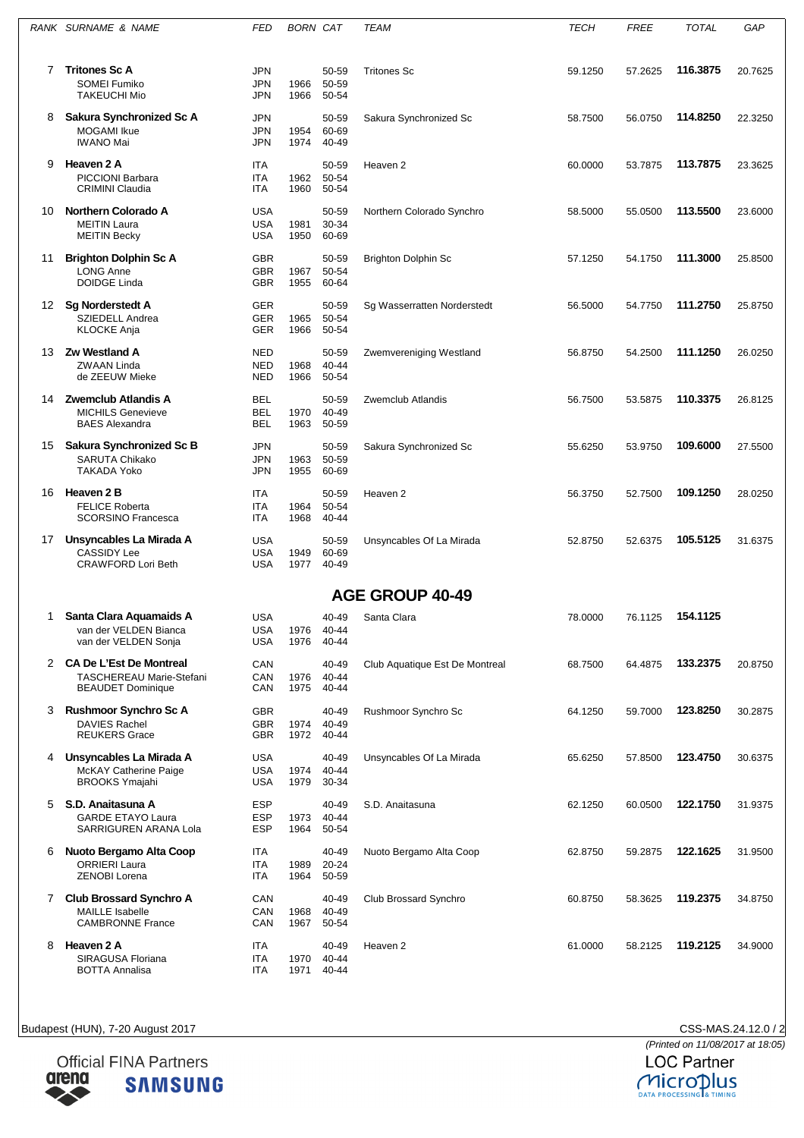|    | RANK SURNAME & NAME                                                                      | FED                                    | <b>BORN CAT</b> |                             | <b>TEAM</b>                    | <b>TECH</b> | <b>FREE</b> | <b>TOTAL</b> | GAP     |
|----|------------------------------------------------------------------------------------------|----------------------------------------|-----------------|-----------------------------|--------------------------------|-------------|-------------|--------------|---------|
| 7  | <b>Tritones Sc A</b><br><b>SOMEI Fumiko</b>                                              | <b>JPN</b><br><b>JPN</b>               | 1966            | 50-59<br>50-59              | <b>Tritones Sc</b>             | 59.1250     | 57.2625     | 116.3875     | 20.7625 |
|    | <b>TAKEUCHI Mio</b>                                                                      | <b>JPN</b>                             | 1966            | 50-54                       |                                |             |             |              |         |
| 8  | Sakura Synchronized Sc A<br>MOGAMI Ikue<br><b>IWANO Mai</b>                              | JPN<br><b>JPN</b><br><b>JPN</b>        | 1954<br>1974    | 50-59<br>60-69<br>40-49     | Sakura Synchronized Sc         | 58.7500     | 56.0750     | 114.8250     | 22.3250 |
| 9  | Heaven 2 A<br><b>PICCIONI Barbara</b><br><b>CRIMINI Claudia</b>                          | ITA<br>ITA<br><b>ITA</b>               | 1962<br>1960    | 50-59<br>50-54<br>50-54     | Heaven <sub>2</sub>            | 60.0000     | 53.7875     | 113.7875     | 23.3625 |
| 10 | <b>Northern Colorado A</b><br><b>MEITIN Laura</b><br><b>MEITIN Becky</b>                 | <b>USA</b><br><b>USA</b><br><b>USA</b> | 1981<br>1950    | 50-59<br>30-34<br>60-69     | Northern Colorado Synchro      | 58.5000     | 55.0500     | 113.5500     | 23.6000 |
| 11 | <b>Brighton Dolphin Sc A</b><br><b>LONG Anne</b><br><b>DOIDGE Linda</b>                  | <b>GBR</b><br><b>GBR</b><br><b>GBR</b> | 1967<br>1955    | 50-59<br>50-54<br>60-64     | <b>Brighton Dolphin Sc</b>     | 57.1250     | 54.1750     | 111.3000     | 25.8500 |
| 12 | Sg Norderstedt A<br><b>SZIEDELL Andrea</b><br><b>KLOCKE Anja</b>                         | <b>GER</b><br><b>GER</b><br><b>GER</b> | 1965<br>1966    | 50-59<br>50-54<br>50-54     | Sg Wasserratten Norderstedt    | 56.5000     | 54.7750     | 111.2750     | 25.8750 |
| 13 | Zw Westland A<br><b>ZWAAN Linda</b><br>de ZEEUW Mieke                                    | <b>NED</b><br><b>NED</b><br><b>NED</b> | 1968<br>1966    | 50-59<br>40-44<br>50-54     | Zwemvereniging Westland        | 56.8750     | 54.2500     | 111.1250     | 26.0250 |
| 14 | <b>Zwemclub Atlandis A</b><br><b>MICHILS Genevieve</b><br><b>BAES Alexandra</b>          | <b>BEL</b><br>BEL<br><b>BEL</b>        | 1970<br>1963    | 50-59<br>40-49<br>50-59     | Zwemclub Atlandis              | 56.7500     | 53.5875     | 110.3375     | 26.8125 |
| 15 | Sakura Synchronized Sc B<br><b>SARUTA Chikako</b><br>TAKADA Yoko                         | JPN<br>JPN<br>JPN                      | 1963<br>1955    | 50-59<br>50-59<br>60-69     | Sakura Synchronized Sc         | 55.6250     | 53.9750     | 109.6000     | 27.5500 |
| 16 | Heaven 2 B<br><b>FELICE Roberta</b><br><b>SCORSINO Francesca</b>                         | <b>ITA</b><br>ITA<br>ITA               | 1964<br>1968    | 50-59<br>50-54<br>40-44     | Heaven <sub>2</sub>            | 56.3750     | 52.7500     | 109.1250     | 28.0250 |
| 17 | Unsyncables La Mirada A<br><b>CASSIDY Lee</b><br><b>CRAWFORD Lori Beth</b>               | <b>USA</b><br><b>USA</b><br>USA        | 1949<br>1977    | 50-59<br>60-69<br>40-49     | Unsyncables Of La Mirada       | 52.8750     | 52.6375     | 105.5125     | 31.6375 |
|    |                                                                                          |                                        |                 |                             | <b>AGE GROUP 40-49</b>         |             |             |              |         |
| 1  | Santa Clara Aquamaids A<br>van der VELDEN Bianca<br>van der VELDEN Sonja                 | <b>USA</b><br>USA<br>USA               | 1976<br>1976    | 40-49<br>40-44<br>40-44     | Santa Clara                    | 78.0000     | 76.1125     | 154.1125     |         |
|    | 2 CA De L'Est De Montreal<br><b>TASCHEREAU Marie-Stefani</b><br><b>BEAUDET Dominique</b> | CAN<br>CAN<br>CAN                      | 1976<br>1975    | 40-49<br>$40 - 44$<br>40-44 | Club Aquatique Est De Montreal | 68.7500     | 64.4875     | 133.2375     | 20.8750 |
| 3  | Rushmoor Synchro Sc A<br><b>DAVIES Rachel</b><br><b>REUKERS Grace</b>                    | <b>GBR</b><br><b>GBR</b><br><b>GBR</b> | 1974<br>1972    | 40-49<br>40-49<br>40-44     | Rushmoor Synchro Sc            | 64.1250     | 59.7000     | 123.8250     | 30.2875 |
| 4  | Unsyncables La Mirada A<br>McKAY Catherine Paige<br><b>BROOKS Ymajahi</b>                | <b>USA</b><br><b>USA</b><br><b>USA</b> | 1974<br>1979    | 40-49<br>$40 - 44$<br>30-34 | Unsyncables Of La Mirada       | 65.6250     | 57.8500     | 123.4750     | 30.6375 |
| 5  | S.D. Anaitasuna A<br><b>GARDE ETAYO Laura</b><br>SARRIGUREN ARANA Lola                   | <b>ESP</b><br><b>ESP</b><br><b>ESP</b> | 1973<br>1964    | 40-49<br>40-44<br>50-54     | S.D. Anaitasuna                | 62.1250     | 60.0500     | 122.1750     | 31.9375 |
| 6  | Nuoto Bergamo Alta Coop<br><b>ORRIERI Laura</b><br><b>ZENOBI Lorena</b>                  | ITA<br>ITA<br>ITA                      | 1989<br>1964    | 40-49<br>20-24<br>50-59     | Nuoto Bergamo Alta Coop        | 62.8750     | 59.2875     | 122.1625     | 31.9500 |
| 7  | <b>Club Brossard Synchro A</b><br><b>MAILLE Isabelle</b><br><b>CAMBRONNE France</b>      | CAN<br>CAN<br>CAN                      | 1968<br>1967    | 40-49<br>40-49<br>50-54     | Club Brossard Synchro          | 60.8750     | 58.3625     | 119.2375     | 34.8750 |
| 8  | Heaven 2 A<br>SIRAGUSA Floriana<br><b>BOTTA Annalisa</b>                                 | ITA<br>ITA<br>ITA                      | 1970<br>1971    | 40-49<br>40-44<br>40-44     | Heaven <sub>2</sub>            | 61.0000     | 58.2125     | 119.2125     | 34.9000 |

CSS-MAS.24.12.0 / 2<br>(Printed on 11/08/2017 at 18:05)<br>LOC Partner MICroplus

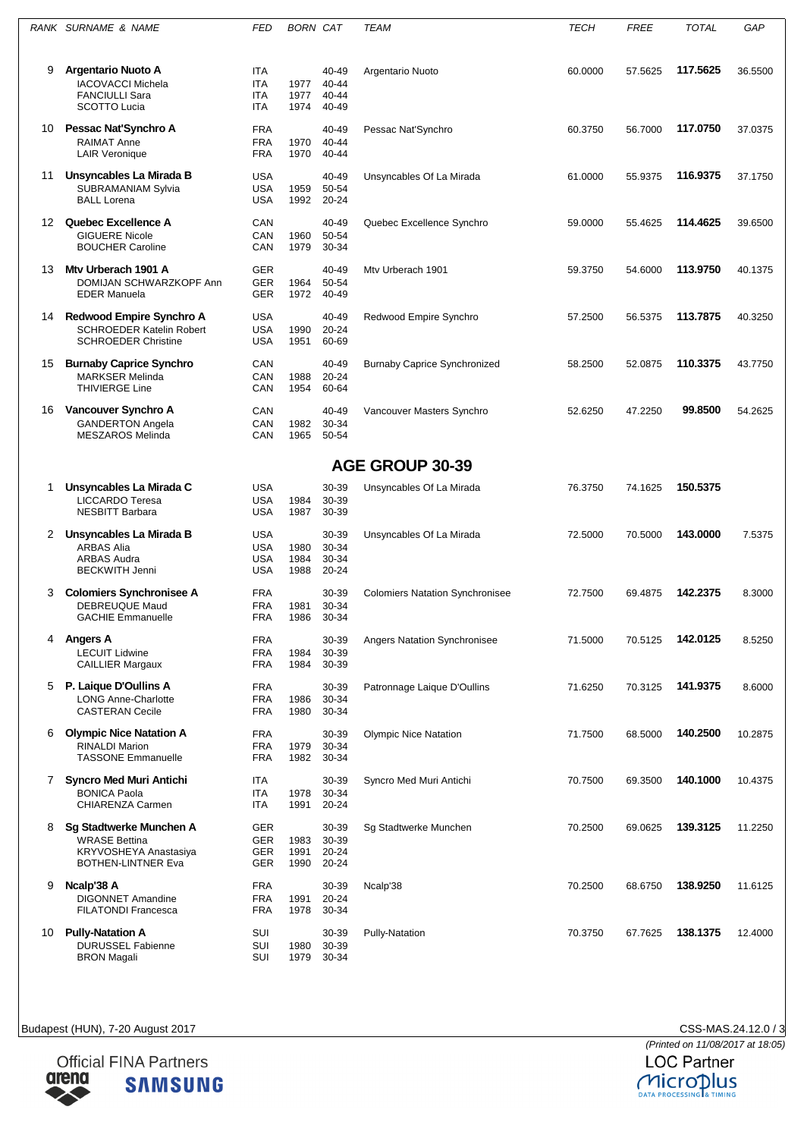|                | RANK SURNAME & NAME                                                                                   | FED                                                  | <b>BORN CAT</b>      |                                  | TEAM                                   | <b>TECH</b> | <b>FREE</b> | TOTAL    | GAP     |  |  |  |  |  |
|----------------|-------------------------------------------------------------------------------------------------------|------------------------------------------------------|----------------------|----------------------------------|----------------------------------------|-------------|-------------|----------|---------|--|--|--|--|--|
| 9              | <b>Argentario Nuoto A</b><br><b>IACOVACCI Michela</b><br><b>FANCIULLI Sara</b><br><b>SCOTTO Lucia</b> | ITA<br><b>ITA</b><br>ITA<br><b>ITA</b>               | 1977<br>1977<br>1974 | 40-49<br>40-44<br>40-44<br>40-49 | Argentario Nuoto                       | 60.0000     | 57.5625     | 117.5625 | 36.5500 |  |  |  |  |  |
| 10             | Pessac Nat'Synchro A<br><b>RAIMAT Anne</b><br><b>LAIR Veronique</b>                                   | <b>FRA</b><br><b>FRA</b><br><b>FRA</b>               | 1970<br>1970         | 40-49<br>40-44<br>40-44          | Pessac Nat'Synchro                     | 60.3750     | 56.7000     | 117.0750 | 37.0375 |  |  |  |  |  |
| 11             | Unsyncables La Mirada B<br><b>SUBRAMANIAM Sylvia</b><br><b>BALL Lorena</b>                            | <b>USA</b><br><b>USA</b><br><b>USA</b>               | 1959<br>1992         | 40-49<br>50-54<br>20-24          | Unsyncables Of La Mirada               | 61.0000     | 55.9375     | 116.9375 | 37.1750 |  |  |  |  |  |
| 12             | <b>Quebec Excellence A</b><br><b>GIGUERE Nicole</b><br><b>BOUCHER Caroline</b>                        | CAN<br>CAN<br>CAN                                    | 1960<br>1979         | 40-49<br>50-54<br>30-34          | Quebec Excellence Synchro              | 59.0000     | 55.4625     | 114.4625 | 39.6500 |  |  |  |  |  |
| 13             | Mty Urberach 1901 A<br>DOMIJAN SCHWARZKOPF Ann<br><b>EDER Manuela</b>                                 | <b>GER</b><br>GER<br>GER                             | 1964<br>1972         | 40-49<br>50-54<br>40-49          | Mty Urberach 1901                      | 59.3750     | 54.6000     | 113.9750 | 40.1375 |  |  |  |  |  |
| 14             | Redwood Empire Synchro A<br><b>SCHROEDER Katelin Robert</b><br><b>SCHROEDER Christine</b>             | <b>USA</b><br><b>USA</b><br><b>USA</b>               | 1990<br>1951         | 40-49<br>20-24<br>60-69          | Redwood Empire Synchro                 | 57.2500     | 56.5375     | 113.7875 | 40.3250 |  |  |  |  |  |
| 15             | <b>Burnaby Caprice Synchro</b><br><b>MARKSER Melinda</b><br><b>THIVIERGE Line</b>                     | CAN<br>CAN<br>CAN                                    | 1988<br>1954         | 40-49<br>$20 - 24$<br>60-64      | <b>Burnaby Caprice Synchronized</b>    | 58.2500     | 52.0875     | 110.3375 | 43.7750 |  |  |  |  |  |
| 16             | Vancouver Synchro A<br><b>GANDERTON Angela</b><br>MESZAROS Melinda                                    | CAN<br>CAN<br>CAN                                    | 1982<br>1965         | 40-49<br>30-34<br>50-54          | Vancouver Masters Synchro              | 52.6250     | 47.2250     | 99.8500  | 54.2625 |  |  |  |  |  |
|                | <b>AGE GROUP 30-39</b>                                                                                |                                                      |                      |                                  |                                        |             |             |          |         |  |  |  |  |  |
| 1              | Unsyncables La Mirada C<br><b>LICCARDO Teresa</b><br><b>NESBITT Barbara</b>                           | <b>USA</b><br><b>USA</b><br>USA                      | 1984<br>1987         | 30-39<br>30-39<br>30-39          | Unsyncables Of La Mirada               | 76.3750     | 74.1625     | 150.5375 |         |  |  |  |  |  |
| 2              | Unsyncables La Mirada B<br><b>ARBAS Alia</b><br><b>ARBAS Audra</b><br><b>BECKWITH Jenni</b>           | <b>USA</b><br><b>USA</b><br><b>USA</b><br><b>USA</b> | 1980<br>1984<br>1988 | 30-39<br>30-34<br>30-34<br>20-24 | Unsyncables Of La Mirada               | 72.5000     | 70.5000     | 143.0000 | 7.5375  |  |  |  |  |  |
| 3              | <b>Colomiers Synchronisee A</b><br>DEBREUQUE Maud<br><b>GACHIE Emmanuelle</b>                         | <b>FRA</b><br>FRA<br><b>FRA</b>                      | 1981<br>1986         | 30-39<br>30-34<br>30-34          | <b>Colomiers Natation Synchronisee</b> | 72.7500     | 69.4875     | 142.2375 | 8.3000  |  |  |  |  |  |
| 4              | Angers A<br><b>LECUIT Lidwine</b><br><b>CAILLIER Margaux</b>                                          | <b>FRA</b><br><b>FRA</b><br><b>FRA</b>               | 1984<br>1984         | 30-39<br>30-39<br>30-39          | Angers Natation Synchronisee           | 71.5000     | 70.5125     | 142.0125 | 8.5250  |  |  |  |  |  |
| 5              | P. Laigue D'Oullins A<br><b>LONG Anne-Charlotte</b><br><b>CASTERAN Cecile</b>                         | <b>FRA</b><br><b>FRA</b><br><b>FRA</b>               | 1986<br>1980         | 30-39<br>30-34<br>30-34          | Patronnage Laique D'Oullins            | 71.6250     | 70.3125     | 141.9375 | 8.6000  |  |  |  |  |  |
| 6              | <b>Olympic Nice Natation A</b><br><b>RINALDI Marion</b><br><b>TASSONE Emmanuelle</b>                  | <b>FRA</b><br><b>FRA</b><br><b>FRA</b>               | 1979<br>1982         | 30-39<br>30-34<br>30-34          | <b>Olympic Nice Natation</b>           | 71.7500     | 68.5000     | 140.2500 | 10.2875 |  |  |  |  |  |
| $\overline{7}$ | <b>Syncro Med Muri Antichi</b><br><b>BONICA Paola</b><br>CHIARENZA Carmen                             | ITA<br>ITA<br>ITA                                    | 1978<br>1991         | 30-39<br>30-34<br>20-24          | Syncro Med Muri Antichi                | 70.7500     | 69.3500     | 140.1000 | 10.4375 |  |  |  |  |  |
| 8              | Sg Stadtwerke Munchen A<br><b>WRASE Bettina</b><br>KRYVOSHEYA Anastasiya<br><b>BOTHEN-LINTNER Eva</b> | GER<br>GER<br>GER<br>GER                             | 1983<br>1991<br>1990 | 30-39<br>30-39<br>20-24<br>20-24 | Sg Stadtwerke Munchen                  | 70.2500     | 69.0625     | 139.3125 | 11.2250 |  |  |  |  |  |
| 9              | Ncalp'38 A<br><b>DIGONNET Amandine</b><br><b>FILATONDI Francesca</b>                                  | <b>FRA</b><br><b>FRA</b><br>FRA                      | 1991<br>1978         | 30-39<br>20-24<br>30-34          | Ncalp'38                               | 70.2500     | 68.6750     | 138.9250 | 11.6125 |  |  |  |  |  |
| 10             | <b>Pully-Natation A</b><br>DURUSSEL Fabienne<br><b>BRON Magali</b>                                    | SUI<br>SUI<br>SUI                                    | 1980<br>1979         | 30-39<br>30-39<br>30-34          | Pully-Natation                         | 70.3750     | 67.7625     | 138.1375 | 12.4000 |  |  |  |  |  |

CSS-MAS.24.12.0 / 3<br>(Printed on 11/08/2017 at 18:05)<br>LOC Partner



MICroplus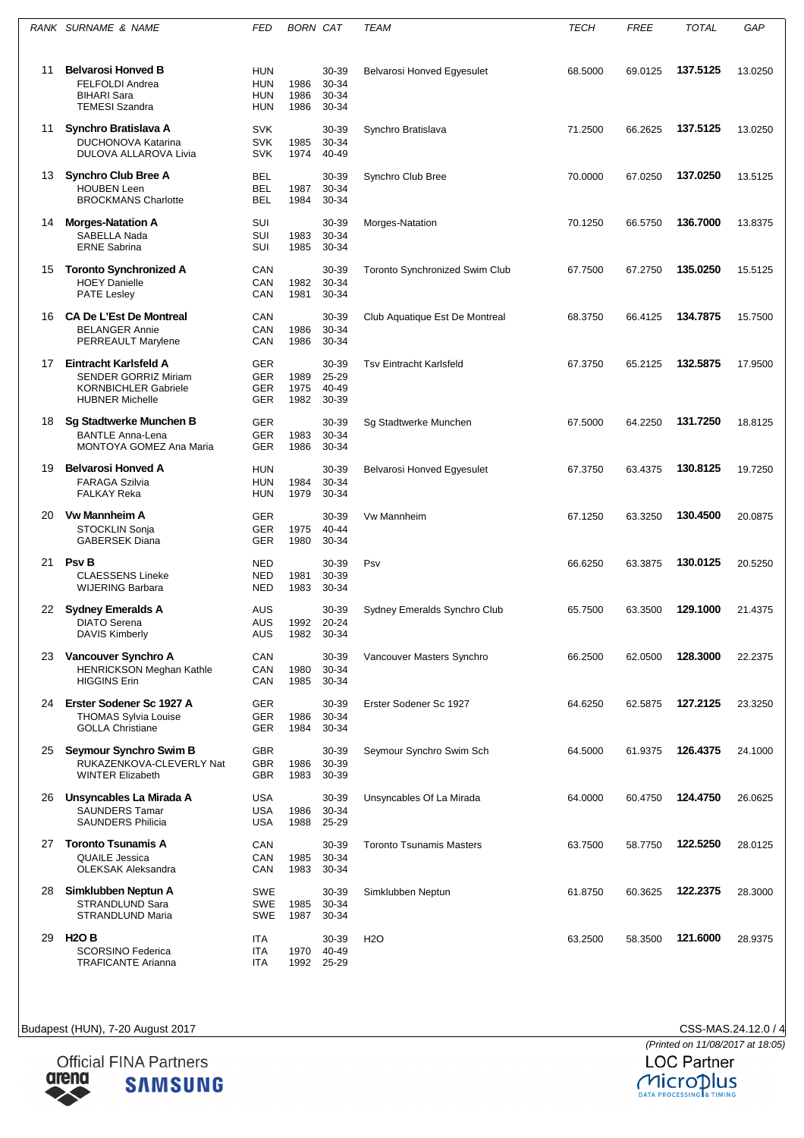|    | RANK SURNAME & NAME                                                                                           | FED                                           | <b>BORN CAT</b>      |                                  | TEAM                                  | <b>TECH</b> | <b>FREE</b> | <b>TOTAL</b> | GAP     |
|----|---------------------------------------------------------------------------------------------------------------|-----------------------------------------------|----------------------|----------------------------------|---------------------------------------|-------------|-------------|--------------|---------|
| 11 | <b>Belvarosi Honved B</b><br>FELFOLDI Andrea<br><b>BIHARI Sara</b><br><b>TEMESI Szandra</b>                   | HUN<br><b>HUN</b><br>HUN<br>HUN               | 1986<br>1986<br>1986 | 30-39<br>30-34<br>30-34<br>30-34 | Belvarosi Honved Egyesulet            | 68.5000     | 69.0125     | 137.5125     | 13.0250 |
| 11 | Synchro Bratislava A<br><b>DUCHONOVA Katarina</b><br>DULOVA ALLAROVA Livia                                    | <b>SVK</b><br><b>SVK</b><br><b>SVK</b>        | 1985<br>1974         | 30-39<br>30-34<br>40-49          | Synchro Bratislava                    | 71.2500     | 66.2625     | 137.5125     | 13.0250 |
| 13 | <b>Synchro Club Bree A</b><br><b>HOUBEN Leen</b><br><b>BROCKMANS Charlotte</b>                                | <b>BEL</b><br><b>BEL</b><br><b>BEL</b>        | 1987<br>1984         | 30-39<br>30-34<br>30-34          | Synchro Club Bree                     | 70.0000     | 67.0250     | 137.0250     | 13.5125 |
| 14 | <b>Morges-Natation A</b><br>SABELLA Nada<br><b>ERNE Sabrina</b>                                               | SUI<br>SUI<br>SUI                             | 1983<br>1985         | 30-39<br>30-34<br>30-34          | Morges-Natation                       | 70.1250     | 66.5750     | 136.7000     | 13.8375 |
| 15 | <b>Toronto Synchronized A</b><br><b>HOEY Danielle</b><br><b>PATE Lesley</b>                                   | CAN<br>CAN<br>CAN                             | 1982<br>1981         | 30-39<br>30-34<br>30-34          | <b>Toronto Synchronized Swim Club</b> | 67.7500     | 67.2750     | 135.0250     | 15.5125 |
| 16 | <b>CA De L'Est De Montreal</b><br><b>BELANGER Annie</b><br>PERREAULT Marylene                                 | CAN<br>CAN<br>CAN                             | 1986<br>1986         | 30-39<br>30-34<br>30-34          | Club Aquatique Est De Montreal        | 68.3750     | 66.4125     | 134.7875     | 15.7500 |
| 17 | Eintracht Karlsfeld A<br><b>SENDER GORRIZ Miriam</b><br><b>KORNBICHLER Gabriele</b><br><b>HUBNER Michelle</b> | <b>GER</b><br><b>GER</b><br>GER<br><b>GER</b> | 1989<br>1975<br>1982 | 30-39<br>25-29<br>40-49<br>30-39 | <b>Tsv Eintracht Karlsfeld</b>        | 67.3750     | 65.2125     | 132.5875     | 17.9500 |
| 18 | <b>Sg Stadtwerke Munchen B</b><br><b>BANTLE Anna-Lena</b><br>MONTOYA GOMEZ Ana Maria                          | <b>GER</b><br><b>GER</b><br><b>GER</b>        | 1983<br>1986         | 30-39<br>30-34<br>30-34          | Sg Stadtwerke Munchen                 | 67.5000     | 64.2250     | 131.7250     | 18.8125 |
| 19 | <b>Belvarosi Honved A</b><br><b>FARAGA Szilvia</b><br><b>FALKAY Reka</b>                                      | <b>HUN</b><br><b>HUN</b><br><b>HUN</b>        | 1984<br>1979         | 30-39<br>30-34<br>30-34          | Belvarosi Honved Egyesulet            | 67.3750     | 63.4375     | 130.8125     | 19.7250 |
| 20 | <b>Vw Mannheim A</b><br>STOCKLIN Sonja<br><b>GABERSEK Diana</b>                                               | <b>GER</b><br><b>GER</b><br><b>GER</b>        | 1975<br>1980         | 30-39<br>40-44<br>30-34          | <b>Vw Mannheim</b>                    | 67.1250     | 63.3250     | 130.4500     | 20.0875 |
| 21 | <b>Psv B</b><br><b>CLAESSENS Lineke</b><br><b>WIJERING Barbara</b>                                            | <b>NED</b><br><b>NED</b><br>NED               | 1981<br>1983         | 30-39<br>30-39<br>30-34          | Psv                                   | 66.6250     | 63.3875     | 130.0125     | 20.5250 |
| 22 | <b>Sydney Emeralds A</b><br><b>DIATO Serena</b><br><b>DAVIS Kimberly</b>                                      | AUS<br>AUS<br><b>AUS</b>                      | 1992<br>1982         | 30-39<br>20-24<br>30-34          | Sydney Emeralds Synchro Club          | 65.7500     | 63.3500     | 129.1000     | 21.4375 |
| 23 | Vancouver Synchro A<br><b>HENRICKSON Meghan Kathle</b><br><b>HIGGINS Erin</b>                                 | CAN<br>CAN<br>CAN                             | 1980<br>1985         | 30-39<br>30-34<br>30-34          | Vancouver Masters Synchro             | 66.2500     | 62.0500     | 128.3000     | 22.2375 |
| 24 | Erster Sodener Sc 1927 A<br><b>THOMAS Sylvia Louise</b><br><b>GOLLA Christiane</b>                            | <b>GER</b><br><b>GER</b><br><b>GER</b>        | 1986<br>1984         | 30-39<br>30-34<br>30-34          | Erster Sodener Sc 1927                | 64.6250     | 62.5875     | 127.2125     | 23.3250 |
| 25 | Seymour Synchro Swim B<br>RUKAZENKOVA-CLEVERLY Nat<br><b>WINTER Elizabeth</b>                                 | <b>GBR</b><br>GBR<br>GBR                      | 1986<br>1983         | 30-39<br>30-39<br>30-39          | Seymour Synchro Swim Sch              | 64.5000     | 61.9375     | 126.4375     | 24.1000 |
| 26 | Unsyncables La Mirada A<br><b>SAUNDERS Tamar</b><br><b>SAUNDERS Philicia</b>                                  | <b>USA</b><br><b>USA</b><br><b>USA</b>        | 1986<br>1988         | 30-39<br>30-34<br>25-29          | Unsyncables Of La Mirada              | 64.0000     | 60.4750     | 124.4750     | 26.0625 |
| 27 | <b>Toronto Tsunamis A</b><br><b>QUAILE Jessica</b><br><b>OLEKSAK Aleksandra</b>                               | CAN<br>CAN<br>CAN                             | 1985<br>1983         | 30-39<br>30-34<br>30-34          | <b>Toronto Tsunamis Masters</b>       | 63.7500     | 58.7750     | 122.5250     | 28.0125 |
| 28 | Simklubben Neptun A<br>STRANDLUND Sara<br>STRANDLUND Maria                                                    | <b>SWE</b><br><b>SWE</b><br><b>SWE</b>        | 1985<br>1987         | 30-39<br>30-34<br>30-34          | Simklubben Neptun                     | 61.8750     | 60.3625     | 122.2375     | 28.3000 |
| 29 | <b>H2O B</b><br><b>SCORSINO Federica</b><br><b>TRAFICANTE Arianna</b>                                         | ITA<br>ITA<br><b>ITA</b>                      | 1970<br>1992         | 30-39<br>40-49<br>25-29          | H <sub>2</sub> O                      | 63.2500     | 58.3500     | 121.6000     | 28.9375 |



CSS-MAS.24.12.0 / 4<br>(Printed on 11/08/2017 at 18:05)<br>LOC Partner MICroplus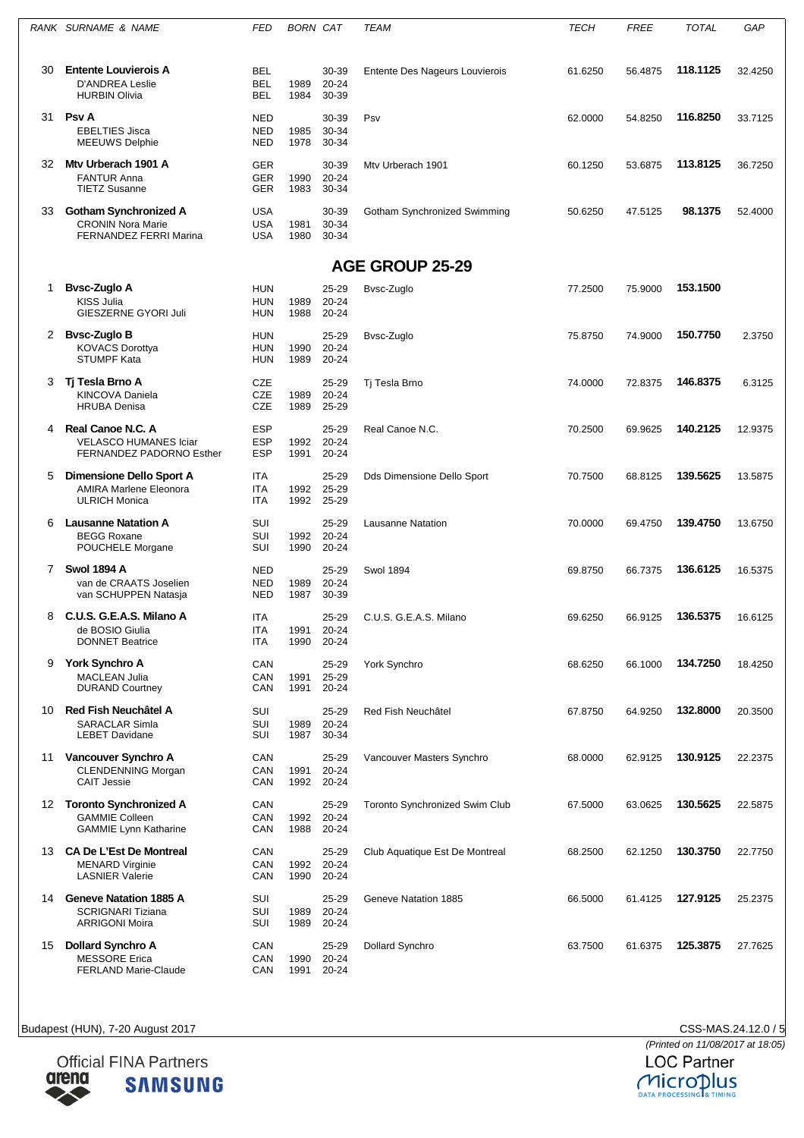|    | RANK SURNAME & NAME                                                                       | FED                                    | BORN CAT     |                             | TEAM                                  | <b>TECH</b> | FREE    | <b>TOTAL</b> | GAP     |
|----|-------------------------------------------------------------------------------------------|----------------------------------------|--------------|-----------------------------|---------------------------------------|-------------|---------|--------------|---------|
| 30 | <b>Entente Louvierois A</b><br><b>D'ANDREA Leslie</b><br><b>HURBIN Olivia</b>             | <b>BEL</b><br><b>BEL</b><br>BEL        | 1989<br>1984 | 30-39<br>$20 - 24$<br>30-39 | Entente Des Nageurs Louvierois        | 61.6250     | 56.4875 | 118.1125     | 32.4250 |
| 31 | <b>Psv A</b><br><b>EBELTIES Jisca</b><br><b>MEEUWS Delphie</b>                            | <b>NED</b><br><b>NED</b><br><b>NED</b> | 1985<br>1978 | 30-39<br>30-34<br>30-34     | Psv                                   | 62.0000     | 54.8250 | 116.8250     | 33.7125 |
| 32 | Mty Urberach 1901 A<br><b>FANTUR Anna</b><br><b>TIETZ Susanne</b>                         | <b>GER</b><br><b>GER</b><br><b>GER</b> | 1990<br>1983 | 30-39<br>20-24<br>30-34     | Mty Urberach 1901                     | 60.1250     | 53.6875 | 113.8125     | 36.7250 |
| 33 | <b>Gotham Synchronized A</b><br><b>CRONIN Nora Marie</b><br><b>FERNANDEZ FERRI Marina</b> | <b>USA</b><br><b>USA</b><br><b>USA</b> | 1981<br>1980 | 30-39<br>30-34<br>30-34     | Gotham Synchronized Swimming          | 50.6250     | 47.5125 | 98.1375      | 52.4000 |
|    |                                                                                           |                                        |              |                             | <b>AGE GROUP 25-29</b>                |             |         |              |         |
| 1  | <b>Bysc-Zuglo A</b><br><b>KISS Julia</b><br>GIESZERNE GYORI Juli                          | <b>HUN</b><br>HUN<br>HUN               | 1989<br>1988 | 25-29<br>20-24<br>20-24     | Bvsc-Zuglo                            | 77.2500     | 75.9000 | 153.1500     |         |
| 2  | Bvsc-Zuglo B<br><b>KOVACS Dorottva</b><br><b>STUMPF Kata</b>                              | <b>HUN</b><br><b>HUN</b><br>HUN        | 1990<br>1989 | 25-29<br>20-24<br>20-24     | Bysc-Zuglo                            | 75.8750     | 74.9000 | 150.7750     | 2.3750  |
| 3  | Tj Tesla Brno A<br><b>KINCOVA Daniela</b><br><b>HRUBA Denisa</b>                          | CZE<br>CZE<br>CZE                      | 1989<br>1989 | 25-29<br>20-24<br>25-29     | Tj Tesla Brno                         | 74.0000     | 72.8375 | 146.8375     | 6.3125  |
| 4  | Real Canoe N.C. A<br><b>VELASCO HUMANES Iciar</b><br>FERNANDEZ PADORNO Esther             | <b>ESP</b><br><b>ESP</b><br><b>ESP</b> | 1992<br>1991 | 25-29<br>$20 - 24$<br>20-24 | Real Canoe N.C.                       | 70.2500     | 69.9625 | 140.2125     | 12.9375 |
| 5  | Dimensione Dello Sport A<br><b>AMIRA Marlene Eleonora</b><br><b>ULRICH Monica</b>         | ITA<br><b>ITA</b><br>ITA               | 1992<br>1992 | 25-29<br>25-29<br>25-29     | Dds Dimensione Dello Sport            | 70.7500     | 68.8125 | 139.5625     | 13.5875 |
| 6  | <b>Lausanne Natation A</b><br><b>BEGG Roxane</b><br>POUCHELE Morgane                      | SUI<br>SUI<br>SUI                      | 1992<br>1990 | $25 - 29$<br>20-24<br>20-24 | Lausanne Natation                     | 70.0000     | 69.4750 | 139.4750     | 13.6750 |
| 7  | <b>Swol 1894 A</b><br>van de CRAATS Joselien<br>van SCHUPPEN Natasja                      | <b>NED</b><br><b>NED</b><br><b>NED</b> | 1989<br>1987 | 25-29<br>20-24<br>30-39     | <b>Swol 1894</b>                      | 69.8750     | 66.7375 | 136.6125     | 16.5375 |
| 8  | C.U.S. G.E.A.S. Milano A<br>de BOSIO Giulia<br><b>DONNET Beatrice</b>                     | <b>ITA</b><br>ITA<br>ITA               | 1991<br>1990 | 25-29<br>20-24<br>20-24     | C.U.S. G.E.A.S. Milano                | 69.6250     | 66.9125 | 136.5375     | 16.6125 |
| 9  | York Synchro A<br><b>MACLEAN Julia</b><br><b>DURAND Courtney</b>                          | CAN<br>CAN<br>CAN                      | 1991<br>1991 | 25-29<br>25-29<br>20-24     | York Synchro                          | 68.6250     | 66.1000 | 134.7250     | 18.4250 |
| 10 | Red Fish Neuchâtel A<br><b>SARACLAR Simla</b><br><b>LEBET Davidane</b>                    | SUI<br>SUI<br>SUI                      | 1989<br>1987 | 25-29<br>$20 - 24$<br>30-34 | Red Fish Neuchâtel                    | 67.8750     | 64.9250 | 132.8000     | 20.3500 |
| 11 | Vancouver Synchro A<br><b>CLENDENNING Morgan</b><br><b>CAIT Jessie</b>                    | CAN<br>CAN<br>CAN                      | 1991<br>1992 | 25-29<br>$20 - 24$<br>20-24 | Vancouver Masters Synchro             | 68.0000     | 62.9125 | 130.9125     | 22.2375 |
| 12 | <b>Toronto Synchronized A</b><br><b>GAMMIE Colleen</b><br><b>GAMMIE Lynn Katharine</b>    | CAN<br>CAN<br>CAN                      | 1992<br>1988 | 25-29<br>$20 - 24$<br>20-24 | <b>Toronto Synchronized Swim Club</b> | 67.5000     | 63.0625 | 130.5625     | 22.5875 |
|    | 13 CA De L'Est De Montreal<br><b>MENARD Virginie</b><br><b>LASNIER Valerie</b>            | CAN<br>CAN<br>CAN                      | 1992<br>1990 | 25-29<br>20-24<br>20-24     | Club Aquatique Est De Montreal        | 68.2500     | 62.1250 | 130.3750     | 22.7750 |
| 14 | <b>Geneve Natation 1885 A</b><br><b>SCRIGNARI Tiziana</b><br><b>ARRIGONI Moira</b>        | SUI<br>SUI<br>SUI                      | 1989<br>1989 | 25-29<br>20-24<br>20-24     | Geneve Natation 1885                  | 66.5000     | 61.4125 | 127.9125     | 25.2375 |
| 15 | <b>Dollard Synchro A</b><br><b>MESSORE Erica</b><br><b>FERLAND Marie-Claude</b>           | CAN<br>CAN<br>CAN                      | 1990<br>1991 | 25-29<br>20-24<br>20-24     | <b>Dollard Synchro</b>                | 63.7500     | 61.6375 | 125.3875     | 27.7625 |

**Official FINA Partners** arena **SAMSUNG** 

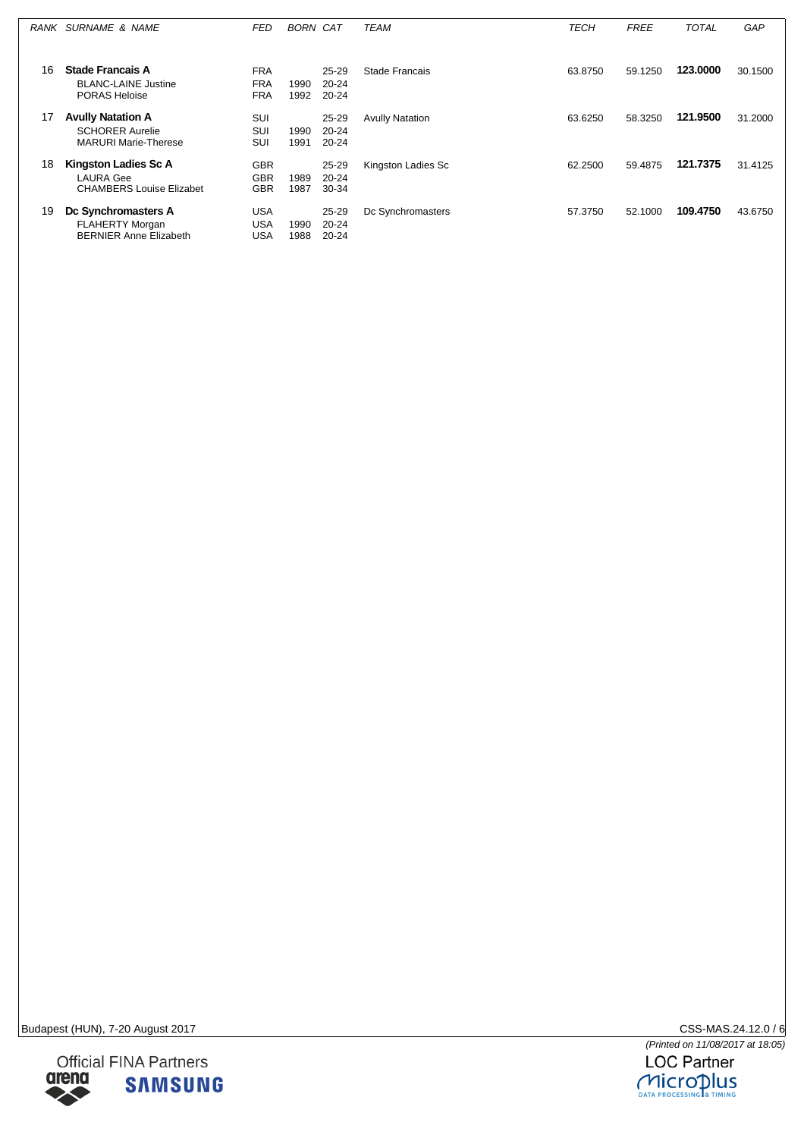|    | RANK SURNAME & NAME                                                               | FED                                    | <b>BORN CAT</b> |                             | TEAM                   | TECH    | <b>FREE</b> | <b>TOTAL</b> | GAP     |
|----|-----------------------------------------------------------------------------------|----------------------------------------|-----------------|-----------------------------|------------------------|---------|-------------|--------------|---------|
| 16 | <b>Stade Francais A</b><br><b>BLANC-LAINE Justine</b><br>PORAS Heloise            | <b>FRA</b><br><b>FRA</b><br><b>FRA</b> | 1990<br>1992    | 25-29<br>$20 - 24$<br>20-24 | Stade Francais         | 63.8750 | 59.1250     | 123.0000     | 30.1500 |
| 17 | <b>Avully Natation A</b><br><b>SCHORER Aurelie</b><br><b>MARURI Marie-Therese</b> | <b>SUI</b><br>SUI<br>SUI               | 1990<br>1991    | 25-29<br>20-24<br>20-24     | <b>Avully Natation</b> | 63.6250 | 58.3250     | 121.9500     | 31,2000 |
| 18 | <b>Kingston Ladies Sc A</b><br>LAURA Gee<br><b>CHAMBERS Louise Elizabet</b>       | <b>GBR</b><br><b>GBR</b><br><b>GBR</b> | 1989<br>1987    | 25-29<br>$20 - 24$<br>30-34 | Kingston Ladies Sc     | 62.2500 | 59.4875     | 121.7375     | 31.4125 |
| 19 | Dc Synchromasters A<br><b>FLAHERTY Morgan</b><br><b>BERNIER Anne Elizabeth</b>    | <b>USA</b><br>USA<br><b>USA</b>        | 1990<br>1988    | 25-29<br>20-24<br>20-24     | Dc Synchromasters      | 57.3750 | 52.1000     | 109.4750     | 43.6750 |



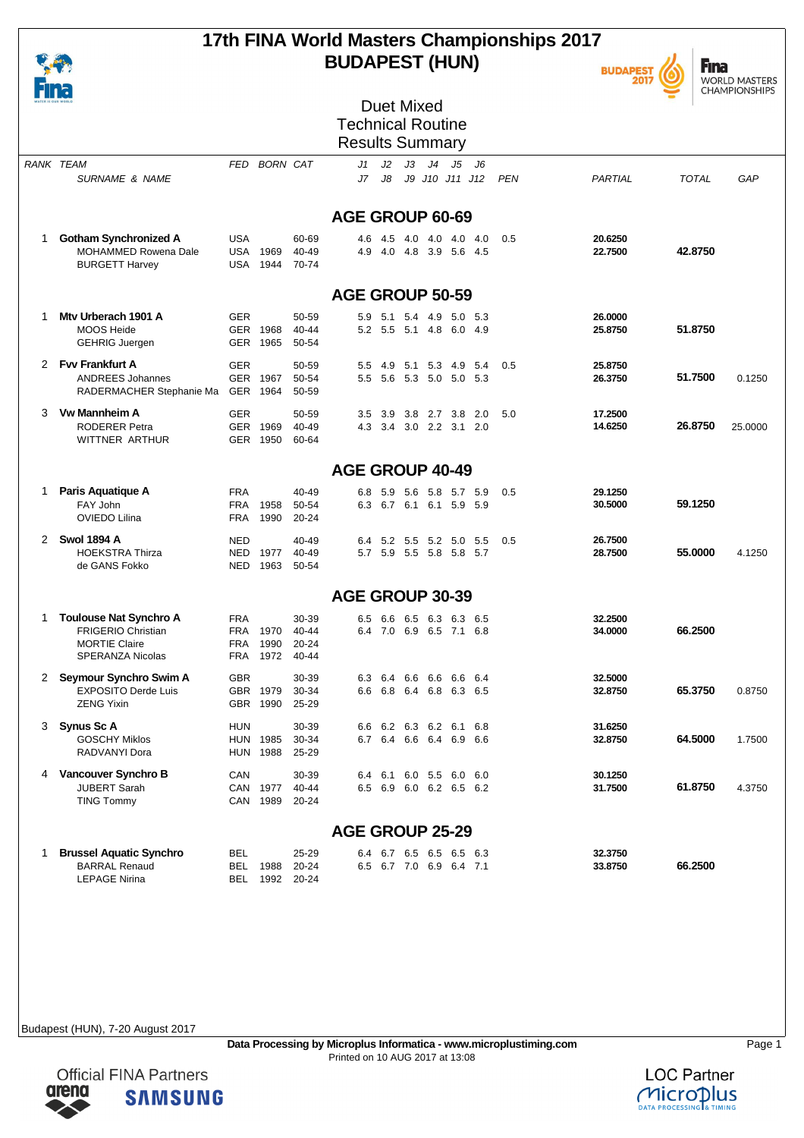

### **17th FINA World Masters Championships 2017 BUDAPEST (HUN)**



**Fina** WORLD MASTERS<br>CHAMPIONSHIPS

| ___<br>WATER IS OUR WORLD |                                                                                                               |                                                         |                                      | <b>Duet Mixed</b><br><b>Technical Routine</b><br><b>Results Summary</b>      |                    |                     |
|---------------------------|---------------------------------------------------------------------------------------------------------------|---------------------------------------------------------|--------------------------------------|------------------------------------------------------------------------------|--------------------|---------------------|
|                           | RANK TEAM<br><b>SURNAME &amp; NAME</b>                                                                        | FED                                                     | <b>BORN CAT</b>                      | J3<br>J4<br>J2<br>J5<br>J1<br>J6<br>J7<br>J8<br>J9 J10 J11 J12<br><b>PEN</b> | PARTIAL            | <b>TOTAL</b><br>GAP |
|                           |                                                                                                               |                                                         |                                      | AGE GROUP 60-69                                                              |                    |                     |
| 1                         | <b>Gotham Synchronized A</b><br>MOHAMMED Rowena Dale<br><b>BURGETT Harvey</b>                                 | <b>USA</b><br>USA 1969<br>1944<br>USA                   | 60-69<br>40-49<br>70-74              | 4.5 4.0<br>4.0<br>4.0<br>4.0<br>0.5<br>4.6<br>4.9<br>4.0 4.8 3.9 5.6 4.5     | 20.6250<br>22.7500 | 42.8750             |
|                           |                                                                                                               |                                                         |                                      | <b>AGE GROUP 50-59</b>                                                       |                    |                     |
| 1                         | Mtv Urberach 1901 A<br><b>MOOS Heide</b><br><b>GEHRIG Juergen</b>                                             | <b>GER</b><br>GER 1968<br>GER 1965                      | 50-59<br>40-44<br>50-54              | 5.9<br>5.1 5.4 4.9 5.0 5.3<br>5.2 5.5 5.1 4.8<br>6.0 4.9                     | 26.0000<br>25.8750 | 51.8750             |
| $\overline{2}$            | <b>Fvv Frankfurt A</b><br><b>ANDREES Johannes</b><br>RADERMACHER Stephanie Ma                                 | <b>GER</b><br>GER 1967<br>GER 1964                      | 50-59<br>50-54<br>50-59              | 4.9 5.1<br>5.3 4.9<br>- 5.4<br>0.5<br>5.5<br>5.6 5.3 5.0 5.0 5.3<br>5.5      | 25.8750<br>26.3750 | 51.7500<br>0.1250   |
| 3                         | <b>Vw Mannheim A</b><br><b>RODERER Petra</b><br><b>WITTNER ARTHUR</b>                                         | <b>GER</b><br>GER 1969<br>GER 1950                      | 50-59<br>40-49<br>60-64              | 3.9 3.8 2.7 3.8 2.0<br>5.0<br>3.5<br>3.4 3.0 2.2 3.1 2.0<br>4.3              | 17.2500<br>14.6250 | 26.8750<br>25.0000  |
|                           |                                                                                                               |                                                         |                                      | <b>AGE GROUP 40-49</b>                                                       |                    |                     |
| 1                         | Paris Aquatique A<br>FAY John<br>OVIEDO Lilina                                                                | <b>FRA</b><br><b>FRA</b><br>1958<br>1990<br><b>FRA</b>  | 40-49<br>50-54<br>20-24              | 0.5<br>6.8<br>5.9 5.6 5.8 5.7 5.9<br>6.3 6.7 6.1 6.1 5.9 5.9                 | 29.1250<br>30.5000 | 59.1250             |
| $\overline{2}$            | <b>Swol 1894 A</b><br><b>HOEKSTRA Thirza</b><br>de GANS Fokko                                                 | <b>NED</b><br>1977<br><b>NED</b><br>NED<br>1963         | 40-49<br>40-49<br>50-54              | 0.5<br>5.2 5.5 5.2 5.0 5.5<br>6.4<br>5.7 5.9 5.5 5.8 5.8 5.7                 | 26.7500<br>28.7500 | 55.0000<br>4.1250   |
|                           |                                                                                                               |                                                         |                                      | <b>AGE GROUP 30-39</b>                                                       |                    |                     |
| 1                         | <b>Toulouse Nat Synchro A</b><br><b>FRIGERIO Christian</b><br><b>MORTIE Claire</b><br><b>SPERANZA Nicolas</b> | <b>FRA</b><br>1970<br>FRA<br>1990<br>FRA<br>1972<br>FRA | 30-39<br>40-44<br>$20 - 24$<br>40-44 | 6.6 6.5 6.3 6.3 6.5<br>6.5<br>6.4 7.0 6.9 6.5 7.1<br>6.8                     | 32.2500<br>34.0000 | 66.2500             |
| 2                         | Seymour Synchro Swim A<br><b>EXPOSITO Derde Luis</b><br><b>ZENG Yixin</b>                                     | <b>GBR</b><br>GBR 1979<br>GBR 1990                      | 30-39<br>30-34<br>25-29              | 6.6 6.6<br>6.3<br>6.4<br>6.6<br>6.4<br>6.6<br>6.8 6.4 6.8 6.3 6.5            | 32.5000<br>32.8750 | 65.3750<br>0.8750   |
|                           | 3 Synus Sc A<br><b>GOSCHY Miklos</b><br>RADVANYI Dora                                                         | <b>HUN</b><br><b>HUN 1985</b><br><b>HUN 1988</b>        | 30-39<br>30-34<br>25-29              | 6.6 6.2 6.3 6.2 6.1<br>6.8<br>6.7 6.4 6.6 6.4 6.9 6.6                        | 31.6250<br>32.8750 | 64.5000<br>1.7500   |
| 4                         | Vancouver Synchro B<br><b>JUBERT Sarah</b><br><b>TING Tommy</b>                                               | CAN<br>CAN 1977<br>CAN 1989                             | 30-39<br>40-44<br>20-24              | 6.1 6.0 5.5 6.0 6.0<br>6.4<br>6.5 6.9 6.0 6.2 6.5 6.2                        | 30.1250<br>31.7500 | 61.8750<br>4.3750   |
|                           |                                                                                                               |                                                         |                                      | <b>AGE GROUP 25-29</b>                                                       |                    |                     |
| 1                         | <b>Brussel Aquatic Synchro</b><br><b>BARRAL Renaud</b><br><b>LEPAGE Nirina</b>                                | BEL<br>BEL<br>1988<br>BEL 1992 20-24                    | 25-29<br>20-24                       | 6.4 6.7 6.5 6.5 6.5 6.3<br>6.5 6.7 7.0 6.9 6.4 7.1                           | 32.3750<br>33.8750 | 66.2500             |

Budapest (HUN), 7-20 August 2017

arena

**Official FINA Partners** 

**SAMSUNG** 

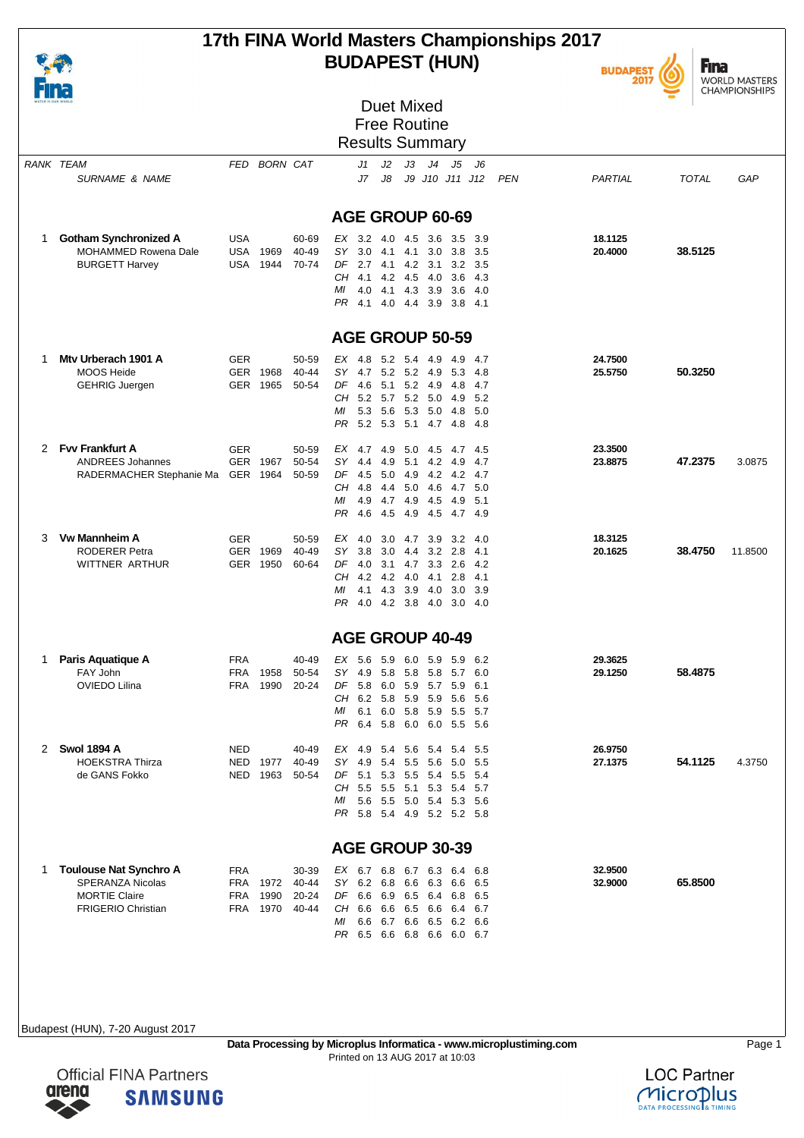| WATER IS OUR<br>WORLD |
|-----------------------|

# **17th FINA World Masters Championships 2017 BUDAPEST (HUN)**



**Fina** WORLD MASTERS<br>CHAMPIONSHIPS

|   | WATER IS OUR WORLD                                                                                            |                                        |                          | <b>Duet Mixed</b><br><b>Free Routine</b> |                                                                                                                                                                                                                                                                      |                    |              |         |
|---|---------------------------------------------------------------------------------------------------------------|----------------------------------------|--------------------------|------------------------------------------|----------------------------------------------------------------------------------------------------------------------------------------------------------------------------------------------------------------------------------------------------------------------|--------------------|--------------|---------|
|   |                                                                                                               |                                        |                          |                                          | <b>Results Summary</b>                                                                                                                                                                                                                                               |                    |              |         |
|   | <b>RANK TEAM</b><br><b>SURNAME &amp; NAME</b>                                                                 | FED                                    | <b>BORN CAT</b>          |                                          | J4<br>J1<br>J2<br>JЗ<br>J5<br>J6<br>J7<br>J8<br>J9 J10 J11 J12<br><b>PEN</b>                                                                                                                                                                                         | PARTIAL            | <b>TOTAL</b> | GAP     |
|   |                                                                                                               |                                        |                          |                                          | AGE GROUP 60-69                                                                                                                                                                                                                                                      |                    |              |         |
| 1 | <b>Gotham Synchronized A</b>                                                                                  | <b>USA</b>                             |                          | 60-69                                    | $EX$ 3.2 4.0<br>4.5<br>3.6<br>3.5<br>3.9                                                                                                                                                                                                                             | 18.1125            |              |         |
|   | MOHAMMED Rowena Dale<br><b>BURGETT Harvey</b>                                                                 | USA<br><b>USA</b>                      | 1969<br>1944             | 40-49<br>70-74                           | SY.<br>3.0<br>3.0<br>3.8<br>3.5<br>4.1 4.1<br>DF<br>2.7 4.1 4.2 3.1<br>3.2<br>3.5<br>CH.<br>4.2 4.5 4.0<br>4.1<br>- 3.6<br>4.3<br>МI<br>4.1<br>4.0<br>43 39<br>3.6<br>-4.0<br>PR<br>4.1 4.0 4.4 3.9<br>3.8 4.1                                                       | 20.4000            | 38.5125      |         |
|   |                                                                                                               |                                        |                          |                                          | AGE GROUP 50-59                                                                                                                                                                                                                                                      |                    |              |         |
| 1 | Mty Urberach 1901 A<br><b>MOOS Heide</b><br><b>GEHRIG Juergen</b>                                             | <b>GER</b><br><b>GER</b>               | 1968<br>GER 1965         | 50-59<br>40-44<br>50-54                  | 5.2 5.4 4.9<br>$EX$ 4.8<br>4.9<br>4.7<br>SY.<br>4.7 5.2 5.2 4.9<br>5.3<br>-4.8<br>DF<br>5.1 5.2 4.9<br>4.6<br>4.8<br>4.7<br>CH 5.2 5.7 5.2 5.0<br>4.9<br>-5.2<br>5.3 5.6<br>5.3 5.0<br>4.8<br>МI<br>-5.0<br>PR<br>5.2 5.3 5.1 4.7 4.8 4.8                            | 24.7500<br>25.5750 | 50.3250      |         |
| 2 | <b>Fvv Frankfurt A</b><br><b>ANDREES Johannes</b><br>RADERMACHER Stephanie Ma                                 | <b>GER</b>                             | GER 1967<br>GER 1964     | 50-59<br>50-54<br>50-59                  | EX 4.7 4.9<br>5.0 4.5<br>4.5<br>-4.7<br>SY<br>4.9<br>5.1<br>4.2<br>4.9<br>4.4<br>4.7<br>DF<br>4.5 5.0<br>4.9 4.2 4.2 4.7<br>CН<br>5.0 4.6<br>4.7 5.0<br>-4.8<br>4.4<br>4.5<br>4.9<br>МI<br>4.9<br>4.7<br>-4.9<br>5.1                                                 | 23.3500<br>23.8875 | 47.2375      | 3.0875  |
|   |                                                                                                               |                                        |                          |                                          | 4.5 4.9 4.5<br>4.7 4.9<br>PR<br>4.6                                                                                                                                                                                                                                  |                    |              |         |
| 3 | <b>Vw Mannheim A</b><br><b>RODERER Petra</b><br>WITTNER ARTHUR                                                | <b>GER</b><br><b>GER</b>               | 1969<br>GER 1950         | 50-59<br>40-49<br>60-64                  | ЕX<br>4.0<br>3.0<br>4.7<br>3.9<br>3.2<br>4.0<br>SY 3.8<br>3.0<br>$3.2$ $2.8$<br>4.4<br>4.1<br>DF<br>3.3<br>2.6<br>4.0<br>3.1<br>4.7<br>-4.2<br>CH<br>4.2 4.2<br>4.0 4.1<br>2.8<br>4.1<br>4.3<br>3.9 4.0<br>3.0<br>МI<br>4.1<br>3.9<br>4.0 4.2 3.8 4.0 3.0 4.0<br>PR. | 18.3125<br>20.1625 | 38.4750      | 11.8500 |
|   |                                                                                                               |                                        |                          |                                          | <b>AGE GROUP 40-49</b>                                                                                                                                                                                                                                               |                    |              |         |
| 1 | Paris Aquatique A<br>FAY John<br>OVIEDO Lilina                                                                | <b>FRA</b><br><b>FRA</b><br><b>FRA</b> | 1958<br>1990             | 40-49<br>50-54<br>20-24                  | EX<br>5.6<br>5.9<br>6.0<br>5.9<br>5.9<br>6.2<br>SY<br>5.8<br>5.8 5.8<br>5.7<br>6.0<br>4.9<br>DF<br>5.8 6.0 5.9 5.7 5.9<br>6.1<br>CH<br>6.2 5.8 5.9 5.9 5.6 5.6<br>MI 6.1 6.0 5.8 5.9 5.5 5.7<br>PR 6.4 5.8 6.0 6.0 5.5 5.6                                           | 29.3625<br>29.1250 | 58.4875      |         |
| 2 | <b>Swol 1894 A</b><br>HOEKSTRA Thirza<br>de GANS Fokko                                                        | <b>NED</b><br>NED                      | 1977<br>NED 1963         | 40-49<br>40-49<br>50-54                  | EX 4.9 5.4<br>5.6 5.4 5.4<br>5.5<br>SY 4.9<br>5.4<br>5.5 5.6<br>5.0 5.5<br>DF 5.1 5.3 5.5 5.4 5.5<br>- 5.4<br>CH 5.5 5.5 5.1 5.3 5.4 5.7<br>5.6 5.5 5.0 5.4 5.3 5.6<br>ΜI<br>PR 5.8 5.4 4.9 5.2 5.2 5.8                                                              | 26.9750<br>27.1375 | 54.1125      | 4.3750  |
|   |                                                                                                               |                                        |                          |                                          | AGE GROUP 30-39                                                                                                                                                                                                                                                      |                    |              |         |
| 1 | <b>Toulouse Nat Synchro A</b><br><b>SPERANZA Nicolas</b><br><b>MORTIE Claire</b><br><b>FRIGERIO Christian</b> | <b>FRA</b><br>FRA<br>FRA               | 1972<br>1990<br>FRA 1970 | 30-39<br>40-44<br>20-24<br>40-44         | EX 6.7 6.8 6.7 6.3 6.4 6.8<br>SY 6.2 6.8 6.6 6.3<br>6.6<br>6.5<br>DF 6.6 6.9 6.5 6.4 6.8 6.5<br>CH 6.6 6.6 6.5 6.6<br>6.4 6.7<br>6.6 6.7 6.6 6.5<br>6.2 6.6<br>МI<br>PR 6.5 6.6 6.8 6.6 6.0 6.7                                                                      | 32.9500<br>32.9000 | 65.8500      |         |
|   |                                                                                                               |                                        |                          |                                          |                                                                                                                                                                                                                                                                      |                    |              |         |



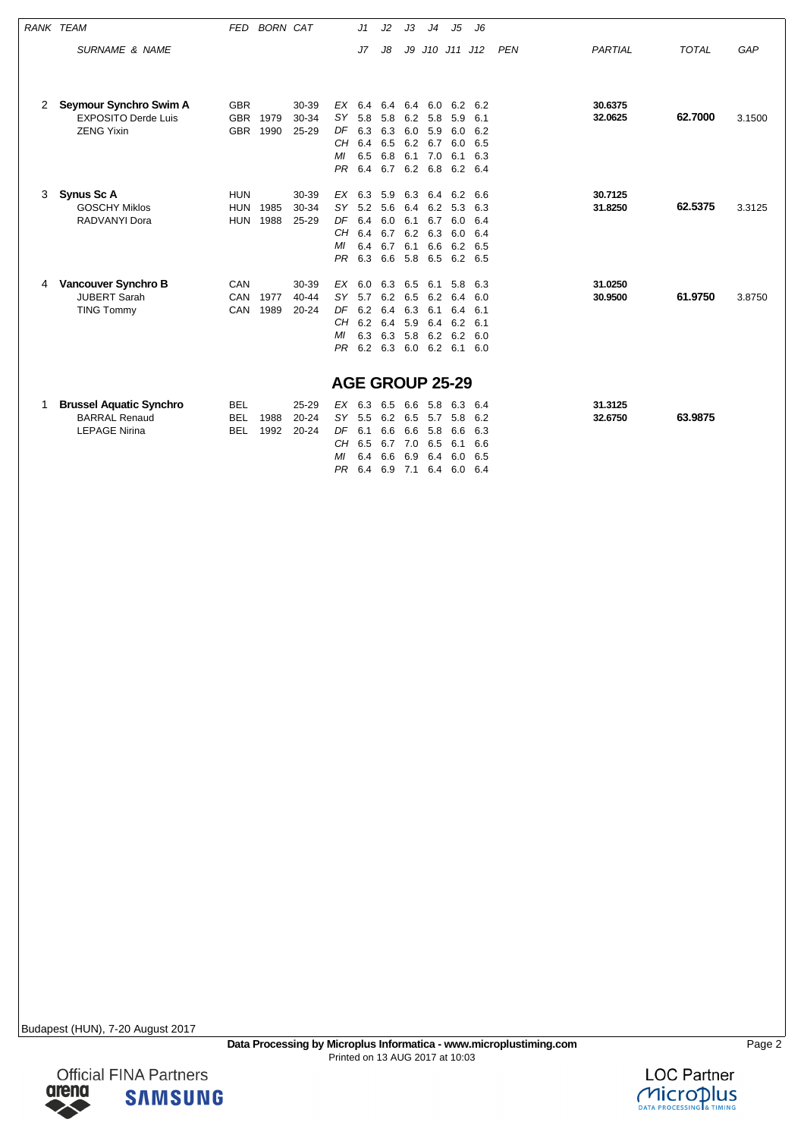| <b>RANK TEAM</b> |                                | <b>FED</b> | <b>BORN CAT</b> |           |                        | J1          | J2                | JЗ  | J <sub>4</sub>  | J5  | J6  |            |         |              |        |
|------------------|--------------------------------|------------|-----------------|-----------|------------------------|-------------|-------------------|-----|-----------------|-----|-----|------------|---------|--------------|--------|
|                  | <b>SURNAME &amp; NAME</b>      |            |                 |           |                        | J7          | J8                | J9  | J10 J11 J12     |     |     | <b>PEN</b> | PARTIAL | <b>TOTAL</b> | GAP    |
|                  |                                |            |                 |           |                        |             |                   |     |                 |     |     |            |         |              |        |
|                  |                                |            |                 |           |                        |             |                   |     |                 |     |     |            |         |              |        |
| 2                | Seymour Synchro Swim A         | <b>GBR</b> |                 | 30-39     | $EX$ 6.4               |             |                   |     | 6.4 6.4 6.0 6.2 |     | 6.2 |            | 30.6375 |              |        |
|                  | <b>EXPOSITO Derde Luis</b>     | <b>GBR</b> | 1979            | 30-34     | SY.                    | 5.8         | 5.8               | 6.2 | 5.8             | 5.9 | 6.1 |            | 32.0625 | 62.7000      | 3.1500 |
|                  | <b>ZENG Yixin</b>              | <b>GBR</b> | 1990            | 25-29     | DF                     | 6.3         | 6.3               | 6.0 | 5.9             | 6.0 | 6.2 |            |         |              |        |
|                  |                                |            |                 |           | CН                     | 6.4         | 6.5               | 6.2 | 6.7             | 6.0 | 6.5 |            |         |              |        |
|                  |                                |            |                 |           | MI                     | 6.5         | 6.8               |     | 6.1 7.0         | 6.1 | 6.3 |            |         |              |        |
|                  |                                |            |                 |           | PR                     | 6.4         | 6.7 6.2 6.8       |     |                 | 6.2 | 6.4 |            |         |              |        |
| 3                | Synus Sc A                     | <b>HUN</b> |                 | 30-39     | ЕX                     | 6.3         | 5.9               | 6.3 | 6.4             | 6.2 | 6.6 |            | 30.7125 |              |        |
|                  | <b>GOSCHY Miklos</b>           | <b>HUN</b> | 1985            | 30-34     | <b>SY</b>              | $5.2$ $5.6$ |                   | 6.4 | 6.2             | 5.3 | 6.3 |            | 31.8250 | 62.5375      | 3.3125 |
|                  | RADVANYI Dora                  | <b>HUN</b> | 1988            | 25-29     | DF                     | 6.4         | 6.0               | 6.1 | 6.7             | 6.0 | 6.4 |            |         |              |        |
|                  |                                |            |                 |           | CH.                    | 6.4         | $6.7$ $6.2$ $6.3$ |     |                 | 6.0 | 6.4 |            |         |              |        |
|                  |                                |            |                 |           | МI                     | 6.4         | 6.7               | 6.1 | 6.6             | 6.2 | 6.5 |            |         |              |        |
|                  |                                |            |                 |           | <b>PR</b>              | 6.3         | 6.6               |     | 5.8 6.5         | 6.2 | 6.5 |            |         |              |        |
| 4                | Vancouver Synchro B            | CAN        |                 | 30-39     | EX                     | 6.0         | 6.3               | 6.5 | 6.1             | 5.8 | 6.3 |            | 31.0250 |              |        |
|                  | <b>JUBERT Sarah</b>            | <b>CAN</b> | 1977            | $40 - 44$ | SY.                    | 5.7         | 6.2               | 6.5 | 6.2             | 6.4 | 6.0 |            | 30.9500 | 61.9750      | 3.8750 |
|                  | <b>TING Tommy</b>              | CAN        | 1989            | $20 - 24$ | DF                     | 6.2         | 6.4               | 6.3 | 6.1             | 6.4 | 6.1 |            |         |              |        |
|                  |                                |            |                 |           | CН                     | 6.2         | 6.4               | 5.9 | 6.4             | 6.2 | 6.1 |            |         |              |        |
|                  |                                |            |                 |           | MI                     | 6.3         | 6.3               |     | 5.8 6.2         | 6.2 | 6.0 |            |         |              |        |
|                  |                                |            |                 |           | PR.                    | 6.2 6.3     |                   |     | $6.0\quad 6.2$  | 6.1 | 6.0 |            |         |              |        |
|                  |                                |            |                 |           | <b>AGE GROUP 25-29</b> |             |                   |     |                 |     |     |            |         |              |        |
|                  |                                |            |                 |           |                        |             |                   |     |                 |     |     |            |         |              |        |
| 1                | <b>Brussel Aquatic Synchro</b> | <b>BEL</b> |                 | 25-29     | $EX$ 6.3               |             | 6.5               | 6.6 | 5.8             | 6.3 | 6.4 |            | 31.3125 |              |        |
|                  | <b>BARRAL Renaud</b>           | <b>BEL</b> | 1988            | $20 - 24$ | SY.                    | 5.5         | 6.2               | 6.5 | 5.7             | 5.8 | 6.2 |            | 32.6750 | 63.9875      |        |
|                  | <b>LEPAGE Nirina</b>           | <b>BEL</b> | 1992            | $20 - 24$ | DF                     | 6.1         | 6.6               | 6.6 | 5.8             | 6.6 | 6.3 |            |         |              |        |
|                  |                                |            |                 |           | CH                     | 6.5         | 6.7               | 7.0 | 6.5             | 6.1 | 6.6 |            |         |              |        |

MI 6.4 6.6 6.9 6.4 6.0 6.5 PR 6.4 6.9 7.1 6.4 6.0 6.4

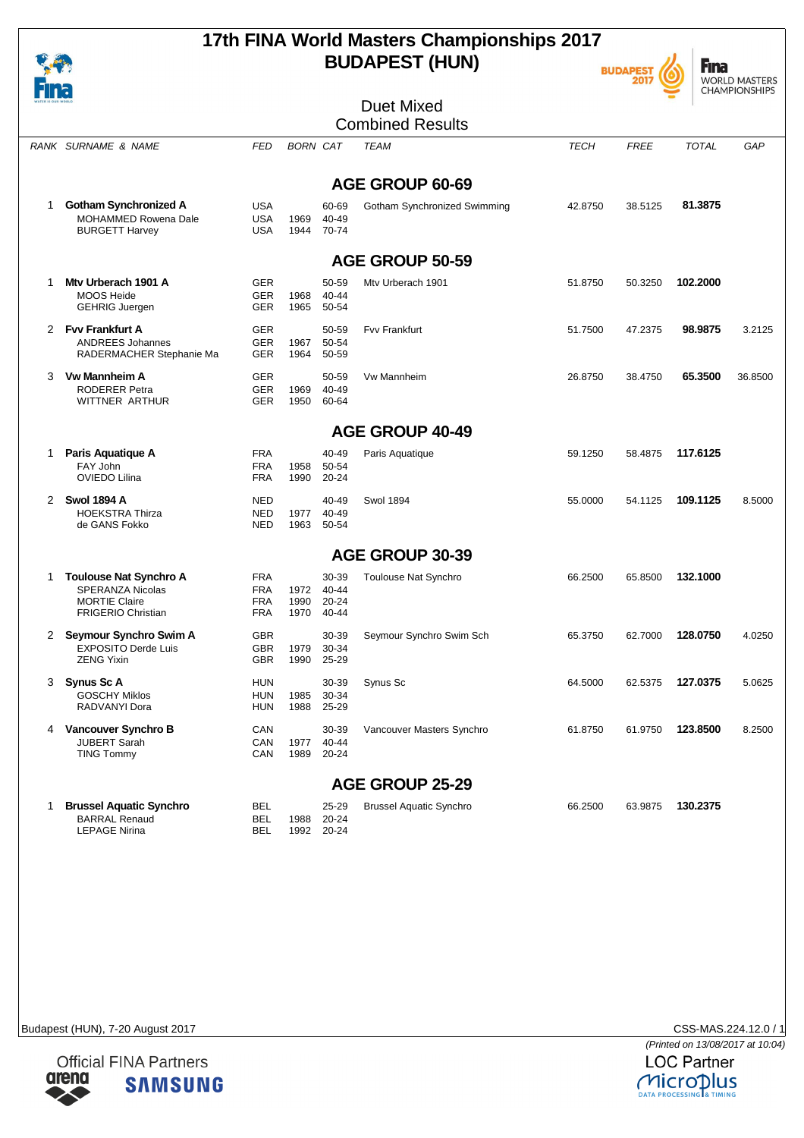

# **17th FINA World Masters Championships 2017 BUDAPEST (HUN)**





| HH I |                                                                                      |                                        |                 |                              |                                |             |             |              | ט וורווטרוטו וויורזו וט |
|------|--------------------------------------------------------------------------------------|----------------------------------------|-----------------|------------------------------|--------------------------------|-------------|-------------|--------------|-------------------------|
|      |                                                                                      |                                        |                 |                              | <b>Duet Mixed</b>              |             |             |              |                         |
|      |                                                                                      |                                        |                 |                              | <b>Combined Results</b>        |             |             |              |                         |
|      | RANK SURNAME & NAME                                                                  | <b>FED</b>                             | <b>BORN CAT</b> |                              | <b>TEAM</b>                    | <b>TECH</b> | <b>FREE</b> | <b>TOTAL</b> | GAP                     |
|      |                                                                                      |                                        |                 |                              |                                |             |             |              |                         |
|      |                                                                                      |                                        |                 |                              | AGE GROUP 60-69                |             |             |              |                         |
| 1    | <b>Gotham Synchronized A</b><br><b>MOHAMMED Rowena Dale</b><br><b>BURGETT Harvey</b> | <b>USA</b><br><b>USA</b><br><b>USA</b> | 1969<br>1944    | 60-69<br>40-49<br>70-74      | Gotham Synchronized Swimming   | 42.8750     | 38.5125     | 81.3875      |                         |
|      |                                                                                      |                                        |                 |                              | <b>AGE GROUP 50-59</b>         |             |             |              |                         |
| 1    | Mtv Urberach 1901 A                                                                  | <b>GER</b>                             |                 | 50-59                        | Mtv Urberach 1901              | 51.8750     | 50.3250     | 102.2000     |                         |
|      | <b>MOOS Heide</b><br><b>GEHRIG Juergen</b>                                           | <b>GER</b><br><b>GER</b>               | 1968<br>1965    | 40-44<br>50-54               |                                |             |             |              |                         |
|      | 2 Fvv Frankfurt A                                                                    | <b>GER</b>                             |                 | 50-59                        | <b>Fvv Frankfurt</b>           | 51.7500     | 47.2375     | 98.9875      | 3.2125                  |
|      | <b>ANDREES Johannes</b><br>RADERMACHER Stephanie Ma                                  | <b>GER</b><br><b>GER</b>               | 1967<br>1964    | 50-54<br>50-59               |                                |             |             |              |                         |
| 3    | <b>Vw Mannheim A</b>                                                                 | <b>GER</b>                             |                 | 50-59                        | Vw Mannheim                    | 26.8750     | 38.4750     | 65.3500      | 36.8500                 |
|      | <b>RODERER Petra</b>                                                                 | <b>GER</b>                             | 1969            | 40-49                        |                                |             |             |              |                         |
|      | WITTNER ARTHUR                                                                       | <b>GER</b>                             | 1950            | 60-64                        |                                |             |             |              |                         |
|      |                                                                                      |                                        |                 |                              | <b>AGE GROUP 40-49</b>         |             |             |              |                         |
| 1    | Paris Aquatique A                                                                    | <b>FRA</b>                             |                 | 40-49                        | Paris Aquatique                | 59.1250     | 58.4875     | 117.6125     |                         |
|      | FAY John<br>OVIEDO Lilina                                                            | <b>FRA</b><br><b>FRA</b>               | 1958<br>1990    | 50-54<br>20-24               |                                |             |             |              |                         |
|      | 2 Swol 1894 A                                                                        | <b>NED</b>                             |                 | 40-49                        | <b>Swol 1894</b>               | 55.0000     | 54.1125     | 109.1125     | 8.5000                  |
|      | <b>HOEKSTRA Thirza</b><br>de GANS Fokko                                              | <b>NED</b><br><b>NED</b>               | 1977<br>1963    | 40-49<br>50-54               |                                |             |             |              |                         |
|      |                                                                                      |                                        |                 |                              | <b>AGE GROUP 30-39</b>         |             |             |              |                         |
| 1    | <b>Toulouse Nat Synchro A</b>                                                        | <b>FRA</b>                             |                 | 30-39                        | Toulouse Nat Synchro           | 66.2500     | 65.8500     | 132.1000     |                         |
|      | <b>SPERANZA Nicolas</b>                                                              | <b>FRA</b>                             | 1972            | $40 - 44$                    |                                |             |             |              |                         |
|      | <b>MORTIE Claire</b>                                                                 | <b>FRA</b>                             | 1990            | $20 - 24$                    |                                |             |             |              |                         |
|      | <b>FRIGERIO Christian</b>                                                            | FRA                                    | 1970            | 40-44                        |                                |             |             |              |                         |
|      | 2 Seymour Synchro Swim A                                                             | <b>GBR</b>                             |                 | 30-39                        | Seymour Synchro Swim Sch       | 65.3750     | 62.7000     | 128.0750     | 4.0250                  |
|      | <b>EXPOSITO Derde Luis</b>                                                           | <b>GBR</b>                             | 1979            | 30-34                        |                                |             |             |              |                         |
|      | <b>ZENG Yixin</b>                                                                    | <b>GBR</b>                             | 1990            | 25-29                        |                                |             |             |              |                         |
| 3    | Synus Sc A                                                                           | <b>HUN</b>                             |                 | 30-39                        | Synus Sc                       | 64.5000     | 62.5375     | 127.0375     | 5.0625                  |
|      | <b>GOSCHY Miklos</b>                                                                 | HUN                                    | 1985            | 30-34                        |                                |             |             |              |                         |
|      | RADVANYI Dora                                                                        | <b>HUN</b>                             | 1988            | 25-29                        |                                |             |             |              |                         |
| 4    | Vancouver Synchro B                                                                  | CAN                                    |                 | 30-39                        | Vancouver Masters Synchro      | 61.8750     | 61.9750     | 123.8500     | 8.2500                  |
|      | JUBERT Sarah                                                                         | CAN                                    | 1977            | 40-44                        |                                |             |             |              |                         |
|      | <b>TING Tommy</b>                                                                    | CAN                                    | 1989            | 20-24                        |                                |             |             |              |                         |
|      |                                                                                      |                                        |                 |                              | <b>AGE GROUP 25-29</b>         |             |             |              |                         |
| 1    | <b>Brussel Aquatic Synchro</b><br><b>BARRAL Renaud</b><br><b>LEPAGE Nirina</b>       | BEL<br><b>BEL</b><br>BEL               | 1988            | 25-29<br>20-24<br>1992 20-24 | <b>Brussel Aquatic Synchro</b> | 66.2500     | 63.9875     | 130.2375     |                         |

Budapest (HUN), 7-20 August 2017 CSS-MAS.224.12.0 / 1



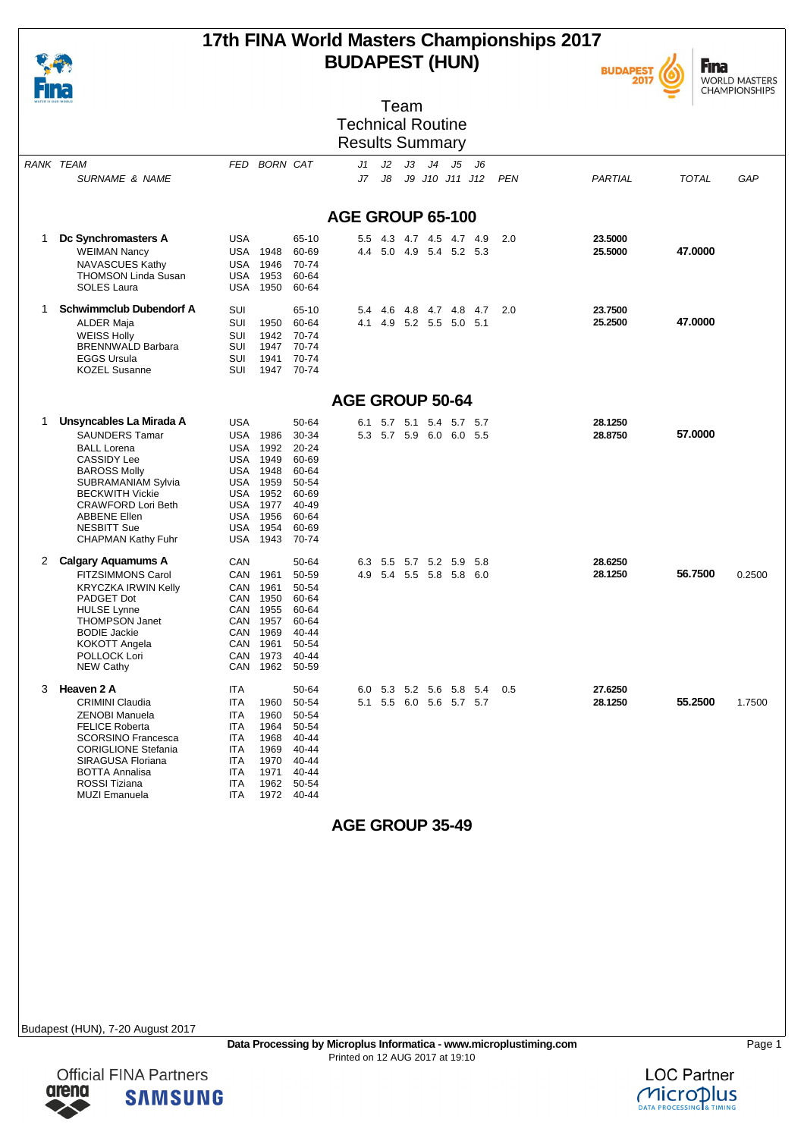

### **17th FINA World Masters Championships 2017 BUDAPEST (HUN)**





| WATER IS OUR WORLD |                                                                                                                                                                                                                                                                                   |                                                                                                                                                                            |                                                                                                     | Team                                                                                                |        |
|--------------------|-----------------------------------------------------------------------------------------------------------------------------------------------------------------------------------------------------------------------------------------------------------------------------------|----------------------------------------------------------------------------------------------------------------------------------------------------------------------------|-----------------------------------------------------------------------------------------------------|-----------------------------------------------------------------------------------------------------|--------|
|                    |                                                                                                                                                                                                                                                                                   |                                                                                                                                                                            |                                                                                                     | <b>Technical Routine</b>                                                                            |        |
|                    |                                                                                                                                                                                                                                                                                   |                                                                                                                                                                            |                                                                                                     | <b>Results Summary</b>                                                                              |        |
| RANK TEAM          | <b>SURNAME &amp; NAME</b>                                                                                                                                                                                                                                                         | FED BORN CAT                                                                                                                                                               |                                                                                                     | J3 J4 J5<br>J2<br>- J6<br>J1<br>J7<br>J8<br>J9 J10 J11 J12<br><b>PEN</b><br>PARTIAL<br><b>TOTAL</b> | GAP    |
|                    |                                                                                                                                                                                                                                                                                   |                                                                                                                                                                            |                                                                                                     | AGE GROUP 65-100                                                                                    |        |
| 1                  | Dc Synchromasters A<br><b>WEIMAN Nancy</b><br>NAVASCUES Kathy<br><b>THOMSON Linda Susan</b><br>SOLES Laura                                                                                                                                                                        | USA<br><b>USA 1948</b><br><b>USA 1946</b><br>1953<br>USA<br>USA<br>1950                                                                                                    | 65-10<br>60-69<br>70-74<br>60-64<br>60-64                                                           | 23.5000<br>5.5 4.3 4.7 4.5 4.7 4.9<br>2.0<br>47.0000<br>4.4 5.0 4.9 5.4 5.2 5.3<br>25.5000          |        |
| 1                  | <b>Schwimmclub Dubendorf A</b><br>ALDER Maja<br><b>WEISS Holly</b><br><b>BRENNWALD Barbara</b><br><b>EGGS Ursula</b><br><b>KOZEL Susanne</b>                                                                                                                                      | SUI<br>SUI<br>1950<br>SUI<br>1942<br>SUI<br>1947<br>SUI<br>1941<br><b>SUI</b><br>1947                                                                                      | 65-10<br>60-64<br>70-74<br>70-74<br>70-74<br>70-74                                                  | 23.7500<br>5.4 4.6 4.8 4.7 4.8 4.7<br>2.0<br>47.0000<br>4.1 4.9 5.2 5.5 5.0 5.1<br>25.2500          |        |
|                    |                                                                                                                                                                                                                                                                                   |                                                                                                                                                                            |                                                                                                     | <b>AGE GROUP 50-64</b>                                                                              |        |
| 1                  | Unsyncables La Mirada A<br><b>SAUNDERS Tamar</b><br><b>BALL Lorena</b><br><b>CASSIDY Lee</b><br><b>BAROSS Molly</b><br><b>SUBRAMANIAM Sylvia</b><br><b>BECKWITH Vickie</b><br><b>CRAWFORD Lori Beth</b><br><b>ABBENE Ellen</b><br><b>NESBITT Sue</b><br><b>CHAPMAN Kathy Fuhr</b> | USA<br>USA<br>1986<br>1992<br>USA<br><b>USA 1949</b><br><b>USA 1948</b><br><b>USA 1959</b><br>USA 1952<br><b>USA 1977</b><br><b>USA 1956</b><br>1954<br>USA<br>1943<br>USA | 50-64<br>30-34<br>$20 - 24$<br>60-69<br>60-64<br>50-54<br>60-69<br>40-49<br>60-64<br>60-69<br>70-74 | 28.1250<br>5.7 5.1 5.4 5.7 5.7<br>6.1<br>57.0000<br>5.3 5.7 5.9 6.0 6.0 5.5<br>28.8750              |        |
| 2                  | Calgary Aquamums A<br><b>FITZSIMMONS Carol</b><br><b>KRYCZKA IRWIN Kelly</b><br>PADGET Dot<br><b>HULSE Lynne</b><br><b>THOMPSON Janet</b><br><b>BODIE Jackie</b><br>KOKOTT Angela<br>POLLOCK Lori<br><b>NEW Cathy</b>                                                             | CAN<br>CAN 1961<br>CAN<br>1961<br>CAN<br>1950<br>1955<br>CAN<br>CAN 1957<br>1969<br>CAN<br>CAN 1961<br>CAN 1973<br>1962<br>CAN                                             | 50-64<br>50-59<br>50-54<br>60-64<br>60-64<br>60-64<br>40-44<br>50-54<br>40-44<br>50-59              | 28.6250<br>6.3 5.5 5.7 5.2 5.9<br>- 5.8<br>56.7500<br>4.9 5.4 5.5 5.8 5.8 6.0<br>28.1250            | 0.2500 |
| 3                  | Heaven 2 A<br><b>CRIMINI Claudia</b><br>ZENOBI Manuela<br><b>FELICE Roberta</b><br><b>SCORSINO Francesca</b><br><b>CORIGLIONE Stefania</b><br>SIRAGUSA Floriana<br><b>BOTTA Annalisa</b><br>ROSSI Tiziana<br><b>MUZI Emanuela</b>                                                 | <b>ITA</b><br>ITA<br>1960<br>ITA<br>1960<br>ITA<br>1964<br>ITA<br>1968<br>1969<br>ITA<br>1970<br><b>ITA</b><br>1971<br><b>ITA</b><br>ITA<br>1962<br><b>ITA</b><br>1972     | 50-64<br>50-54<br>50-54<br>50-54<br>40-44<br>40-44<br>40-44<br>40-44<br>50-54<br>40-44              | 27.6250<br>6.0 5.3 5.2 5.6 5.8 5.4<br>0.5<br>55.2500<br>28.1250<br>5.1 5.5 6.0 5.6 5.7 5.7          | 1.7500 |

**AGE GROUP 35-49**

Budapest (HUN), 7-20 August 2017

arena

**Official FINA Partners** 

**SAMSUNG** 



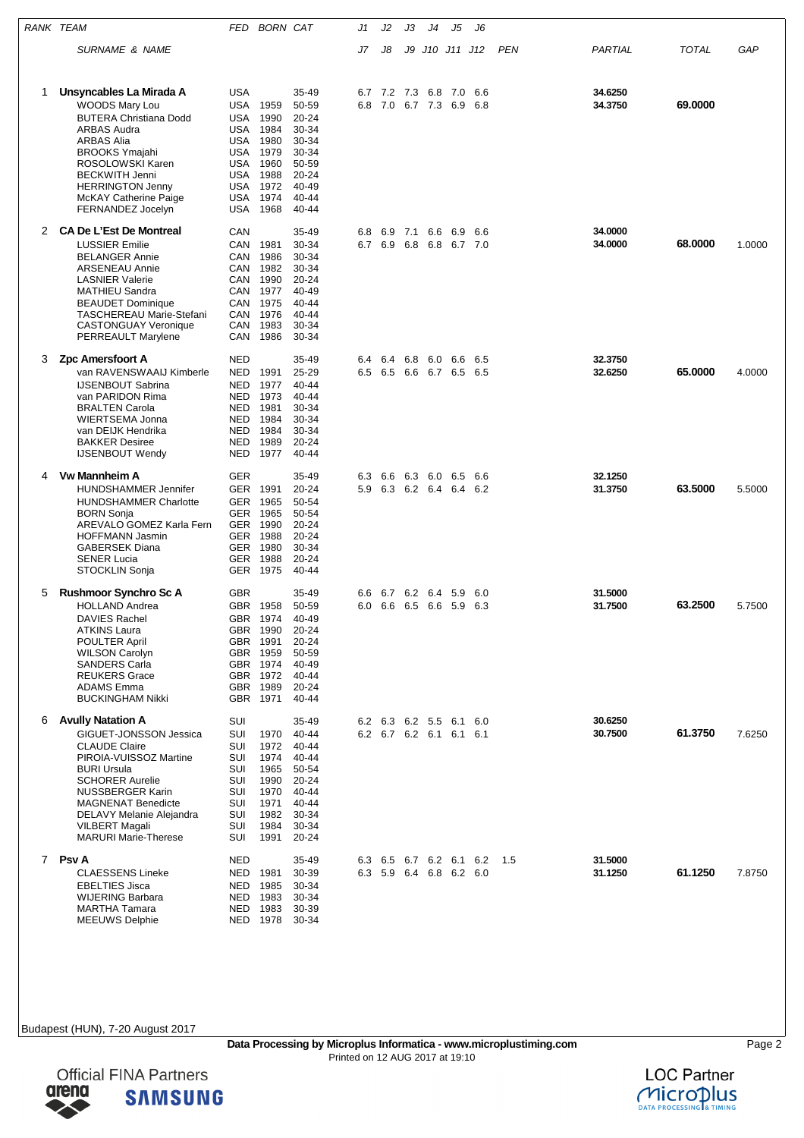|   | RANK TEAM                                                                                                                                                                                                                                                                                        | <b>BORN CAT</b><br>FED                                                                                                                                                  |                                                                                                 | J1         | J2         | JЗ      | J4                     | J5                                                 | J6         |     |                    |         |        |
|---|--------------------------------------------------------------------------------------------------------------------------------------------------------------------------------------------------------------------------------------------------------------------------------------------------|-------------------------------------------------------------------------------------------------------------------------------------------------------------------------|-------------------------------------------------------------------------------------------------|------------|------------|---------|------------------------|----------------------------------------------------|------------|-----|--------------------|---------|--------|
|   | <i>SURNAME &amp; NAME</i>                                                                                                                                                                                                                                                                        |                                                                                                                                                                         |                                                                                                 | J7         | J8         | J9      |                        | J10 J11 J12                                        |            | PEN | PARTIAL            | TOTAL   | GAP    |
| 1 | Unsyncables La Mirada A<br>WOODS Mary Lou<br><b>BUTERA Christiana Dodd</b><br>ARBAS Audra<br><b>ARBAS Alia</b><br><b>BROOKS Ymajahi</b><br>ROSOLOWSKI Karen<br><b>BECKWITH Jenni</b><br><b>HERRINGTON Jenny</b><br><b>McKAY Catherine Paige</b><br>FERNANDEZ Jocelyn                             | <b>USA</b><br>USA<br>1959<br>1990<br>USA<br>1984<br>USA<br><b>USA</b><br>1980<br>1979<br>USA<br>USA<br>1960<br>1988<br>USA<br>USA<br>1972<br>1974<br>USA<br>1968<br>USA | 35-49<br>50-59<br>20-24<br>30-34<br>30-34<br>30-34<br>50-59<br>20-24<br>40-49<br>40-44<br>40-44 | 6.7<br>6.8 | 7.2 7.3    |         | 6.8<br>7.0 6.7 7.3 6.9 | 7.0                                                | 6.6<br>6.8 |     | 34.6250<br>34.3750 | 69.0000 |        |
| 2 | <b>CA De L'Est De Montreal</b><br><b>LUSSIER Emilie</b><br><b>BELANGER Annie</b><br><b>ARSENEAU Annie</b><br><b>LASNIER Valerie</b><br>MATHIEU Sandra<br><b>BEAUDET Dominique</b><br><b>TASCHEREAU Marie-Stefani</b><br><b>CASTONGUAY Veronique</b><br>PERREAULT Marylene                        | CAN<br>1981<br>CAN<br>1986<br>CAN<br>1982<br>CAN<br>1990<br>CAN<br>1977<br>CAN<br>1975<br>CAN<br>CAN<br>1976<br>1983<br>CAN<br>CAN 1986                                 | 35-49<br>30-34<br>30-34<br>30-34<br>20-24<br>40-49<br>40-44<br>40-44<br>30-34<br>30-34          | 6.8<br>6.7 | 6.9<br>6.9 | 7.1 6.6 | 6.8 6.8                | 6.9<br>6.7 7.0                                     | 6.6        |     | 34.0000<br>34.0000 | 68,0000 | 1.0000 |
| 3 | <b>Zpc Amersfoort A</b><br>van RAVENSWAAIJ Kimberle<br><b>IJSENBOUT Sabrina</b><br>van PARIDON Rima<br><b>BRALTEN Carola</b><br>WIERTSEMA Jonna<br>van DEIJK Hendrika<br><b>BAKKER Desiree</b><br><b>IJSENBOUT Wendy</b>                                                                         | <b>NED</b><br>1991<br>NED<br>1977<br>NED<br>1973<br>NED<br>NED<br>1981<br>NED<br>1984<br>1984<br>NED<br>1989<br>NED<br>NED<br>1977                                      | 35-49<br>25-29<br>40-44<br>40-44<br>30-34<br>30-34<br>30-34<br>20-24<br>40-44                   | 6.4<br>6.5 | 6.4        |         | 6.8 6.0 6.6            | 6.5 6.6 6.7 6.5 6.5                                | 6.5        |     | 32.3750<br>32.6250 | 65.0000 | 4.0000 |
| 4 | <b>Vw Mannheim A</b><br><b>HUNDSHAMMER Jennifer</b><br><b>HUNDSHAMMER Charlotte</b><br><b>BORN Sonja</b><br>AREVALO GOMEZ Karla Fern<br><b>HOFFMANN Jasmin</b><br><b>GABERSEK Diana</b><br><b>SENER Lucia</b><br>STOCKLIN Sonja                                                                  | GER<br>GER 1991<br><b>GER</b><br>1965<br>1965<br>GER<br>GER 1990<br>1988<br>GER<br>GER 1980<br>GER 1988<br>1975<br>GER                                                  | 35-49<br>20-24<br>50-54<br>50-54<br>20-24<br>$20 - 24$<br>30-34<br>20-24<br>40-44               | 6.3<br>5.9 | 6.6        |         |                        | 6.3 6.0 6.5<br>6.3 6.2 6.4 6.4 6.2                 | 6.6        |     | 32.1250<br>31.3750 | 63.5000 | 5.5000 |
| 5 | <b>Rushmoor Synchro Sc A</b><br><b>HOLLAND Andrea</b><br><b>DAVIES Rachel</b><br><b>ATKINS Laura</b><br><b>POULTER April</b><br><b>WILSON Carolyn</b><br><b>SANDERS Carla</b><br><b>REUKERS Grace</b><br><b>ADAMS Emma</b><br><b>BUCKINGHAM Nikki</b>                                            | <b>GBR</b><br>GBR<br>1958<br>1974<br>GBR<br>GBR 1990<br>GBR 1991<br>GBR 1959<br>GBR 1974<br>GBR 1972<br>GBR 1989<br>GBR 1971                                            | 35-49<br>50-59<br>40-49<br>20-24<br>20-24<br>50-59<br>40-49<br>40-44<br>20-24<br>40-44          | 6.6        |            |         | 6.7 6.2 6.4 5.9        | 6.0 6.6 6.5 6.6 5.9 6.3                            | 6.0        |     | 31.5000<br>31.7500 | 63.2500 | 5.7500 |
| 6 | <b>Avully Natation A</b><br>GIGUET-JONSSON Jessica<br><b>CLAUDE Claire</b><br>PIROIA-VUISSOZ Martine<br><b>BURI Ursula</b><br><b>SCHORER Aurelie</b><br><b>NUSSBERGER Karin</b><br><b>MAGNENAT Benedicte</b><br>DELAVY Melanie Alejandra<br><b>VILBERT Magali</b><br><b>MARURI Marie-Therese</b> | SUI<br>SUI<br>1970<br>SUI<br>1972<br>SUI<br>1974<br><b>SUI</b><br>1965<br>SUI<br>1990<br>SUI<br>1970<br><b>SUI</b><br>1971<br>SUI<br>1982<br>SUI<br>1984<br>SUI<br>1991 | 35-49<br>40-44<br>40-44<br>40-44<br>50-54<br>20-24<br>40-44<br>40-44<br>30-34<br>30-34<br>20-24 |            |            |         |                        | 6.2 6.3 6.2 5.5 6.1 6.0<br>6.2 6.7 6.2 6.1 6.1 6.1 |            |     | 30.6250<br>30.7500 | 61.3750 | 7.6250 |
|   | 7 Psv A<br><b>CLAESSENS Lineke</b><br><b>EBELTIES Jisca</b><br><b>WIJERING Barbara</b><br><b>MARTHA Tamara</b><br><b>MEEUWS Delphie</b>                                                                                                                                                          | NED<br>1981<br>NED<br>1985<br>NED<br>NED 1983<br>1983<br>NED<br>NED 1978                                                                                                | 35-49<br>30-39<br>30-34<br>30-34<br>30-39<br>30-34                                              |            |            |         |                        | 6.3 6.5 6.7 6.2 6.1 6.2<br>6.3 5.9 6.4 6.8 6.2 6.0 |            | 1.5 | 31.5000<br>31.1250 | 61.1250 | 7.8750 |



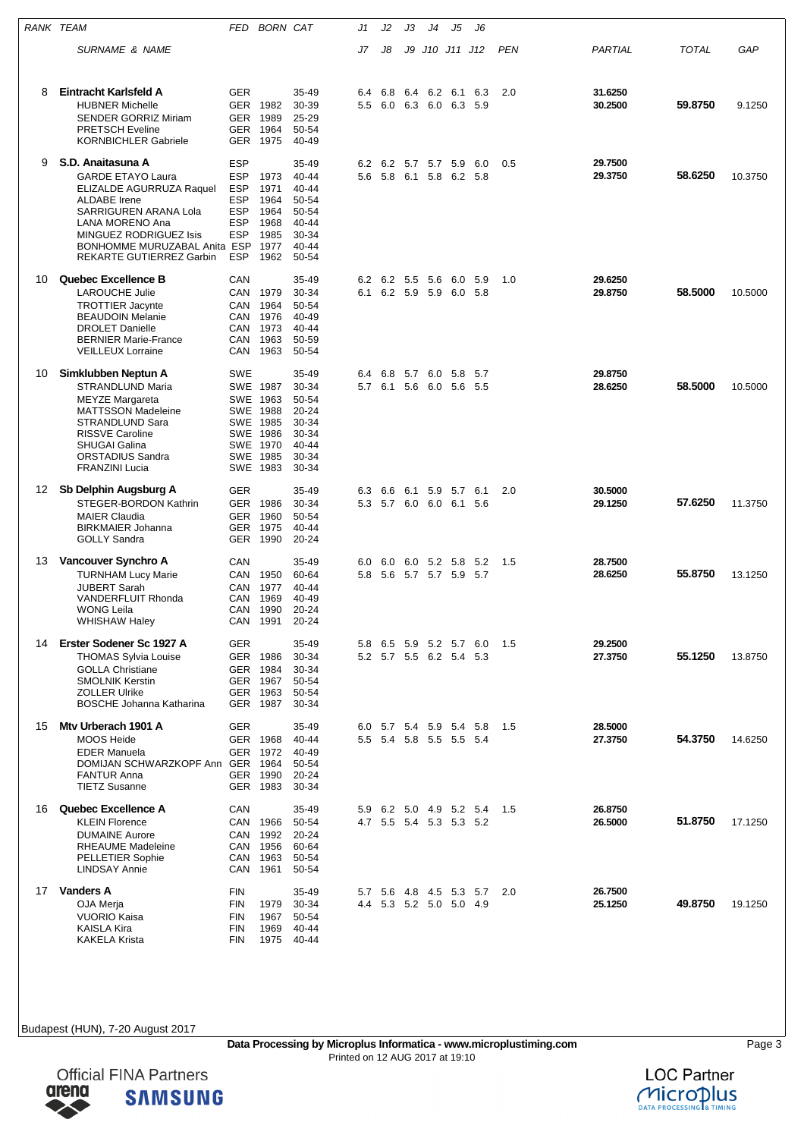| RANK TEAM |                                                                                                                                                                                                                                    | FED                                                                              | <b>BORN CAT</b>                                                                              |                                                                                       | J1                   | J2                  | JЗ  | J4 | J5                                                 | J6    |            |                    |              |         |
|-----------|------------------------------------------------------------------------------------------------------------------------------------------------------------------------------------------------------------------------------------|----------------------------------------------------------------------------------|----------------------------------------------------------------------------------------------|---------------------------------------------------------------------------------------|----------------------|---------------------|-----|----|----------------------------------------------------|-------|------------|--------------------|--------------|---------|
|           | <b>SURNAME &amp; NAME</b>                                                                                                                                                                                                          |                                                                                  |                                                                                              |                                                                                       | J7                   | J8                  |     |    | J9 J10 J11 J12                                     |       | <b>PEN</b> | PARTIAL            | <b>TOTAL</b> | GAP     |
| 8         | Eintracht Karlsfeld A<br><b>HUBNER Michelle</b><br><b>SENDER GORRIZ Miriam</b><br><b>PRETSCH Eveline</b><br><b>KORNBICHLER Gabriele</b>                                                                                            | <b>GER</b>                                                                       | GER 1982<br>GER 1989<br>GER 1964<br>GER 1975                                                 | 35-49<br>30-39<br>25-29<br>50-54<br>40-49                                             | 6.4<br>$5.5^{\circ}$ | 6.8                 | 6.4 |    | 6.2 6.1<br>6.0 6.3 6.0 6.3 5.9                     | 6.3   | 2.0        | 31.6250<br>30.2500 | 59.8750      | 9.1250  |
| 9         | S.D. Anaitasuna A<br><b>GARDE ETAYO Laura</b><br>ELIZALDE AGURRUZA Raquel<br><b>ALDABE</b> Irene<br>SARRIGUREN ARANA Lola<br>LANA MORENO Ana<br>MINGUEZ RODRIGUEZ Isis<br>BONHOMME MURUZABAL Anita ESP<br>REKARTE GUTIERREZ Garbin | ESP<br><b>ESP</b><br><b>ESP</b><br><b>ESP</b><br><b>ESP</b><br>ESP<br>ESP<br>ESP | 1973<br>1971<br>1964<br>1964<br>1968<br>1985<br>1977<br>1962                                 | 35-49<br>40-44<br>$40 - 44$<br>50-54<br>50-54<br>40-44<br>30-34<br>$40 - 44$<br>50-54 | 5.6                  |                     |     |    | 6.2 6.2 5.7 5.7 5.9 6.0<br>5.8 6.1 5.8 6.2 5.8     |       | 0.5        | 29.7500<br>29.3750 | 58.6250      | 10.3750 |
| 10        | Quebec Excellence B<br><b>LAROUCHE Julie</b><br><b>TROTTIER Jacynte</b><br><b>BEAUDOIN Melanie</b><br><b>DROLET Danielle</b><br><b>BERNIER Marie-France</b><br><b>VEILLEUX Lorraine</b>                                            | CAN<br>CAN                                                                       | CAN 1979<br>CAN 1964<br>CAN 1976<br>CAN 1973<br>CAN 1963<br>1963                             | 35-49<br>30-34<br>50-54<br>40-49<br>40-44<br>50-59<br>50-54                           |                      | 6.2 6.2 5.5 5.6 6.0 |     |    | 6.1 6.2 5.9 5.9 6.0 5.8                            | - 5.9 | 1.0        | 29.6250<br>29.8750 | 58.5000      | 10.5000 |
| 10        | Simklubben Neptun A<br><b>STRANDLUND Maria</b><br>MEYZE Margareta<br><b>MATTSSON Madeleine</b><br>STRANDLUND Sara<br><b>RISSVE Caroline</b><br><b>SHUGAI Galina</b><br>ORSTADIUS Sandra<br><b>FRANZINI Lucia</b>                   | SWE                                                                              | SWE 1987<br>SWE 1963<br>SWE 1988<br>SWE 1985<br>SWE 1986<br>SWE 1970<br>SWE 1985<br>SWE 1983 | 35-49<br>30-34<br>50-54<br>20-24<br>30-34<br>30-34<br>40-44<br>30-34<br>30-34         | 6.4                  | 6.8                 |     |    | 5.7 6.0 5.8 5.7<br>5.7 6.1 5.6 6.0 5.6 5.5         |       |            | 29.8750<br>28.6250 | 58.5000      | 10.5000 |
| 12        | Sb Delphin Augsburg A<br>STEGER-BORDON Kathrin<br><b>MAIER Claudia</b><br><b>BIRKMAIER Johanna</b><br><b>GOLLY Sandra</b>                                                                                                          | GER                                                                              | GER 1986<br>GER 1960<br>GER 1975<br>GER 1990                                                 | 35-49<br>30-34<br>50-54<br>40-44<br>20-24                                             | 6.3                  | 6.6                 |     |    | 6.1 5.9 5.7 6.1<br>5.3 5.7 6.0 6.0 6.1 5.6         |       | 2.0        | 30.5000<br>29.1250 | 57.6250      | 11.3750 |
| 13        | Vancouver Synchro A<br><b>TURNHAM Lucy Marie</b><br><b>JUBERT Sarah</b><br><b>VANDERFLUIT Rhonda</b><br><b>WONG Leila</b><br><b>WHISHAW Haley</b>                                                                                  | CAN<br>CAN<br>CAN<br>CAN                                                         | CAN 1950<br>1977<br>1969<br>1990<br>CAN 1991                                                 | $35 - 49$<br>60-64<br>40-44<br>40-49<br>20-24<br>20-24                                | 6.0<br>5.8           |                     |     |    | 6.0 6.0 5.2 5.8 5.2<br>5.6 5.7 5.7 5.9 5.7         |       | - 1.5      | 28.7500<br>28.6250 | 55.8750      | 13.1250 |
|           | 14 Erster Sodener Sc 1927 A<br><b>THOMAS Sylvia Louise</b><br><b>GOLLA Christiane</b><br><b>SMOLNIK Kerstin</b><br><b>ZOLLER Ulrike</b><br><b>BOSCHE Johanna Katharina</b>                                                         | GER                                                                              | GER 1986<br>GER 1984<br>GER 1967<br>GER 1963<br>GER 1987                                     | 35-49<br>30-34<br>30-34<br>50-54<br>50-54<br>30-34                                    | 5.8                  |                     |     |    | 6.5 5.9 5.2 5.7 6.0<br>5.2 5.7 5.5 6.2 5.4 5.3     |       | 1.5        | 29.2500<br>27.3750 | 55.1250      | 13.8750 |
| 15        | Mtv Urberach 1901 A<br><b>MOOS Heide</b><br><b>EDER Manuela</b><br>DOMIJAN SCHWARZKOPF Ann GER 1964<br><b>FANTUR Anna</b><br><b>TIETZ Susanne</b>                                                                                  | <b>GER</b>                                                                       | GER 1968<br>GER 1972<br>GER 1990<br>GER 1983                                                 | 35-49<br>40-44<br>40-49<br>50-54<br>20-24<br>30-34                                    |                      |                     |     |    | 6.0 5.7 5.4 5.9 5.4 5.8<br>5.5 5.4 5.8 5.5 5.5 5.4 |       | 1.5        | 28.5000<br>27.3750 | 54.3750      | 14.6250 |
| 16        | Quebec Excellence A<br><b>KLEIN Florence</b><br><b>DUMAINE Aurore</b><br><b>RHEAUME Madeleine</b><br><b>PELLETIER Sophie</b><br><b>LINDSAY Annie</b>                                                                               | CAN<br>CAN<br>CAN<br>CAN                                                         | CAN 1966<br>1992<br>CAN 1956<br>1963<br>1961                                                 | 35-49<br>50-54<br>20-24<br>60-64<br>50-54<br>50-54                                    |                      |                     |     |    | 5.9 6.2 5.0 4.9 5.2 5.4<br>4.7 5.5 5.4 5.3 5.3 5.2 |       | 1.5        | 26.8750<br>26.5000 | 51.8750      | 17.1250 |
| 17        | <b>Vanders A</b><br>OJA Merja<br><b>VUORIO Kaisa</b><br><b>KAISLA Kira</b><br><b>KAKELA Krista</b>                                                                                                                                 | FIN<br><b>FIN</b><br><b>FIN</b><br><b>FIN</b><br>FIN                             | 1979<br>1967<br>1969<br>1975                                                                 | 35-49<br>30-34<br>50-54<br>40-44<br>40-44                                             | 5.7                  |                     |     |    | 5.6 4.8 4.5 5.3 5.7<br>4.4 5.3 5.2 5.0 5.0 4.9     |       | 2.0        | 26.7500<br>25.1250 | 49.8750      | 19.1250 |



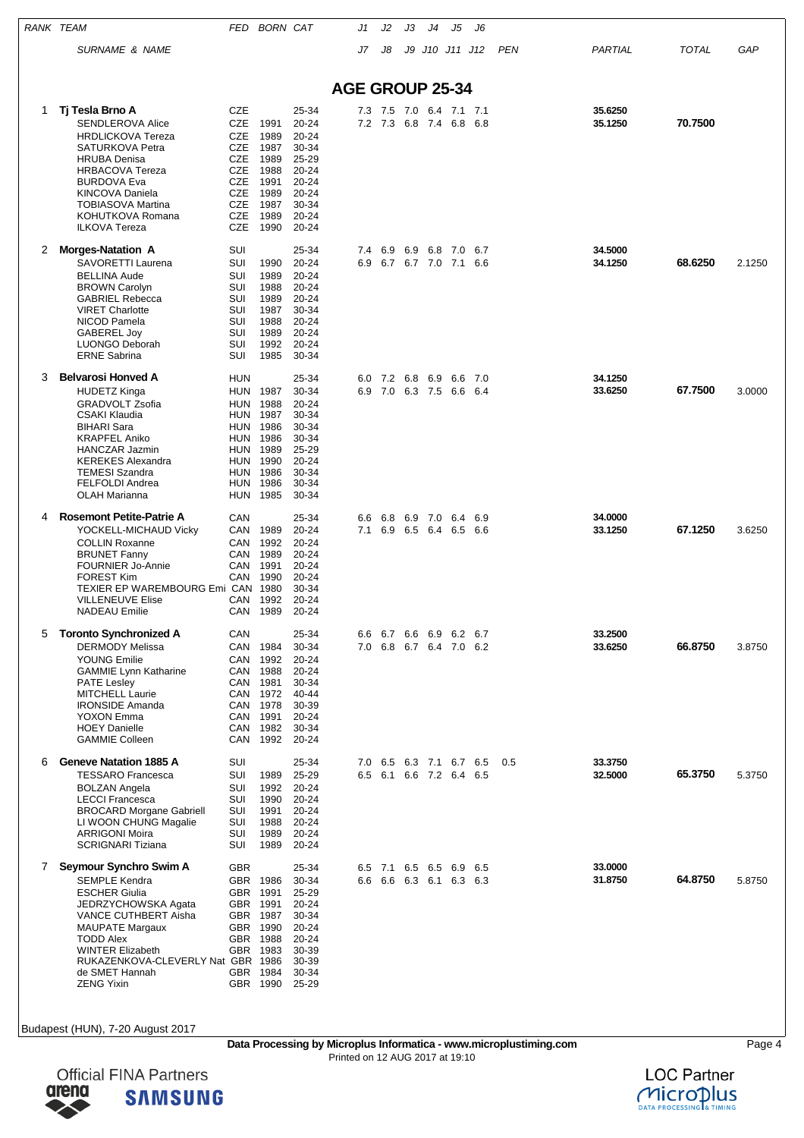| RANK TEAM |                                                                                                                                                                                                                                                                                  |                                                                                                              | FED BORN CAT                                                                                             |                                                                                                         | J1                     | J2                                         | JЗ                     | J4          | J5             | J6         |            |                    |         |        |
|-----------|----------------------------------------------------------------------------------------------------------------------------------------------------------------------------------------------------------------------------------------------------------------------------------|--------------------------------------------------------------------------------------------------------------|----------------------------------------------------------------------------------------------------------|---------------------------------------------------------------------------------------------------------|------------------------|--------------------------------------------|------------------------|-------------|----------------|------------|------------|--------------------|---------|--------|
|           | <b>SURNAME &amp; NAME</b>                                                                                                                                                                                                                                                        |                                                                                                              |                                                                                                          |                                                                                                         | J7                     | J8                                         | J9                     |             | J10 J11 J12    |            | <b>PEN</b> | PARTIAL            | TOTAL   | GAP    |
|           |                                                                                                                                                                                                                                                                                  |                                                                                                              |                                                                                                          |                                                                                                         |                        |                                            |                        |             |                |            |            |                    |         |        |
|           |                                                                                                                                                                                                                                                                                  |                                                                                                              |                                                                                                          |                                                                                                         | <b>AGE GROUP 25-34</b> |                                            |                        |             |                |            |            |                    |         |        |
| 1         | Tj Tesla Brno A<br><b>SENDLEROVA Alice</b><br><b>HRDLICKOVA Tereza</b><br>SATURKOVA Petra<br><b>HRUBA Denisa</b><br><b>HRBACOVA Tereza</b><br><b>BURDOVA Eva</b><br><b>KINCOVA Daniela</b><br><b>TOBIASOVA Martina</b><br>KOHUTKOVA Romana<br><b>ILKOVA Tereza</b>               | <b>CZE</b><br><b>CZE</b><br>CZE<br>CZE<br><b>CZE</b><br>CZE<br>CZE<br>CZE<br><b>CZE</b><br><b>CZE</b><br>CZE | 1991<br>1989<br>1987<br>1989<br>1988<br>1991<br>1989<br>1987<br>1989<br>1990                             | 25-34<br>20-24<br>$20 - 24$<br>30-34<br>25-29<br>20-24<br>20-24<br>20-24<br>30-34<br>$20 - 24$<br>20-24 |                        | 7.3 7.5 7.0<br>7.2 7.3                     |                        | 6.8 7.4 6.8 | 6.4 7.1 7.1    | 6.8        |            | 35.6250<br>35.1250 | 70.7500 |        |
| 2         | <b>Morges-Natation A</b><br>SAVORETTI Laurena<br><b>BELLINA Aude</b><br><b>BROWN Carolyn</b><br><b>GABRIEL Rebecca</b><br><b>VIRET Charlotte</b><br>NICOD Pamela<br>GABEREL Joy<br>LUONGO Deborah<br><b>ERNE Sabrina</b>                                                         | SUI<br>SUI<br>SUI<br>SUI<br>SUI<br>SUI<br>SUI<br>SUI<br>SUI<br>SUI                                           | 1990<br>1989<br>1988<br>1989<br>1987<br>1988<br>1989<br>1992<br>1985                                     | 25-34<br>20-24<br>20-24<br>20-24<br>20-24<br>30-34<br>20-24<br>$20 - 24$<br>20-24<br>30-34              | 7.4<br>6.9             | 6.9                                        | 6.9<br>6.7 6.7 7.0     | 6.8         | 7.0<br>7.1     | 6.7<br>6.6 |            | 34.5000<br>34.1250 | 68.6250 | 2.1250 |
| 3         | <b>Belvarosi Honved A</b><br><b>HUDETZ Kinga</b><br><b>GRADVOLT Zsofia</b><br><b>CSAKI Klaudia</b><br><b>BIHARI Sara</b><br><b>KRAPFEL Aniko</b><br><b>HANCZAR Jazmin</b><br><b>KEREKES Alexandra</b><br><b>TEMESI Szandra</b><br><b>FELFOLDI Andrea</b><br><b>OLAH Marianna</b> | <b>HUN</b><br>HUN<br>HUN<br>HUN<br>HUN<br><b>HUN</b><br>HUN<br>HUN<br>HUN<br>HUN<br>HUN                      | 1987<br>1988<br>1987<br>1986<br>1986<br>1989<br>1990<br>1986<br>1986<br>1985                             | 25-34<br>30-34<br>20-24<br>30-34<br>30-34<br>30-34<br>25-29<br>20-24<br>30-34<br>30-34<br>30-34         | 6.0<br>6.9             | 7.2<br>7.0                                 | 6.8 6.9<br>6.3 7.5     |             | 6.6<br>6.6 6.4 | 7.0        |            | 34.1250<br>33.6250 | 67.7500 | 3.0000 |
| 4         | <b>Rosemont Petite-Patrie A</b><br>YOCKELL-MICHAUD Vicky<br><b>COLLIN Roxanne</b><br><b>BRUNET Fanny</b><br><b>FOURNIER Jo-Annie</b><br><b>FOREST Kim</b><br>TEXIER EP WAREMBOURG Emi CAN<br><b>VILLENEUVE Elise</b><br><b>NADEAU</b> Emilie                                     | CAN<br>CAN<br>CAN<br>CAN<br>CAN<br>CAN<br>CAN<br>CAN                                                         | 1989<br>1992<br>1989<br>1991<br>1990<br>1980<br>1992<br>1989                                             | 25-34<br>20-24<br>20-24<br>$20 - 24$<br>20-24<br>20-24<br>30-34<br>20-24<br>20-24                       | 6.6<br>7.1             | 6.8                                        | 6.9 7.0<br>6.9 6.5 6.4 |             | 6.4<br>6.5     | 6.9<br>6.6 |            | 34.0000<br>33.1250 | 67.1250 | 3.6250 |
| 5         | <b>Toronto Synchronized A</b><br><b>DERMODY Melissa</b><br><b>YOUNG Emilie</b><br><b>GAMMIE Lynn Katharine</b><br><b>PATE Lesley</b><br><b>MITCHELL Laurie</b><br><b>IRONSIDE Amanda</b><br><b>YOXON Emma</b><br><b>HOEY Danielle</b><br><b>GAMMIE Colleen</b>                   | CAN<br>CAN<br>CAN<br>CAN<br>CAN                                                                              | CAN 1984<br>1992<br>1988<br>CAN 1981<br>CAN 1972<br>CAN 1978<br>CAN 1991<br>1982<br>1992                 | 25-34<br>30-34<br>$20 - 24$<br>20-24<br>30-34<br>40-44<br>30-39<br>20-24<br>30-34<br>20-24              | 6.6<br>7.0             | 6.8 6.7 6.4 7.0                            | 6.7 6.6 6.9            |             | 6.2            | 6.7<br>6.2 |            | 33.2500<br>33.6250 | 66.8750 | 3.8750 |
| 6         | <b>Geneve Natation 1885 A</b><br><b>TESSARO Francesca</b><br><b>BOLZAN Angela</b><br><b>LECCI Francesca</b><br><b>BROCARD Morgane Gabriell</b><br>LI WOON CHUNG Magalie<br><b>ARRIGONI Moira</b><br><b>SCRIGNARI Tiziana</b>                                                     | SUI<br>SUI<br>SUI<br>SUI<br>SUI<br>SUI<br>SUI<br>SUI                                                         | 1989<br>1992<br>1990<br>1991<br>1988<br>1989<br>1989                                                     | 25-34<br>25-29<br>$20 - 24$<br>20-24<br>20-24<br>20-24<br>20-24<br>20-24                                | 7.0<br>6.5             | 6.5 6.3 7.1 6.7 6.5<br>6.1 6.6 7.2 6.4 6.5 |                        |             |                |            | 0.5        | 33.3750<br>32.5000 | 65.3750 | 5.3750 |
| 7         | Seymour Synchro Swim A<br><b>SEMPLE Kendra</b><br><b>ESCHER Giulia</b><br>JEDRZYCHOWSKA Agata<br>VANCE CUTHBERT Aisha<br><b>MAUPATE Margaux</b><br><b>TODD Alex</b><br><b>WINTER Elizabeth</b><br>RUKAZENKOVA-CLEVERLY Nat GBR 1986<br>de SMET Hannah<br><b>ZENG Yixin</b>       | <b>GBR</b>                                                                                                   | GBR 1986<br>GBR 1991<br>GBR 1991<br>GBR 1987<br>GBR 1990<br>GBR 1988<br>GBR 1983<br>GBR 1984<br>GBR 1990 | 25-34<br>30-34<br>25-29<br>20-24<br>30-34<br>20-24<br>20-24<br>30-39<br>30-39<br>30-34<br>25-29         | 6.5<br>6.6             | 7.1 6.5 6.5 6.9<br>6.6 6.3 6.1 6.3 6.3     |                        |             |                | 6.5        |            | 33.0000<br>31.8750 | 64.8750 | 5.8750 |

**Data Processing by Microplus Informatica - www.microplustiming.com** Page 4



Printed on 12 AUG 2017 at 19:10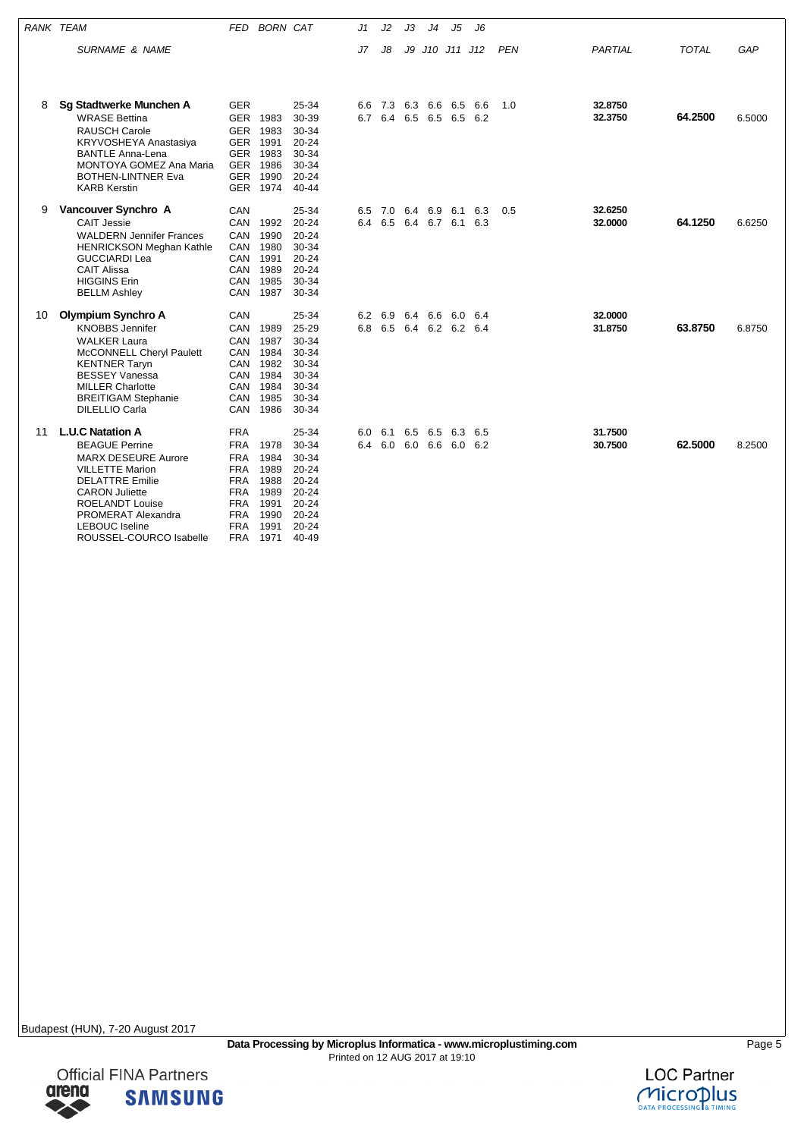| <b>RANK TEAM</b> |                                                                                                                                                                                                                                                                 | FED                                                                                                                                      | <b>BORN CAT</b>                                                      |                                                                                                        | J1         | J2             | JЗ | J4 | J5                                 | J6         |            |                    |              |        |
|------------------|-----------------------------------------------------------------------------------------------------------------------------------------------------------------------------------------------------------------------------------------------------------------|------------------------------------------------------------------------------------------------------------------------------------------|----------------------------------------------------------------------|--------------------------------------------------------------------------------------------------------|------------|----------------|----|----|------------------------------------|------------|------------|--------------------|--------------|--------|
|                  | SURNAME & NAME                                                                                                                                                                                                                                                  |                                                                                                                                          |                                                                      |                                                                                                        | J7         | J8             |    |    | J9 J10 J11 J12                     |            | <b>PEN</b> | PARTIAL            | <b>TOTAL</b> | GAP    |
| 8                | Sg Stadtwerke Munchen A<br><b>WRASE Bettina</b><br><b>RAUSCH Carole</b><br>KRYVOSHEYA Anastasiya                                                                                                                                                                | <b>GER</b><br>GER<br><b>GER</b><br><b>GER</b>                                                                                            | 1983<br>1983<br>1991                                                 | 25-34<br>30-39<br>30-34<br>$20 - 24$                                                                   | 6.6<br>6.7 | 7.3<br>6.4     |    |    | 6.3 6.6 6.5<br>6.5 6.5 6.5 6.2     | 6.6        | 1.0        | 32.8750<br>32.3750 | 64.2500      | 6.5000 |
|                  | <b>BANTLE Anna-Lena</b><br>MONTOYA GOMEZ Ana Maria<br><b>BOTHEN-LINTNER Eva</b><br><b>KARB Kerstin</b>                                                                                                                                                          | <b>GER</b><br><b>GER</b><br><b>GER</b><br><b>GER</b>                                                                                     | 1983<br>1986<br>1990<br>1974                                         | 30-34<br>30-34<br>$20 - 24$<br>40-44                                                                   |            |                |    |    |                                    |            |            |                    |              |        |
| 9                | Vancouver Synchro A<br><b>CAIT Jessie</b><br><b>WALDERN Jennifer Frances</b><br><b>HENRICKSON Meghan Kathle</b><br><b>GUCCIARDI Lea</b><br><b>CAIT Alissa</b><br><b>HIGGINS Erin</b><br><b>BELLM Ashley</b>                                                     | CAN<br>CAN<br><b>CAN</b><br>CAN<br>CAN<br>CAN<br>CAN<br>CAN                                                                              | 1992<br>1990<br>1980<br>1991<br>1989<br>1985<br>1987                 | 25-34<br>$20 - 24$<br>$20 - 24$<br>30-34<br>20-24<br>20-24<br>30-34<br>30-34                           | 6.5        | 7.0<br>6.4 6.5 |    |    | 6.4 6.9 6.1<br>6.4 6.7 6.1         | 6.3<br>6.3 | 0.5        | 32.6250<br>32.0000 | 64.1250      | 6.6250 |
| 10               | <b>Olympium Synchro A</b><br><b>KNOBBS Jennifer</b><br><b>WALKER Laura</b><br>McCONNELL Cheryl Paulett<br><b>KENTNER Taryn</b><br><b>BESSEY Vanessa</b><br><b>MILLER Charlotte</b><br><b>BREITIGAM Stephanie</b><br><b>DILELLIO Carla</b>                       | CAN<br>CAN<br>CAN<br>CAN<br>CAN<br>CAN<br>CAN<br>CAN<br>CAN                                                                              | 1989<br>1987<br>1984<br>1982<br>1984<br>1984<br>1985<br>1986         | 25-34<br>25-29<br>30-34<br>30-34<br>30-34<br>30-34<br>30-34<br>30-34<br>30-34                          | 6.2<br>6.8 | 6.9            |    |    | 6.4 6.6 6.0<br>6.5 6.4 6.2 6.2 6.4 | 6.4        |            | 32.0000<br>31.8750 | 63.8750      | 6.8750 |
| 11               | <b>L.U.C Natation A</b><br><b>BEAGUE Perrine</b><br><b>MARX DESEURE Aurore</b><br><b>VILLETTE Marion</b><br><b>DELATTRE Emilie</b><br><b>CARON Juliette</b><br><b>ROELANDT Louise</b><br>PROMERAT Alexandra<br><b>LEBOUC</b> Iseline<br>ROUSSEL-COURCO Isabelle | <b>FRA</b><br><b>FRA</b><br><b>FRA</b><br><b>FRA</b><br><b>FRA</b><br><b>FRA</b><br><b>FRA</b><br><b>FRA</b><br><b>FRA</b><br><b>FRA</b> | 1978<br>1984<br>1989<br>1988<br>1989<br>1991<br>1990<br>1991<br>1971 | 25-34<br>30-34<br>30-34<br>$20 - 24$<br>$20 - 24$<br>20-24<br>$20 - 24$<br>20-24<br>$20 - 24$<br>40-49 | 6.0        | 6.1            |    |    | 6.5 6.5 6.3<br>6.4 6.0 6.0 6.6 6.0 | 6.5<br>6.2 |            | 31.7500<br>30.7500 | 62.5000      | 8.2500 |

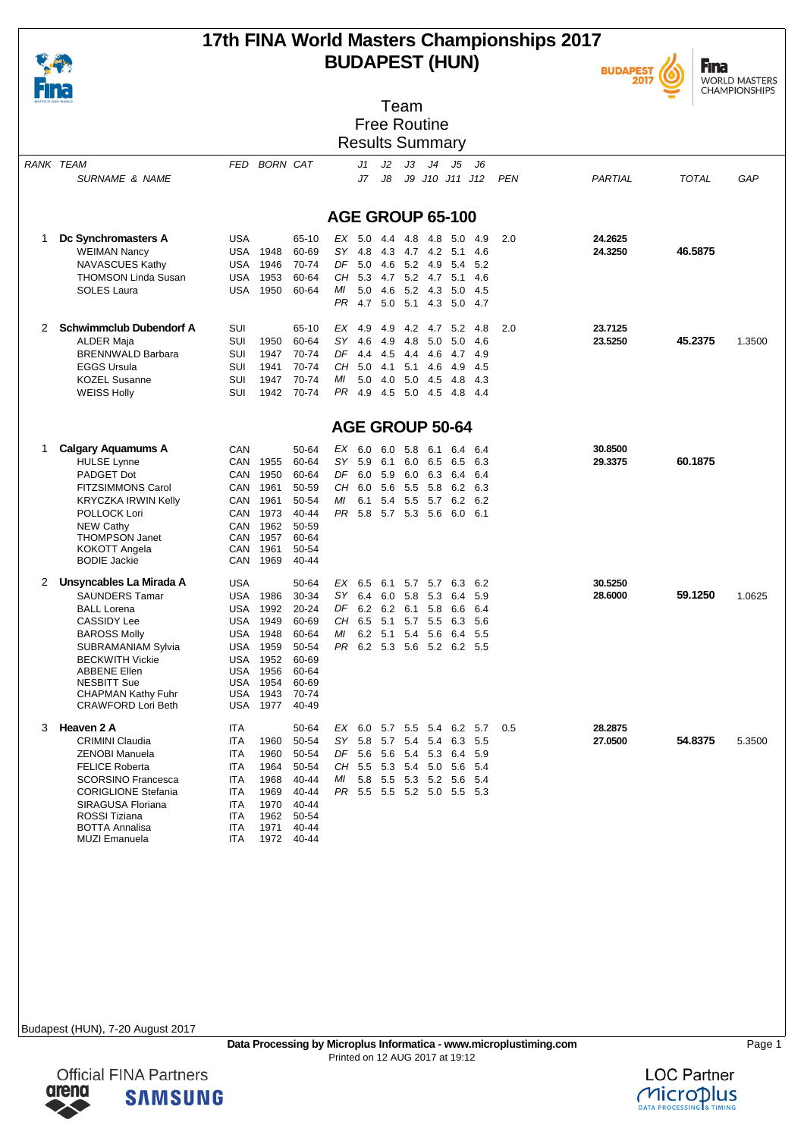

### **17th FINA World Masters Championships 2017 BUDAPEST (HUN)**





| .<br>WATER IS OUR WORLD |                                                                                                                                                                                                                                                                            |                                                                                                                                                                 |                                                                                                      | Team                                                                                                                                                                                                                                                  |                                         |
|-------------------------|----------------------------------------------------------------------------------------------------------------------------------------------------------------------------------------------------------------------------------------------------------------------------|-----------------------------------------------------------------------------------------------------------------------------------------------------------------|------------------------------------------------------------------------------------------------------|-------------------------------------------------------------------------------------------------------------------------------------------------------------------------------------------------------------------------------------------------------|-----------------------------------------|
|                         |                                                                                                                                                                                                                                                                            |                                                                                                                                                                 |                                                                                                      | <b>Free Routine</b>                                                                                                                                                                                                                                   |                                         |
|                         |                                                                                                                                                                                                                                                                            |                                                                                                                                                                 |                                                                                                      | <b>Results Summary</b>                                                                                                                                                                                                                                |                                         |
|                         | <b>RANK TEAM</b><br><b>SURNAME &amp; NAME</b>                                                                                                                                                                                                                              | FED BORN CAT                                                                                                                                                    |                                                                                                      | J2<br>JЗ<br>J4<br>J5<br>J6<br>J1<br>J7<br>J8<br>J9 J10 J11 J12<br><b>PEN</b>                                                                                                                                                                          | PARTIAL<br><b>TOTAL</b><br>GAP          |
|                         |                                                                                                                                                                                                                                                                            |                                                                                                                                                                 |                                                                                                      | AGE GROUP 65-100                                                                                                                                                                                                                                      |                                         |
| 1                       | Dc Synchromasters A<br><b>WEIMAN Nancy</b><br>NAVASCUES Kathy<br><b>THOMSON Linda Susan</b><br>SOLES Laura                                                                                                                                                                 | <b>USA</b><br>USA<br>1948<br>USA<br>1946<br>1953<br>USA<br>USA<br>1950                                                                                          | 65-10<br>60-69<br>70-74<br>60-64<br>60-64                                                            | $EX$ 5.0<br>2.0<br>4.4 4.8<br>4.8<br>5.0<br>4.9<br>SY 4.8<br>4.3 4.7 4.2<br>5.1<br>4.6<br>DF 5.0 4.6 5.2 4.9<br>5.4<br>5.2<br>CH 5.3 4.7 5.2 4.7 5.1<br>4.6<br>ΜI<br>5.0<br>4.6 5.2 4.3<br>5.0<br>-4.5<br>4.7 5.0 5.1 4.3<br>PR.<br>5.0 4.7           | 24.2625<br>46.5875<br>24.3250           |
| 2                       | <b>Schwimmclub Dubendorf A</b><br>ALDER Maja<br><b>BRENNWALD Barbara</b><br><b>EGGS Ursula</b><br><b>KOZEL Susanne</b><br><b>WEISS Holly</b>                                                                                                                               | <b>SUI</b><br>SUI<br>1950<br>SUI<br>1947<br>SUI<br>1941<br>SUI<br>1947<br><b>SUI</b><br>1942                                                                    | 65-10<br>60-64<br>70-74<br>70-74<br>70-74<br>70-74                                                   | EX<br>4.9<br>4.9<br>4.2 4.7 5.2<br>-4.8<br>2.0<br>$SY$ 4.6<br>4.9<br>4.8 5.0<br>5.0<br>-4.6<br>$DF$ 4.4<br>4.5<br>4.4 4.6<br>4.7<br>4.9<br>CH 5.0 4.1 5.1 4.6<br>4.9<br>-4.5<br>МI<br>5.0 4.0 5.0 4.5<br>4.8<br>-4.3<br>PR 4.9 4.5 5.0 4.5<br>4.8 4.4 | 23.7125<br>45.2375<br>23.5250<br>1.3500 |
|                         |                                                                                                                                                                                                                                                                            |                                                                                                                                                                 |                                                                                                      | AGE GROUP 50-64                                                                                                                                                                                                                                       |                                         |
| 1                       | <b>Calgary Aquamums A</b><br><b>HULSE Lynne</b><br>PADGET Dot<br><b>FITZSIMMONS Carol</b><br><b>KRYCZKA IRWIN Kelly</b><br>POLLOCK Lori<br><b>NEW Cathy</b><br><b>THOMPSON Janet</b><br>KOKOTT Angela<br><b>BODIE Jackie</b>                                               | CAN<br>CAN<br>1955<br>1950<br>CAN<br>1961<br>CAN<br>1961<br>CAN<br>1973<br>CAN<br>CAN<br>1962<br>1957<br>CAN<br>CAN<br>1961<br>CAN<br>1969                      | 50-64<br>60-64<br>60-64<br>50-59<br>50-54<br>$40 - 44$<br>50-59<br>60-64<br>50-54<br>40-44           | EX 6.0 6.0 5.8 6.1<br>6.4<br>6.4<br>SY 5.9<br>6.1<br>6.0<br>6.5<br>6.5<br>6.3<br>DF 6.0 5.9 6.0 6.3<br>6.4<br>6.4<br>CH 6.0 5.6 5.5 5.8<br>6.2<br>6.3<br>МI<br>6.1<br>5.4 5.5 5.7 6.2<br>6.2<br>PR 5.8 5.7 5.3 5.6 6.0 6.1                            | 30.8500<br>60.1875<br>29.3375           |
| 2                       | Unsyncables La Mirada A<br><b>SAUNDERS Tamar</b><br><b>BALL Lorena</b><br><b>CASSIDY Lee</b><br><b>BAROSS Molly</b><br><b>SUBRAMANIAM Sylvia</b><br><b>BECKWITH Vickie</b><br><b>ABBENE Ellen</b><br><b>NESBITT Sue</b><br><b>CHAPMAN Kathy Fuhr</b><br>CRAWFORD Lori Beth | <b>USA</b><br>USA<br>1986<br>1992<br>USA<br>USA<br>1949<br>USA<br>1948<br>USA<br>1959<br><b>USA</b><br>1952<br>USA<br>1956<br>1954<br>USA<br>USA<br>1943<br>USA | 50-64<br>30-34<br>20-24<br>60-69<br>60-64<br>50-54<br>60-69<br>60-64<br>60-69<br>70-74<br>1977 40-49 | EX 6.5<br>6.1<br>5.7 5.7<br>6.3<br>6.2<br>SY 6.4<br>6.0 5.8 5.3<br>5.9<br>6.4<br>DF 6.2 6.2 6.1 5.8<br>6.6<br>6.4<br>CH 6.5 5.1 5.7 5.5<br>6.3<br>- 5.6<br>6.2 5.1 5.4 5.6 6.4<br>5.5<br>МI<br>PR 6.2 5.3 5.6 5.2 6.2 5.5                             | 30.5250<br>59.1250<br>28,6000<br>1.0625 |
| 3                       | Heaven 2 A<br><b>CRIMINI Claudia</b><br><b>ZENOBI Manuela</b><br><b>FELICE Roberta</b><br><b>SCORSINO Francesca</b><br><b>CORIGLIONE Stefania</b><br>SIRAGUSA Floriana<br><b>ROSSI Tiziana</b><br><b>BOTTA Annalisa</b><br><b>MUZI Emanuela</b>                            | ITA<br>ITA<br>1960<br>1960<br>ITA<br>1964<br>ITA<br>ITA<br>1968<br>1969<br><b>ITA</b><br>1970<br>ITA.<br>1962<br>ITA<br>1971<br>ITA<br>ITA<br>1972              | 50-64<br>50-54<br>50-54<br>50-54<br>40-44<br>40-44<br>40-44<br>50-54<br>40-44<br>40-44               | EX 6.0 5.7 5.5 5.4 6.2 5.7<br>0.5<br>SY 5.8 5.7 5.4 5.4 6.3 5.5<br>DF 5.6 5.6 5.4 5.3 6.4<br>5.9<br>CH 5.5 5.3 5.4 5.0 5.6<br>- 5.4<br>MI 5.8 5.5 5.3 5.2 5.6<br>-5.4<br>PR 5.5 5.5 5.2 5.0 5.5 5.3                                                   | 28.2875<br>27.0500<br>54.8375<br>5.3500 |

Budapest (HUN), 7-20 August 2017

**arena** 

**Official FINA Partners** 

**SAMSUNG** 

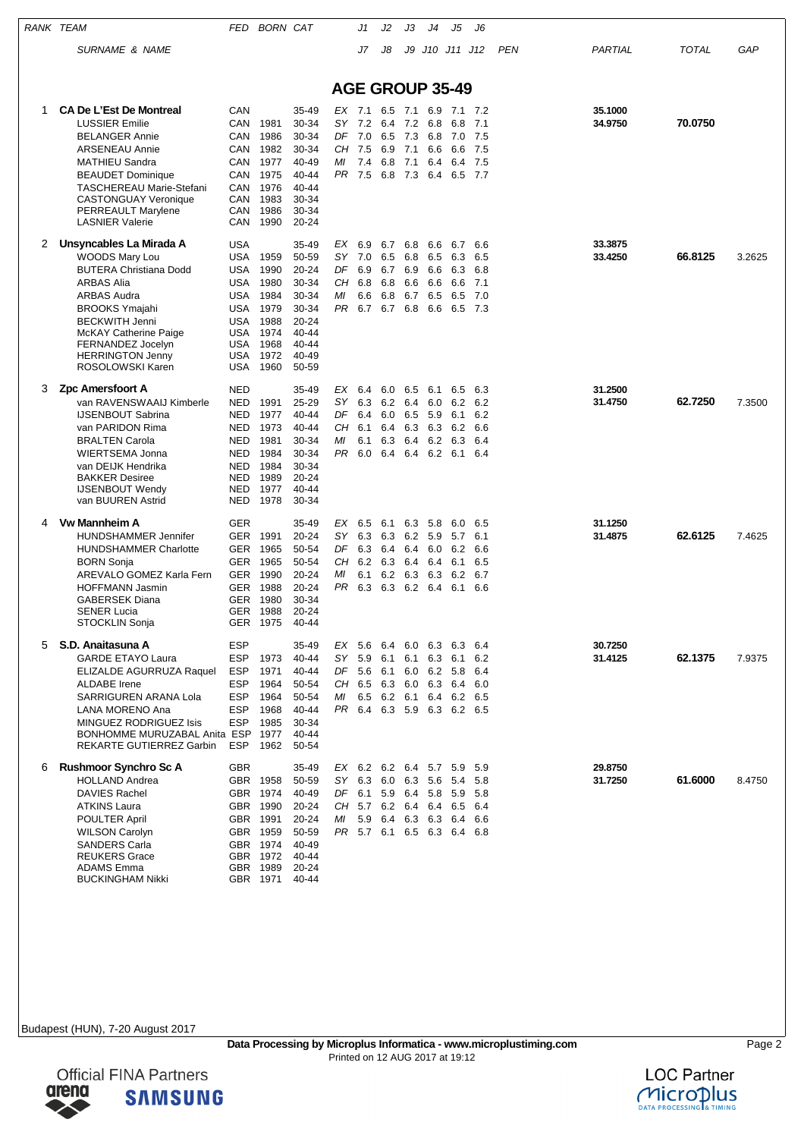|   | RANK TEAM                                                                                                                                                                                                                                                                        | FED                                                                                                                 | <b>BORN CAT</b>                                                                                          |                                                                                                 |                                                       | J1                                     | J2                                                                                                   | JЗ                                                 | J4                                     | J5                                                           | J6                                       |     |                    |              |        |
|---|----------------------------------------------------------------------------------------------------------------------------------------------------------------------------------------------------------------------------------------------------------------------------------|---------------------------------------------------------------------------------------------------------------------|----------------------------------------------------------------------------------------------------------|-------------------------------------------------------------------------------------------------|-------------------------------------------------------|----------------------------------------|------------------------------------------------------------------------------------------------------|----------------------------------------------------|----------------------------------------|--------------------------------------------------------------|------------------------------------------|-----|--------------------|--------------|--------|
|   | <b>SURNAME &amp; NAME</b>                                                                                                                                                                                                                                                        |                                                                                                                     |                                                                                                          |                                                                                                 |                                                       | J7                                     | J8                                                                                                   |                                                    |                                        | J9 J10 J11 J12                                               |                                          | PEN | PARTIAL            | <b>TOTAL</b> | GAP    |
|   |                                                                                                                                                                                                                                                                                  |                                                                                                                     |                                                                                                          |                                                                                                 | <b>AGE GROUP 35-49</b>                                |                                        |                                                                                                      |                                                    |                                        |                                                              |                                          |     |                    |              |        |
| 1 | <b>CA De L'Est De Montreal</b><br><b>LUSSIER Emilie</b><br><b>BELANGER Annie</b><br><b>ARSENEAU Annie</b><br><b>MATHIEU Sandra</b><br><b>BEAUDET Dominique</b><br><b>TASCHEREAU Marie-Stefani</b><br><b>CASTONGUAY Veronique</b><br>PERREAULT Marylene<br><b>LASNIER Valerie</b> | CAN<br><b>CAN</b><br>CAN<br>CAN<br><b>CAN</b><br>CAN<br>CAN<br>CAN<br>CAN<br>CAN                                    | 1981<br>1986<br>1982<br>1977<br>1975<br>1976<br>1983<br>1986<br>1990                                     | 35-49<br>30-34<br>30-34<br>30-34<br>40-49<br>40-44<br>$40 - 44$<br>30-34<br>30-34<br>20-24      | $EX$ 7.1<br><b>SY</b><br>DF 7.0<br>CН<br>ΜI<br>PR 7.5 | 7.2<br>7.5<br>7.4                      | 6.4<br>6.5<br>6.9<br>6.8<br>6.8                                                                      | 6.5 7.1<br>7.2<br>7.3 6.8<br>7.1<br>7.1<br>7.3 6.4 | 6.9<br>6.8<br>6.6<br>6.4               | 7.1<br>6.8<br>7.0<br>6.6<br>6.4<br>6.5 7.7                   | 7.2<br>7.1<br>7.5<br>7.5<br>7.5          |     | 35.1000<br>34.9750 | 70.0750      |        |
| 2 | Unsyncables La Mirada A<br><b>WOODS Mary Lou</b><br><b>BUTERA Christiana Dodd</b><br><b>ARBAS Alia</b><br><b>ARBAS Audra</b><br><b>BROOKS Ymajahi</b><br><b>BECKWITH Jenni</b><br>McKAY Catherine Paige<br>FERNANDEZ Jocelyn<br><b>HERRINGTON Jenny</b><br>ROSOLOWSKI Karen      | <b>USA</b><br><b>USA</b><br><b>USA</b><br><b>USA</b><br><b>USA</b><br><b>USA</b><br>USA<br>USA<br>USA<br>USA<br>USA | 1959<br>1990<br>1980<br>1984<br>1979<br>1988<br>1974<br>1968<br>1972<br>1960                             | 35-49<br>50-59<br>20-24<br>30-34<br>30-34<br>30-34<br>20-24<br>40-44<br>40-44<br>40-49<br>50-59 | ЕX<br>SY.<br>DF<br>CН<br>МI<br>PR.                    | 6.9<br>7.0<br>6.9<br>6.8<br>6.6<br>6.7 | 6.7<br>6.5<br>6.7<br>6.8<br>6.8<br>6.7                                                               | 6.8<br>6.8<br>6.9<br>6.6<br>6.7<br>6.8             | 6.6<br>6.5<br>6.6<br>6.6<br>6.5<br>6.6 | 6.7<br>6.3<br>6.3<br>6.6<br>6.5<br>6.5                       | 6.6<br>6.5<br>6.8<br>7.1<br>7.0<br>- 7.3 |     | 33.3875<br>33.4250 | 66.8125      | 3.2625 |
| 3 | Zpc Amersfoort A<br>van RAVENSWAAIJ Kimberle<br><b>IJSENBOUT Sabrina</b><br>van PARIDON Rima<br><b>BRALTEN Carola</b><br>WIERTSEMA Jonna<br>van DEIJK Hendrika<br><b>BAKKER Desiree</b><br><b>IJSENBOUT Wendy</b><br>van BUUREN Astrid                                           | <b>NED</b><br>NED<br>NED<br><b>NED</b><br>NED<br>NED<br><b>NED</b><br>NED<br>NED<br>NED                             | 1991<br>1977<br>1973<br>1981<br>1984<br>1984<br>1989<br>1977<br>1978                                     | 35-49<br>25-29<br>40-44<br>40-44<br>30-34<br>30-34<br>30-34<br>20-24<br>$40 - 44$<br>30-34      | EX<br>SY.<br>DF<br>CН<br>МI<br>PR.                    | 6.4<br>6.3<br>6.4<br>6.1<br>6.1<br>6.0 | 6.0<br>6.2<br>6.0<br>6.4<br>6.3<br>6.4                                                               | 6.5<br>6.4<br>6.5<br>6.4<br>6.4                    | 6.1<br>6.0<br>5.9<br>6.3 6.3<br>6.2    | 6.5<br>6.2<br>6.1<br>6.2<br>6.3<br>6.2 6.1                   | 6.3<br>6.2<br>6.2<br>6.6<br>6.4<br>6.4   |     | 31.2500<br>31.4750 | 62.7250      | 7.3500 |
| 4 | <b>Vw Mannheim A</b><br><b>HUNDSHAMMER Jennifer</b><br><b>HUNDSHAMMER Charlotte</b><br><b>BORN Sonja</b><br>AREVALO GOMEZ Karla Fern<br><b>HOFFMANN Jasmin</b><br><b>GABERSEK Diana</b><br><b>SENER Lucia</b><br><b>STOCKLIN Sonja</b>                                           | <b>GER</b><br>GER<br>GER<br><b>GER</b><br><b>GER</b><br><b>GER</b><br>GER                                           | 1991<br>1965<br>1965<br>GER 1990<br>1988<br>1980<br>1988<br>GER 1975                                     | 35-49<br>20-24<br>50-54<br>50-54<br>20-24<br>20-24<br>30-34<br>20-24<br>40-44                   | EX<br>SY.<br>DF<br>CН<br>ΜI<br>PR                     | 6.5<br>6.3<br>6.3<br>6.2<br>6.1<br>6.3 | 6.1<br>6.3<br>6.4<br>6.3<br>6.2<br>6.3                                                               | 6.2 5.9<br>6.4<br>6.4<br>6.3                       | 63 58<br>6.0<br>6.4<br>6.3<br>6.2 6.4  | 6.0<br>5.7<br>6.2<br>6.1<br>6.2<br>6.1                       | 6.5<br>6.1<br>6.6<br>6.5<br>6.7<br>6.6   |     | 31.1250<br>31.4875 | 62.6125      | 7.4625 |
| 5 | S.D. Anaitasuna A<br><b>GARDE ETAYO Laura</b><br>ELIZALDE AGURRUZA Raquel<br><b>ALDABE</b> Irene<br><b>SARRIGUREN ARANA Lola</b><br>LANA MORENO Ana<br><b>MINGUEZ RODRIGUEZ Isis</b><br>BONHOMME MURUZABAL Anita ESP<br>REKARTE GUTIERREZ Garbin                                 | <b>ESP</b><br><b>ESP</b><br><b>ESP</b><br><b>ESP</b><br><b>ESP</b><br><b>ESP</b><br><b>ESP</b><br>ESP               | 1973<br>1971<br>1964<br>1964<br>1968<br>1985<br>1977<br>1962                                             | 35-49<br>$40 - 44$<br>40-44<br>50-54<br>50-54<br>40-44<br>30-34<br>$40 - 44$<br>50-54           | SY 5.9<br>ΜI                                          | CH 6.5                                 | EX 5.6 6.4 6.0 6.3 6.3<br>DF 5.6 6.1 6.0 6.2 5.8<br>6.3 6.0 6.3 6.4<br>6.5 6.2 6.1                   |                                                    |                                        | 6.1 6.1 6.3 6.1<br>6.4 6.2 6.5<br>PR 6.4 6.3 5.9 6.3 6.2 6.5 | 6.4<br>6.2<br>6.4<br>6.0                 |     | 30.7250<br>31.4125 | 62.1375      | 7.9375 |
| 6 | <b>Rushmoor Synchro Sc A</b><br><b>HOLLAND Andrea</b><br><b>DAVIES Rachel</b><br><b>ATKINS Laura</b><br><b>POULTER April</b><br><b>WILSON Carolyn</b><br><b>SANDERS Carla</b><br><b>REUKERS Grace</b><br><b>ADAMS</b> Emma<br><b>BUCKINGHAM Nikki</b>                            | <b>GBR</b>                                                                                                          | GBR 1958<br>GBR 1974<br>GBR 1990<br>GBR 1991<br>GBR 1959<br>GBR 1974<br>GBR 1972<br>GBR 1989<br>GBR 1971 | 35-49<br>50-59<br>40-49<br>20-24<br>20-24<br>50-59<br>40-49<br>40-44<br>20-24<br>40-44          | SY<br>МI                                              | 5.9                                    | EX 6.2 6.2 6.4 5.7 5.9<br>6.3 6.0 6.3 5.6<br>DF 6.1 5.9 6.4 5.8 5.9<br>CH 5.7 6.2 6.4 6.4 6.5<br>6.4 |                                                    |                                        | 5.4<br>6.3 6.3 6.4<br>PR 5.7 6.1 6.5 6.3 6.4 6.8             | 5.9<br>5.8<br>- 5.8<br>6.4<br>6.6        |     | 29.8750<br>31.7250 | 61.6000      | 8.4750 |



Official FINA Partners<br> **GIENA SAMSUN SAMSUNG**  $\blacktriangleright$ 

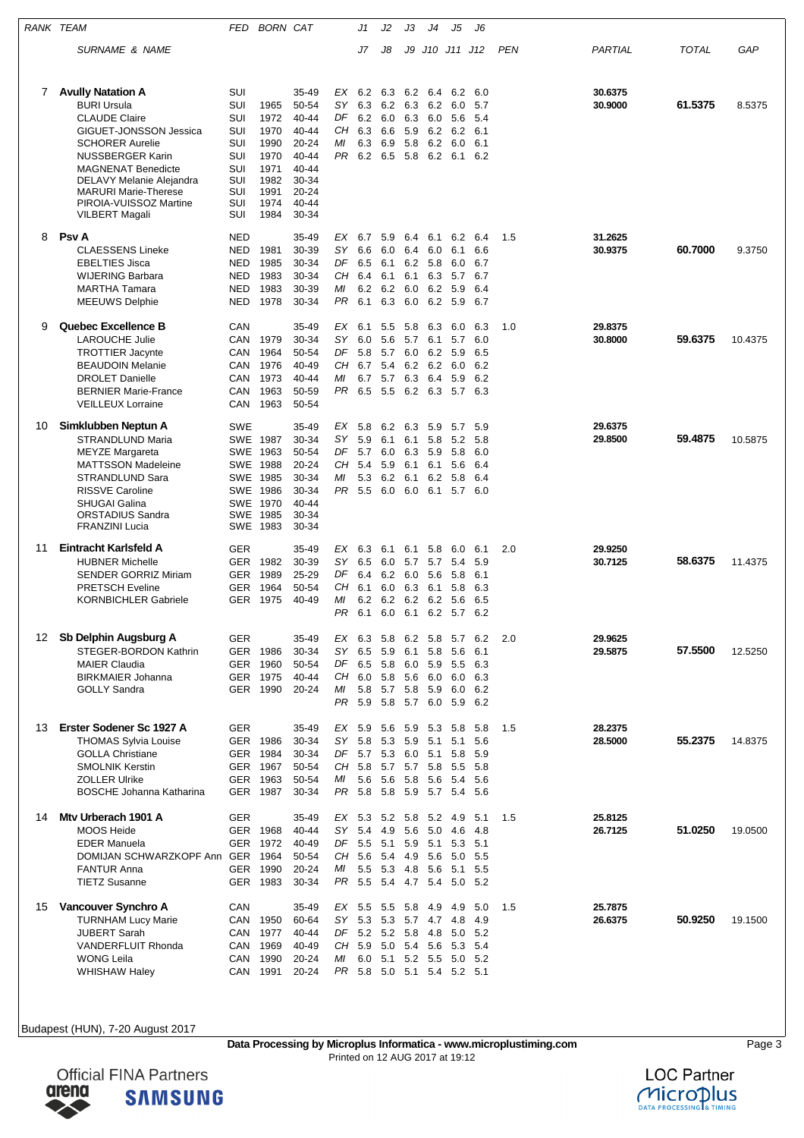| RANK TEAM |                                                                                                                                                                                                                                                                                                  | FED                                                                              | <b>BORN CAT</b>                                                              |                                                                                                         |                                      | J1                                     | J2                                         | JЗ                                                                 | J4                                     | J5                                                            | J6                                     |     |                    |         |         |
|-----------|--------------------------------------------------------------------------------------------------------------------------------------------------------------------------------------------------------------------------------------------------------------------------------------------------|----------------------------------------------------------------------------------|------------------------------------------------------------------------------|---------------------------------------------------------------------------------------------------------|--------------------------------------|----------------------------------------|--------------------------------------------|--------------------------------------------------------------------|----------------------------------------|---------------------------------------------------------------|----------------------------------------|-----|--------------------|---------|---------|
|           | <b>SURNAME &amp; NAME</b>                                                                                                                                                                                                                                                                        |                                                                                  |                                                                              |                                                                                                         |                                      | J7                                     | J8                                         | J9                                                                 |                                        | J10 J11 J12                                                   |                                        | PEN | PARTIAL            | TOTAL   | GAP     |
| 7         | <b>Avully Natation A</b><br><b>BURI Ursula</b><br><b>CLAUDE Claire</b><br>GIGUET-JONSSON Jessica<br><b>SCHORER Aurelie</b><br><b>NUSSBERGER Karin</b><br><b>MAGNENAT Benedicte</b><br>DELAVY Melanie Alejandra<br><b>MARURI Marie-Therese</b><br>PIROIA-VUISSOZ Martine<br><b>VILBERT Magali</b> | SUI<br>SUI<br>SUI<br>SUI<br>SUI<br>SUI<br>SUI<br>SUI<br>SUI<br>SUI<br>SUI        | 1965<br>1972<br>1970<br>1990<br>1970<br>1971<br>1982<br>1991<br>1974<br>1984 | 35-49<br>50-54<br>40-44<br>40-44<br>$20 - 24$<br>40-44<br>40-44<br>30-34<br>$20 - 24$<br>40-44<br>30-34 | EX<br>SΥ<br>DF<br>CН<br>МI<br>PR     | 6.2<br>6.3<br>6.2<br>6.3<br>6.3<br>6.2 | 6.3<br>6.2<br>6.0<br>6.6<br>6.9<br>6.5     | 6.2<br>6.3<br>6.3<br>5.9<br>5.8<br>5.8                             | 6.4<br>6.2<br>6.0<br>6.2<br>6.2<br>6.2 | 6.2<br>6.0<br>5.6<br>6.2<br>6.0<br>6.1                        | 6.0<br>5.7<br>5.4<br>6.1<br>6.1<br>6.2 |     | 30.6375<br>30.9000 | 61.5375 | 8.5375  |
| 8         | <b>Psv A</b><br><b>CLAESSENS Lineke</b><br><b>EBELTIES Jisca</b><br><b>WIJERING Barbara</b><br><b>MARTHA Tamara</b><br><b>MEEUWS Delphie</b>                                                                                                                                                     | <b>NED</b><br><b>NED</b><br><b>NED</b><br><b>NED</b><br><b>NED</b><br><b>NED</b> | 1981<br>1985<br>1983<br>1983<br>1978                                         | $35 - 49$<br>30-39<br>30-34<br>30-34<br>30-39<br>30-34                                                  | ЕX<br>SY<br>DF<br>CН<br>ΜI<br>PR     | 6.7<br>6.6<br>6.5<br>6.4<br>6.2<br>6.1 | 5.9<br>6.0<br>6.1<br>6.1<br>6.2<br>6.3     | 6.4<br>6.4<br>6.2<br>6.1<br>6.0<br>6.0                             | 6.1<br>6.0<br>5.8<br>6.3<br>6.2<br>6.2 | 6.2<br>6.1<br>6.0<br>5.7<br>5.9<br>5.9                        | 6.4<br>6.6<br>6.7<br>6.7<br>6.4<br>6.7 | 1.5 | 31.2625<br>30.9375 | 60.7000 | 9.3750  |
| 9         | Quebec Excellence B<br><b>LAROUCHE Julie</b><br><b>TROTTIER Jacynte</b><br><b>BEAUDOIN Melanie</b><br><b>DROLET Danielle</b><br><b>BERNIER Marie-France</b><br><b>VEILLEUX Lorraine</b>                                                                                                          | CAN<br>CAN<br>CAN<br>CAN<br>CAN<br>CAN<br>CAN                                    | 1979<br>1964<br>1976<br>1973<br>1963<br>1963                                 | 35-49<br>30-34<br>50-54<br>40-49<br>40-44<br>50-59<br>50-54                                             | ЕX<br>SY<br>DF<br>CH<br>МI<br>PR     | 6.1<br>6.0<br>5.8<br>6.7<br>6.7<br>6.5 | 5.5<br>5.6<br>5.7<br>5.4<br>5.7<br>5.5     | 5.8<br>5.7<br>6.0<br>6.2<br>6.3<br>6.2 6.3                         | 6.3<br>6.1<br>6.2<br>6.2<br>6.4        | 6.0<br>5.7<br>5.9<br>6.0<br>5.9<br>5.7                        | 6.3<br>6.0<br>6.5<br>6.2<br>6.2<br>6.3 | 1.0 | 29.8375<br>30.8000 | 59.6375 | 10.4375 |
| 10        | Simklubben Neptun A<br>STRANDLUND Maria<br><b>MEYZE Margareta</b><br><b>MATTSSON Madeleine</b><br>STRANDLUND Sara<br><b>RISSVE Caroline</b><br><b>SHUGAI Galina</b><br>ORSTADIUS Sandra<br><b>FRANZINI Lucia</b>                                                                                 | <b>SWE</b><br>SWE 1987<br>SWE<br><b>SWE</b><br>SWE                               | SWE 1963<br>1988<br>SWE 1985<br>SWE 1986<br>1970<br>SWE 1985<br>1983         | 35-49<br>30-34<br>50-54<br>$20 - 24$<br>30-34<br>30-34<br>$40 - 44$<br>30-34<br>30-34                   | EX<br>SΥ<br>DF<br>CН<br>МI<br>PR 5.5 | 5.8<br>5.9<br>5.7<br>5.4<br>5.3        | 6.2<br>6.1<br>6.0<br>5.9<br>6.2<br>6.0 6.0 | 6.3<br>6.1<br>6.3<br>6.1<br>6.1                                    | 5.9<br>5.8<br>5.9<br>6.1<br>6.2        | 5.7<br>5.2<br>5.8<br>5.6<br>5.8<br>6.1 5.7 6.0                | 5.9<br>5.8<br>6.0<br>6.4<br>6.4        |     | 29.6375<br>29.8500 | 59.4875 | 10.5875 |
| 11        | Eintracht Karlsfeld A<br><b>HUBNER Michelle</b><br><b>SENDER GORRIZ Miriam</b><br><b>PRETSCH Eveline</b><br><b>KORNBICHLER Gabriele</b>                                                                                                                                                          | GER<br>GER<br><b>GER</b><br><b>GER</b><br>GER                                    | 1982<br>1989<br>1964<br>1975                                                 | $35 - 49$<br>30-39<br>25-29<br>50-54<br>40-49                                                           | EX 6.3<br>SΥ<br>DF<br>CН<br>ΜI<br>PR | 6.5<br>6.4<br>6.1<br>6.2<br>6.1        | 6.1<br>6.0<br>6.2<br>6.0<br>6.2            | 6.1<br>5.7<br>6.0<br>6.3<br>6.2                                    | 5.8<br>5.7<br>5.6<br>6.1<br>6.2        | 6.0<br>5.4<br>5.8<br>5.8<br>5.6<br>6.0 6.1 6.2 5.7 6.2        | 6.1<br>5.9<br>6.1<br>6.3<br>6.5        | 2.0 | 29.9250<br>30.7125 | 58.6375 | 11.4375 |
| 12        | Sb Delphin Augsburg A<br>STEGER-BORDON Kathrin<br><b>MAIER Claudia</b><br><b>BIRKMAIER Johanna</b><br><b>GOLLY Sandra</b>                                                                                                                                                                        | GER<br>GER 1986<br><b>GER</b>                                                    | 1960<br>GER 1975<br>GER 1990                                                 | 35-49<br>30-34<br>50-54<br>40-44<br>20-24                                                               | SΥ<br>DF<br>CH 6.0<br>МI<br>PR 5.9   | 6.5<br>6.5<br>5.8                      | 5.9<br>5.8<br>5.8<br>5.7                   | 6.1<br>6.0<br>5.6<br>5.8<br>5.8 5.7 6.0                            | 5.8<br>5.9<br>6.0<br>5.9               | EX 6.3 5.8 6.2 5.8 5.7 6.2<br>5.6<br>5.5<br>6.0<br>6.0<br>5.9 | 6.1<br>6.3<br>6.3<br>6.2<br>6.2        | 2.0 | 29.9625<br>29.5875 | 57.5500 | 12.5250 |
| 13        | Erster Sodener Sc 1927 A<br><b>THOMAS Sylvia Louise</b><br><b>GOLLA Christiane</b><br><b>SMOLNIK Kerstin</b><br><b>ZOLLER Ulrike</b><br><b>BOSCHE Johanna Katharina</b>                                                                                                                          | GER<br><b>GER</b>                                                                | GER 1986<br>1984<br>GER 1967<br>GER 1963<br>GER 1987                         | 35-49<br>30-34<br>30-34<br>50-54<br>50-54<br>30-34                                                      | ЕX<br>SΥ<br>DF<br>CH 5.8<br>МI       | 5.9<br>5.8<br>5.7 5.3<br>5.6           | 5.6<br>5.3<br>5.6                          | 5.9<br>5.9<br>6.0<br>5.7 5.7 5.8<br>5.8                            | 5.3<br>5.1<br>5.1<br>5.6               | 5.8<br>5.1<br>5.8<br>5.5<br>5.4<br>PR 5.8 5.8 5.9 5.7 5.4 5.6 | 5.8<br>5.6<br>5.9<br>5.8<br>5.6        | 1.5 | 28.2375<br>28.5000 | 55.2375 | 14.8375 |
| 14        | Mtv Urberach 1901 A<br><b>MOOS Heide</b><br><b>EDER Manuela</b><br>DOMIJAN SCHWARZKOPF Ann GER 1964<br><b>FANTUR Anna</b><br><b>TIETZ Susanne</b>                                                                                                                                                | <b>GER</b><br>GER                                                                | GER 1968<br>GER 1972<br>1990<br>GER 1983                                     | 35-49<br>40-44<br>40-49<br>50-54<br>20-24<br>30-34                                                      | SΥ<br>DF<br>CH<br>ΜI                 | 5.4<br>5.5<br>5.6<br>5.5               | 4.9<br>5.1<br>5.4<br>5.3                   | EX 5.3 5.2 5.8 5.2 4.9<br>5.6<br>5.9<br>4.9<br>4.8                 | 5.0<br>5.1<br>5.6<br>5.6               | 4.6<br>5.3<br>5.0<br>5.1<br>PR 5.5 5.4 4.7 5.4 5.0 5.2        | 5.1<br>4.8<br>5.1<br>5.5<br>5.5        | 1.5 | 25.8125<br>26.7125 | 51.0250 | 19.0500 |
| 15        | Vancouver Synchro A<br><b>TURNHAM Lucy Marie</b><br><b>JUBERT Sarah</b><br><b>VANDERFLUIT Rhonda</b><br><b>WONG Leila</b><br><b>WHISHAW Haley</b>                                                                                                                                                | CAN<br>CAN<br>CAN<br>CAN<br>CAN                                                  | 1950<br>1977<br>1969<br>1990<br>CAN 1991                                     | 35-49<br>60-64<br>40-44<br>40-49<br>20-24<br>20-24                                                      | EX<br>DF<br>CH<br>МI<br>PR           | 5.5<br>5.2<br>5.9<br>6.0               | 5.5<br>5.2<br>5.1                          | 5.8<br>SY 5.3 5.3 5.7 4.7 4.8<br>5.8<br>5.0 5.4 5.6 5.3<br>5.2 5.5 | 4.9<br>4.8                             | 4.9<br>5.0<br>- 5.0<br>5.8 5.0 5.1 5.4 5.2 5.1                | 5.0<br>4.9<br>5.2<br>5.4<br>-5.2       | 1.5 | 25.7875<br>26.6375 | 50.9250 | 19.1500 |

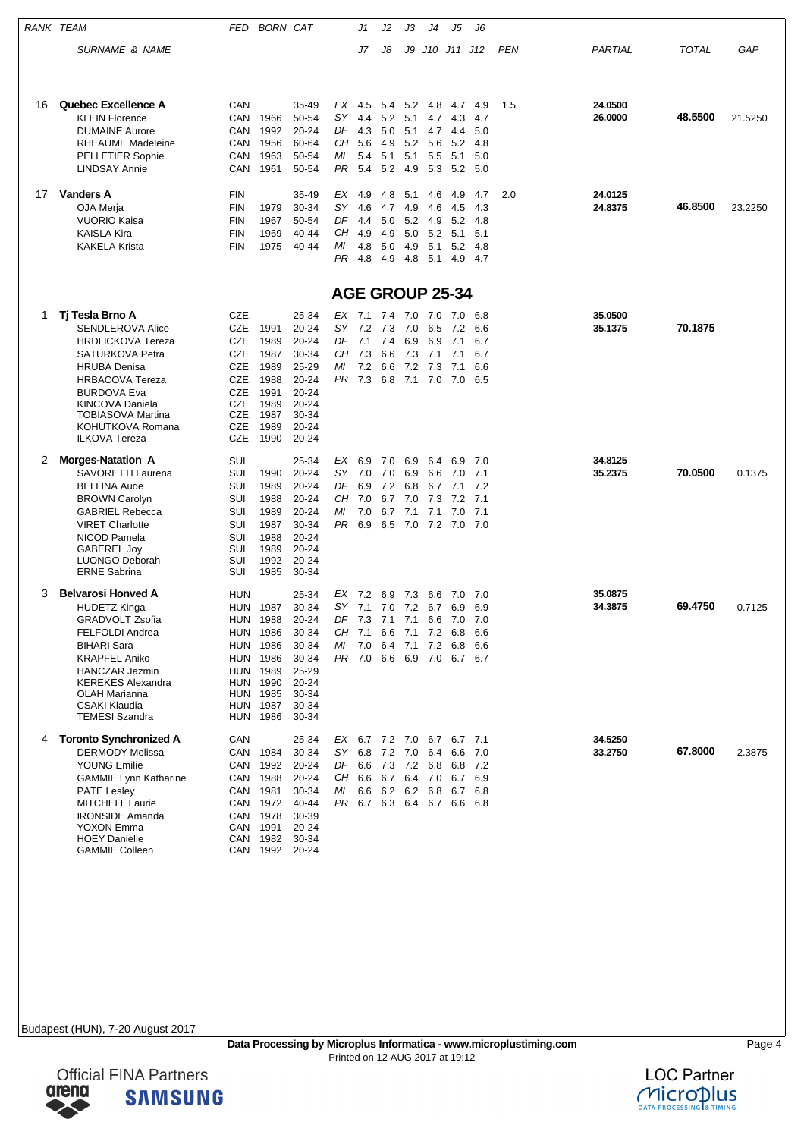|    | RANK TEAM                                          | FED        | <b>BORN CAT</b>      |                    |          | J1         | J2          | JЗ         | J4             | J5                                                   | J6          |            |         |         |         |
|----|----------------------------------------------------|------------|----------------------|--------------------|----------|------------|-------------|------------|----------------|------------------------------------------------------|-------------|------------|---------|---------|---------|
|    | <b>SURNAME &amp; NAME</b>                          |            |                      |                    |          | J7         | J8          |            |                | J9 J10 J11 J12                                       |             | <b>PEN</b> | PARTIAL | TOTAL   | GAP     |
|    |                                                    |            |                      |                    |          |            |             |            |                |                                                      |             |            |         |         |         |
| 16 | <b>Quebec Excellence A</b>                         | CAN        |                      | 35-49              | EX       | 4.5        |             |            | 5.4 5.2 4.8    | 4.7                                                  | -4.9        | 1.5        | 24.0500 |         |         |
|    | <b>KLEIN Florence</b><br><b>DUMAINE Aurore</b>     | CAN<br>CAN | 1966<br>1992         | 50-54<br>20-24     | SΥ<br>DF | 4.4<br>4.3 | 5.2<br>5.0  | 5.1        | 4.7<br>5.1 4.7 | 4.3                                                  | 4.7<br>5.0  |            | 26.0000 | 48.5500 | 21.5250 |
|    | <b>RHEAUME Madeleine</b>                           | CAN        | 1956                 | 60-64              | CН       | 5.6        | 4.9         |            | 5.2 5.6        | 4.4<br>5.2                                           | 4.8         |            |         |         |         |
|    | <b>PELLETIER Sophie</b>                            | CAN        | 1963                 | 50-54              | ΜI       | 5.4        | 5.1         | 5.1        | 5.5            | 5.1                                                  | 5.0         |            |         |         |         |
|    | <b>LINDSAY Annie</b>                               | CAN        | 1961                 | 50-54              | PR       | 5.4        | 5.2         | 4.9        | 5.3            |                                                      | 5.2 5.0     |            |         |         |         |
| 17 | <b>Vanders A</b>                                   | FIN        |                      | 35-49              |          | $EX$ 4.9   | 4.8         | 5.1        | 4.6            | 4.9                                                  | 4.7         | 2.0        | 24.0125 |         |         |
|    | OJA Merja                                          | <b>FIN</b> | 1979                 | 30-34              | SΥ       | 4.6        | 4.7         | 4.9        | 4.6            | 4.5                                                  | 4.3         |            | 24.8375 | 46.8500 | 23.2250 |
|    | <b>VUORIO Kaisa</b>                                | FIN        | 1967                 | 50-54              | DF       | 4.4        | 5.0         |            | 5.2 4.9        | 5.2                                                  | 4.8         |            |         |         |         |
|    | <b>KAISLA Kira</b>                                 | FIN        | 1969                 | 40-44              | CН       | 4.9        | 4.9         | 5.0        | 5.2            | 5.1                                                  | 5.1         |            |         |         |         |
|    | <b>KAKELA Krista</b>                               | FIN        | 1975                 | 40-44              | ΜI<br>PR | 4.8<br>4.8 | 5.0<br>4.9  | 4.9<br>4.8 | 5.1<br>5.1     | 5.2<br>4.9                                           | 4.8<br>-4.7 |            |         |         |         |
|    |                                                    |            |                      |                    |          |            |             |            |                | <b>AGE GROUP 25-34</b>                               |             |            |         |         |         |
| 1  | Tj Tesla Brno A                                    | CZE        |                      | 25-34              |          | EX 7.1     | 7.4 7.0 7.0 |            |                | 7.0                                                  | 6.8         |            | 35.0500 |         |         |
|    | <b>SENDLEROVA Alice</b>                            | CZE        | 1991                 | 20-24              | SΥ       | 7.2        | 7.3         | 7.0        | 6.5            | 7.2                                                  | 6.6         |            | 35.1375 | 70.1875 |         |
|    | <b>HRDLICKOVA Tereza</b>                           | CZE        | 1989                 | $20 - 24$          | DF       | 7.1        | 7.4         | 6.9        | 6.9            | 7.1                                                  | 6.7         |            |         |         |         |
|    | SATURKOVA Petra                                    | CZE        | 1987                 | 30-34              | CН       | 7.3        | 6.6         | 7.3        | 7.1            | 7.1                                                  | 6.7         |            |         |         |         |
|    | <b>HRUBA Denisa</b>                                | CZE        | 1989                 | 25-29              | МI       | 7.2        | 6.6         | 7.2        | 7.3            | 7.1                                                  | 6.6         |            |         |         |         |
|    | <b>HRBACOVA Tereza</b>                             | CZE        | 1988                 | $20 - 24$          | PR       | 7.3        | 6.8         | 7.1        | 7.0            | 7.0                                                  | 6.5         |            |         |         |         |
|    | <b>BURDOVA Eva</b>                                 | CZE<br>CZE | 1991<br>1989         | 20-24<br>$20 - 24$ |          |            |             |            |                |                                                      |             |            |         |         |         |
|    | <b>KINCOVA Daniela</b><br><b>TOBIASOVA Martina</b> | CZE        | 1987                 | 30-34              |          |            |             |            |                |                                                      |             |            |         |         |         |
|    | KOHUTKOVA Romana                                   | CZE        | 1989                 | 20-24              |          |            |             |            |                |                                                      |             |            |         |         |         |
|    | <b>ILKOVA Tereza</b>                               | <b>CZE</b> | 1990                 | 20-24              |          |            |             |            |                |                                                      |             |            |         |         |         |
| 2  | <b>Morges-Natation A</b>                           | SUI        |                      | 25-34              | EX       | 6.9        | 7.0         | 6.9        | 6.4            | 6.9                                                  | 7.0         |            | 34.8125 |         |         |
|    | SAVORETTI Laurena                                  | SUI        | 1990                 | 20-24              | SY       | 7.0        | 7.0         | 6.9        | 6.6            | 7.0                                                  | 7.1         |            | 35.2375 | 70.0500 | 0.1375  |
|    | <b>BELLINA Aude</b>                                | SUI<br>SUI | 1989<br>1988         | 20-24<br>20-24     | DF<br>CН | 6.9<br>7.0 | 7.2<br>6.7  | 6.8        |                | 6.7 7.1<br>7.2                                       | 7.2<br>7.1  |            |         |         |         |
|    | <b>BROWN Carolyn</b><br><b>GABRIEL Rebecca</b>     | SUI        | 1989                 | 20-24              | МI       | 7.0        | 6.7         | 7.0<br>7.1 | 7.3<br>7.1     | 7.0                                                  | 7.1         |            |         |         |         |
|    | <b>VIRET Charlotte</b>                             | SUI        | 1987                 | 30-34              | PR       | 6.9        | 6.5         |            | 7.0 7.2        | 7.0 7.0                                              |             |            |         |         |         |
|    | NICOD Pamela                                       | SUI        | 1988                 | 20-24              |          |            |             |            |                |                                                      |             |            |         |         |         |
|    | <b>GABEREL Joy</b>                                 | SUI        | 1989                 | 20-24              |          |            |             |            |                |                                                      |             |            |         |         |         |
|    | LUONGO Deborah<br><b>ERNE Sabrina</b>              | SUI<br>SUI | 1992<br>1985         | 20-24<br>30-34     |          |            |             |            |                |                                                      |             |            |         |         |         |
| 3  | <b>Belvarosi Honved A</b>                          | HUN        |                      | 25-34              |          | EX 7.2     | 6.9         | 7.3        | 6.6            | 7.0                                                  | 7.0         |            | 35,0875 |         |         |
|    | <b>HUDETZ Kinga</b>                                | <b>HUN</b> | 1987                 | 30-34              |          | SY 7.1     |             |            |                | 7.0 7.2 6.7 6.9 6.9                                  |             |            | 34.3875 | 69.4750 | 0.7125  |
|    | <b>GRADVOLT Zsofia</b>                             | <b>HUN</b> | 1988                 | 20-24              |          |            |             |            |                | DF 7.3 7.1 7.1 6.6 7.0 7.0                           |             |            |         |         |         |
|    | <b>FELFOLDI Andrea</b>                             |            | <b>HUN 1986</b>      | 30-34              |          |            |             |            |                | CH 7.1 6.6 7.1 7.2 6.8 6.6                           |             |            |         |         |         |
|    | <b>BIHARI Sara</b>                                 |            | <b>HUN 1986</b>      | 30-34              | ΜI       | 7.0        |             |            |                | 6.4 7.1 7.2 6.8 6.6                                  |             |            |         |         |         |
|    | <b>KRAPFEL Aniko</b>                               |            | <b>HUN 1986</b>      | 30-34              |          |            |             |            |                | PR 7.0 6.6 6.9 7.0 6.7 6.7                           |             |            |         |         |         |
|    | <b>HANCZAR Jazmin</b><br><b>KEREKES Alexandra</b>  |            | HUN 1989<br>HUN 1990 | 25-29<br>20-24     |          |            |             |            |                |                                                      |             |            |         |         |         |
|    | <b>OLAH Marianna</b>                               |            | HUN 1985             | 30-34              |          |            |             |            |                |                                                      |             |            |         |         |         |
|    | CSAKI Klaudia                                      |            | HUN 1987             | 30-34              |          |            |             |            |                |                                                      |             |            |         |         |         |
|    | <b>TEMESI Szandra</b>                              |            | <b>HUN 1986</b>      | 30-34              |          |            |             |            |                |                                                      |             |            |         |         |         |
| 4  | <b>Toronto Synchronized A</b>                      | CAN        |                      | 25-34              |          |            |             |            |                | EX 6.7 7.2 7.0 6.7 6.7 7.1                           |             |            | 34.5250 |         |         |
|    | <b>DERMODY Melissa</b><br><b>YOUNG Emilie</b>      |            | CAN 1984<br>1992     | 30-34<br>20-24     |          |            |             |            |                | SY 6.8 7.2 7.0 6.4 6.6<br>DF 6.6 7.3 7.2 6.8 6.8 7.2 | 7.0         |            | 33.2750 | 67.8000 | 2.3875  |
|    | <b>GAMMIE Lynn Katharine</b>                       | CAN        | CAN 1988             | 20-24              |          |            |             |            |                | CH 6.6 6.7 6.4 7.0 6.7 6.9                           |             |            |         |         |         |
|    | <b>PATE Lesley</b>                                 |            | CAN 1981             | 30-34              | ΜI       | 6.6        | 6.2 6.2 6.8 |            |                |                                                      | 6.7 6.8     |            |         |         |         |
|    | MITCHELL Laurie                                    |            | CAN 1972             | 40-44              |          |            |             |            |                | PR 6.7 6.3 6.4 6.7 6.6 6.8                           |             |            |         |         |         |
|    | <b>IRONSIDE Amanda</b>                             |            | CAN 1978             | 30-39              |          |            |             |            |                |                                                      |             |            |         |         |         |
|    | YOXON Emma                                         |            | CAN 1991             | 20-24              |          |            |             |            |                |                                                      |             |            |         |         |         |
|    | <b>HOEY Danielle</b>                               |            | CAN 1982             | 30-34              |          |            |             |            |                |                                                      |             |            |         |         |         |
|    | <b>GAMMIE Colleen</b>                              |            | CAN 1992 20-24       |                    |          |            |             |            |                |                                                      |             |            |         |         |         |



**SAMSUNG**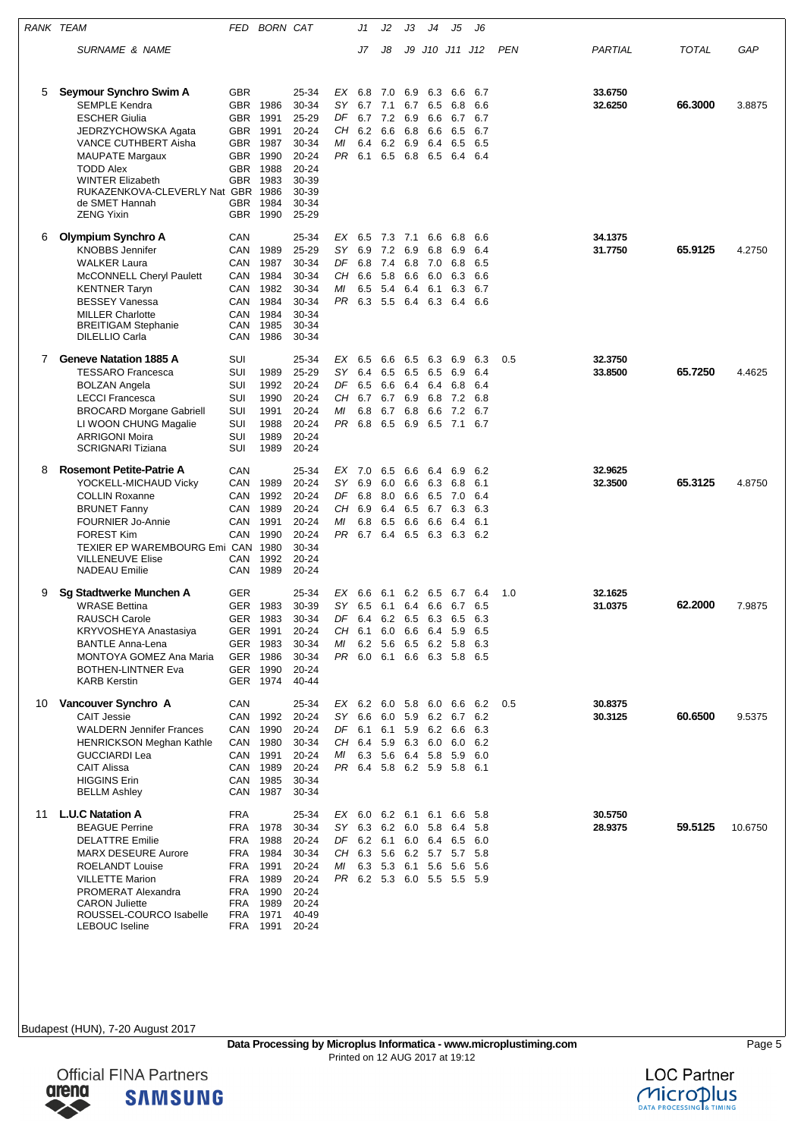| RANK TEAM |                                                                                                                                                                                                                                                                            |                                                                                     | FED BORN CAT                                                                 |                                                                                                         |                                         | J1                                     | J2                                             | JЗ                                     | J4                                                               | J5                                                                                                                 | J6                                     |            |                    |         |         |
|-----------|----------------------------------------------------------------------------------------------------------------------------------------------------------------------------------------------------------------------------------------------------------------------------|-------------------------------------------------------------------------------------|------------------------------------------------------------------------------|---------------------------------------------------------------------------------------------------------|-----------------------------------------|----------------------------------------|------------------------------------------------|----------------------------------------|------------------------------------------------------------------|--------------------------------------------------------------------------------------------------------------------|----------------------------------------|------------|--------------------|---------|---------|
|           | SURNAME & NAME                                                                                                                                                                                                                                                             |                                                                                     |                                                                              |                                                                                                         |                                         | J7                                     | J8                                             | J9                                     |                                                                  | J10 J11 J12                                                                                                        |                                        | <b>PEN</b> | PARTIAL            | TOTAL   | GAP     |
| 5         | Seymour Synchro Swim A<br><b>SEMPLE Kendra</b><br><b>ESCHER Giulia</b><br>JEDRZYCHOWSKA Agata<br>VANCE CUTHBERT Aisha<br><b>MAUPATE Margaux</b><br><b>TODD Alex</b><br><b>WINTER Elizabeth</b><br>RUKAZENKOVA-CLEVERLY Nat GBR 1986<br>de SMET Hannah<br><b>ZENG Yixin</b> | <b>GBR</b><br><b>GBR</b><br>GBR.<br><b>GBR</b><br>GBR.<br>GBR<br><b>GBR</b><br>GBR. | GBR 1986<br>1991<br>1991<br>1987<br>1990<br>1988<br>1983<br>1984<br>GBR 1990 | 25-34<br>30-34<br>25-29<br>20-24<br>30-34<br>$20 - 24$<br>$20 - 24$<br>30-39<br>30-39<br>30-34<br>25-29 | EX<br>SY<br>DF<br>CН<br>МI<br>PR        | 6.8<br>6.7<br>6.7<br>6.2<br>6.4<br>6.1 | 7.0<br>7.1<br>7.2<br>6.6<br>6.2<br>6.5 6.8     | 6.9<br>6.9<br>6.8<br>6.9               | 6.3<br>6.7 6.5<br>6.6<br>6.6<br>6.4<br>6.5                       | 6.6<br>6.8<br>6.7<br>6.5<br>6.5<br>6.4 6.4                                                                         | 6.7<br>6.6<br>6.7<br>6.7<br>6.5        |            | 33.6750<br>32.6250 | 66.3000 | 3.8875  |
| 6         | Olympium Synchro A<br><b>KNOBBS Jennifer</b><br><b>WALKER Laura</b><br>McCONNELL Cheryl Paulett<br><b>KENTNER Taryn</b><br><b>BESSEY Vanessa</b><br><b>MILLER Charlotte</b><br><b>BREITIGAM Stephanie</b><br><b>DILELLIO Carla</b>                                         | CAN<br>CAN<br>CAN<br>CAN<br>CAN<br>CAN<br>CAN<br>CAN<br>CAN                         | 1989<br>1987<br>1984<br>1982<br>1984<br>1984<br>1985<br>1986                 | 25-34<br>25-29<br>30-34<br>30-34<br>30-34<br>30-34<br>30-34<br>30-34<br>30-34                           | EX<br><b>SY</b><br>DF<br>CН<br>МI<br>PR | 6.5<br>6.9<br>6.8<br>6.6<br>6.5<br>6.3 | 7.3 7.1<br>7.2 6.9<br>7.4<br>5.8<br>5.4<br>5.5 | 6.8<br>6.6<br>6.4                      | 6.6<br>6.8<br>7.0<br>6.0<br>6.1<br>6.4 6.3                       | 6.8<br>6.9<br>6.8<br>6.3<br>6.3<br>6.4                                                                             | 6.6<br>6.4<br>6.5<br>6.6<br>6.7<br>6.6 |            | 34.1375<br>31.7750 | 65.9125 | 4.2750  |
| 7         | <b>Geneve Natation 1885 A</b><br><b>TESSARO Francesca</b><br><b>BOLZAN Angela</b><br><b>LECCI Francesca</b><br><b>BROCARD Morgane Gabriell</b><br>LI WOON CHUNG Magalie<br><b>ARRIGONI Moira</b><br><b>SCRIGNARI Tiziana</b>                                               | SUI<br>SUI<br>SUI<br>SUI<br>SUI<br>SUI<br>SUI<br>SUI                                | 1989<br>1992<br>1990<br>1991<br>1988<br>1989<br>1989                         | 25-34<br>25-29<br>$20 - 24$<br>20-24<br>20-24<br>$20 - 24$<br>$20 - 24$<br>$20 - 24$                    | EX<br>SY<br>DF<br>CН<br>МI<br>PR.       | 6.5<br>6.4<br>6.5<br>6.7<br>6.8<br>6.8 | 6.6<br>6.5<br>6.6<br>6.7<br>6.7<br>6.5 6.9     | 6.5<br>6.5<br>6.4<br>6.9<br>6.8        | 6.3<br>6.5<br>6.4<br>6.8<br>6.6<br>6.5                           | 6.9<br>6.9<br>6.8<br>7.2<br>7.2<br>7.1                                                                             | 6.3<br>6.4<br>6.4<br>6.8<br>6.7<br>6.7 | 0.5        | 32.3750<br>33.8500 | 65.7250 | 4.4625  |
| 8         | <b>Rosemont Petite-Patrie A</b><br>YOCKELL-MICHAUD Vicky<br><b>COLLIN Roxanne</b><br><b>BRUNET Fanny</b><br><b>FOURNIER Jo-Annie</b><br><b>FOREST Kim</b><br>TEXIER EP WAREMBOURG Emi CAN 1980<br><b>VILLENEUVE Elise</b><br><b>NADEAU</b> Emilie                          | CAN<br>CAN<br>CAN<br>CAN<br>CAN<br>CAN<br>CAN<br>CAN                                | 1989<br>1992<br>1989<br>1991<br>1990<br>1992<br>1989                         | 25-34<br>20-24<br>$20 - 24$<br>20-24<br>20-24<br>20-24<br>30-34<br>20-24<br>20-24                       | EX<br>SY.<br>DF<br>CН<br>МI<br>PR       | 7.0<br>6.9<br>6.8<br>6.9<br>6.8<br>6.7 | 6.5<br>6.0<br>8.0<br>6.4<br>6.5<br>6.4         | 6.6<br>6.6<br>6.6<br>6.5<br>6.6<br>6.5 | 6.4<br>6.3<br>6.5<br>6.7<br>6.6<br>6.3                           | 6.9<br>6.8<br>7.0<br>6.3<br>6.4<br>6.3                                                                             | 6.2<br>6.1<br>6.4<br>6.3<br>6.1<br>6.2 |            | 32.9625<br>32.3500 | 65.3125 | 4.8750  |
| 9         | Sg Stadtwerke Munchen A<br><b>WRASE Bettina</b><br><b>RAUSCH Carole</b><br>KRYVOSHEYA Anastasiya<br><b>BANTLE Anna-Lena</b><br><b>MONTOYA GOMEZ Ana Maria</b><br><b>BOTHEN-LINTNER Eva</b><br><b>KARB Kerstin</b>                                                          | GER<br><b>GER</b><br>GER<br>GER                                                     | 1983<br>1983<br>GER 1991<br>GER 1983<br>1986<br>GER 1990<br>GER 1974         | 25-34<br>30-39<br>30-34<br>20-24<br>30-34<br>30-34<br>20-24<br>$40 - 44$                                | EX<br>SY<br>DF<br>ΜI                    | 6.6<br>6.5<br>6.4<br>CH 6.1<br>6.2     | 6.1<br>6.1<br>6.2<br>- 5.6                     | 6.4<br>6.5                             | 6.2 6.5<br>6.6<br>6.3<br>6.0 6.6 6.4 5.9<br>6.5 6.2 5.8          | 6.7<br>6.7<br>6.5<br>PR 6.0 6.1 6.6 6.3 5.8 6.5                                                                    | 6.4<br>6.5<br>6.3<br>6.5<br>6.3        | 1.0        | 32.1625<br>31.0375 | 62.2000 | 7.9875  |
| 10        | Vancouver Synchro A<br><b>CAIT Jessie</b><br><b>WALDERN Jennifer Frances</b><br><b>HENRICKSON Meghan Kathle</b><br><b>GUCCIARDI Lea</b><br><b>CAIT Alissa</b><br><b>HIGGINS Erin</b><br><b>BELLM Ashley</b>                                                                | CAN<br>CAN<br>CAN<br>CAN                                                            | CAN 1992<br>1990<br>CAN 1980<br>CAN 1991<br>CAN 1989<br>1985<br>1987         | 25-34<br>20-24<br>$20 - 24$<br>30-34<br>20-24<br>20-24<br>30-34<br>30-34                                | SY<br>ΜI                                | 6.6                                    |                                                |                                        | 6.0 5.9 6.2 6.7<br>DF 6.1 6.1 5.9 6.2 6.6<br>6.3 5.6 6.4 5.8 5.9 | EX 6.2 6.0 5.8 6.0 6.6 6.2<br>CH 6.4 5.9 6.3 6.0 6.0 6.2<br>PR 6.4 5.8 6.2 5.9 5.8 6.1                             | 6.2<br>6.3<br>6.0                      | 0.5        | 30.8375<br>30.3125 | 60.6500 | 9.5375  |
| 11        | <b>L.U.C Natation A</b><br><b>BEAGUE Perrine</b><br><b>DELATTRE Emilie</b><br><b>MARX DESEURE Aurore</b><br><b>ROELANDT Louise</b><br><b>VILLETTE Marion</b><br>PROMERAT Alexandra<br><b>CARON Juliette</b><br>ROUSSEL-COURCO Isabelle<br><b>LEBOUC</b> Iseline            | <b>FRA</b><br>FRA<br>FRA<br><b>FRA</b><br>FRA<br>FRA<br>FRA<br>FRA<br>FRA           | 1978<br>1988<br>1984<br>1991<br>1989<br>1990<br>1989<br>1971<br>FRA 1991     | 25-34<br>30-34<br>20-24<br>30-34<br>20-24<br>20-24<br>$20 - 24$<br>20-24<br>40-49<br>20-24              | CH<br>МI                                |                                        |                                                |                                        | SY 6.3 6.2 6.0 5.8 6.4<br>6.3 5.3 6.1 5.6                        | EX 6.0 6.2 6.1 6.1 6.6<br>DF 6.2 6.1 6.0 6.4 6.5 6.0<br>6.3 5.6 6.2 5.7 5.7<br>- 5.6<br>PR 6.2 5.3 6.0 5.5 5.5 5.9 | - 5.8<br>5.8<br>-5.8<br>5.6            |            | 30.5750<br>28.9375 | 59.5125 | 10.6750 |

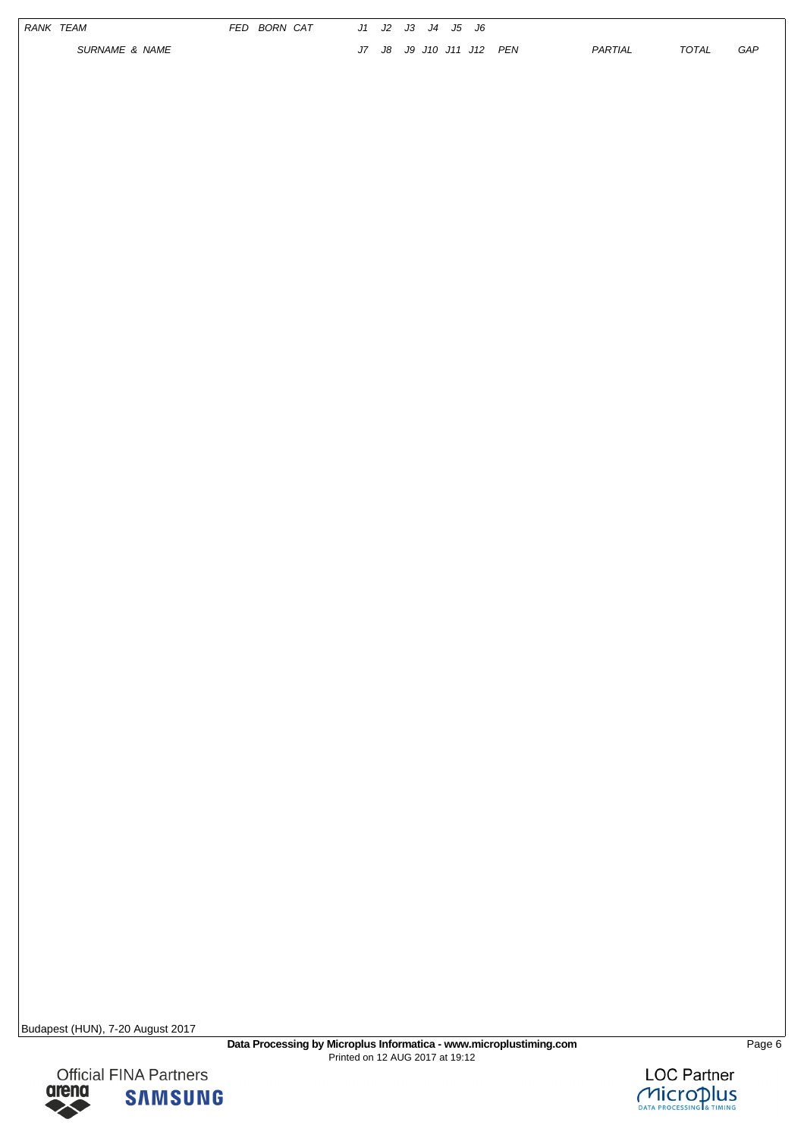|  | RANK TEAM<br>SURNAME & NAME | FED BORN CAT |  | J1 J2 J3 J4 J5 J6<br>J7 J8 J9 J10 J11 J12 PEN |  | PARTIAL | TOTAL | ${\cal G}{\cal A}{\cal P}$ |
|--|-----------------------------|--------------|--|-----------------------------------------------|--|---------|-------|----------------------------|
|  |                             |              |  |                                               |  |         |       |                            |
|  |                             |              |  |                                               |  |         |       |                            |
|  |                             |              |  |                                               |  |         |       |                            |
|  |                             |              |  |                                               |  |         |       |                            |
|  |                             |              |  |                                               |  |         |       |                            |
|  |                             |              |  |                                               |  |         |       |                            |
|  |                             |              |  |                                               |  |         |       |                            |
|  |                             |              |  |                                               |  |         |       |                            |
|  |                             |              |  |                                               |  |         |       |                            |
|  |                             |              |  |                                               |  |         |       |                            |
|  |                             |              |  |                                               |  |         |       |                            |
|  |                             |              |  |                                               |  |         |       |                            |
|  |                             |              |  |                                               |  |         |       |                            |

▶

**Official FINA Partners**<br>**GIPPIO SAMSILN** 

**SAMSUNG** 

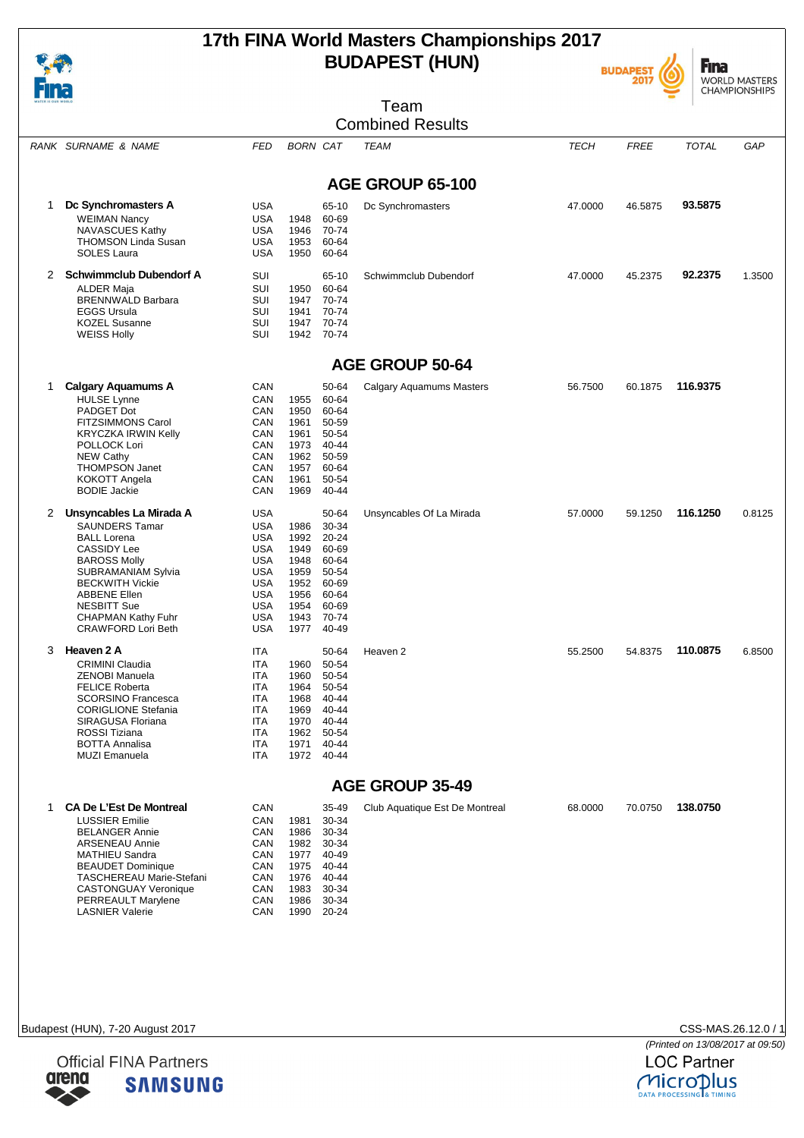# **17th FINA World Masters Championships 2017 BUDAPEST (HUN)**





|              |                                                                                                                                                                                                                                                                                   |                                                                                                                                                 |                                                                              |                                                                                                  | Team                           |             |             |              | <b>CHAMPIONSHIPS</b> |
|--------------|-----------------------------------------------------------------------------------------------------------------------------------------------------------------------------------------------------------------------------------------------------------------------------------|-------------------------------------------------------------------------------------------------------------------------------------------------|------------------------------------------------------------------------------|--------------------------------------------------------------------------------------------------|--------------------------------|-------------|-------------|--------------|----------------------|
|              |                                                                                                                                                                                                                                                                                   |                                                                                                                                                 |                                                                              |                                                                                                  | <b>Combined Results</b>        |             |             |              |                      |
|              | RANK SURNAME & NAME                                                                                                                                                                                                                                                               | <b>FED</b>                                                                                                                                      | <b>BORN CAT</b>                                                              |                                                                                                  | TEAM                           | <b>TECH</b> | <b>FREE</b> | <b>TOTAL</b> | GAP                  |
|              |                                                                                                                                                                                                                                                                                   |                                                                                                                                                 |                                                                              |                                                                                                  | AGE GROUP 65-100               |             |             |              |                      |
| 1            | Dc Synchromasters A<br><b>WEIMAN Nancy</b><br>NAVASCUES Kathy<br><b>THOMSON Linda Susan</b><br><b>SOLES Laura</b>                                                                                                                                                                 | <b>USA</b><br><b>USA</b><br><b>USA</b><br><b>USA</b><br><b>USA</b>                                                                              | 1948<br>1946<br>1953<br>1950                                                 | 65-10<br>60-69<br>70-74<br>60-64<br>60-64                                                        | Dc Synchromasters              | 47.0000     | 46.5875     | 93.5875      |                      |
| $\mathbf{2}$ | <b>Schwimmclub Dubendorf A</b><br><b>ALDER Maja</b><br><b>BRENNWALD Barbara</b><br><b>EGGS Ursula</b><br><b>KOZEL Susanne</b><br><b>WEISS Holly</b>                                                                                                                               | SUI<br><b>SUI</b><br>SUI<br>SUI<br>SUI<br>SUI                                                                                                   | 1950<br>1947<br>1941<br>1947<br>1942                                         | 65-10<br>60-64<br>70-74<br>70-74<br>70-74<br>70-74                                               | Schwimmclub Dubendorf          | 47.0000     | 45.2375     | 92.2375      | 1.3500               |
|              |                                                                                                                                                                                                                                                                                   |                                                                                                                                                 |                                                                              |                                                                                                  | <b>AGE GROUP 50-64</b>         |             |             |              |                      |
| 1            | <b>Calgary Aquamums A</b><br><b>HULSE Lynne</b><br>PADGET Dot<br><b>FITZSIMMONS Carol</b><br><b>KRYCZKA IRWIN Kelly</b><br>POLLOCK Lori<br><b>NEW Cathy</b><br><b>THOMPSON Janet</b><br><b>KOKOTT Angela</b><br><b>BODIE Jackie</b>                                               | CAN<br>CAN<br>CAN<br>CAN<br>CAN<br>CAN<br>CAN<br>CAN<br>CAN<br>CAN                                                                              | 1955<br>1950<br>1961<br>1961<br>1973<br>1962<br>1957<br>1961<br>1969         | 50-64<br>60-64<br>60-64<br>50-59<br>50-54<br>40-44<br>50-59<br>60-64<br>50-54<br>40-44           | Calgary Aquamums Masters       | 56.7500     | 60.1875     | 116.9375     |                      |
| $\mathbf{2}$ | Unsyncables La Mirada A<br><b>SAUNDERS Tamar</b><br><b>BALL Lorena</b><br><b>CASSIDY Lee</b><br><b>BAROSS Molly</b><br><b>SUBRAMANIAM Sylvia</b><br><b>BECKWITH Vickie</b><br><b>ABBENE Ellen</b><br><b>NESBITT Sue</b><br><b>CHAPMAN Kathy Fuhr</b><br><b>CRAWFORD Lori Beth</b> | <b>USA</b><br><b>USA</b><br><b>USA</b><br><b>USA</b><br><b>USA</b><br><b>USA</b><br><b>USA</b><br><b>USA</b><br>USA<br><b>USA</b><br><b>USA</b> | 1986<br>1992<br>1949<br>1948<br>1959<br>1952<br>1956<br>1954<br>1943<br>1977 | 50-64<br>30-34<br>20-24<br>60-69<br>60-64<br>50-54<br>60-69<br>60-64<br>60-69<br>70-74<br>40-49  | Unsyncables Of La Mirada       | 57.0000     | 59.1250     | 116.1250     | 0.8125               |
| 3            | Heaven 2 A<br><b>CRIMINI Claudia</b><br><b>ZENOBI Manuela</b><br><b>FELICE Roberta</b><br><b>SCORSINO Francesca</b><br><b>CORIGLIONE Stefania</b><br>SIRAGUSA Floriana<br>ROSSI Tiziana<br><b>BOTTA Annalisa</b><br><b>MUZI Emanuela</b>                                          | <b>ITA</b><br><b>ITA</b><br><b>ITA</b><br>ITA<br><b>ITA</b><br>ITA<br>ITA<br>ITA<br>ITA<br><b>ITA</b>                                           | 1960<br>1960<br>1964<br>1968<br>1969<br>1970<br>1971                         | 50-64<br>50-54<br>50-54<br>50-54<br>40-44<br>40-44<br>40-44<br>1962 50-54<br>40-44<br>1972 40-44 | Heaven 2                       | 55.2500     | 54.8375     | 110.0875     | 6.8500               |
|              |                                                                                                                                                                                                                                                                                   |                                                                                                                                                 |                                                                              |                                                                                                  | <b>AGE GROUP 35-49</b>         |             |             |              |                      |
| 1            | <b>CA De L'Est De Montreal</b><br><b>LUSSIER Emilie</b><br><b>BELANGER Annie</b><br><b>ARSENEAU Annie</b><br><b>MATHIEU Sandra</b><br><b>BEAUDET Dominique</b><br>TASCHEREAU Marie-Stefani<br><b>CASTONGUAY Veronique</b><br>PERREAULT Marylene<br><b>LASNIER Valerie</b>         | CAN<br>CAN<br>CAN<br>CAN<br>CAN<br>CAN<br>CAN<br>CAN<br>CAN<br>CAN                                                                              | 1981<br>1986<br>1982<br>1977<br>1975<br>1976<br>1983<br>1986<br>1990         | 35-49<br>30-34<br>30-34<br>30-34<br>40-49<br>40-44<br>40-44<br>30-34<br>30-34<br>20-24           | Club Aquatique Est De Montreal | 68,0000     | 70.0750     | 138.0750     |                      |

Budapest (HUN), 7-20 August 2017 CSS-MAS.26.12.0 / 1



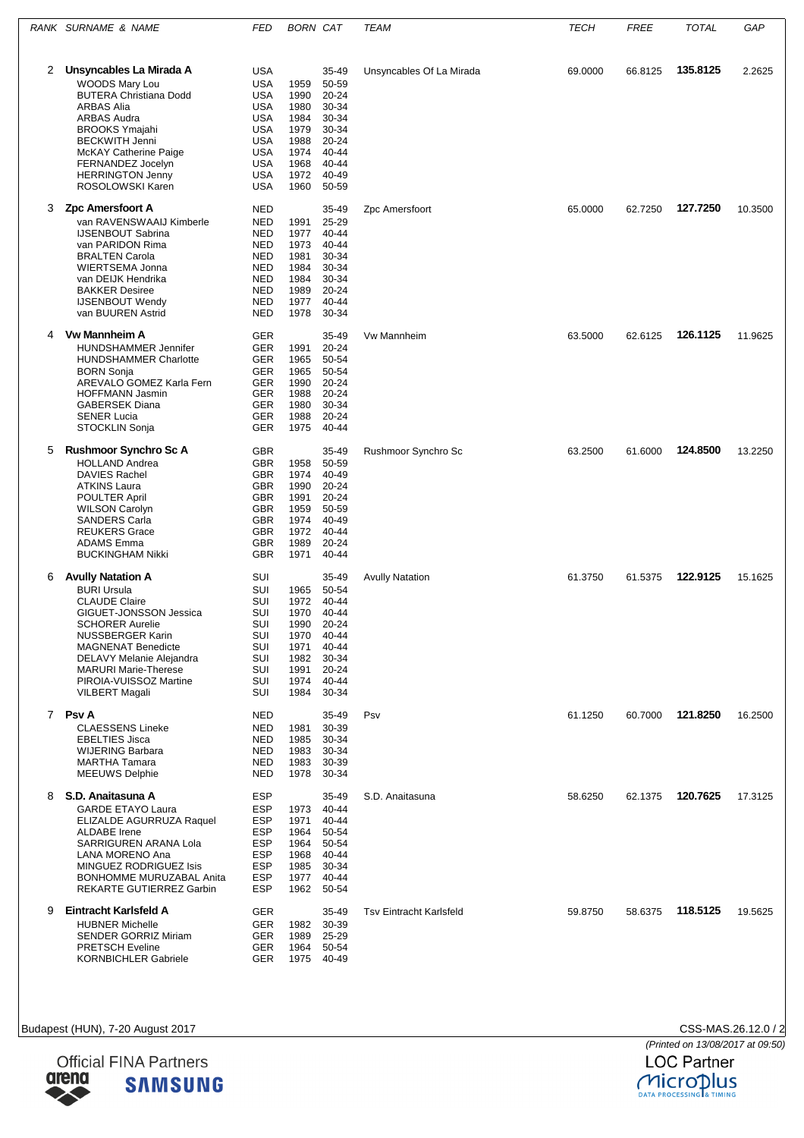|   | RANK SURNAME & NAME                                  | FED                      | <b>BORN CAT</b> |                | <b>TEAM</b>                    | <b>TECH</b> | <b>FREE</b> | <b>TOTAL</b> | GAP     |
|---|------------------------------------------------------|--------------------------|-----------------|----------------|--------------------------------|-------------|-------------|--------------|---------|
| 2 | Unsyncables La Mirada A                              | <b>USA</b>               |                 | 35-49          | Unsyncables Of La Mirada       | 69.0000     | 66.8125     | 135.8125     | 2.2625  |
|   | <b>WOODS Mary Lou</b>                                | <b>USA</b>               | 1959            | 50-59          |                                |             |             |              |         |
|   | <b>BUTERA Christiana Dodd</b>                        | <b>USA</b>               | 1990            | 20-24          |                                |             |             |              |         |
|   | <b>ARBAS Alia</b>                                    | <b>USA</b>               | 1980            | 30-34          |                                |             |             |              |         |
|   | <b>ARBAS Audra</b>                                   | <b>USA</b>               | 1984            | 30-34          |                                |             |             |              |         |
|   | <b>BROOKS Ymajahi</b>                                | <b>USA</b>               | 1979            | 30-34          |                                |             |             |              |         |
|   | <b>BECKWITH Jenni</b>                                | <b>USA</b>               | 1988            | 20-24          |                                |             |             |              |         |
|   | McKAY Catherine Paige                                | <b>USA</b>               | 1974            | 40-44          |                                |             |             |              |         |
|   | FERNANDEZ Jocelyn                                    | <b>USA</b>               | 1968            | $40 - 44$      |                                |             |             |              |         |
|   | <b>HERRINGTON Jenny</b>                              | <b>USA</b>               | 1972            | 40-49          |                                |             |             |              |         |
|   | ROSOLOWSKI Karen                                     | <b>USA</b>               | 1960            | 50-59          |                                |             |             |              |         |
| 3 | Zpc Amersfoort A                                     | <b>NED</b>               |                 | 35-49          | Zpc Amersfoort                 | 65.0000     | 62.7250     | 127.7250     | 10.3500 |
|   | van RAVENSWAAIJ Kimberle                             | <b>NED</b>               | 1991            | 25-29          |                                |             |             |              |         |
|   | <b>IJSENBOUT Sabrina</b>                             | <b>NED</b>               | 1977            | 40-44          |                                |             |             |              |         |
|   | van PARIDON Rima<br><b>BRALTEN Carola</b>            | <b>NED</b><br><b>NED</b> | 1973<br>1981    | 40-44<br>30-34 |                                |             |             |              |         |
|   | WIERTSEMA Jonna                                      | <b>NED</b>               | 1984            | 30-34          |                                |             |             |              |         |
|   | van DEIJK Hendrika                                   | <b>NED</b>               | 1984            | 30-34          |                                |             |             |              |         |
|   | <b>BAKKER Desiree</b>                                | <b>NED</b>               | 1989            | 20-24          |                                |             |             |              |         |
|   | <b>IJSENBOUT Wendy</b>                               | <b>NED</b>               | 1977            | 40-44          |                                |             |             |              |         |
|   | van BUUREN Astrid                                    | <b>NED</b>               | 1978            | 30-34          |                                |             |             |              |         |
| 4 | <b>Vw Mannheim A</b>                                 | <b>GER</b>               |                 | 35-49          | <b>Vw Mannheim</b>             | 63.5000     | 62.6125     | 126.1125     | 11.9625 |
|   | <b>HUNDSHAMMER Jennifer</b>                          | <b>GER</b>               | 1991            | $20 - 24$      |                                |             |             |              |         |
|   | <b>HUNDSHAMMER Charlotte</b>                         | GER                      | 1965            | 50-54          |                                |             |             |              |         |
|   | <b>BORN Sonja</b><br>AREVALO GOMEZ Karla Fern        | GER<br><b>GER</b>        | 1965<br>1990    | 50-54<br>20-24 |                                |             |             |              |         |
|   | <b>HOFFMANN Jasmin</b>                               | GER                      | 1988            | 20-24          |                                |             |             |              |         |
|   | <b>GABERSEK Diana</b>                                | <b>GER</b>               | 1980            | 30-34          |                                |             |             |              |         |
|   | <b>SENER Lucia</b>                                   | GER                      | 1988            | 20-24          |                                |             |             |              |         |
|   | STOCKLIN Sonja                                       | <b>GER</b>               | 1975            | 40-44          |                                |             |             |              |         |
| 5 | <b>Rushmoor Synchro Sc A</b>                         | GBR                      |                 | 35-49          | Rushmoor Synchro Sc            | 63.2500     | 61.6000     | 124.8500     | 13.2250 |
|   | <b>HOLLAND Andrea</b>                                | <b>GBR</b>               | 1958            | 50-59          |                                |             |             |              |         |
|   | <b>DAVIES Rachel</b>                                 | GBR                      | 1974            | 40-49          |                                |             |             |              |         |
|   | <b>ATKINS Laura</b>                                  | <b>GBR</b>               | 1990            | 20-24          |                                |             |             |              |         |
|   | POULTER April<br><b>WILSON Carolyn</b>               | GBR<br><b>GBR</b>        | 1991<br>1959    | 20-24<br>50-59 |                                |             |             |              |         |
|   | <b>SANDERS Carla</b>                                 | <b>GBR</b>               | 1974            | 40-49          |                                |             |             |              |         |
|   | <b>REUKERS Grace</b>                                 | GBR                      | 1972            | 40-44          |                                |             |             |              |         |
|   | <b>ADAMS</b> Emma                                    | GBR                      | 1989            | 20-24          |                                |             |             |              |         |
|   | <b>BUCKINGHAM Nikki</b>                              | <b>GBR</b>               | 1971            | 40-44          |                                |             |             |              |         |
| 6 | <b>Avully Natation A</b>                             | SUI                      |                 | 35-49          | <b>Avully Natation</b>         | 61.3750     | 61.5375     | 122.9125     | 15.1625 |
|   | <b>BURI Ursula</b>                                   | SUI                      | 1965            | 50-54          |                                |             |             |              |         |
|   | <b>CLAUDE Claire</b>                                 | SUI                      | 1972            | 40-44          |                                |             |             |              |         |
|   | GIGUET-JONSSON Jessica                               | SUI                      | 1970            | 40-44          |                                |             |             |              |         |
|   | <b>SCHORER Aurelie</b><br><b>NUSSBERGER Karin</b>    | SUI<br>SUI               | 1990<br>1970    | 20-24<br>40-44 |                                |             |             |              |         |
|   | <b>MAGNENAT Benedicte</b>                            | SUI                      | 1971            | 40-44          |                                |             |             |              |         |
|   | DELAVY Melanie Alejandra                             | SUI                      | 1982            | 30-34          |                                |             |             |              |         |
|   | <b>MARURI Marie-Therese</b>                          | SUI                      | 1991            | 20-24          |                                |             |             |              |         |
|   | PIROIA-VUISSOZ Martine                               | SUI                      | 1974            | 40-44          |                                |             |             |              |         |
|   | <b>VILBERT Magali</b>                                | SUI                      | 1984            | 30-34          |                                |             |             |              |         |
|   | 7 Psv A                                              | <b>NED</b>               |                 | 35-49          | Psv                            | 61.1250     | 60.7000     | 121.8250     | 16.2500 |
|   | <b>CLAESSENS Lineke</b>                              | <b>NED</b>               | 1981            | 30-39          |                                |             |             |              |         |
|   | <b>EBELTIES Jisca</b>                                | <b>NED</b>               | 1985            | 30-34          |                                |             |             |              |         |
|   | <b>WIJERING Barbara</b><br><b>MARTHA Tamara</b>      | <b>NED</b><br><b>NED</b> | 1983<br>1983    | 30-34<br>30-39 |                                |             |             |              |         |
|   | <b>MEEUWS Delphie</b>                                | NED                      | 1978            | 30-34          |                                |             |             |              |         |
| 8 | S.D. Anaitasuna A                                    | <b>ESP</b>               |                 | 35-49          | S.D. Anaitasuna                | 58.6250     | 62.1375     | 120.7625     | 17.3125 |
|   | <b>GARDE ETAYO Laura</b>                             | <b>ESP</b>               | 1973            | 40-44          |                                |             |             |              |         |
|   | ELIZALDE AGURRUZA Raquel                             | <b>ESP</b>               | 1971            | 40-44          |                                |             |             |              |         |
|   | ALDABE Irene                                         | <b>ESP</b>               | 1964            | 50-54          |                                |             |             |              |         |
|   | SARRIGUREN ARANA Lola                                | <b>ESP</b>               | 1964            | 50-54          |                                |             |             |              |         |
|   | LANA MORENO Ana                                      | <b>ESP</b>               | 1968            | 40-44          |                                |             |             |              |         |
|   | MINGUEZ RODRIGUEZ Isis                               | <b>ESP</b>               | 1985            | 30-34          |                                |             |             |              |         |
|   | BONHOMME MURUZABAL Anita<br>REKARTE GUTIERREZ Garbin | <b>ESP</b><br><b>ESP</b> | 1977<br>1962    | 40-44<br>50-54 |                                |             |             |              |         |
|   |                                                      |                          |                 |                |                                |             |             |              |         |
| 9 | Eintracht Karlsfeld A<br><b>HUBNER Michelle</b>      | <b>GER</b><br><b>GER</b> | 1982            | 35-49<br>30-39 | <b>Tsv Eintracht Karlsfeld</b> | 59.8750     | 58.6375     | 118.5125     | 19.5625 |
|   | <b>SENDER GORRIZ Miriam</b>                          | <b>GER</b>               | 1989            | 25-29          |                                |             |             |              |         |
|   | <b>PRETSCH Eveline</b>                               | GER                      | 1964            | 50-54          |                                |             |             |              |         |
|   | <b>KORNBICHLER Gabriele</b>                          | <b>GER</b>               | 1975            | 40-49          |                                |             |             |              |         |





CSS-MAS.26.12.0 / 2<br>(Printed on 13/08/2017 at 09:50)<br>LOC Partner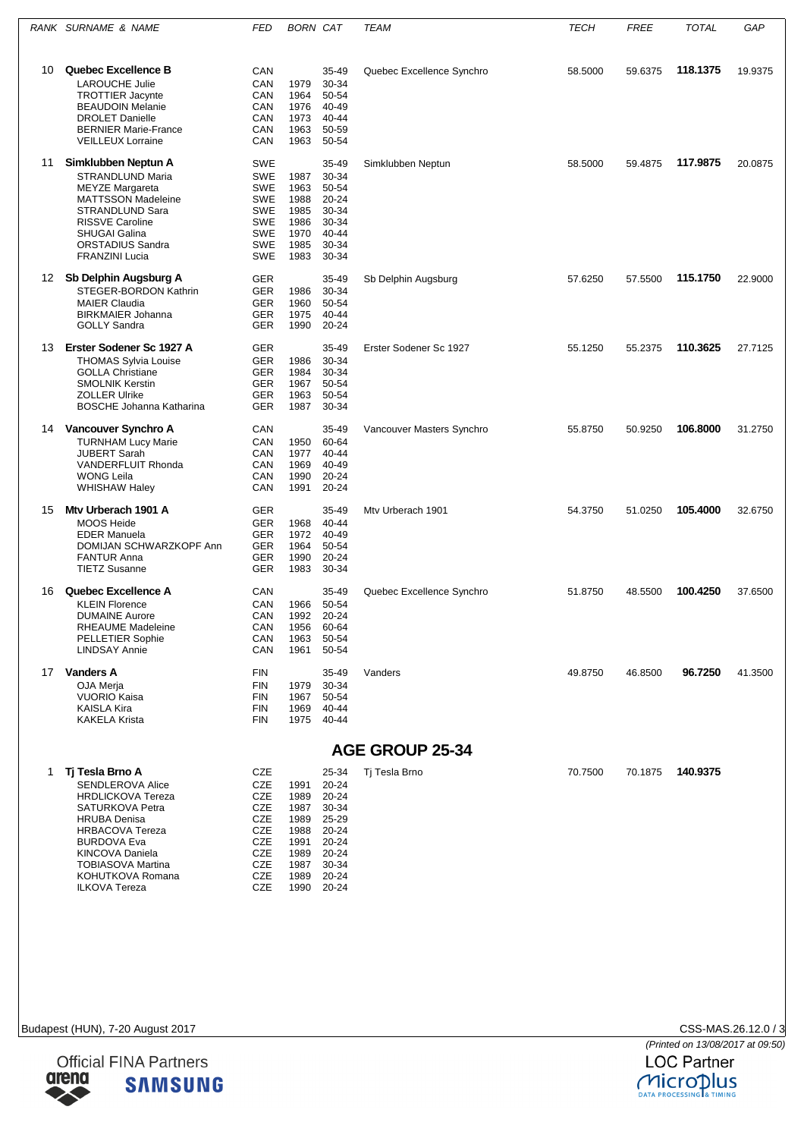|    | RANK SURNAME & NAME                                                                                                                                                                                                                                                | <b>FED</b>                                                                                                                 | <b>BORN CAT</b>                                                                          |                                                                               | <b>TEAM</b>               | <b>TECH</b> | <b>FREE</b> | <b>TOTAL</b> | GAP     |
|----|--------------------------------------------------------------------------------------------------------------------------------------------------------------------------------------------------------------------------------------------------------------------|----------------------------------------------------------------------------------------------------------------------------|------------------------------------------------------------------------------------------|-------------------------------------------------------------------------------|---------------------------|-------------|-------------|--------------|---------|
| 10 | Quebec Excellence B<br><b>LAROUCHE Julie</b><br><b>TROTTIER Jacynte</b><br><b>BEAUDOIN Melanie</b><br><b>DROLET Danielle</b><br><b>BERNIER Marie-France</b><br><b>VEILLEUX Lorraine</b>                                                                            | CAN<br>CAN<br>CAN<br>CAN<br>CAN<br>CAN<br>CAN                                                                              | 1979<br>1964<br>1976<br>1973<br>1963<br>1963                                             | 35-49<br>30-34<br>50-54<br>40-49<br>40-44<br>50-59<br>50-54                   | Quebec Excellence Synchro | 58.5000     | 59.6375     | 118.1375     | 19.9375 |
| 11 | Simklubben Neptun A<br>STRANDLUND Maria<br><b>MEYZE Margareta</b><br><b>MATTSSON Madeleine</b><br>STRANDLUND Sara<br><b>RISSVE Caroline</b><br><b>SHUGAI Galina</b><br>ORSTADIUS Sandra<br><b>FRANZINI Lucia</b>                                                   | <b>SWE</b><br><b>SWE</b><br><b>SWE</b><br><b>SWE</b><br><b>SWE</b><br><b>SWE</b><br><b>SWE</b><br><b>SWE</b><br><b>SWE</b> | 1987<br>1963<br>1988<br>1985<br>1986<br>1970<br>1985<br>1983                             | 35-49<br>30-34<br>50-54<br>20-24<br>30-34<br>30-34<br>40-44<br>30-34<br>30-34 | Simklubben Neptun         | 58.5000     | 59.4875     | 117.9875     | 20.0875 |
|    | 12 Sb Delphin Augsburg A<br>STEGER-BORDON Kathrin<br><b>MAIER Claudia</b><br><b>BIRKMAIER Johanna</b><br><b>GOLLY Sandra</b>                                                                                                                                       | <b>GER</b><br><b>GER</b><br><b>GER</b><br><b>GER</b><br><b>GER</b>                                                         | 1986<br>1960<br>1975<br>1990                                                             | 35-49<br>30-34<br>50-54<br>40-44<br>20-24                                     | Sb Delphin Augsburg       | 57.6250     | 57.5500     | 115.1750     | 22.9000 |
| 13 | Erster Sodener Sc 1927 A<br><b>THOMAS Sylvia Louise</b><br><b>GOLLA Christiane</b><br><b>SMOLNIK Kerstin</b><br><b>ZOLLER Ulrike</b><br><b>BOSCHE Johanna Katharina</b>                                                                                            | <b>GER</b><br><b>GER</b><br><b>GER</b><br><b>GER</b><br><b>GER</b><br><b>GER</b>                                           | 1986<br>1984<br>1967<br>1963<br>1987                                                     | 35-49<br>30-34<br>30-34<br>50-54<br>50-54<br>30-34                            | Erster Sodener Sc 1927    | 55.1250     | 55.2375     | 110.3625     | 27.7125 |
| 14 | Vancouver Synchro A<br><b>TURNHAM Lucy Marie</b><br><b>JUBERT Sarah</b><br>VANDERFLUIT Rhonda<br><b>WONG Leila</b><br><b>WHISHAW Haley</b>                                                                                                                         | CAN<br>CAN<br>CAN<br>CAN<br>CAN<br>CAN                                                                                     | 1950<br>1977<br>1969<br>1990<br>1991                                                     | 35-49<br>60-64<br>$40 - 44$<br>40-49<br>20-24<br>20-24                        | Vancouver Masters Synchro | 55.8750     | 50.9250     | 106.8000     | 31.2750 |
| 15 | Mty Urberach 1901 A<br><b>MOOS Heide</b><br><b>EDER Manuela</b><br>DOMIJAN SCHWARZKOPF Ann<br><b>FANTUR Anna</b><br><b>TIETZ Susanne</b>                                                                                                                           | <b>GER</b><br><b>GER</b><br><b>GER</b><br><b>GER</b><br><b>GER</b><br><b>GER</b>                                           | 1968<br>1972<br>1964<br>1990<br>1983                                                     | 35-49<br>40-44<br>40-49<br>50-54<br>20-24<br>30-34                            | Mty Urberach 1901         | 54.3750     | 51.0250     | 105.4000     | 32.6750 |
| 16 | Quebec Excellence A<br><b>KLEIN Florence</b><br><b>DUMAINE Aurore</b><br>RHEAUME Madeleine<br><b>PELLETIER Sophie</b><br><b>LINDSAY Annie</b>                                                                                                                      | CAN<br>CAN<br>CAN<br>CAN<br>CAN<br>CAN                                                                                     | 1966<br>1992<br>1956<br>1963<br>1961                                                     | 35-49<br>50-54<br>$20 - 24$<br>60-64<br>50-54<br>50-54                        | Quebec Excellence Synchro | 51.8750     | 48.5500     | 100.4250     | 37.6500 |
|    | 17 Vanders A<br><b>OJA</b> Meria<br><b>VUORIO Kaisa</b><br><b>KAISLA Kira</b><br><b>KAKELA Krista</b>                                                                                                                                                              | <b>FIN</b><br><b>FIN</b><br><b>FIN</b><br>FIN<br><b>FIN</b>                                                                | 1979<br>1967<br>1969<br>1975 40-44                                                       | 35-49<br>30-34<br>50-54<br>40-44                                              | Vanders                   | 49.8750     | 46.8500     | 96.7250      | 41.3500 |
|    |                                                                                                                                                                                                                                                                    |                                                                                                                            |                                                                                          |                                                                               | <b>AGE GROUP 25-34</b>    |             |             |              |         |
| 1  | Tj Tesla Brno A<br><b>SENDLEROVA Alice</b><br><b>HRDLICKOVA Tereza</b><br>SATURKOVA Petra<br><b>HRUBA Denisa</b><br><b>HRBACOVA Tereza</b><br><b>BURDOVA Eva</b><br><b>KINCOVA Daniela</b><br><b>TOBIASOVA Martina</b><br>KOHUTKOVA Romana<br><b>ILKOVA Tereza</b> | CZE<br>CZE<br>CZE<br>CZE<br>CZE<br>CZE<br>CZE<br>CZE<br>CZE<br>CZE<br>CZE                                                  | 1991<br>1989<br>1987<br>1989<br>1988<br>1991<br>1989 20-24<br>1987<br>1989<br>1990 20-24 | 25-34<br>20-24<br>20-24<br>30-34<br>25-29<br>20-24<br>20-24<br>30-34<br>20-24 | Tj Tesla Brno             | 70.7500     | 70.1875     | 140.9375     |         |



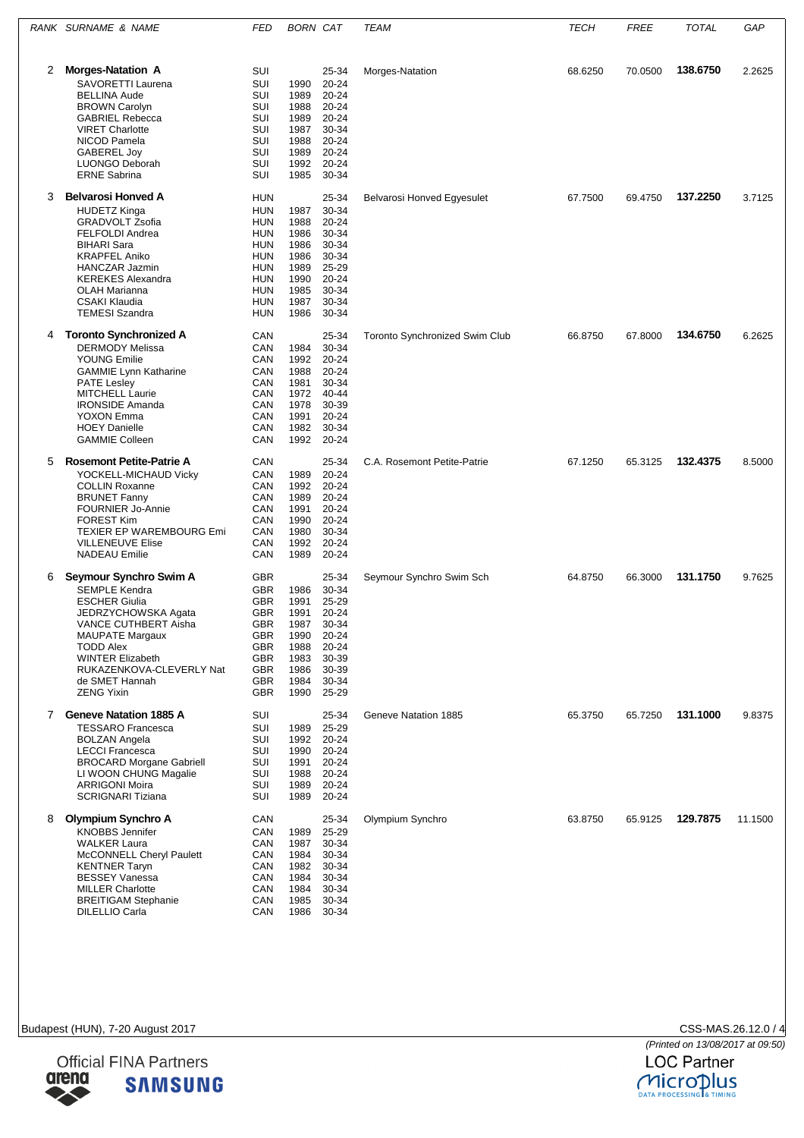|             | RANK SURNAME & NAME                                       | FED                      | <b>BORN CAT</b>    |                | <b>TEAM</b>                           | <b>TECH</b> | FREE    | <b>TOTAL</b> | GAP     |
|-------------|-----------------------------------------------------------|--------------------------|--------------------|----------------|---------------------------------------|-------------|---------|--------------|---------|
| 2           | <b>Morges-Natation A</b>                                  | SUI                      |                    | 25-34          | Morges-Natation                       | 68.6250     | 70.0500 | 138,6750     | 2.2625  |
|             | SAVORETTI Laurena<br><b>BELLINA Aude</b>                  | SUI<br>SUI               | 1990<br>1989       | 20-24<br>20-24 |                                       |             |         |              |         |
|             | <b>BROWN Carolyn</b>                                      | SUI                      | 1988               | 20-24          |                                       |             |         |              |         |
|             | <b>GABRIEL Rebecca</b>                                    | SUI                      | 1989               | $20 - 24$      |                                       |             |         |              |         |
|             | <b>VIRET Charlotte</b><br>NICOD Pamela                    | SUI<br>SUI               | 1987<br>1988       | 30-34<br>20-24 |                                       |             |         |              |         |
|             | <b>GABEREL Joy</b>                                        | SUI                      | 1989               | 20-24          |                                       |             |         |              |         |
|             | <b>LUONGO Deborah</b><br><b>ERNE Sabrina</b>              | SUI<br>SUI               | 1992<br>1985       | 20-24<br>30-34 |                                       |             |         |              |         |
|             |                                                           |                          |                    |                |                                       |             |         |              |         |
| 3           | <b>Belvarosi Honved A</b><br><b>HUDETZ Kinga</b>          | HUN<br><b>HUN</b>        | 1987               | 25-34<br>30-34 | <b>Belvarosi Honved Egyesulet</b>     | 67.7500     | 69.4750 | 137.2250     | 3.7125  |
|             | <b>GRADVOLT Zsofia</b>                                    | HUN                      | 1988               | 20-24          |                                       |             |         |              |         |
|             | <b>FELFOLDI Andrea</b>                                    | HUN                      | 1986               | 30-34          |                                       |             |         |              |         |
|             | <b>BIHARI Sara</b><br><b>KRAPFEL Aniko</b>                | HUN<br>HUN               | 1986<br>1986       | 30-34<br>30-34 |                                       |             |         |              |         |
|             | <b>HANCZAR Jazmin</b>                                     | <b>HUN</b>               | 1989               | 25-29          |                                       |             |         |              |         |
|             | <b>KEREKES Alexandra</b>                                  | HUN                      | 1990               | 20-24          |                                       |             |         |              |         |
|             | <b>OLAH Marianna</b><br>CSAKI Klaudia                     | HUN<br>HUN               | 1985<br>1987       | 30-34<br>30-34 |                                       |             |         |              |         |
|             | <b>TEMESI Szandra</b>                                     | HUN                      | 1986               | 30-34          |                                       |             |         |              |         |
| 4           | <b>Toronto Synchronized A</b>                             | CAN                      |                    | 25-34          | <b>Toronto Synchronized Swim Club</b> | 66.8750     | 67.8000 | 134.6750     | 6.2625  |
|             | <b>DERMODY Melissa</b><br><b>YOUNG Emilie</b>             | CAN<br>CAN               | 1984<br>1992       | 30-34<br>20-24 |                                       |             |         |              |         |
|             | <b>GAMMIE Lynn Katharine</b>                              | CAN                      | 1988               | 20-24          |                                       |             |         |              |         |
|             | <b>PATE Lesley</b>                                        | CAN                      | 1981               | 30-34          |                                       |             |         |              |         |
|             | <b>MITCHELL Laurie</b><br><b>IRONSIDE Amanda</b>          | CAN<br>CAN               | 1972<br>1978       | 40-44<br>30-39 |                                       |             |         |              |         |
|             | YOXON Emma                                                | CAN                      | 1991               | 20-24          |                                       |             |         |              |         |
|             | <b>HOEY Danielle</b><br><b>GAMMIE Colleen</b>             | CAN<br>CAN               | 1982<br>1992       | 30-34<br>20-24 |                                       |             |         |              |         |
| 5           | <b>Rosemont Petite-Patrie A</b>                           | CAN                      |                    | 25-34          | C.A. Rosemont Petite-Patrie           | 67.1250     | 65.3125 | 132.4375     | 8.5000  |
|             | YOCKELL-MICHAUD Vicky                                     | CAN                      | 1989               | 20-24          |                                       |             |         |              |         |
|             | <b>COLLIN Roxanne</b>                                     | CAN                      | 1992               | 20-24          |                                       |             |         |              |         |
|             | <b>BRUNET Fanny</b>                                       | CAN                      | 1989               | 20-24<br>20-24 |                                       |             |         |              |         |
|             | <b>FOURNIER Jo-Annie</b><br><b>FOREST Kim</b>             | CAN<br>CAN               | 1991<br>1990       | 20-24          |                                       |             |         |              |         |
|             | <b>TEXIER EP WAREMBOURG Emi</b>                           | CAN                      | 1980               | 30-34          |                                       |             |         |              |         |
|             | <b>VILLENEUVE Elise</b><br><b>NADEAU Emilie</b>           | CAN<br>CAN               | 1992<br>1989       | 20-24<br>20-24 |                                       |             |         |              |         |
| 6           | Seymour Synchro Swim A                                    | <b>GBR</b>               |                    | 25-34          | Seymour Synchro Swim Sch              | 64.8750     | 66.3000 | 131.1750     | 9.7625  |
|             | <b>SEMPLE Kendra</b>                                      | <b>GBR</b>               | 1986               | 30-34          |                                       |             |         |              |         |
|             | <b>ESCHER Giulia</b>                                      | GBR                      | 1991               | 25-29          |                                       |             |         |              |         |
|             | JEDRZYCHOWSKA Agata<br>VANCE CUTHBERT Aisha               | <b>GBR</b><br>GBR        | 1991<br>1987 30-34 | 20-24          |                                       |             |         |              |         |
|             | <b>MAUPATE Margaux</b>                                    | GBR                      | 1990               | 20-24          |                                       |             |         |              |         |
|             | <b>TODD Alex</b><br><b>WINTER Elizabeth</b>               | <b>GBR</b><br><b>GBR</b> | 1988<br>1983       | 20-24<br>30-39 |                                       |             |         |              |         |
|             | RUKAZENKOVA-CLEVERLY Nat                                  | GBR                      | 1986               | 30-39          |                                       |             |         |              |         |
|             | de SMET Hannah<br><b>ZENG Yixin</b>                       | <b>GBR</b><br><b>GBR</b> | 1984<br>1990 25-29 | 30-34          |                                       |             |         |              |         |
|             |                                                           |                          |                    |                |                                       |             |         |              |         |
| $7^{\circ}$ | <b>Geneve Natation 1885 A</b><br><b>TESSARO Francesca</b> | SUI<br>SUI               | 1989               | 25-34<br>25-29 | Geneve Natation 1885                  | 65.3750     | 65.7250 | 131.1000     | 9.8375  |
|             | <b>BOLZAN Angela</b>                                      | SUI                      | 1992               | 20-24          |                                       |             |         |              |         |
|             | <b>LECCI Francesca</b>                                    | SUI                      | 1990               | 20-24          |                                       |             |         |              |         |
|             | <b>BROCARD Morgane Gabriell</b><br>LI WOON CHUNG Magalie  | SUI<br>SUI               | 1991 20-24<br>1988 | 20-24          |                                       |             |         |              |         |
|             | <b>ARRIGONI Moira</b>                                     | SUI                      | 1989               | 20-24          |                                       |             |         |              |         |
|             | <b>SCRIGNARI Tiziana</b>                                  | SUI                      | 1989               | 20-24          |                                       |             |         |              |         |
| 8           | Olympium Synchro A                                        | CAN                      |                    | 25-34          | Olympium Synchro                      | 63.8750     | 65.9125 | 129.7875     | 11.1500 |
|             | <b>KNOBBS Jennifer</b><br><b>WALKER Laura</b>             | CAN<br>CAN               | 1989<br>1987       | 25-29<br>30-34 |                                       |             |         |              |         |
|             | McCONNELL Cheryl Paulett                                  | CAN                      | 1984               | 30-34          |                                       |             |         |              |         |
|             | <b>KENTNER Taryn</b>                                      | CAN                      | 1982               | 30-34          |                                       |             |         |              |         |
|             | <b>BESSEY Vanessa</b><br><b>MILLER Charlotte</b>          | CAN<br>CAN               | 1984<br>1984       | 30-34<br>30-34 |                                       |             |         |              |         |
|             | <b>BREITIGAM Stephanie</b>                                | CAN                      | 1985               | 30-34          |                                       |             |         |              |         |
|             | DILELLIO Carla                                            | CAN                      | 1986               | 30-34          |                                       |             |         |              |         |

Budapest (HUN), 7-20 August 2017



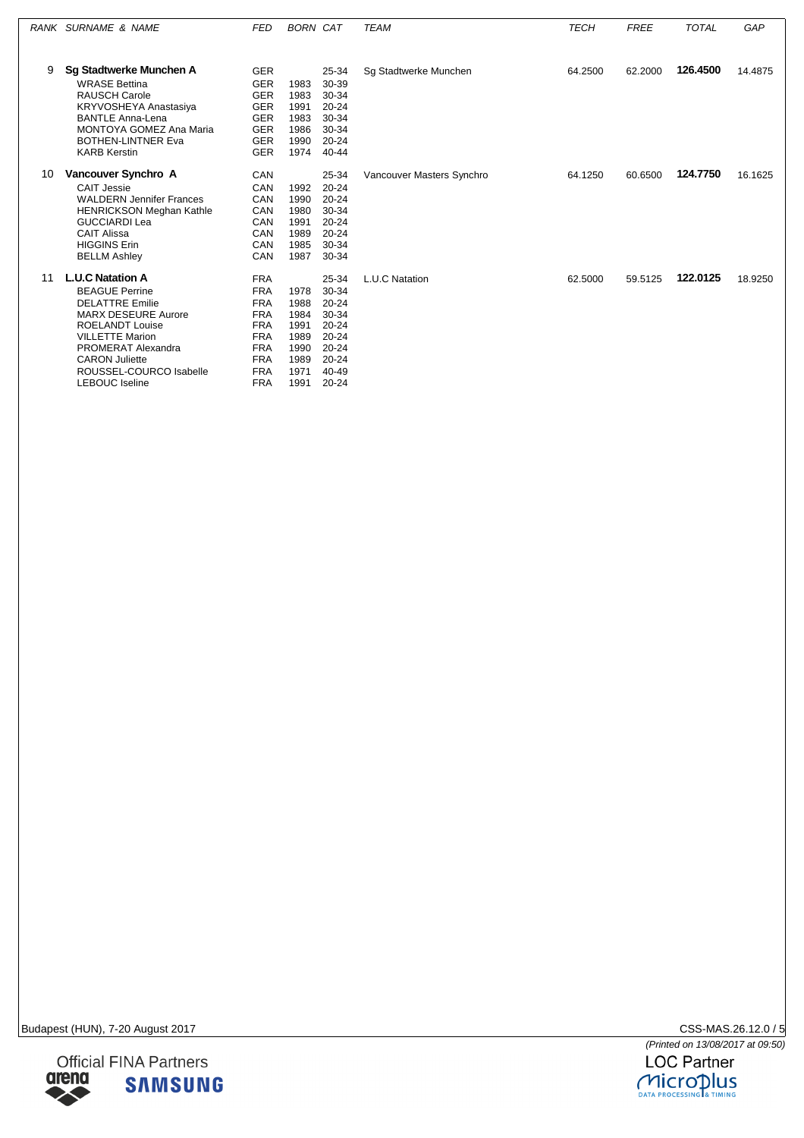|    | RANK SURNAME & NAME                                                                                                                                                                                                                                             | <b>FED</b>                                                                                                                               | <b>BORN CAT</b>                                                      |                                                                                                                | <b>TEAM</b>               | <b>TECH</b> | <b>FREE</b> | <b>TOTAL</b> | GAP     |
|----|-----------------------------------------------------------------------------------------------------------------------------------------------------------------------------------------------------------------------------------------------------------------|------------------------------------------------------------------------------------------------------------------------------------------|----------------------------------------------------------------------|----------------------------------------------------------------------------------------------------------------|---------------------------|-------------|-------------|--------------|---------|
|    |                                                                                                                                                                                                                                                                 |                                                                                                                                          |                                                                      |                                                                                                                |                           |             |             |              |         |
| 9  | <b>Sg Stadtwerke Munchen A</b><br><b>WRASE Bettina</b><br><b>RAUSCH Carole</b><br>KRYVOSHEYA Anastasiya<br><b>BANTLE Anna-Lena</b><br><b>MONTOYA GOMEZ Ana Maria</b><br><b>BOTHEN-LINTNER Eva</b><br><b>KARB Kerstin</b>                                        | <b>GER</b><br><b>GER</b><br><b>GER</b><br><b>GER</b><br><b>GER</b><br><b>GER</b><br><b>GER</b><br><b>GER</b>                             | 1983<br>1983<br>1991<br>1983<br>1986<br>1990<br>1974                 | 25-34<br>30-39<br>30-34<br>$20 - 24$<br>30-34<br>30-34<br>$20 - 24$<br>$40 - 44$                               | Sq Stadtwerke Munchen     | 64.2500     | 62.2000     | 126.4500     | 14.4875 |
| 10 | Vancouver Synchro A<br><b>CAIT Jessie</b><br><b>WALDERN Jennifer Frances</b><br><b>HENRICKSON Meghan Kathle</b><br><b>GUCCIARDI Lea</b><br><b>CAIT Alissa</b><br><b>HIGGINS Erin</b><br><b>BELLM Ashley</b>                                                     | CAN<br>CAN<br>CAN<br>CAN<br>CAN<br>CAN<br>CAN<br>CAN                                                                                     | 1992<br>1990<br>1980<br>1991<br>1989<br>1985<br>1987                 | 25-34<br>$20 - 24$<br>$20 - 24$<br>30-34<br>$20 - 24$<br>$20 - 24$<br>$30 - 34$<br>30-34                       | Vancouver Masters Synchro | 64.1250     | 60.6500     | 124.7750     | 16.1625 |
| 11 | <b>L.U.C Natation A</b><br><b>BEAGUE Perrine</b><br><b>DELATTRE Emilie</b><br><b>MARX DESEURE Aurore</b><br><b>ROELANDT Louise</b><br><b>VILLETTE Marion</b><br>PROMERAT Alexandra<br><b>CARON Juliette</b><br>ROUSSEL-COURCO Isabelle<br><b>LEBOUC</b> Iseline | <b>FRA</b><br><b>FRA</b><br><b>FRA</b><br><b>FRA</b><br><b>FRA</b><br><b>FRA</b><br><b>FRA</b><br><b>FRA</b><br><b>FRA</b><br><b>FRA</b> | 1978<br>1988<br>1984<br>1991<br>1989<br>1990<br>1989<br>1971<br>1991 | 25-34<br>30-34<br>$20 - 24$<br>30-34<br>$20 - 24$<br>$20 - 24$<br>$20 - 24$<br>$20 - 24$<br>40-49<br>$20 - 24$ | L.U.C Natation            | 62.5000     | 59.5125     | 122.0125     | 18.9250 |



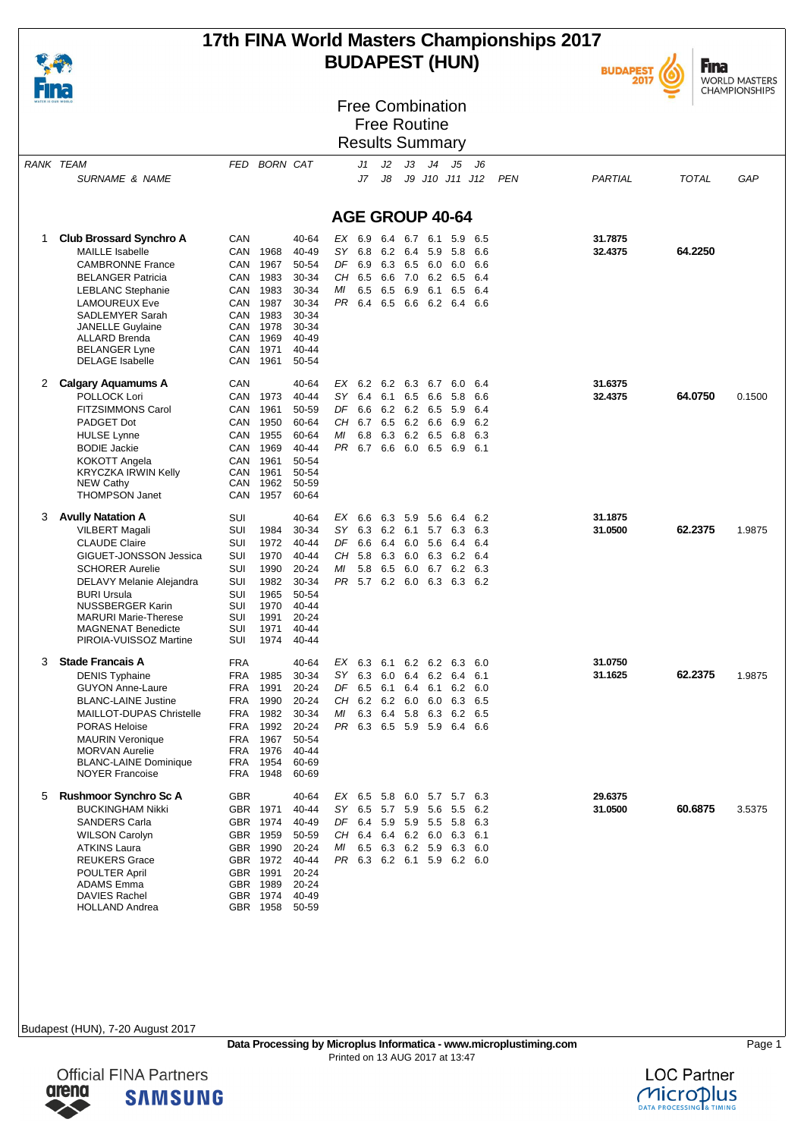## **17th FINA World Masters Championships 2017 BUDAPEST (HUN)**



**Fina** WORLD MASTERS<br>CHAMPIONSHIPS

| <b>Free Combination</b> |
|-------------------------|
| <b>Free Routine</b>     |

#### Results Summary

|   | RANK TEAM<br><b>SURNAME &amp; NAME</b>                | FED        | <b>BORN CAT</b>  |                |                        | J1<br>J7 | J2<br>J8        | JЗ      | J4          | J5<br>J9 J10 J11 J12       | J6                      | <b>PEN</b> | PARTIAL | TOTAL   | GAP    |
|---|-------------------------------------------------------|------------|------------------|----------------|------------------------|----------|-----------------|---------|-------------|----------------------------|-------------------------|------------|---------|---------|--------|
|   |                                                       |            |                  |                |                        |          |                 |         |             |                            |                         |            |         |         |        |
|   |                                                       |            |                  |                | <b>AGE GROUP 40-64</b> |          |                 |         |             |                            |                         |            |         |         |        |
| 1 | <b>Club Brossard Synchro A</b>                        | CAN        |                  | 40-64          | EX 6.9                 |          | 6.4 6.7         |         | 6.1         | 5.9                        | 6.5                     |            | 31.7875 |         |        |
|   | <b>MAILLE Isabelle</b>                                | CAN        | 1968             | 40-49          |                        | SY 6.8   | 6.2 6.4         |         | 5.9         | 5.8                        | 6.6                     |            | 32.4375 | 64.2250 |        |
|   | <b>CAMBRONNE France</b>                               | CAN        | 1967             | 50-54          | DF                     | 6.9      | 6.3             | 6.5     | 6.0         | 6.0                        | 6.6                     |            |         |         |        |
|   | <b>BELANGER Patricia</b>                              | CAN        | 1983             | 30-34          | CH 6.5                 |          |                 | 6.6 7.0 | 6.2         | 6.5                        | 6.4                     |            |         |         |        |
|   | <b>LEBLANC Stephanie</b>                              | CAN        | 1983             | 30-34          | ΜI                     | 6.5      |                 | 6.5 6.9 | 6.1         | 6.5                        | - 6.4                   |            |         |         |        |
|   | <b>LAMOUREUX Eve</b>                                  | CAN        | 1987             | 30-34          |                        | PR 6.4   | 6.5 6.6         |         |             | 6.2 6.4 6.6                |                         |            |         |         |        |
|   | SADLEMYER Sarah                                       | CAN        | 1983             | 30-34          |                        |          |                 |         |             |                            |                         |            |         |         |        |
|   | <b>JANELLE Guylaine</b>                               | CAN        | 1978             | 30-34          |                        |          |                 |         |             |                            |                         |            |         |         |        |
|   | <b>ALLARD Brenda</b>                                  | CAN        | 1969             | 40-49          |                        |          |                 |         |             |                            |                         |            |         |         |        |
|   | <b>BELANGER Lyne</b>                                  | CAN        | 1971             | 40-44          |                        |          |                 |         |             |                            |                         |            |         |         |        |
|   | <b>DELAGE Isabelle</b>                                | CAN        | 1961             | 50-54          |                        |          |                 |         |             |                            |                         |            |         |         |        |
| 2 | <b>Calgary Aquamums A</b>                             | CAN        |                  | 40-64          |                        | EX 6.2   | 6.2 6.3         |         | 6.7         | 6.0                        | 6.4                     |            | 31.6375 |         |        |
|   | POLLOCK Lori                                          | CAN        | 1973             | $40 - 44$      |                        | $SY$ 6.4 | 6.1             | 6.5     | 6.6         | 5.8                        | 6.6                     |            | 32.4375 | 64.0750 | 0.1500 |
|   | <b>FITZSIMMONS Carol</b>                              | CAN        | 1961             | 50-59          | DF                     | 6.6      |                 |         | 6.2 6.2 6.5 | 5.9                        | 6.4                     |            |         |         |        |
|   | PADGET Dot                                            | CAN        | 1950             | 60-64          |                        | $CH$ 6.7 |                 |         | 6.5 6.2 6.6 | 6.9                        | 6.2                     |            |         |         |        |
|   | <b>HULSE Lynne</b>                                    | CAN        | 1955             | 60-64          | МI                     | 6.8      |                 | 6.3 6.2 | 6.5         | 6.8                        | 6.3                     |            |         |         |        |
|   | <b>BODIE Jackie</b>                                   | CAN        | 1969             | 40-44          | PR.                    |          | 6.7 6.6 6.0 6.5 |         |             |                            | 6.9 6.1                 |            |         |         |        |
|   | KOKOTT Angela                                         | CAN        | 1961             | 50-54          |                        |          |                 |         |             |                            |                         |            |         |         |        |
|   | KRYCZKA IRWIN Kelly                                   | CAN<br>CAN | 1961<br>1962     | 50-54<br>50-59 |                        |          |                 |         |             |                            |                         |            |         |         |        |
|   | <b>NEW Cathy</b><br><b>THOMPSON Janet</b>             | CAN        | 1957             | 60-64          |                        |          |                 |         |             |                            |                         |            |         |         |        |
| 3 | <b>Avully Natation A</b>                              | SUI        |                  | 40-64          |                        | EX 6.6   | 63 59           |         | - 5.6       | 6.4                        | 6.2                     |            | 31.1875 |         |        |
|   | <b>VILBERT Magali</b>                                 | SUI        | 1984             | 30-34          |                        | SY 6.3   |                 | 6.2 6.1 | 5.7         | 6.3                        | 6.3                     |            | 31.0500 | 62.2375 | 1.9875 |
|   | <b>CLAUDE Claire</b>                                  | SUI        | 1972             | 40-44          |                        | DF 6.6   | 6.4 6.0 5.6     |         |             |                            | 6.4 6.4                 |            |         |         |        |
|   | GIGUET-JONSSON Jessica                                | SUI        | 1970             | $40 - 44$      | CH                     | 5.8      | 6.3             | 6.0     | 6.3         |                            | 6.2 6.4                 |            |         |         |        |
|   | <b>SCHORER Aurelie</b>                                | SUI        | 1990             | $20 - 24$      | МI                     | 5.8      | 6.5             | 6.0     | 6.7         |                            | 6.2 6.3                 |            |         |         |        |
|   | DELAVY Melanie Alejandra                              | SUI        | 1982             | 30-34          |                        |          |                 |         |             | PR 5.7 6.2 6.0 6.3 6.3 6.2 |                         |            |         |         |        |
|   | <b>BURI Ursula</b>                                    | SUI        | 1965             | 50-54          |                        |          |                 |         |             |                            |                         |            |         |         |        |
|   | <b>NUSSBERGER Karin</b>                               | SUI        | 1970             | 40-44          |                        |          |                 |         |             |                            |                         |            |         |         |        |
|   | <b>MARURI Marie-Therese</b>                           | SUI        | 1991             | $20 - 24$      |                        |          |                 |         |             |                            |                         |            |         |         |        |
|   | <b>MAGNENAT Benedicte</b>                             | SUI        | 1971             | 40-44          |                        |          |                 |         |             |                            |                         |            |         |         |        |
|   | PIROIA-VUISSOZ Martine                                | SUI        | 1974             | 40-44          |                        |          |                 |         |             |                            |                         |            |         |         |        |
| 3 | <b>Stade Francais A</b>                               | FRA        |                  | 40-64          |                        | EX 6.3   | 6.1             |         |             | 6.2 6.2 6.3 6.0            |                         |            | 31.0750 |         |        |
|   | <b>DENIS Typhaine</b>                                 | FRA        | 1985             | 30-34          |                        | $SY$ 6.3 | 6064            |         | 6.2         | 6.4                        | 6.1                     |            | 31.1625 | 62.2375 | 1.9875 |
|   | <b>GUYON Anne-Laure</b>                               | FRA        | 1991             | $20 - 24$      |                        | DF 6.5   | 6.1             | 6.4     | 6.1         |                            | $6.2\quad 6.0$          |            |         |         |        |
|   | <b>BLANC-LAINE Justine</b>                            | FRA        | 1990             | 20-24          |                        | CH 6.2   |                 | 6.2 6.0 | 6.0         |                            | 6.3 6.5                 |            |         |         |        |
|   | <b>MAILLOT-DUPAS Christelle</b>                       | FRA        | 1982             | 30-34          | ΜI                     | 6.3      | 6.4             | 5.8     | 6.3         |                            | 6.2 6.5                 |            |         |         |        |
|   | <b>PORAS Heloise</b>                                  | <b>FRA</b> | 1992             | 20-24          |                        | PR 6.3   |                 | 6.5 5.9 | 5.9         |                            | 6.4 6.6                 |            |         |         |        |
|   | <b>MAURIN Veronique</b>                               | FRA        | 1967             | 50-54          |                        |          |                 |         |             |                            |                         |            |         |         |        |
|   | <b>MORVAN Aurelie</b><br><b>BLANC-LAINE Dominique</b> | FRA        | 1976<br>FRA 1954 | 40-44<br>60-69 |                        |          |                 |         |             |                            |                         |            |         |         |        |
|   | <b>NOYER Francoise</b>                                | FRA        | 1948             | 60-69          |                        |          |                 |         |             |                            |                         |            |         |         |        |
| 5 | <b>Rushmoor Synchro Sc A</b>                          | GBR        |                  | 40-64          |                        |          |                 |         |             | EX 6.5 5.8 6.0 5.7 5.7 6.3 |                         |            | 29.6375 |         |        |
|   | <b>BUCKINGHAM Nikki</b>                               |            | GBR 1971         | 40-44          |                        | SY 6.5   | 5.7 5.9 5.6     |         |             |                            | 5.5 6.2                 |            | 31.0500 | 60.6875 | 3.5375 |
|   | <b>SANDERS Carla</b>                                  |            | GBR 1974         | 40-49          |                        | DF 6.4   | 5.9 5.9 5.5     |         |             |                            | 5.8 6.3                 |            |         |         |        |
|   | <b>WILSON Carolyn</b>                                 |            | GBR 1959         | 50-59          |                        |          |                 |         |             | CH 6.4 6.4 6.2 6.0 6.3 6.1 |                         |            |         |         |        |
|   | <b>ATKINS Laura</b>                                   |            | GBR 1990         | 20-24          | МI                     |          |                 |         |             |                            | 6.5 6.3 6.2 5.9 6.3 6.0 |            |         |         |        |
|   | <b>REUKERS Grace</b>                                  |            | GBR 1972         | 40-44          |                        |          |                 |         |             | PR 6.3 6.2 6.1 5.9 6.2 6.0 |                         |            |         |         |        |
|   | <b>POULTER April</b>                                  | <b>GBR</b> | 1991             | 20-24          |                        |          |                 |         |             |                            |                         |            |         |         |        |
|   | <b>ADAMS Emma</b>                                     |            | GBR 1989         | 20-24          |                        |          |                 |         |             |                            |                         |            |         |         |        |
|   | <b>DAVIES Rachel</b>                                  |            | GBR 1974         | 40-49          |                        |          |                 |         |             |                            |                         |            |         |         |        |
|   | <b>HOLLAND Andrea</b>                                 |            | GBR 1958         | 50-59          |                        |          |                 |         |             |                            |                         |            |         |         |        |



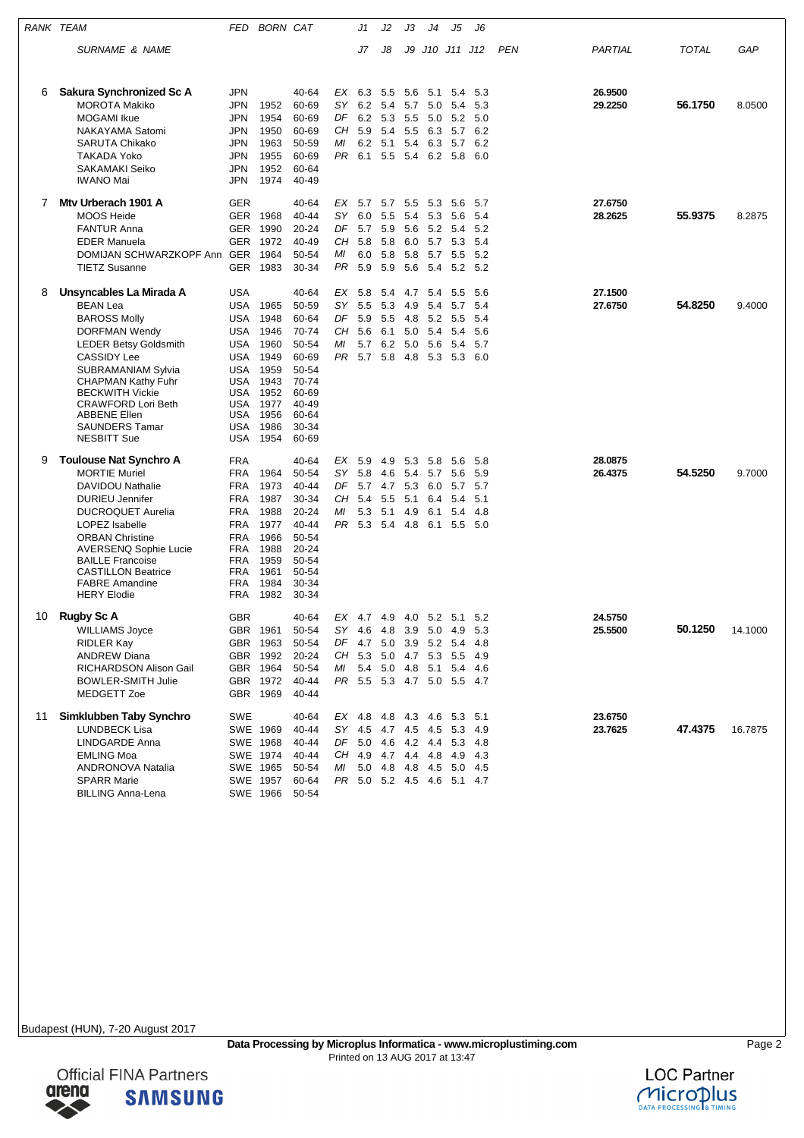|    | RANK TEAM                                            | FED        | <b>BORN CAT</b>      |                |          | J1         | J2                         | JЗ  | J4             | J5                         | J6          |            |         |              |         |
|----|------------------------------------------------------|------------|----------------------|----------------|----------|------------|----------------------------|-----|----------------|----------------------------|-------------|------------|---------|--------------|---------|
|    | SURNAME & NAME                                       |            |                      |                |          | J7         | J8                         |     |                | J9 J10 J11 J12             |             | <b>PEN</b> | PARTIAL | <b>TOTAL</b> | GAP     |
|    |                                                      |            |                      |                |          |            |                            |     |                |                            |             |            |         |              |         |
| 6  | Sakura Synchronized Sc A                             | JPN        |                      | 40-64          |          |            | EX 6.3 5.5 5.6 5.1 5.4     |     |                |                            | 5.3         |            | 26.9500 |              |         |
|    | <b>MOROTA Makiko</b>                                 | JPN        | 1952                 | 60-69          | SΥ       | 6.2        | 5.4                        | 5.7 | 5.0            | 5.4                        | 5.3         |            | 29.2250 | 56.1750      | 8.0500  |
|    | <b>MOGAMI</b> Ikue                                   | JPN        | 1954                 | 60-69          | DF       | 6.2 5.3    |                            | 5.5 | 5.0            | 5.2                        | 5.0         |            |         |              |         |
|    | <b>NAKAYAMA Satomi</b>                               | JPN        | 1950                 | 60-69          | CH       | 5.9        | 5.4                        |     | 5.5 6.3        | 5.7                        | 6.2         |            |         |              |         |
|    | <b>SARUTA Chikako</b>                                | JPN        | 1963                 | 50-59          | МI       |            | 6.2 5.1                    | 5.4 | 6.3            | 5.7                        | 6.2         |            |         |              |         |
|    | <b>TAKADA Yoko</b>                                   | JPN.       | 1955                 | 60-69          |          |            |                            |     |                | PR 6.1 5.5 5.4 6.2 5.8     | 6.0         |            |         |              |         |
|    | <b>SAKAMAKI Seiko</b><br><b>IWANO Mai</b>            | JPN<br>JPN | 1952<br>1974         | 60-64<br>40-49 |          |            |                            |     |                |                            |             |            |         |              |         |
| 7  | Mtv Urberach 1901 A                                  | <b>GER</b> |                      | 40-64          | EX       | 5.7        | 5.7 5.5                    |     | 5.3            | 5.6                        | 5.7         |            | 27.6750 |              |         |
|    | <b>MOOS Heide</b>                                    | <b>GER</b> | 1968                 | 40-44          | SY.      | 6.0        | 5.5                        | 5.4 | 5.3            | 5.6                        | 5.4         |            | 28.2625 | 55.9375      | 8.2875  |
|    | <b>FANTUR Anna</b>                                   | GER        | 1990                 | 20-24          | DF       | 5.7 5.9    |                            |     |                | 5.6 5.2 5.4                | 5.2         |            |         |              |         |
|    | <b>EDER Manuela</b>                                  | <b>GER</b> | 1972                 | 40-49          | CH       | 5.8        | 5.8                        | 6.0 | 5.7            | 5.3                        | 5.4         |            |         |              |         |
|    | DOMIJAN SCHWARZKOPF Ann GER                          |            | 1964                 | 50-54          | МI       | 6.0 5.8    |                            |     | 5.8 5.7        | 5.5                        | -5.2        |            |         |              |         |
|    | <b>TIETZ Susanne</b>                                 | <b>GER</b> | 1983                 | 30-34          | PR       | 5.9        | 5.9                        | 5.6 | 5.4            | 5.2                        | 5.2         |            |         |              |         |
| 8  | Unsyncables La Mirada A                              | USA        |                      | 40-64          | EX       | 5.8        | 5.4                        | 4.7 | 5.4            | 5.5                        | 5.6         |            | 27.1500 |              |         |
|    | <b>BEAN Lea</b>                                      | USA        | 1965                 | 50-59          | SY       | 5.5        | 5.3                        | 4.9 | 5.4            | 5.7                        | 5.4         |            | 27.6750 | 54.8250      | 9.4000  |
|    | <b>BAROSS Molly</b>                                  | USA        | 1948                 | 60-64          | DF       | 5.9        | 5.5                        | 4.8 | 5.2            | 5.5                        | 5.4         |            |         |              |         |
|    | <b>DORFMAN Wendy</b><br><b>LEDER Betsy Goldsmith</b> | USA<br>USA | 1946<br>1960         | 70-74<br>50-54 | CН<br>ΜI | 5.6<br>5.7 | 6.1<br>6.2                 | 5.0 | 5.4<br>5.0 5.6 | 5.4<br>- 5.4               | 5.6<br>5.7  |            |         |              |         |
|    | <b>CASSIDY Lee</b>                                   | <b>USA</b> | 1949                 | 60-69          | PR       | 5.7        | 5.8                        |     | 4.8 5.3        | 5.3                        | 6.0         |            |         |              |         |
|    | <b>SUBRAMANIAM Sylvia</b>                            | USA        | 1959                 | 50-54          |          |            |                            |     |                |                            |             |            |         |              |         |
|    | <b>CHAPMAN Kathy Fuhr</b>                            | USA        | 1943                 | 70-74          |          |            |                            |     |                |                            |             |            |         |              |         |
|    | <b>BECKWITH Vickie</b>                               | USA        | 1952                 | 60-69          |          |            |                            |     |                |                            |             |            |         |              |         |
|    | <b>CRAWFORD Lori Beth</b><br><b>ABBENE Ellen</b>     | USA<br>USA | 1977<br>1956         | 40-49<br>60-64 |          |            |                            |     |                |                            |             |            |         |              |         |
|    | <b>SAUNDERS Tamar</b>                                | USA        | 1986                 | 30-34          |          |            |                            |     |                |                            |             |            |         |              |         |
|    | <b>NESBITT Sue</b>                                   | USA        | 1954                 | 60-69          |          |            |                            |     |                |                            |             |            |         |              |         |
| 9  | <b>Toulouse Nat Synchro A</b>                        | FRA        |                      | 40-64          | EX       | 5.9        | 4.9                        | 5.3 | 5.8            | 5.6                        | 5.8         |            | 28.0875 |              |         |
|    | <b>MORTIE Muriel</b>                                 | FRA        | 1964                 | 50-54          | SY       | 5.8        | 4.6                        |     |                | 5.4 5.7 5.6                | 5.9         |            | 26.4375 | 54.5250      | 9.7000  |
|    | DAVIDOU Nathalie                                     | FRA        | 1973                 | 40-44          | DF       | 5.7        | 4.7                        | 5.3 | 6.0            | 5.7                        | 5.7         |            |         |              |         |
|    | <b>DURIEU Jennifer</b>                               | <b>FRA</b> | 1987                 | 30-34          | CН<br>ΜI | 5.4        | 5.5                        | 5.1 | 6.4            | 5.4                        | 5.1         |            |         |              |         |
|    | <b>DUCROQUET Aurelia</b><br>LOPEZ Isabelle           | FRA<br>FRA | 1988<br>1977         | 20-24<br>40-44 | PR.      | 5.3        | 5.1<br>5.3 5.4 4.8 6.1 5.5 | 4.9 | 6.1            | 5.4                        | 4.8<br>-5.0 |            |         |              |         |
|    | <b>ORBAN Christine</b>                               | FRA        | 1966                 | 50-54          |          |            |                            |     |                |                            |             |            |         |              |         |
|    | <b>AVERSENQ Sophie Lucie</b>                         | FRA        | 1988                 | 20-24          |          |            |                            |     |                |                            |             |            |         |              |         |
|    | <b>BAILLE Francoise</b>                              | FRA        | 1959                 | 50-54          |          |            |                            |     |                |                            |             |            |         |              |         |
|    | <b>CASTILLON Beatrice</b><br><b>FABRE Amandine</b>   | FRA<br>FRA | 1961<br>1984         | 50-54<br>30-34 |          |            |                            |     |                |                            |             |            |         |              |         |
|    | <b>HERY Elodie</b>                                   | FRA        | 1982                 | 30-34          |          |            |                            |     |                |                            |             |            |         |              |         |
| 10 | <b>Rugby Sc A</b>                                    | <b>GBR</b> |                      | 40-64          |          |            |                            |     |                | EX 4.7 4.9 4.0 5.2 5.1     | 5.2         |            | 24.5750 |              |         |
|    | <b>WILLIAMS Joyce</b>                                |            | GBR 1961             | 50-54          | SY 4.6   |            | 4.8                        |     |                | 3.9 5.0 4.9                | 5.3         |            | 25.5500 | 50.1250      | 14.1000 |
|    | <b>RIDLER Kay</b>                                    |            | GBR 1963             | 50-54          |          | DF 4.7 5.0 |                            |     | 3.9 5.2 5.4    |                            | 4.8         |            |         |              |         |
|    | <b>ANDREW Diana</b>                                  |            | GBR 1992             | 20-24          | CH       |            | $5.3\quad 5.0$             |     |                | 4.7 5.3 5.5                | 4.9         |            |         |              |         |
|    | RICHARDSON Alison Gail                               |            | GBR 1964             | 50-54          | МI       |            |                            |     |                | 5.4 5.0 4.8 5.1 5.4 4.6    |             |            |         |              |         |
|    | <b>BOWLER-SMITH Julie</b><br>MEDGETT Zoe             |            | GBR 1972<br>GBR 1969 | 40-44<br>40-44 |          |            |                            |     |                | PR 5.5 5.3 4.7 5.0 5.5 4.7 |             |            |         |              |         |
| 11 | Simklubben Taby Synchro                              | SWE        |                      | 40-64          |          |            |                            |     |                | EX 4.8 4.8 4.3 4.6 5.3 5.1 |             |            | 23.6750 |              |         |
|    | <b>LUNDBECK Lisa</b>                                 |            | SWE 1969             | 40-44          |          |            |                            |     |                | SY 4.5 4.7 4.5 4.5 5.3     | 4.9         |            | 23.7625 | 47.4375      | 16.7875 |
|    | LINDGARDE Anna                                       |            | SWE 1968             | 40-44          |          |            |                            |     |                | DF 5.0 4.6 4.2 4.4 5.3     | 4.8         |            |         |              |         |
|    | <b>EMLING Moa</b>                                    |            | SWE 1974             | 40-44          |          |            | CH 4.9 4.7 4.4 4.8 4.9     |     |                |                            | 4.3         |            |         |              |         |
|    | ANDRONOVA Natalia                                    |            | SWE 1965             | 50-54          | ΜI       |            |                            |     |                | 5.0 4.8 4.8 4.5 5.0        | 4.5         |            |         |              |         |
|    | <b>SPARR Marie</b>                                   |            | SWE 1957             | 60-64          |          |            |                            |     |                | PR 5.0 5.2 4.5 4.6 5.1 4.7 |             |            |         |              |         |
|    | <b>BILLING Anna-Lena</b>                             |            | SWE 1966             | 50-54          |          |            |                            |     |                |                            |             |            |         |              |         |





**Official FINA Partners SAMSUNG**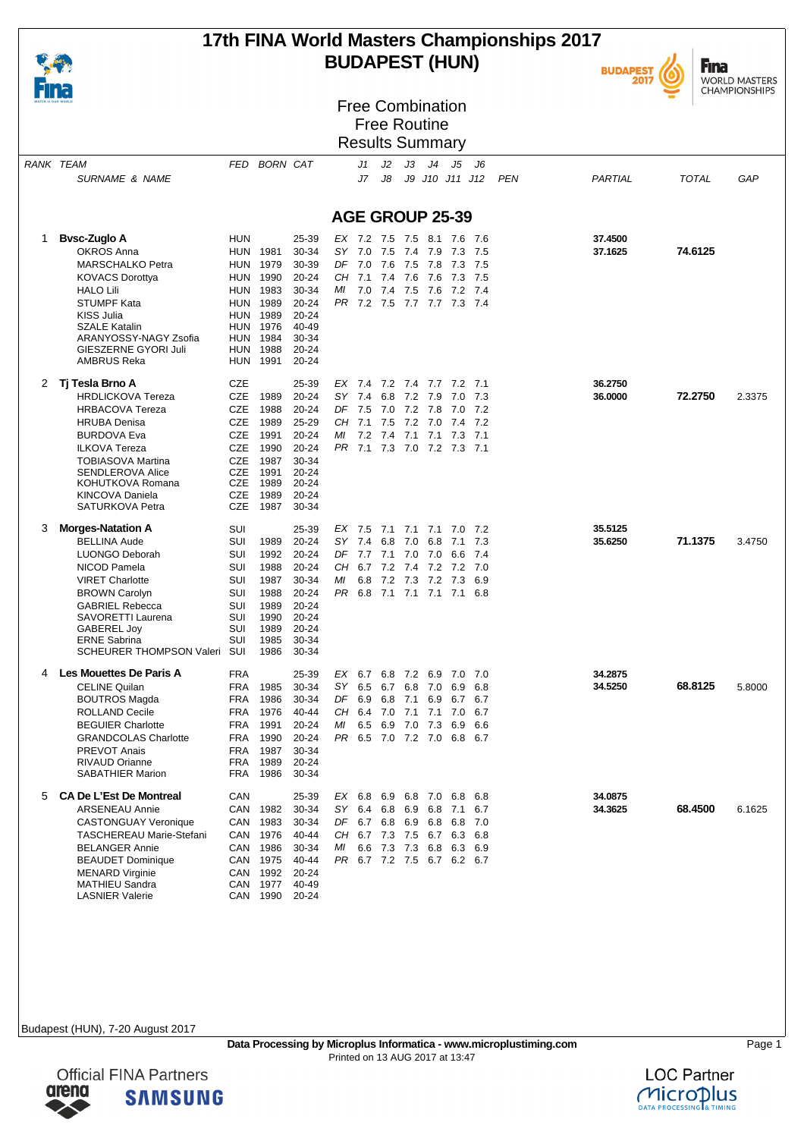

## **17th FINA World Masters Championships 2017 BUDAPEST (HUN)**



**Fina** WORLD MASTERS<br>CHAMPIONSHIPS

| <b>Free Combination</b> |
|-------------------------|
| <b>Free Routine</b>     |

#### Results Summary

| RANK TEAM |                                                  |            | FED BORN CAT |                |          | J1     | J2                         | JЗ      | J4             | J5          |     | J6      |            |         |              |        |
|-----------|--------------------------------------------------|------------|--------------|----------------|----------|--------|----------------------------|---------|----------------|-------------|-----|---------|------------|---------|--------------|--------|
|           | <b>SURNAME &amp; NAME</b>                        |            |              |                |          | J7     | J8                         |         | J9 J10 J11 J12 |             |     |         | <b>PEN</b> | PARTIAL | <b>TOTAL</b> | GAP    |
|           |                                                  |            |              |                |          |        |                            |         |                |             |     |         |            |         |              |        |
|           |                                                  |            |              |                |          |        |                            |         |                |             |     |         |            |         |              |        |
|           | <b>AGE GROUP 25-39</b>                           |            |              |                |          |        |                            |         |                |             |     |         |            |         |              |        |
|           |                                                  |            |              |                |          |        |                            |         |                |             |     |         |            |         |              |        |
| 1         | <b>Bvsc-Zuglo A</b>                              | <b>HUN</b> |              | 25-39          |          |        | EX 7.2 7.5 7.5             |         |                | 8.1 7.6 7.6 |     |         |            | 37.4500 |              |        |
|           | <b>OKROS Anna</b>                                | <b>HUN</b> | 1981         | 30-34          |          |        | SY 7.0 7.5 7.4             |         |                | 7.9 7.3 7.5 |     |         |            | 37.1625 | 74.6125      |        |
|           | <b>MARSCHALKO Petra</b>                          | <b>HUN</b> | 1979         | 30-39          | DF       | 7.0    | 7.6                        | 7.5     | 7.8            | 7.3         |     | 7.5     |            |         |              |        |
|           | <b>KOVACS Dorottya</b>                           | HUN        | 1990         | 20-24          | CH 7.1   |        |                            | 7.4 7.6 | 7.6            |             |     | 7.3 7.5 |            |         |              |        |
|           | <b>HALO Lili</b>                                 | <b>HUN</b> | 1983         | 30-34          | ΜI       | 7.0    | 7.4                        | 7.5     | 7.6            |             |     | 7.2 7.4 |            |         |              |        |
|           | <b>STUMPF Kata</b>                               | <b>HUN</b> | 1989         | 20-24          |          |        | PR 7.2 7.5 7.7 7.7 7.3 7.4 |         |                |             |     |         |            |         |              |        |
|           | <b>KISS Julia</b>                                | HUN        | 1989         | $20 - 24$      |          |        |                            |         |                |             |     |         |            |         |              |        |
|           | <b>SZALE Katalin</b><br>ARANYOSSY-NAGY Zsofia    | HUN<br>HUN | 1976<br>1984 | 40-49<br>30-34 |          |        |                            |         |                |             |     |         |            |         |              |        |
|           | GIESZERNE GYORI Juli                             | HUN        | 1988         | 20-24          |          |        |                            |         |                |             |     |         |            |         |              |        |
|           | AMBRUS Reka                                      | <b>HUN</b> | 1991         | 20-24          |          |        |                            |         |                |             |     |         |            |         |              |        |
|           |                                                  |            |              |                |          |        |                            |         |                |             |     |         |            |         |              |        |
| 2         | Tj Tesla Brno A                                  | CZE        |              | 25-39          |          | EX 7.4 | 7.2 7.4 7.7 7.2 7.1        |         |                |             |     |         |            | 36.2750 |              |        |
|           | <b>HRDLICKOVA Tereza</b>                         | CZE        | 1989         | 20-24          | SY 7.4   |        |                            | 6.8 7.2 | 7.9            | 7.0         |     | 7.3     |            | 36.0000 | 72.2750      | 2.3375 |
|           | <b>HRBACOVA Tereza</b>                           | <b>CZE</b> | 1988         | $20 - 24$      | DF       | 7.5    | 7.0                        | 7.2     | 7.8            | 7.0         |     | 7.2     |            |         |              |        |
|           | <b>HRUBA Denisa</b>                              | CZE        | 1989         | 25-29          | $CH$ 7.1 |        |                            | 7.5 7.2 | 7.0            |             |     | 7.4 7.2 |            |         |              |        |
|           | <b>BURDOVA Eva</b>                               | CZE        | 1991         | 20-24          | МI       | 7.2    | 7.4                        | 7.1     | 7.1            | 7.3         |     | 7.1     |            |         |              |        |
|           | <b>ILKOVA Tereza</b>                             | <b>CZE</b> | 1990         | 20-24          |          |        | PR 7.1 7.3 7.0 7.2 7.3 7.1 |         |                |             |     |         |            |         |              |        |
|           | <b>TOBIASOVA Martina</b>                         | CZE        | 1987         | 30-34          |          |        |                            |         |                |             |     |         |            |         |              |        |
|           | SENDLEROVA Alice                                 | <b>CZE</b> | 1991         | $20 - 24$      |          |        |                            |         |                |             |     |         |            |         |              |        |
|           | KOHUTKOVA Romana                                 | <b>CZE</b> | 1989         | 20-24          |          |        |                            |         |                |             |     |         |            |         |              |        |
|           | <b>KINCOVA Daniela</b>                           | CZE        | 1989         | $20 - 24$      |          |        |                            |         |                |             |     |         |            |         |              |        |
|           | SATURKOVA Petra                                  | CZE        | 1987         | 30-34          |          |        |                            |         |                |             |     |         |            |         |              |        |
| 3         | <b>Morges-Natation A</b>                         | SUI        |              | 25-39          |          |        | EX 7.5 7.1 7.1 7.1 7.0 7.2 |         |                |             |     |         |            | 35.5125 |              |        |
|           | <b>BELLINA Aude</b>                              | SUI        | 1989         | 20-24          | SY 7.4   |        |                            | 6.8 7.0 | 6.8            | 7.1         |     | 7.3     |            | 35.6250 | 71.1375      | 3.4750 |
|           | LUONGO Deborah                                   | SUI        | 1992         | 20-24          | DF 7.7   |        | 7.1 7.0                    |         | 7.0            | 6.6         |     | 7.4     |            |         |              |        |
|           | NICOD Pamela                                     | SUI        | 1988         | $20 - 24$      |          |        | CH 6.7 7.2 7.4             |         |                | 7.2 7.2 7.0 |     |         |            |         |              |        |
|           | <b>VIRET Charlotte</b>                           | SUI        | 1987         | 30-34          | МI       | 6.8    | 7.2 7.3                    |         | 7.2            | 7.3         |     | 6.9     |            |         |              |        |
|           | <b>BROWN Carolyn</b>                             | SUI        | 1988         | 20-24          |          |        | PR 6.8 7.1 7.1 7.1 7.1 6.8 |         |                |             |     |         |            |         |              |        |
|           | <b>GABRIEL Rebecca</b>                           | SUI        | 1989         | $20 - 24$      |          |        |                            |         |                |             |     |         |            |         |              |        |
|           | SAVORETTI Laurena                                | SUI        | 1990         | 20-24          |          |        |                            |         |                |             |     |         |            |         |              |        |
|           | GABEREL Joy                                      | SUI        | 1989         | $20 - 24$      |          |        |                            |         |                |             |     |         |            |         |              |        |
|           | <b>ERNE Sabrina</b>                              | SUI        | 1985         | 30-34          |          |        |                            |         |                |             |     |         |            |         |              |        |
|           | <b>SCHEURER THOMPSON Valeri</b>                  | SUI        | 1986         | 30-34          |          |        |                            |         |                |             |     |         |            |         |              |        |
|           |                                                  |            |              |                |          |        |                            |         |                |             |     |         |            |         |              |        |
| 4         | Les Mouettes De Paris A                          | <b>FRA</b> |              | 25-39          |          |        | EX 6.7 6.8 7.2 6.9 7.0 7.0 |         |                |             |     |         |            | 34.2875 |              |        |
|           | <b>CELINE Quilan</b>                             | <b>FRA</b> | 1985         | 30-34          |          | SY 6.5 |                            | 6.7 6.8 | 7.0            | 6.9         |     | 6.8     |            | 34.5250 | 68.8125      | 5.8000 |
|           | <b>BOUTROS Magda</b>                             | <b>FRA</b> | 1986         | 30-34          | DF       | 6.9    | 6.8                        | 7.1     | 6.9            |             | 6.7 | 6.7     |            |         |              |        |
|           | <b>ROLLAND Cecile</b>                            | FRA        | 1976         | 40-44          |          | CH 6.4 | 7.0 7.1                    |         | 7.1            | 7.0         |     | 6.7     |            |         |              |        |
|           | <b>BEGUIER Charlotte</b>                         | <b>FRA</b> | 1991         | $20 - 24$      | ΜI       | 6.5    | 6.9                        | 7.0     | 7.3            | 6.9         |     | 6.6     |            |         |              |        |
|           | <b>GRANDCOLAS Charlotte</b>                      | <b>FRA</b> | 1990         | 20-24          |          |        | PR 6.5 7.0 7.2 7.0         |         |                |             |     | 6.8 6.7 |            |         |              |        |
|           | <b>PREVOT Anais</b>                              | <b>FRA</b> | 1987         | 30-34          |          |        |                            |         |                |             |     |         |            |         |              |        |
|           | <b>RIVAUD Orianne</b><br><b>SABATHIER Marion</b> | FRA<br>FRA | 1989<br>1986 | 20-24<br>30-34 |          |        |                            |         |                |             |     |         |            |         |              |        |
|           |                                                  |            |              |                |          |        |                            |         |                |             |     |         |            |         |              |        |
| 5         | <b>CA De L'Est De Montreal</b>                   | CAN        |              | 25-39          |          |        | EX 6.8 6.9 6.8 7.0 6.8 6.8 |         |                |             |     |         |            | 34.0875 |              |        |
|           | <b>ARSENEAU Annie</b>                            | CAN        | 1982         | 30-34          |          |        | SY 6.4 6.8 6.9 6.8         |         |                | 7.1         |     | 6.7     |            | 34.3625 | 68.4500      | 6.1625 |
|           | <b>CASTONGUAY Veronique</b>                      | CAN        | 1983         | 30-34          |          |        | DF 6.7 6.8 6.9 6.8 6.8 7.0 |         |                |             |     |         |            |         |              |        |
|           | <b>TASCHEREAU Marie-Stefani</b>                  | CAN        | 1976         | 40-44          |          |        | CH 6.7 7.3 7.5 6.7 6.3 6.8 |         |                |             |     |         |            |         |              |        |
|           | <b>BELANGER Annie</b>                            | CAN        | 1986         | 30-34          | МI       |        | 6.6 7.3 7.3 6.8 6.3 6.9    |         |                |             |     |         |            |         |              |        |
|           | <b>BEAUDET Dominique</b>                         |            | CAN 1975     | 40-44          |          |        | PR 6.7 7.2 7.5 6.7 6.2 6.7 |         |                |             |     |         |            |         |              |        |
|           | <b>MENARD Virginie</b>                           | CAN        | 1992         | 20-24          |          |        |                            |         |                |             |     |         |            |         |              |        |
|           | <b>MATHIEU Sandra</b>                            |            | CAN 1977     | 40-49          |          |        |                            |         |                |             |     |         |            |         |              |        |
|           | <b>LASNIER Valerie</b>                           |            | CAN 1990     | 20-24          |          |        |                            |         |                |             |     |         |            |         |              |        |

Budapest (HUN), 7-20 August 2017

arena

**Official FINA Partners** 

**SAMSUNG** 



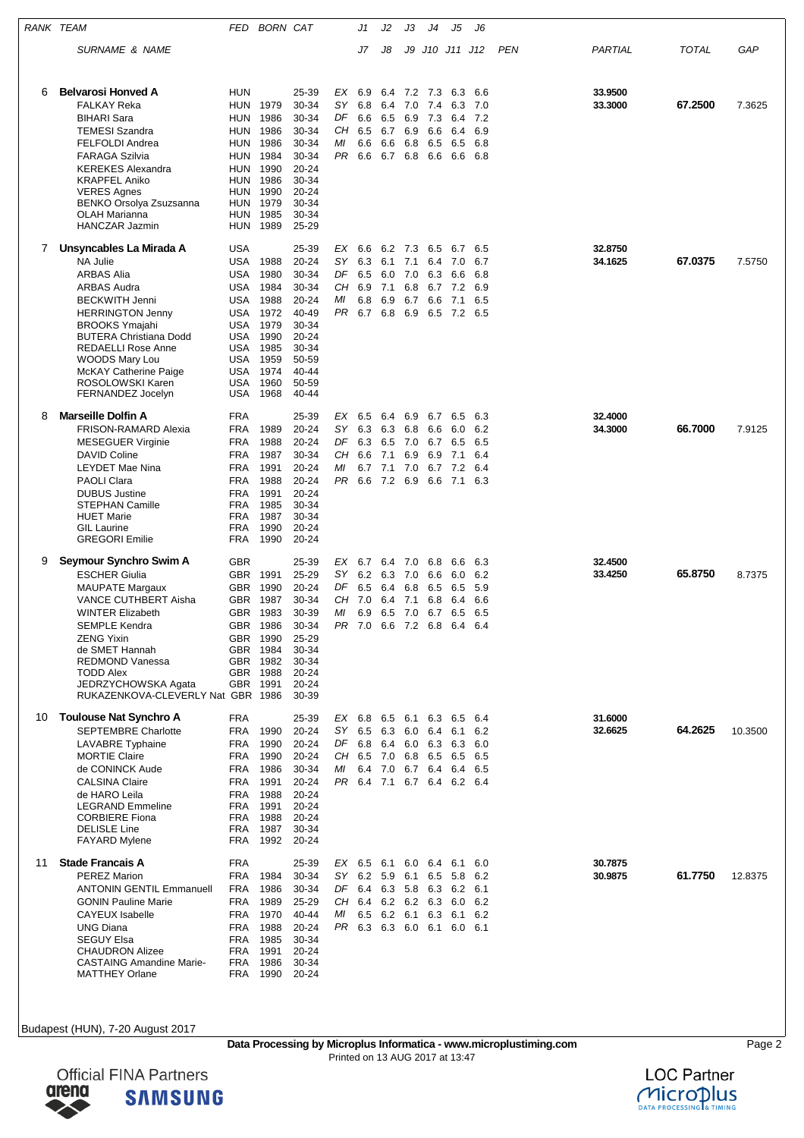| RANK TEAM |                                                                                                                                                                                                                                                                                                                      | FED                                                                                                          | <b>BORN CAT</b>                                                                                  |                                                                                                                   |                                      | J1                                     | J2                                                                | JЗ                                  | J4                                                    | J5                                                                                               | J6                                     |     |                    |              |         |
|-----------|----------------------------------------------------------------------------------------------------------------------------------------------------------------------------------------------------------------------------------------------------------------------------------------------------------------------|--------------------------------------------------------------------------------------------------------------|--------------------------------------------------------------------------------------------------|-------------------------------------------------------------------------------------------------------------------|--------------------------------------|----------------------------------------|-------------------------------------------------------------------|-------------------------------------|-------------------------------------------------------|--------------------------------------------------------------------------------------------------|----------------------------------------|-----|--------------------|--------------|---------|
|           | SURNAME & NAME                                                                                                                                                                                                                                                                                                       |                                                                                                              |                                                                                                  |                                                                                                                   |                                      | J7                                     | J8                                                                | J9                                  |                                                       | J10 J11 J12                                                                                      |                                        | PEN | PARTIAL            | <b>TOTAL</b> | GAP     |
| 6         | <b>Belvarosi Honved A</b><br><b>FALKAY Reka</b><br><b>BIHARI Sara</b><br><b>TEMESI Szandra</b><br><b>FELFOLDI Andrea</b><br><b>FARAGA Szilvia</b><br><b>KEREKES Alexandra</b><br><b>KRAPFEL Aniko</b><br><b>VERES Agnes</b><br>BENKO Orsolya Zsuzsanna<br><b>OLAH Marianna</b><br>HANCZAR Jazmin                     | <b>HUN</b><br><b>HUN</b><br>HUN<br>HUN<br>HUN<br>HUN<br>HUN<br>HUN<br>HUN<br><b>HUN</b><br>HUN<br><b>HUN</b> | 1979<br>1986<br>1986<br>1986<br>1984<br>1990<br>1986<br>1990<br>1979<br>1985<br>1989             | 25-39<br>30-34<br>30-34<br>30-34<br>30-34<br>30-34<br>20-24<br>30-34<br>20-24<br>30-34<br>30-34<br>25-29          | EX<br>SΥ<br>DF<br>CН<br>МI<br>PR 6.6 | 6.9<br>6.8<br>6.6<br>6.5<br>6.6        | 6.4<br>6.4<br>6.5<br>6.7<br>6.6<br>6.7 6.8 6.6                    | 7.2 7.3<br>7.0<br>6.9<br>6.9<br>6.8 | 7.4<br>7.3<br>6.6<br>6.5                              | 6.3<br>6.3<br>6.4<br>6.4<br>6.5<br>6.6                                                           | 6.6<br>7.0<br>7.2<br>6.9<br>6.8<br>6.8 |     | 33.9500<br>33.3000 | 67.2500      | 7.3625  |
| 7         | Unsyncables La Mirada A<br>NA Julie<br><b>ARBAS Alia</b><br>ARBAS Audra<br><b>BECKWITH Jenni</b><br><b>HERRINGTON Jenny</b><br><b>BROOKS Ymajahi</b><br><b>BUTERA Christiana Dodd</b><br><b>REDAELLI Rose Anne</b><br><b>WOODS Mary Lou</b><br><b>McKAY Catherine Paige</b><br>ROSOLOWSKI Karen<br>FERNANDEZ Jocelyn | <b>USA</b><br><b>USA</b><br>USA<br>USA<br><b>USA</b><br>USA<br>USA<br>USA<br>USA<br>USA<br>USA<br>USA<br>USA | 1988<br>1980<br>1984<br>1988<br>1972<br>1979<br>1990<br>1985<br>1959<br>1974<br>1960<br>1968     | 25-39<br>20-24<br>30-34<br>30-34<br>20-24<br>40-49<br>30-34<br>20-24<br>30-34<br>50-59<br>40-44<br>50-59<br>40-44 | EX<br>SY<br>DF<br>CH<br>МI<br>PR.    | 6.6<br>6.3<br>6.5<br>6.9<br>6.8<br>6.7 | 62 73<br>6.1<br>6.0<br>7.1<br>6.9<br>6.8                          | 7.1<br>7.0<br>6.8<br>6.7<br>6.9     | 6.5<br>6.4<br>6.3<br>6.7<br>6.6<br>6.5                | 6.7<br>7.0<br>6.6<br>7.2<br>7.1<br>7.2                                                           | 6.5<br>6.7<br>6.8<br>6.9<br>6.5<br>6.5 |     | 32.8750<br>34.1625 | 67.0375      | 7.5750  |
| 8         | Marseille Dolfin A<br><b>FRISON-RAMARD Alexia</b><br><b>MESEGUER Virginie</b><br>DAVID Coline<br><b>LEYDET Mae Nina</b><br><b>PAOLI Clara</b><br><b>DUBUS Justine</b><br><b>STEPHAN Camille</b><br><b>HUET Marie</b><br><b>GIL Laurine</b><br><b>GREGORI Emilie</b>                                                  | <b>FRA</b><br><b>FRA</b><br>FRA<br>FRA<br><b>FRA</b><br><b>FRA</b><br>FRA<br><b>FRA</b><br>FRA<br>FRA<br>FRA | 1989<br>1988<br>1987<br>1991<br>1988<br>1991<br>1985<br>1987<br>1990<br>1990                     | 25-39<br>$20 - 24$<br>20-24<br>30-34<br>$20 - 24$<br>20-24<br>20-24<br>30-34<br>30-34<br>20-24<br>20-24           | EX<br>SΥ<br>DF<br>CН<br>ΜI<br>PR 6.6 | 6.5<br>6.3<br>6.3<br>6.6<br>6.7        | 6.4<br>6.3<br>6.5<br>7.1<br>7.1<br>7.2 6.9                        | 6.9<br>6.8<br>7.0<br>6.9<br>7.0     | 6.7<br>6.6<br>6.7<br>6.9<br>6.7<br>6.6                | 6.5<br>6.0<br>6.5<br>7.1<br>7.2<br>7.1                                                           | 6.3<br>6.2<br>6.5<br>6.4<br>6.4<br>6.3 |     | 32.4000<br>34.3000 | 66.7000      | 7.9125  |
| 9         | Seymour Synchro Swim A<br><b>ESCHER Giulia</b><br><b>MAUPATE Margaux</b><br><b>VANCE CUTHBERT Aisha</b><br><b>WINTER Elizabeth</b><br>SEMPLE Kendra<br><b>ZENG Yixin</b><br>de SMET Hannah<br><b>REDMOND Vanessa</b><br><b>TODD Alex</b><br>JEDRZYCHOWSKA Agata<br>RUKAZENKOVA-CLEVERLY Nat GBR 1986                 | <b>GBR</b><br>GBR<br>GBR<br>GBR<br>GBR<br><b>GBR</b>                                                         | 1991<br>1990<br>1987<br>GBR 1983<br>1986<br>GBR 1990<br>1984<br>GBR 1982<br>GBR 1988<br>GBR 1991 | 25-39<br>25-29<br>20-24<br>30-34<br>30-39<br>30-34<br>25-29<br>30-34<br>30-34<br>20-24<br>20-24<br>30-39          | EX<br>SY<br>DF<br>CН<br>ΜI           | 6.7<br>6.2<br>6.5<br>7.0<br>6.9        | 6.4 7.0<br>6.3<br>6.4<br>6.4<br>6.5 7.0 6.7<br>PR 7.0 6.6 7.2 6.8 | 7.0<br>6.8<br>7.1                   | 6.8<br>6.6<br>6.5<br>6.8                              | 6.6<br>6.0<br>6.5<br>6.4<br>6.5 6.5<br>6.4 6.4                                                   | 6.3<br>6.2<br>5.9<br>6.6               |     | 32.4500<br>33.4250 | 65.8750      | 8.7375  |
| 10        | <b>Toulouse Nat Synchro A</b><br><b>SEPTEMBRE Charlotte</b><br><b>LAVABRE</b> Typhaine<br><b>MORTIE Claire</b><br>de CONINCK Aude<br><b>CALSINA Claire</b><br>de HARO Leila<br><b>LEGRAND Emmeline</b><br><b>CORBIERE Fiona</b><br><b>DELISLE Line</b><br><b>FAYARD Mylene</b>                                       | <b>FRA</b><br>FRA<br><b>FRA</b><br>FRA<br>FRA<br>FRA<br><b>FRA</b><br>FRA<br>FRA<br><b>FRA</b><br>FRA        | 1990<br>1990<br>1990<br>1986<br>1991<br>1988<br>1991<br>1988<br>1987<br>1992                     | 25-39<br>20-24<br>20-24<br>20-24<br>30-34<br>20-24<br>20-24<br>$20 - 24$<br>20-24<br>30-34<br>20-24               | SΥ<br>DF 6.8<br>МI                   | 6.5<br>CH 6.5 7.0<br>6.4               | 6.3<br>6.4<br>7.0                                                 |                                     | $6.0\quad 6.4\quad 6.1$<br>6.0 6.3 6.3<br>6.8 6.5 6.5 | EX 6.8 6.5 6.1 6.3 6.5 6.4<br>6.7 6.4 6.4<br>PR 6.4 7.1 6.7 6.4 6.2 6.4                          | 6.2<br>6.0<br>6.5<br>6.5               |     | 31.6000<br>32.6625 | 64.2625      | 10.3500 |
| 11        | <b>Stade Francais A</b><br><b>PEREZ Marion</b><br><b>ANTONIN GENTIL Emmanuell</b><br><b>GONIN Pauline Marie</b><br><b>CAYEUX</b> Isabelle<br><b>UNG Diana</b><br><b>SEGUY Elsa</b><br><b>CHAUDRON Alizee</b><br><b>CASTAING Amandine Marie-</b><br><b>MATTHEY Orlane</b>                                             | <b>FRA</b><br>FRA<br>FRA<br>FRA<br>FRA<br>FRA<br><b>FRA</b><br>FRA<br>FRA<br>FRA                             | 1984<br>1986<br>1989<br>1970<br>1988<br>1985<br>1991<br>1986<br>1990                             | 25-39<br>30-34<br>30-34<br>25-29<br>40-44<br>20-24<br>30-34<br>20-24<br>30-34<br>20-24                            | SY<br>МI                             | 6.2 5.9<br>6.5                         | CH 6.4 6.2 6.2 6.3 6.0<br>6.2 6.1 6.3                             | 6.1 6.5                             |                                                       | EX 6.5 6.1 6.0 6.4 6.1<br>5.8<br>DF 6.4 6.3 5.8 6.3 6.2 6.1<br>6.1<br>PR 6.3 6.3 6.0 6.1 6.0 6.1 | 6.0<br>6.2<br>6.2<br>6.2               |     | 30.7875<br>30.9875 | 61.7750      | 12.8375 |